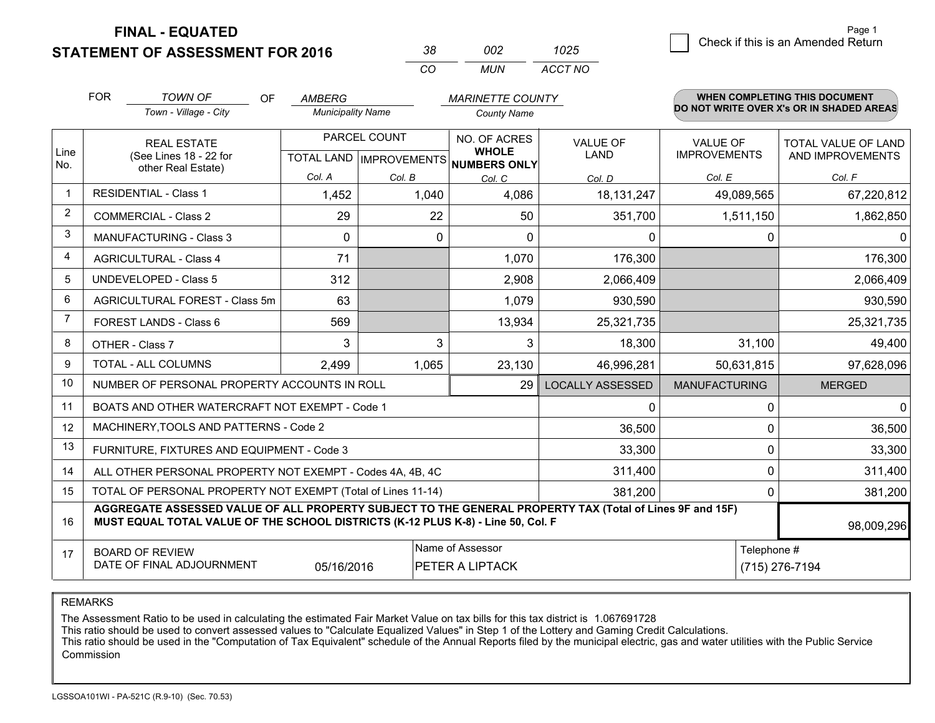**STATEMENT OF ASSESSMENT FOR 2016** 

| 38.      | nn2   | 1025    |
|----------|-------|---------|
| $\cdots$ | MI IN | ACCT NO |

|                | <b>FOR</b><br><b>TOWN OF</b><br><b>OF</b><br><b>AMBERG</b><br><b>MARINETTE COUNTY</b>                                                                                                        |                                                              |                          |              |                                      | <b>WHEN COMPLETING THIS DOCUMENT</b> |                                        |                                          |
|----------------|----------------------------------------------------------------------------------------------------------------------------------------------------------------------------------------------|--------------------------------------------------------------|--------------------------|--------------|--------------------------------------|--------------------------------------|----------------------------------------|------------------------------------------|
|                |                                                                                                                                                                                              | Town - Village - City                                        | <b>Municipality Name</b> |              | <b>County Name</b>                   |                                      |                                        | DO NOT WRITE OVER X's OR IN SHADED AREAS |
| Line           |                                                                                                                                                                                              | <b>REAL ESTATE</b>                                           |                          | PARCEL COUNT | NO. OF ACRES<br><b>WHOLE</b>         | <b>VALUE OF</b><br>LAND              | <b>VALUE OF</b><br><b>IMPROVEMENTS</b> | <b>TOTAL VALUE OF LAND</b>               |
| No.            |                                                                                                                                                                                              | (See Lines 18 - 22 for<br>other Real Estate)                 |                          |              | TOTAL LAND IMPROVEMENTS NUMBERS ONLY |                                      |                                        | AND IMPROVEMENTS                         |
|                |                                                                                                                                                                                              |                                                              | Col. A                   | Col. B       | Col. C                               | Col. D                               | Col. E                                 | Col. F                                   |
| $\mathbf 1$    |                                                                                                                                                                                              | <b>RESIDENTIAL - Class 1</b>                                 | 1,452                    | 1,040        | 4,086                                | 18, 131, 247                         | 49,089,565                             | 67,220,812                               |
| $\overline{2}$ |                                                                                                                                                                                              | <b>COMMERCIAL - Class 2</b>                                  | 29                       | 22           | 50                                   | 351,700                              | 1,511,150                              | 1,862,850                                |
| 3              |                                                                                                                                                                                              | <b>MANUFACTURING - Class 3</b>                               | $\Omega$                 | 0            | $\Omega$                             | 0                                    | 0                                      | 0                                        |
| $\overline{4}$ |                                                                                                                                                                                              | <b>AGRICULTURAL - Class 4</b>                                | 71                       |              | 1,070                                | 176,300                              |                                        | 176,300                                  |
| 5              |                                                                                                                                                                                              | <b>UNDEVELOPED - Class 5</b>                                 | 312                      |              | 2,908                                | 2,066,409                            |                                        | 2,066,409                                |
| 6              | AGRICULTURAL FOREST - Class 5m                                                                                                                                                               |                                                              | 63                       |              | 1,079                                | 930,590                              |                                        | 930,590                                  |
| 7              | FOREST LANDS - Class 6                                                                                                                                                                       |                                                              | 569                      |              | 13,934                               | 25,321,735                           |                                        | 25,321,735                               |
| 8              |                                                                                                                                                                                              | OTHER - Class 7                                              | 3                        | 3            | 3                                    | 18,300                               | 31,100                                 | 49,400                                   |
| 9              |                                                                                                                                                                                              | TOTAL - ALL COLUMNS                                          | 2,499                    | 1,065        | 23,130                               | 46,996,281                           | 50,631,815                             | 97,628,096                               |
| 10             |                                                                                                                                                                                              | NUMBER OF PERSONAL PROPERTY ACCOUNTS IN ROLL                 |                          |              | 29                                   | <b>LOCALLY ASSESSED</b>              | <b>MANUFACTURING</b>                   | <b>MERGED</b>                            |
| 11             |                                                                                                                                                                                              | BOATS AND OTHER WATERCRAFT NOT EXEMPT - Code 1               |                          |              |                                      | 0                                    | 0                                      | 0                                        |
| 12             |                                                                                                                                                                                              | MACHINERY, TOOLS AND PATTERNS - Code 2                       |                          |              |                                      | 36,500                               | 0                                      | 36,500                                   |
| 13             |                                                                                                                                                                                              | FURNITURE, FIXTURES AND EQUIPMENT - Code 3                   |                          |              |                                      | 33,300                               | $\mathbf{0}$                           | 33,300                                   |
| 14             |                                                                                                                                                                                              | ALL OTHER PERSONAL PROPERTY NOT EXEMPT - Codes 4A, 4B, 4C    |                          |              |                                      | 311,400                              | 0                                      | 311,400                                  |
| 15             |                                                                                                                                                                                              | TOTAL OF PERSONAL PROPERTY NOT EXEMPT (Total of Lines 11-14) |                          |              |                                      | 381,200                              | 0                                      | 381,200                                  |
| 16             | AGGREGATE ASSESSED VALUE OF ALL PROPERTY SUBJECT TO THE GENERAL PROPERTY TAX (Total of Lines 9F and 15F)<br>MUST EQUAL TOTAL VALUE OF THE SCHOOL DISTRICTS (K-12 PLUS K-8) - Line 50, Col. F |                                                              |                          |              |                                      |                                      |                                        | 98,009,296                               |
| 17             |                                                                                                                                                                                              | <b>BOARD OF REVIEW</b>                                       |                          |              | Name of Assessor                     |                                      | Telephone #                            |                                          |
|                | DATE OF FINAL ADJOURNMENT<br><b>PETER A LIPTACK</b><br>05/16/2016                                                                                                                            |                                                              |                          |              |                                      |                                      | (715) 276-7194                         |                                          |

REMARKS

The Assessment Ratio to be used in calculating the estimated Fair Market Value on tax bills for this tax district is 1.067691728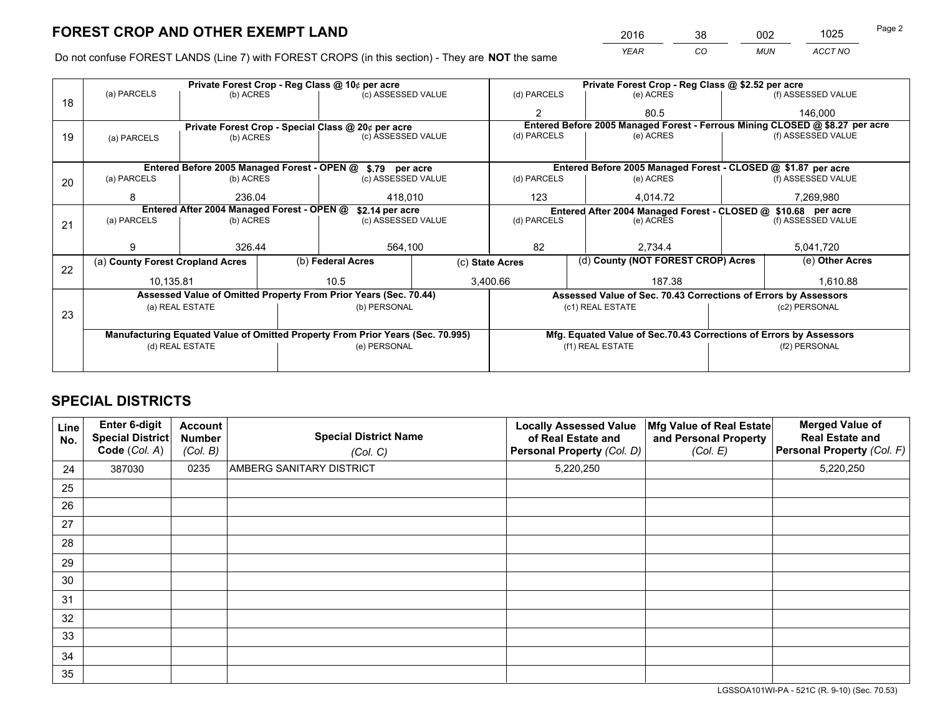*YEAR CO MUN ACCT NO* <sup>2016</sup> <sup>38</sup> <sup>002</sup> <sup>1025</sup>

Do not confuse FOREST LANDS (Line 7) with FOREST CROPS (in this section) - They are **NOT** the same

|    |                                                               |                 | Private Forest Crop - Reg Class @ 10¢ per acre                                 |                    |                                                                 | Private Forest Crop - Reg Class @ \$2.52 per acre                            |                                    |                    |  |
|----|---------------------------------------------------------------|-----------------|--------------------------------------------------------------------------------|--------------------|-----------------------------------------------------------------|------------------------------------------------------------------------------|------------------------------------|--------------------|--|
| 18 | (a) PARCELS                                                   | (b) ACRES       |                                                                                | (c) ASSESSED VALUE | (d) PARCELS                                                     | (e) ACRES                                                                    |                                    | (f) ASSESSED VALUE |  |
|    |                                                               |                 |                                                                                |                    | $\mathcal{P}$                                                   | 80.5                                                                         |                                    | 146.000            |  |
|    |                                                               |                 | Private Forest Crop - Special Class @ 20¢ per acre                             |                    |                                                                 | Entered Before 2005 Managed Forest - Ferrous Mining CLOSED @ \$8.27 per acre |                                    |                    |  |
| 19 | (a) PARCELS                                                   | (b) ACRES       |                                                                                | (c) ASSESSED VALUE | (d) PARCELS                                                     | (e) ACRES                                                                    |                                    | (f) ASSESSED VALUE |  |
|    |                                                               |                 |                                                                                |                    |                                                                 |                                                                              |                                    |                    |  |
|    |                                                               |                 | Entered Before 2005 Managed Forest - OPEN @ \$.79 per acre                     |                    |                                                                 | Entered Before 2005 Managed Forest - CLOSED @ \$1.87 per acre                |                                    |                    |  |
| 20 | (a) PARCELS                                                   | (b) ACRES       |                                                                                | (c) ASSESSED VALUE | (d) PARCELS                                                     | (e) ACRES                                                                    |                                    | (f) ASSESSED VALUE |  |
|    | 8                                                             | 236.04          |                                                                                | 418.010            |                                                                 | 4.014.72                                                                     |                                    | 7,269,980          |  |
|    | Entered After 2004 Managed Forest - OPEN @<br>\$2.14 per acre |                 |                                                                                |                    |                                                                 | Entered After 2004 Managed Forest - CLOSED @ \$10.68 per acre                |                                    |                    |  |
| 21 | (a) PARCELS                                                   | (b) ACRES       |                                                                                | (c) ASSESSED VALUE | (d) PARCELS<br>(e) ACRES                                        |                                                                              |                                    | (f) ASSESSED VALUE |  |
|    |                                                               |                 |                                                                                |                    |                                                                 |                                                                              |                                    |                    |  |
|    | 9                                                             | 326.44          |                                                                                | 564,100            |                                                                 | 2,734.4                                                                      |                                    | 5,041,720          |  |
| 22 | (a) County Forest Cropland Acres                              |                 | (b) Federal Acres                                                              | (c) State Acres    |                                                                 |                                                                              | (d) County (NOT FOREST CROP) Acres |                    |  |
|    | 10,135.81                                                     |                 | 10.5                                                                           |                    | 3,400.66<br>187.38                                              |                                                                              |                                    | 1,610.88           |  |
|    |                                                               |                 | Assessed Value of Omitted Property From Prior Years (Sec. 70.44)               |                    | Assessed Value of Sec. 70.43 Corrections of Errors by Assessors |                                                                              |                                    |                    |  |
| 23 |                                                               | (a) REAL ESTATE | (b) PERSONAL                                                                   |                    |                                                                 | (c1) REAL ESTATE                                                             |                                    | (c2) PERSONAL      |  |
|    |                                                               |                 |                                                                                |                    |                                                                 |                                                                              |                                    |                    |  |
|    |                                                               |                 | Manufacturing Equated Value of Omitted Property From Prior Years (Sec. 70.995) |                    |                                                                 | Mfg. Equated Value of Sec.70.43 Corrections of Errors by Assessors           |                                    |                    |  |
|    |                                                               | (d) REAL ESTATE | (e) PERSONAL                                                                   |                    | (f1) REAL ESTATE                                                |                                                                              | (f2) PERSONAL                      |                    |  |
|    |                                                               |                 |                                                                                |                    |                                                                 |                                                                              |                                    |                    |  |

## **SPECIAL DISTRICTS**

| <b>Line</b><br>No. | Enter 6-digit<br><b>Special District</b><br>Code (Col. A) | <b>Account</b><br><b>Number</b><br>(Col. B) | <b>Special District Name</b><br>(Col. C) | <b>Locally Assessed Value</b><br>of Real Estate and<br>Personal Property (Col. D) | Mfg Value of Real Estate<br>and Personal Property<br>(Col. E) | <b>Merged Value of</b><br><b>Real Estate and</b><br>Personal Property (Col. F) |
|--------------------|-----------------------------------------------------------|---------------------------------------------|------------------------------------------|-----------------------------------------------------------------------------------|---------------------------------------------------------------|--------------------------------------------------------------------------------|
| 24                 | 387030                                                    | 0235                                        | <b>AMBERG SANITARY DISTRICT</b>          | 5,220,250                                                                         |                                                               | 5,220,250                                                                      |
| 25                 |                                                           |                                             |                                          |                                                                                   |                                                               |                                                                                |
| 26                 |                                                           |                                             |                                          |                                                                                   |                                                               |                                                                                |
| 27                 |                                                           |                                             |                                          |                                                                                   |                                                               |                                                                                |
| 28                 |                                                           |                                             |                                          |                                                                                   |                                                               |                                                                                |
| 29                 |                                                           |                                             |                                          |                                                                                   |                                                               |                                                                                |
| 30                 |                                                           |                                             |                                          |                                                                                   |                                                               |                                                                                |
| 31                 |                                                           |                                             |                                          |                                                                                   |                                                               |                                                                                |
| 32                 |                                                           |                                             |                                          |                                                                                   |                                                               |                                                                                |
| 33                 |                                                           |                                             |                                          |                                                                                   |                                                               |                                                                                |
| 34                 |                                                           |                                             |                                          |                                                                                   |                                                               |                                                                                |
| 35                 |                                                           |                                             |                                          |                                                                                   |                                                               |                                                                                |

LGSSOA101WI-PA - 521C (R. 9-10) (Sec. 70.53)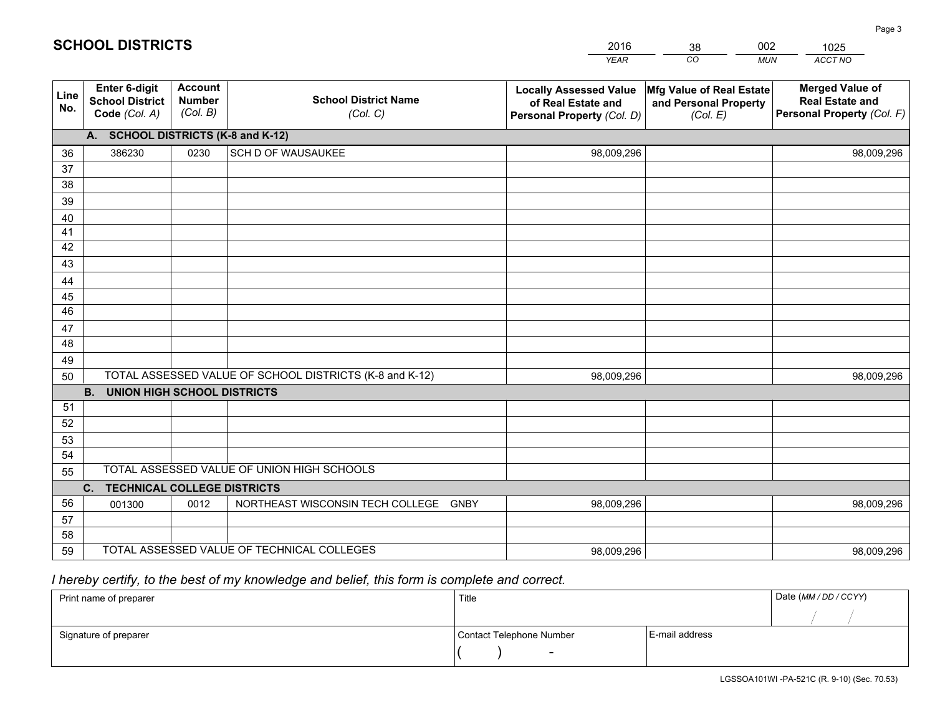|             |                                                                 |                                             |                                                         | <b>YEAR</b>                                                                       | CO<br><b>MUN</b>                                              | ACCT NO                                                                        |
|-------------|-----------------------------------------------------------------|---------------------------------------------|---------------------------------------------------------|-----------------------------------------------------------------------------------|---------------------------------------------------------------|--------------------------------------------------------------------------------|
| Line<br>No. | <b>Enter 6-digit</b><br><b>School District</b><br>Code (Col. A) | <b>Account</b><br><b>Number</b><br>(Col. B) | <b>School District Name</b><br>(Col. C)                 | <b>Locally Assessed Value</b><br>of Real Estate and<br>Personal Property (Col. D) | Mfg Value of Real Estate<br>and Personal Property<br>(Col. E) | <b>Merged Value of</b><br><b>Real Estate and</b><br>Personal Property (Col. F) |
|             | A. SCHOOL DISTRICTS (K-8 and K-12)                              |                                             |                                                         |                                                                                   |                                                               |                                                                                |
| 36          | 386230                                                          | 0230                                        | SCH D OF WAUSAUKEE                                      | 98,009,296                                                                        |                                                               | 98,009,296                                                                     |
| 37          |                                                                 |                                             |                                                         |                                                                                   |                                                               |                                                                                |
| 38          |                                                                 |                                             |                                                         |                                                                                   |                                                               |                                                                                |
| 39          |                                                                 |                                             |                                                         |                                                                                   |                                                               |                                                                                |
| 40          |                                                                 |                                             |                                                         |                                                                                   |                                                               |                                                                                |
| 41          |                                                                 |                                             |                                                         |                                                                                   |                                                               |                                                                                |
| 42          |                                                                 |                                             |                                                         |                                                                                   |                                                               |                                                                                |
| 43          |                                                                 |                                             |                                                         |                                                                                   |                                                               |                                                                                |
| 44          |                                                                 |                                             |                                                         |                                                                                   |                                                               |                                                                                |
| 45<br>46    |                                                                 |                                             |                                                         |                                                                                   |                                                               |                                                                                |
| 47          |                                                                 |                                             |                                                         |                                                                                   |                                                               |                                                                                |
| 48          |                                                                 |                                             |                                                         |                                                                                   |                                                               |                                                                                |
| 49          |                                                                 |                                             |                                                         |                                                                                   |                                                               |                                                                                |
| 50          |                                                                 |                                             | TOTAL ASSESSED VALUE OF SCHOOL DISTRICTS (K-8 and K-12) | 98,009,296                                                                        |                                                               | 98,009,296                                                                     |
|             | <b>B.</b><br><b>UNION HIGH SCHOOL DISTRICTS</b>                 |                                             |                                                         |                                                                                   |                                                               |                                                                                |
| 51          |                                                                 |                                             |                                                         |                                                                                   |                                                               |                                                                                |
| 52          |                                                                 |                                             |                                                         |                                                                                   |                                                               |                                                                                |
| 53          |                                                                 |                                             |                                                         |                                                                                   |                                                               |                                                                                |
| 54          |                                                                 |                                             |                                                         |                                                                                   |                                                               |                                                                                |
| 55          |                                                                 |                                             | TOTAL ASSESSED VALUE OF UNION HIGH SCHOOLS              |                                                                                   |                                                               |                                                                                |
|             | <b>TECHNICAL COLLEGE DISTRICTS</b><br>C.                        |                                             |                                                         |                                                                                   |                                                               |                                                                                |
| 56          | 001300                                                          | 0012                                        | NORTHEAST WISCONSIN TECH COLLEGE GNBY                   | 98,009,296                                                                        |                                                               | 98,009,296                                                                     |
| 57          |                                                                 |                                             |                                                         |                                                                                   |                                                               |                                                                                |
| 58          |                                                                 |                                             |                                                         |                                                                                   |                                                               |                                                                                |
| 59          |                                                                 |                                             | TOTAL ASSESSED VALUE OF TECHNICAL COLLEGES              | 98,009,296                                                                        |                                                               | 98,009,296                                                                     |

38

002

## *I hereby certify, to the best of my knowledge and belief, this form is complete and correct.*

**SCHOOL DISTRICTS**

| Print name of preparer | Title                    |                | Date (MM / DD / CCYY) |
|------------------------|--------------------------|----------------|-----------------------|
|                        |                          |                |                       |
| Signature of preparer  | Contact Telephone Number | E-mail address |                       |
|                        | $\sim$                   |                |                       |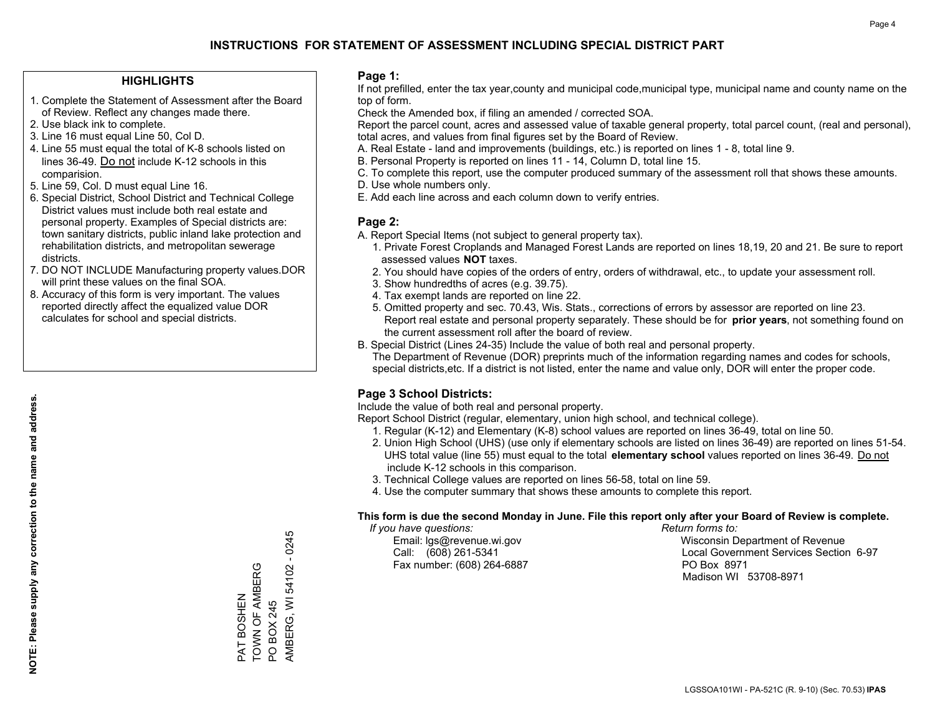#### **HIGHLIGHTS**

- 1. Complete the Statement of Assessment after the Board of Review. Reflect any changes made there.
- 2. Use black ink to complete.
- 3. Line 16 must equal Line 50, Col D.
- 4. Line 55 must equal the total of K-8 schools listed on lines 36-49. Do not include K-12 schools in this comparision.
- 5. Line 59, Col. D must equal Line 16.
- 6. Special District, School District and Technical College District values must include both real estate and personal property. Examples of Special districts are: town sanitary districts, public inland lake protection and rehabilitation districts, and metropolitan sewerage districts.
- 7. DO NOT INCLUDE Manufacturing property values.DOR will print these values on the final SOA.

PAT BOSHEN TOWN OF AMBERG

TOWN OF AMBERG PAT BOSHEN

PO BOX 245

PO BOX 245

AMBERG, WI 54102 - 0245

AMBERG, WI 54102 - 0245

 8. Accuracy of this form is very important. The values reported directly affect the equalized value DOR calculates for school and special districts.

#### **Page 1:**

 If not prefilled, enter the tax year,county and municipal code,municipal type, municipal name and county name on the top of form.

Check the Amended box, if filing an amended / corrected SOA.

 Report the parcel count, acres and assessed value of taxable general property, total parcel count, (real and personal), total acres, and values from final figures set by the Board of Review.

- A. Real Estate land and improvements (buildings, etc.) is reported on lines 1 8, total line 9.
- B. Personal Property is reported on lines 11 14, Column D, total line 15.
- C. To complete this report, use the computer produced summary of the assessment roll that shows these amounts.
- D. Use whole numbers only.
- E. Add each line across and each column down to verify entries.

#### **Page 2:**

- A. Report Special Items (not subject to general property tax).
- 1. Private Forest Croplands and Managed Forest Lands are reported on lines 18,19, 20 and 21. Be sure to report assessed values **NOT** taxes.
- 2. You should have copies of the orders of entry, orders of withdrawal, etc., to update your assessment roll.
	- 3. Show hundredths of acres (e.g. 39.75).
- 4. Tax exempt lands are reported on line 22.
- 5. Omitted property and sec. 70.43, Wis. Stats., corrections of errors by assessor are reported on line 23. Report real estate and personal property separately. These should be for **prior years**, not something found on the current assessment roll after the board of review.
- B. Special District (Lines 24-35) Include the value of both real and personal property.
- The Department of Revenue (DOR) preprints much of the information regarding names and codes for schools, special districts,etc. If a district is not listed, enter the name and value only, DOR will enter the proper code.

### **Page 3 School Districts:**

Include the value of both real and personal property.

Report School District (regular, elementary, union high school, and technical college).

- 1. Regular (K-12) and Elementary (K-8) school values are reported on lines 36-49, total on line 50.
- 2. Union High School (UHS) (use only if elementary schools are listed on lines 36-49) are reported on lines 51-54. UHS total value (line 55) must equal to the total **elementary school** values reported on lines 36-49. Do notinclude K-12 schools in this comparison.
- 3. Technical College values are reported on lines 56-58, total on line 59.
- 4. Use the computer summary that shows these amounts to complete this report.

#### **This form is due the second Monday in June. File this report only after your Board of Review is complete.**

 *If you have questions: Return forms to:*

Fax number: (608) 264-6887 PO Box 8971

 Email: lgs@revenue.wi.gov Wisconsin Department of Revenue Call: (608) 261-5341 Local Government Services Section 6-97Madison WI 53708-8971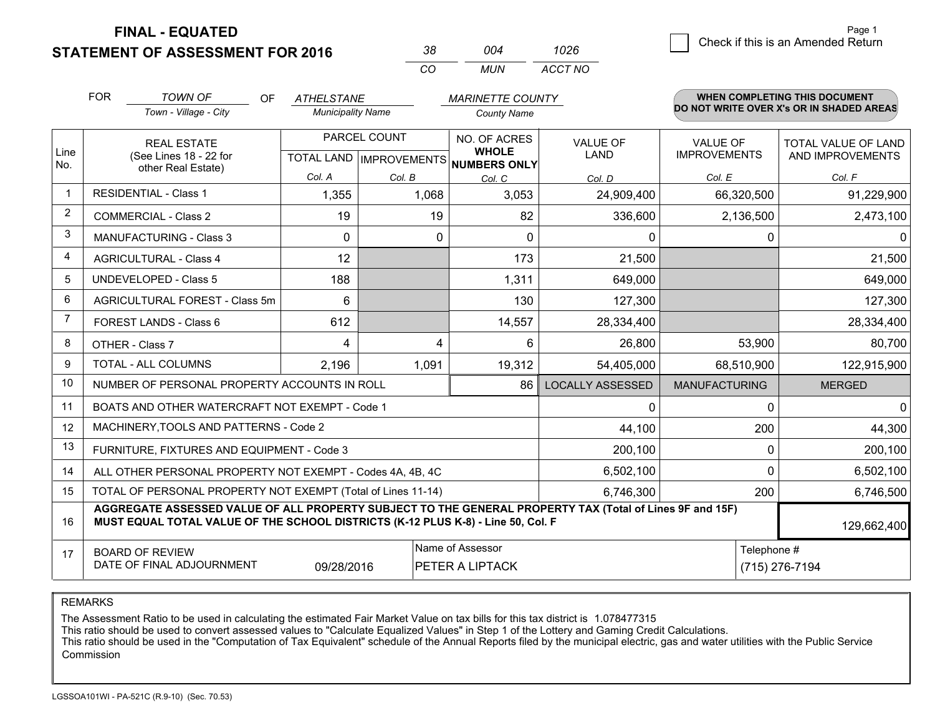**STATEMENT OF ASSESSMENT FOR 2016** 

| 38. | 004 | 1026    |
|-----|-----|---------|
| CO. | MUN | ACCT NO |

|                | <b>FOR</b><br><b>TOWN OF</b><br>OF<br><b>ATHELSTANE</b><br><b>MARINETTE COUNTY</b>                                                                                                           |                                                                                                          |                          |                 |                                                                | WHEN COMPLETING THIS DOCUMENT |                                        |                                          |
|----------------|----------------------------------------------------------------------------------------------------------------------------------------------------------------------------------------------|----------------------------------------------------------------------------------------------------------|--------------------------|-----------------|----------------------------------------------------------------|-------------------------------|----------------------------------------|------------------------------------------|
|                |                                                                                                                                                                                              | Town - Village - City                                                                                    | <b>Municipality Name</b> |                 | <b>County Name</b>                                             |                               |                                        | DO NOT WRITE OVER X's OR IN SHADED AREAS |
| Line           |                                                                                                                                                                                              | PARCEL COUNT<br><b>REAL ESTATE</b><br>(See Lines 18 - 22 for<br>TOTAL LAND   IMPROVEMENTS   NUMBERS ONLY |                          |                 | NO. OF ACRES<br><b>VALUE OF</b><br><b>WHOLE</b><br><b>LAND</b> |                               | <b>VALUE OF</b><br><b>IMPROVEMENTS</b> | TOTAL VALUE OF LAND<br>AND IMPROVEMENTS  |
| No.            |                                                                                                                                                                                              | other Real Estate)                                                                                       | Col. A                   |                 |                                                                |                               |                                        |                                          |
|                |                                                                                                                                                                                              | <b>RESIDENTIAL - Class 1</b>                                                                             |                          | Col. B<br>1,068 | Col. C<br>3,053                                                | Col. D                        | Col. E                                 | Col. F                                   |
| 2              |                                                                                                                                                                                              |                                                                                                          | 1,355                    |                 |                                                                | 24,909,400                    | 66,320,500                             | 91,229,900                               |
|                |                                                                                                                                                                                              | <b>COMMERCIAL - Class 2</b>                                                                              | 19                       | 19              | 82                                                             | 336,600                       | 2,136,500                              | 2,473,100                                |
| 3              |                                                                                                                                                                                              | <b>MANUFACTURING - Class 3</b>                                                                           | 0                        | 0               | $\Omega$                                                       | 0                             | 0                                      | $\mathbf{0}$                             |
| 4              |                                                                                                                                                                                              | <b>AGRICULTURAL - Class 4</b>                                                                            | 12                       |                 | 173                                                            | 21,500                        |                                        | 21,500                                   |
| 5              |                                                                                                                                                                                              | <b>UNDEVELOPED - Class 5</b>                                                                             | 188                      |                 | 1,311                                                          | 649,000                       |                                        | 649,000                                  |
| 6              | AGRICULTURAL FOREST - Class 5m                                                                                                                                                               |                                                                                                          | 6                        |                 | 130                                                            | 127,300                       |                                        | 127,300                                  |
| $\overline{7}$ | FOREST LANDS - Class 6                                                                                                                                                                       |                                                                                                          | 612                      |                 | 14,557                                                         | 28,334,400                    |                                        | 28,334,400                               |
| 8              |                                                                                                                                                                                              | OTHER - Class 7                                                                                          | 4                        | 4               | 6                                                              | 26,800                        | 53,900                                 | 80,700                                   |
| 9              |                                                                                                                                                                                              | TOTAL - ALL COLUMNS                                                                                      | 2,196                    | 1,091           | 19,312                                                         | 54,405,000                    | 68,510,900                             | 122,915,900                              |
| 10             |                                                                                                                                                                                              | NUMBER OF PERSONAL PROPERTY ACCOUNTS IN ROLL                                                             |                          |                 | 86                                                             | <b>LOCALLY ASSESSED</b>       | <b>MANUFACTURING</b>                   | <b>MERGED</b>                            |
| 11             |                                                                                                                                                                                              | BOATS AND OTHER WATERCRAFT NOT EXEMPT - Code 1                                                           |                          |                 |                                                                | 0                             | $\Omega$                               | $\mathbf{0}$                             |
| 12             |                                                                                                                                                                                              | MACHINERY, TOOLS AND PATTERNS - Code 2                                                                   |                          |                 |                                                                | 44,100                        | 200                                    | 44,300                                   |
| 13             |                                                                                                                                                                                              | FURNITURE, FIXTURES AND EQUIPMENT - Code 3                                                               |                          |                 |                                                                | 200,100                       | $\mathbf 0$                            | 200,100                                  |
| 14             |                                                                                                                                                                                              | ALL OTHER PERSONAL PROPERTY NOT EXEMPT - Codes 4A, 4B, 4C                                                |                          |                 |                                                                | 6,502,100                     | $\Omega$                               | 6,502,100                                |
| 15             |                                                                                                                                                                                              | TOTAL OF PERSONAL PROPERTY NOT EXEMPT (Total of Lines 11-14)                                             |                          |                 |                                                                | 6,746,300                     | 200                                    | 6,746,500                                |
| 16             | AGGREGATE ASSESSED VALUE OF ALL PROPERTY SUBJECT TO THE GENERAL PROPERTY TAX (Total of Lines 9F and 15F)<br>MUST EQUAL TOTAL VALUE OF THE SCHOOL DISTRICTS (K-12 PLUS K-8) - Line 50, Col. F |                                                                                                          |                          |                 |                                                                |                               | 129,662,400                            |                                          |
| 17             |                                                                                                                                                                                              | <b>BOARD OF REVIEW</b>                                                                                   |                          |                 | Name of Assessor                                               |                               | Telephone #                            |                                          |
|                | DATE OF FINAL ADJOURNMENT<br>(715) 276-7194<br>09/28/2016<br>PETER A LIPTACK                                                                                                                 |                                                                                                          |                          |                 |                                                                |                               |                                        |                                          |

REMARKS

The Assessment Ratio to be used in calculating the estimated Fair Market Value on tax bills for this tax district is 1.078477315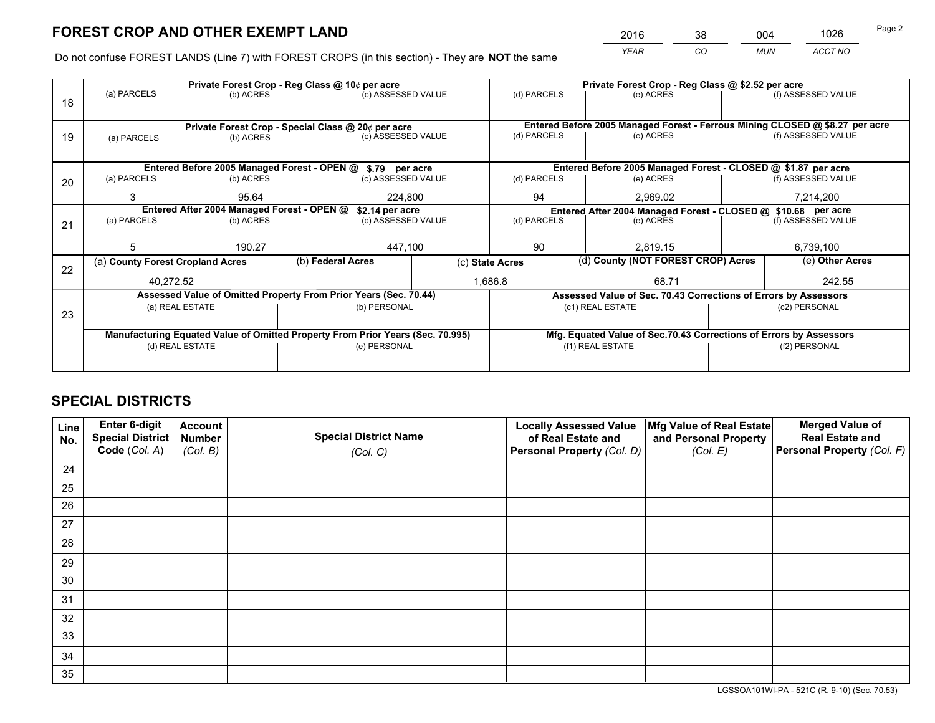*YEAR CO MUN ACCT NO* <sup>2016</sup> <sup>38</sup> <sup>004</sup> <sup>1026</sup>

Do not confuse FOREST LANDS (Line 7) with FOREST CROPS (in this section) - They are **NOT** the same

|    |                                  |                                            | Private Forest Crop - Reg Class @ 10¢ per acre                                 |                 | Private Forest Crop - Reg Class @ \$2.52 per acre                            |                                                                    |           |               |                    |  |
|----|----------------------------------|--------------------------------------------|--------------------------------------------------------------------------------|-----------------|------------------------------------------------------------------------------|--------------------------------------------------------------------|-----------|---------------|--------------------|--|
| 18 | (a) PARCELS                      | (b) ACRES                                  | (c) ASSESSED VALUE                                                             |                 | (d) PARCELS                                                                  | (e) ACRES                                                          |           |               | (f) ASSESSED VALUE |  |
|    |                                  |                                            |                                                                                |                 |                                                                              |                                                                    |           |               |                    |  |
|    |                                  |                                            | Private Forest Crop - Special Class @ 20¢ per acre                             |                 | Entered Before 2005 Managed Forest - Ferrous Mining CLOSED @ \$8.27 per acre |                                                                    |           |               |                    |  |
| 19 | (a) PARCELS                      | (b) ACRES                                  | (c) ASSESSED VALUE                                                             |                 | (d) PARCELS                                                                  | (e) ACRES                                                          |           |               | (f) ASSESSED VALUE |  |
|    |                                  |                                            |                                                                                |                 |                                                                              |                                                                    |           |               |                    |  |
|    |                                  |                                            | Entered Before 2005 Managed Forest - OPEN @ \$.79 per acre                     |                 |                                                                              | Entered Before 2005 Managed Forest - CLOSED @ \$1.87 per acre      |           |               |                    |  |
| 20 | (a) PARCELS                      | (b) ACRES                                  | (c) ASSESSED VALUE                                                             |                 | (d) PARCELS                                                                  | (e) ACRES                                                          |           |               | (f) ASSESSED VALUE |  |
|    | 3                                | 95.64                                      | 224,800                                                                        |                 | 94<br>2,969.02                                                               |                                                                    |           | 7,214,200     |                    |  |
|    |                                  | Entered After 2004 Managed Forest - OPEN @ | \$2.14 per acre                                                                |                 | Entered After 2004 Managed Forest - CLOSED @ \$10.68 per acre                |                                                                    |           |               |                    |  |
| 21 | (a) PARCELS                      | (b) ACRES                                  | (c) ASSESSED VALUE                                                             |                 | (d) PARCELS                                                                  |                                                                    | (e) ACRES |               | (f) ASSESSED VALUE |  |
|    |                                  |                                            |                                                                                |                 |                                                                              |                                                                    |           |               |                    |  |
|    | 5                                | 190.27                                     | 447,100                                                                        |                 | 90                                                                           |                                                                    | 2.819.15  |               | 6,739,100          |  |
| 22 | (a) County Forest Cropland Acres |                                            | (b) Federal Acres                                                              | (c) State Acres |                                                                              | (d) County (NOT FOREST CROP) Acres                                 |           |               | (e) Other Acres    |  |
|    | 40,272.52                        |                                            |                                                                                | 1,686.8         |                                                                              |                                                                    | 68.71     |               | 242.55             |  |
|    |                                  |                                            | Assessed Value of Omitted Property From Prior Years (Sec. 70.44)               |                 |                                                                              | Assessed Value of Sec. 70.43 Corrections of Errors by Assessors    |           |               |                    |  |
| 23 |                                  | (a) REAL ESTATE                            | (b) PERSONAL                                                                   |                 |                                                                              | (c1) REAL ESTATE                                                   |           |               | (c2) PERSONAL      |  |
|    |                                  |                                            |                                                                                |                 |                                                                              |                                                                    |           |               |                    |  |
|    |                                  |                                            | Manufacturing Equated Value of Omitted Property From Prior Years (Sec. 70.995) |                 |                                                                              | Mfg. Equated Value of Sec.70.43 Corrections of Errors by Assessors |           |               |                    |  |
|    | (d) REAL ESTATE                  |                                            | (e) PERSONAL                                                                   |                 | (f1) REAL ESTATE                                                             |                                                                    |           | (f2) PERSONAL |                    |  |
|    |                                  |                                            |                                                                                |                 |                                                                              |                                                                    |           |               |                    |  |

## **SPECIAL DISTRICTS**

| Line<br>No. | Enter 6-digit<br><b>Special District</b> | <b>Account</b><br><b>Number</b> | <b>Special District Name</b> | <b>Locally Assessed Value</b><br>of Real Estate and | Mfg Value of Real Estate<br>and Personal Property | <b>Merged Value of</b><br><b>Real Estate and</b> |
|-------------|------------------------------------------|---------------------------------|------------------------------|-----------------------------------------------------|---------------------------------------------------|--------------------------------------------------|
|             | Code (Col. A)                            | (Col. B)                        | (Col. C)                     | Personal Property (Col. D)                          | (Col. E)                                          | Personal Property (Col. F)                       |
| 24          |                                          |                                 |                              |                                                     |                                                   |                                                  |
| 25          |                                          |                                 |                              |                                                     |                                                   |                                                  |
| 26          |                                          |                                 |                              |                                                     |                                                   |                                                  |
| 27          |                                          |                                 |                              |                                                     |                                                   |                                                  |
| 28          |                                          |                                 |                              |                                                     |                                                   |                                                  |
| 29          |                                          |                                 |                              |                                                     |                                                   |                                                  |
| 30          |                                          |                                 |                              |                                                     |                                                   |                                                  |
| 31          |                                          |                                 |                              |                                                     |                                                   |                                                  |
| 32          |                                          |                                 |                              |                                                     |                                                   |                                                  |
| 33          |                                          |                                 |                              |                                                     |                                                   |                                                  |
| 34          |                                          |                                 |                              |                                                     |                                                   |                                                  |
| 35          |                                          |                                 |                              |                                                     |                                                   |                                                  |

LGSSOA101WI-PA - 521C (R. 9-10) (Sec. 70.53)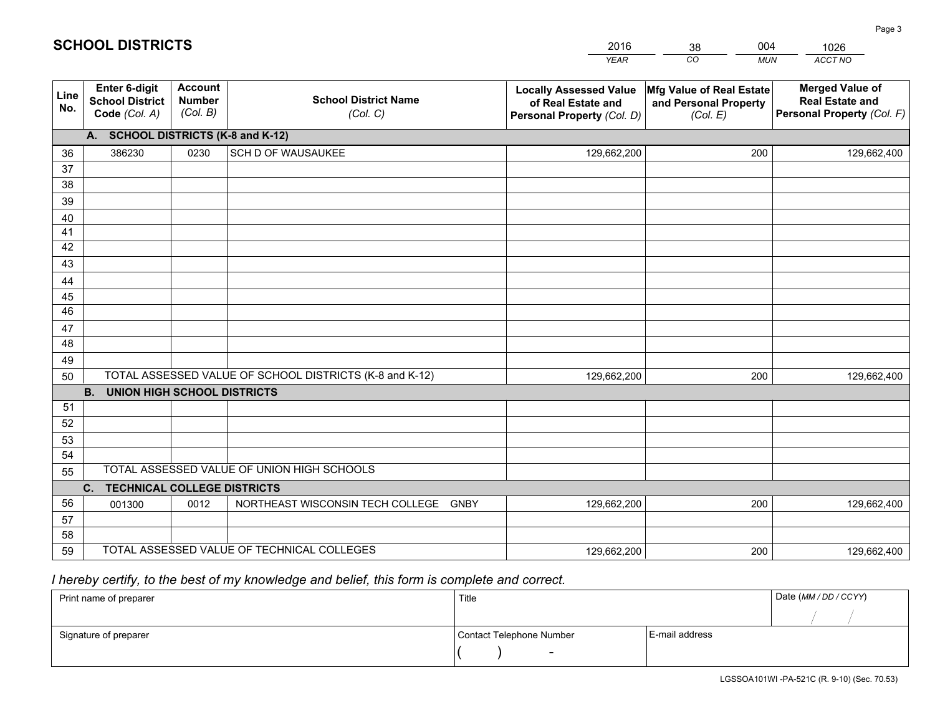|             |                                                                 |                                             |                                                         | <b>YEAR</b>                                                                       | CO<br><b>MUN</b>                                              | ACCT NO                                                                        |
|-------------|-----------------------------------------------------------------|---------------------------------------------|---------------------------------------------------------|-----------------------------------------------------------------------------------|---------------------------------------------------------------|--------------------------------------------------------------------------------|
| Line<br>No. | <b>Enter 6-digit</b><br><b>School District</b><br>Code (Col. A) | <b>Account</b><br><b>Number</b><br>(Col. B) | <b>School District Name</b><br>(Col. C)                 | <b>Locally Assessed Value</b><br>of Real Estate and<br>Personal Property (Col. D) | Mfg Value of Real Estate<br>and Personal Property<br>(Col. E) | <b>Merged Value of</b><br><b>Real Estate and</b><br>Personal Property (Col. F) |
|             | A. SCHOOL DISTRICTS (K-8 and K-12)                              |                                             |                                                         |                                                                                   |                                                               |                                                                                |
| 36          | 386230                                                          | 0230                                        | SCH D OF WAUSAUKEE                                      | 129,662,200                                                                       | 200                                                           | 129,662,400                                                                    |
| 37          |                                                                 |                                             |                                                         |                                                                                   |                                                               |                                                                                |
| 38          |                                                                 |                                             |                                                         |                                                                                   |                                                               |                                                                                |
| 39          |                                                                 |                                             |                                                         |                                                                                   |                                                               |                                                                                |
| 40          |                                                                 |                                             |                                                         |                                                                                   |                                                               |                                                                                |
| 41          |                                                                 |                                             |                                                         |                                                                                   |                                                               |                                                                                |
| 42          |                                                                 |                                             |                                                         |                                                                                   |                                                               |                                                                                |
| 43          |                                                                 |                                             |                                                         |                                                                                   |                                                               |                                                                                |
| 44<br>45    |                                                                 |                                             |                                                         |                                                                                   |                                                               |                                                                                |
| 46          |                                                                 |                                             |                                                         |                                                                                   |                                                               |                                                                                |
| 47          |                                                                 |                                             |                                                         |                                                                                   |                                                               |                                                                                |
| 48          |                                                                 |                                             |                                                         |                                                                                   |                                                               |                                                                                |
| 49          |                                                                 |                                             |                                                         |                                                                                   |                                                               |                                                                                |
| 50          |                                                                 |                                             | TOTAL ASSESSED VALUE OF SCHOOL DISTRICTS (K-8 and K-12) | 129,662,200                                                                       | 200                                                           | 129,662,400                                                                    |
|             | <b>B. UNION HIGH SCHOOL DISTRICTS</b>                           |                                             |                                                         |                                                                                   |                                                               |                                                                                |
| 51          |                                                                 |                                             |                                                         |                                                                                   |                                                               |                                                                                |
| 52          |                                                                 |                                             |                                                         |                                                                                   |                                                               |                                                                                |
| 53          |                                                                 |                                             |                                                         |                                                                                   |                                                               |                                                                                |
| 54          |                                                                 |                                             |                                                         |                                                                                   |                                                               |                                                                                |
| 55          |                                                                 |                                             | TOTAL ASSESSED VALUE OF UNION HIGH SCHOOLS              |                                                                                   |                                                               |                                                                                |
|             | C.<br><b>TECHNICAL COLLEGE DISTRICTS</b>                        |                                             |                                                         |                                                                                   |                                                               |                                                                                |
| 56          | 001300                                                          | 0012                                        | NORTHEAST WISCONSIN TECH COLLEGE<br><b>GNBY</b>         | 129,662,200                                                                       | 200                                                           | 129,662,400                                                                    |
| 57          |                                                                 |                                             |                                                         |                                                                                   |                                                               |                                                                                |
| 58          |                                                                 |                                             |                                                         |                                                                                   |                                                               |                                                                                |
| 59          |                                                                 |                                             | TOTAL ASSESSED VALUE OF TECHNICAL COLLEGES              | 129,662,200                                                                       | 200                                                           | 129,662,400                                                                    |

38

004

 *I hereby certify, to the best of my knowledge and belief, this form is complete and correct.*

**SCHOOL DISTRICTS**

| Print name of preparer | Title                    |                | Date (MM / DD / CCYY) |
|------------------------|--------------------------|----------------|-----------------------|
|                        |                          |                |                       |
| Signature of preparer  | Contact Telephone Number | E-mail address |                       |
|                        | $\overline{\phantom{0}}$ |                |                       |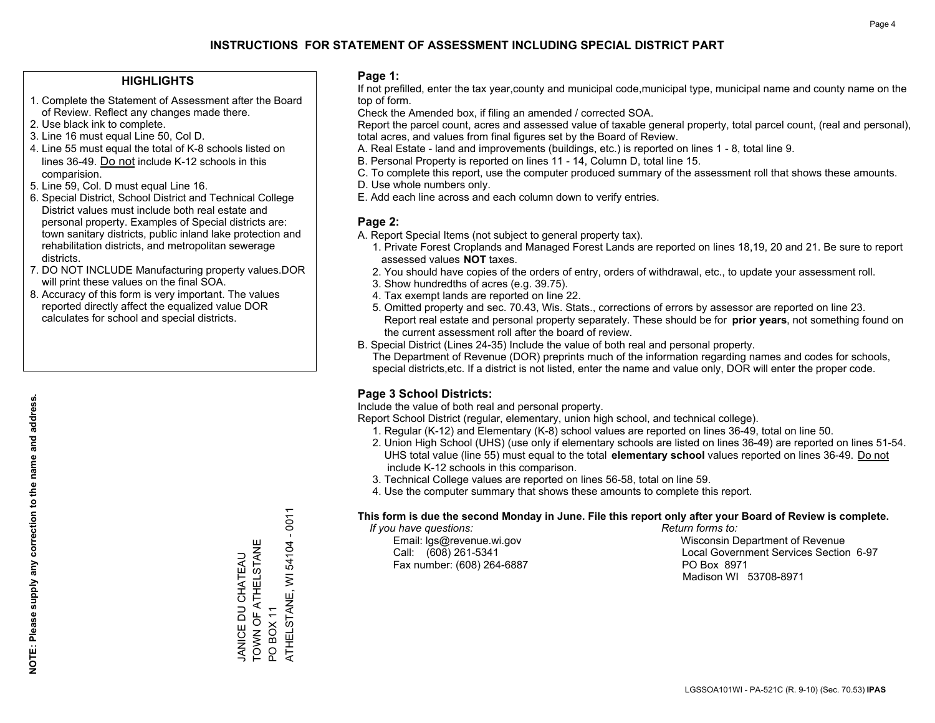#### **HIGHLIGHTS**

- 1. Complete the Statement of Assessment after the Board of Review. Reflect any changes made there.
- 2. Use black ink to complete.
- 3. Line 16 must equal Line 50, Col D.
- 4. Line 55 must equal the total of K-8 schools listed on lines 36-49. Do not include K-12 schools in this comparision.
- 5. Line 59, Col. D must equal Line 16.
- 6. Special District, School District and Technical College District values must include both real estate and personal property. Examples of Special districts are: town sanitary districts, public inland lake protection and rehabilitation districts, and metropolitan sewerage districts.
- 7. DO NOT INCLUDE Manufacturing property values.DOR will print these values on the final SOA.

JANICE DU CHATEAU TOWN OF ATHELSTANE

TOWN OF ATHELSTANE **JANICE DU CHATEAU** 

PO BOX 11

POBOX<sub>11</sub>

ATHELSTANE, WI 54104 - 0011

ATHELSTANE, WI

54104 - 0011

 8. Accuracy of this form is very important. The values reported directly affect the equalized value DOR calculates for school and special districts.

#### **Page 1:**

 If not prefilled, enter the tax year,county and municipal code,municipal type, municipal name and county name on the top of form.

Check the Amended box, if filing an amended / corrected SOA.

 Report the parcel count, acres and assessed value of taxable general property, total parcel count, (real and personal), total acres, and values from final figures set by the Board of Review.

- A. Real Estate land and improvements (buildings, etc.) is reported on lines 1 8, total line 9.
- B. Personal Property is reported on lines 11 14, Column D, total line 15.
- C. To complete this report, use the computer produced summary of the assessment roll that shows these amounts.
- D. Use whole numbers only.
- E. Add each line across and each column down to verify entries.

#### **Page 2:**

- A. Report Special Items (not subject to general property tax).
- 1. Private Forest Croplands and Managed Forest Lands are reported on lines 18,19, 20 and 21. Be sure to report assessed values **NOT** taxes.
- 2. You should have copies of the orders of entry, orders of withdrawal, etc., to update your assessment roll.
	- 3. Show hundredths of acres (e.g. 39.75).
- 4. Tax exempt lands are reported on line 22.
- 5. Omitted property and sec. 70.43, Wis. Stats., corrections of errors by assessor are reported on line 23. Report real estate and personal property separately. These should be for **prior years**, not something found on the current assessment roll after the board of review.
- B. Special District (Lines 24-35) Include the value of both real and personal property.

 The Department of Revenue (DOR) preprints much of the information regarding names and codes for schools, special districts,etc. If a district is not listed, enter the name and value only, DOR will enter the proper code.

### **Page 3 School Districts:**

Include the value of both real and personal property.

Report School District (regular, elementary, union high school, and technical college).

- 1. Regular (K-12) and Elementary (K-8) school values are reported on lines 36-49, total on line 50.
- 2. Union High School (UHS) (use only if elementary schools are listed on lines 36-49) are reported on lines 51-54. UHS total value (line 55) must equal to the total **elementary school** values reported on lines 36-49. Do notinclude K-12 schools in this comparison.
- 3. Technical College values are reported on lines 56-58, total on line 59.
- 4. Use the computer summary that shows these amounts to complete this report.

#### **This form is due the second Monday in June. File this report only after your Board of Review is complete.**

 *If you have questions: Return forms to:*

Fax number: (608) 264-6887 PO Box 8971

 Email: lgs@revenue.wi.gov Wisconsin Department of Revenue Call: (608) 261-5341 Local Government Services Section 6-97Madison WI 53708-8971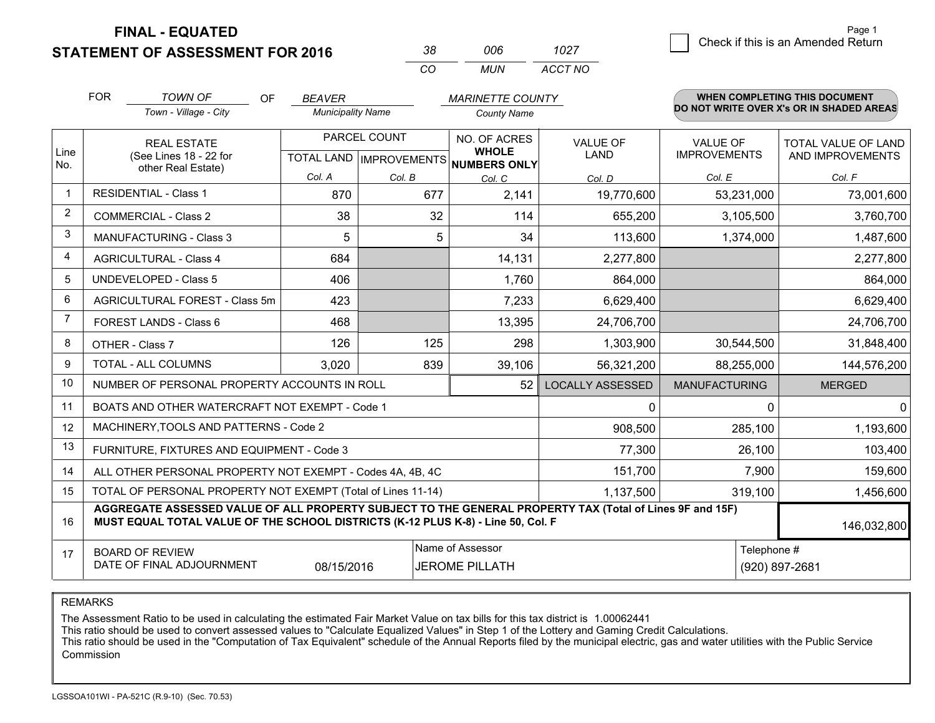**STATEMENT OF ASSESSMENT FOR 2016** 

| 38. | nnr | 1027    |
|-----|-----|---------|
| CO. | MUN | ACCT NO |

|                | <b>FOR</b>                                                                                                                                                                                   | <b>TOWN OF</b><br><b>OF</b><br><b>BEAVER</b><br><b>MARINETTE COUNTY</b> |                          |              |                                                      | WHEN COMPLETING THIS DOCUMENT<br>DO NOT WRITE OVER X's OR IN SHADED AREAS |                      |                            |
|----------------|----------------------------------------------------------------------------------------------------------------------------------------------------------------------------------------------|-------------------------------------------------------------------------|--------------------------|--------------|------------------------------------------------------|---------------------------------------------------------------------------|----------------------|----------------------------|
|                |                                                                                                                                                                                              | Town - Village - City                                                   | <b>Municipality Name</b> |              | <b>County Name</b>                                   |                                                                           |                      |                            |
|                |                                                                                                                                                                                              | <b>REAL ESTATE</b>                                                      |                          | PARCEL COUNT | NO. OF ACRES                                         | <b>VALUE OF</b>                                                           | <b>VALUE OF</b>      | <b>TOTAL VALUE OF LAND</b> |
| Line<br>No.    |                                                                                                                                                                                              | (See Lines 18 - 22 for<br>other Real Estate)                            |                          |              | <b>WHOLE</b><br>TOTAL LAND IMPROVEMENTS NUMBERS ONLY | <b>LAND</b>                                                               | <b>IMPROVEMENTS</b>  | AND IMPROVEMENTS           |
|                |                                                                                                                                                                                              |                                                                         | Col. A                   | Col. B       | Col. C                                               | Col. D                                                                    | Col. E               | Col. F                     |
| $\mathbf{1}$   |                                                                                                                                                                                              | <b>RESIDENTIAL - Class 1</b>                                            | 870                      | 677          | 2,141                                                | 19,770,600                                                                | 53,231,000           | 73,001,600                 |
| $\overline{2}$ |                                                                                                                                                                                              | <b>COMMERCIAL - Class 2</b>                                             | 38                       | 32           | 114                                                  | 655,200                                                                   | 3,105,500            | 3,760,700                  |
| 3              |                                                                                                                                                                                              | <b>MANUFACTURING - Class 3</b>                                          | 5                        | 5            | 34                                                   | 113,600                                                                   | 1,374,000            | 1,487,600                  |
| 4              |                                                                                                                                                                                              | <b>AGRICULTURAL - Class 4</b>                                           | 684                      |              | 14,131                                               | 2,277,800                                                                 |                      | 2,277,800                  |
| 5              |                                                                                                                                                                                              | <b>UNDEVELOPED - Class 5</b>                                            | 406                      |              | 1,760                                                | 864,000                                                                   |                      | 864,000                    |
| 6              |                                                                                                                                                                                              | AGRICULTURAL FOREST - Class 5m                                          | 423                      |              | 7,233                                                | 6,629,400                                                                 |                      | 6,629,400                  |
| 7              |                                                                                                                                                                                              | FOREST LANDS - Class 6                                                  | 468                      |              | 13,395                                               | 24,706,700                                                                |                      | 24,706,700                 |
| 8              |                                                                                                                                                                                              | OTHER - Class 7                                                         | 126                      | 125          | 298                                                  | 1,303,900                                                                 | 30,544,500           | 31,848,400                 |
| 9              |                                                                                                                                                                                              | TOTAL - ALL COLUMNS                                                     | 3,020                    | 839          | 39,106                                               | 56,321,200                                                                | 88,255,000           | 144,576,200                |
| 10             |                                                                                                                                                                                              | NUMBER OF PERSONAL PROPERTY ACCOUNTS IN ROLL                            |                          |              | 52                                                   | <b>LOCALLY ASSESSED</b>                                                   | <b>MANUFACTURING</b> | <b>MERGED</b>              |
| 11             |                                                                                                                                                                                              | BOATS AND OTHER WATERCRAFT NOT EXEMPT - Code 1                          |                          |              |                                                      | 0                                                                         | 0                    | $\mathbf{0}$               |
| 12             |                                                                                                                                                                                              | MACHINERY, TOOLS AND PATTERNS - Code 2                                  |                          |              |                                                      | 908,500                                                                   | 285,100              | 1,193,600                  |
| 13             |                                                                                                                                                                                              | FURNITURE, FIXTURES AND EQUIPMENT - Code 3                              |                          |              |                                                      | 77,300                                                                    | 26,100               | 103,400                    |
| 14             |                                                                                                                                                                                              | ALL OTHER PERSONAL PROPERTY NOT EXEMPT - Codes 4A, 4B, 4C               |                          |              |                                                      | 151,700                                                                   | 7,900                | 159,600                    |
| 15             |                                                                                                                                                                                              | TOTAL OF PERSONAL PROPERTY NOT EXEMPT (Total of Lines 11-14)            |                          |              |                                                      | 1,137,500                                                                 | 319,100              | 1,456,600                  |
| 16             | AGGREGATE ASSESSED VALUE OF ALL PROPERTY SUBJECT TO THE GENERAL PROPERTY TAX (Total of Lines 9F and 15F)<br>MUST EQUAL TOTAL VALUE OF THE SCHOOL DISTRICTS (K-12 PLUS K-8) - Line 50, Col. F |                                                                         |                          |              |                                                      |                                                                           |                      | 146,032,800                |
| 17             |                                                                                                                                                                                              | <b>BOARD OF REVIEW</b>                                                  |                          |              | Name of Assessor                                     |                                                                           | Telephone #          |                            |
|                | DATE OF FINAL ADJOURNMENT<br><b>JEROME PILLATH</b><br>08/15/2016                                                                                                                             |                                                                         |                          |              |                                                      | (920) 897-2681                                                            |                      |                            |

REMARKS

The Assessment Ratio to be used in calculating the estimated Fair Market Value on tax bills for this tax district is 1.00062441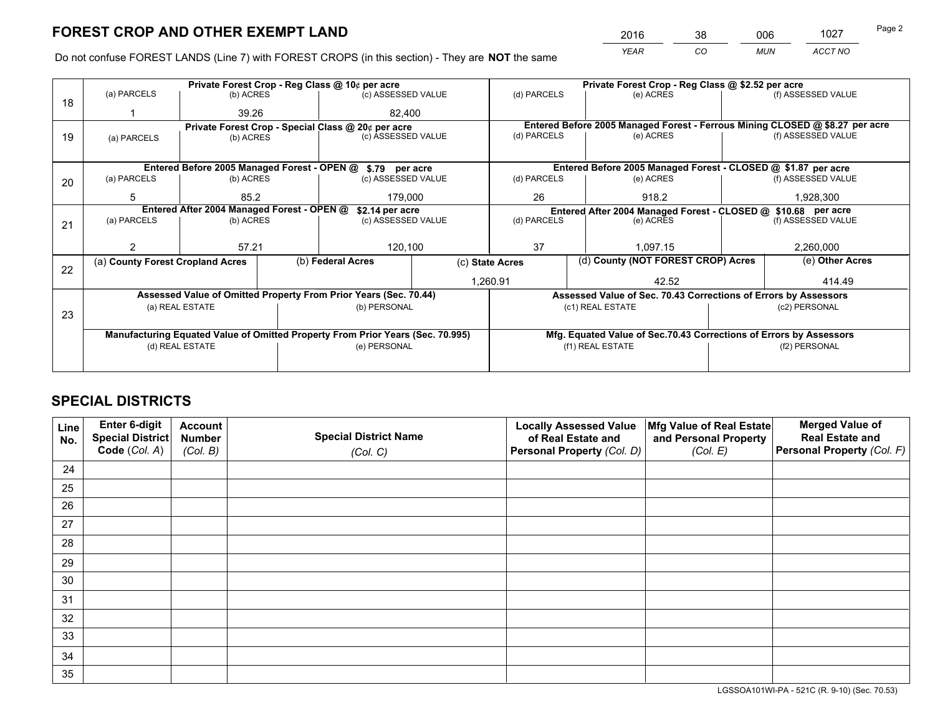*YEAR CO MUN ACCT NO* <sup>2016</sup> <sup>38</sup> <sup>006</sup> <sup>1027</sup>

Do not confuse FOREST LANDS (Line 7) with FOREST CROPS (in this section) - They are **NOT** the same

|    |                                                                                |                                             |  | Private Forest Crop - Reg Class @ 10¢ per acre                   |  | Private Forest Crop - Reg Class @ \$2.52 per acre             |                                                                              |               |                    |
|----|--------------------------------------------------------------------------------|---------------------------------------------|--|------------------------------------------------------------------|--|---------------------------------------------------------------|------------------------------------------------------------------------------|---------------|--------------------|
| 18 | (a) PARCELS                                                                    | (b) ACRES                                   |  | (c) ASSESSED VALUE                                               |  | (d) PARCELS                                                   | (e) ACRES                                                                    |               | (f) ASSESSED VALUE |
|    |                                                                                | 39.26                                       |  | 82.400                                                           |  |                                                               |                                                                              |               |                    |
|    |                                                                                |                                             |  | Private Forest Crop - Special Class @ 20¢ per acre               |  |                                                               | Entered Before 2005 Managed Forest - Ferrous Mining CLOSED @ \$8.27 per acre |               |                    |
| 19 | (a) PARCELS                                                                    | (b) ACRES                                   |  | (c) ASSESSED VALUE                                               |  | (d) PARCELS                                                   | (e) ACRES                                                                    |               | (f) ASSESSED VALUE |
|    |                                                                                |                                             |  |                                                                  |  |                                                               |                                                                              |               |                    |
|    |                                                                                | Entered Before 2005 Managed Forest - OPEN @ |  | \$.79 per acre                                                   |  |                                                               | Entered Before 2005 Managed Forest - CLOSED @ \$1.87 per acre                |               |                    |
| 20 | (a) PARCELS                                                                    | (b) ACRES                                   |  | (c) ASSESSED VALUE                                               |  | (d) PARCELS                                                   | (e) ACRES                                                                    |               | (f) ASSESSED VALUE |
|    | 5                                                                              | 85.2                                        |  | 179,000                                                          |  | 26                                                            | 918.2                                                                        |               | 1,928,300          |
|    | Entered After 2004 Managed Forest - OPEN @<br>\$2.14 per acre                  |                                             |  |                                                                  |  | Entered After 2004 Managed Forest - CLOSED @ \$10.68 per acre |                                                                              |               |                    |
| 21 | (a) PARCELS                                                                    | (b) ACRES                                   |  | (c) ASSESSED VALUE                                               |  | (d) PARCELS                                                   | (e) ACRES                                                                    |               | (f) ASSESSED VALUE |
|    |                                                                                |                                             |  |                                                                  |  |                                                               |                                                                              |               |                    |
|    |                                                                                | 57.21                                       |  | 120,100                                                          |  | 37                                                            | 1.097.15                                                                     |               | 2,260,000          |
|    | (a) County Forest Cropland Acres                                               |                                             |  | (b) Federal Acres<br>(c) State Acres                             |  |                                                               | (d) County (NOT FOREST CROP) Acres                                           |               | (e) Other Acres    |
| 22 |                                                                                |                                             |  |                                                                  |  | 1,260.91                                                      | 42.52                                                                        |               | 414.49             |
|    |                                                                                |                                             |  | Assessed Value of Omitted Property From Prior Years (Sec. 70.44) |  |                                                               | Assessed Value of Sec. 70.43 Corrections of Errors by Assessors              |               |                    |
|    |                                                                                | (a) REAL ESTATE                             |  | (b) PERSONAL                                                     |  |                                                               | (c1) REAL ESTATE                                                             |               | (c2) PERSONAL      |
| 23 |                                                                                |                                             |  |                                                                  |  |                                                               |                                                                              |               |                    |
|    | Manufacturing Equated Value of Omitted Property From Prior Years (Sec. 70.995) |                                             |  |                                                                  |  |                                                               | Mfg. Equated Value of Sec.70.43 Corrections of Errors by Assessors           |               |                    |
|    |                                                                                | (d) REAL ESTATE                             |  | (e) PERSONAL                                                     |  | (f1) REAL ESTATE                                              |                                                                              | (f2) PERSONAL |                    |
|    |                                                                                |                                             |  |                                                                  |  |                                                               |                                                                              |               |                    |

## **SPECIAL DISTRICTS**

| Line<br>No. | Enter 6-digit<br><b>Special District</b> | <b>Account</b><br><b>Number</b> | <b>Special District Name</b> | <b>Locally Assessed Value</b><br>of Real Estate and | Mfg Value of Real Estate<br>and Personal Property | <b>Merged Value of</b><br><b>Real Estate and</b> |
|-------------|------------------------------------------|---------------------------------|------------------------------|-----------------------------------------------------|---------------------------------------------------|--------------------------------------------------|
|             | Code (Col. A)                            | (Col. B)                        | (Col. C)                     | Personal Property (Col. D)                          | (Col. E)                                          | Personal Property (Col. F)                       |
| 24          |                                          |                                 |                              |                                                     |                                                   |                                                  |
| 25          |                                          |                                 |                              |                                                     |                                                   |                                                  |
| 26          |                                          |                                 |                              |                                                     |                                                   |                                                  |
| 27          |                                          |                                 |                              |                                                     |                                                   |                                                  |
| 28          |                                          |                                 |                              |                                                     |                                                   |                                                  |
| 29          |                                          |                                 |                              |                                                     |                                                   |                                                  |
| 30          |                                          |                                 |                              |                                                     |                                                   |                                                  |
| 31          |                                          |                                 |                              |                                                     |                                                   |                                                  |
| 32          |                                          |                                 |                              |                                                     |                                                   |                                                  |
| 33          |                                          |                                 |                              |                                                     |                                                   |                                                  |
| 34          |                                          |                                 |                              |                                                     |                                                   |                                                  |
| 35          |                                          |                                 |                              |                                                     |                                                   |                                                  |

LGSSOA101WI-PA - 521C (R. 9-10) (Sec. 70.53)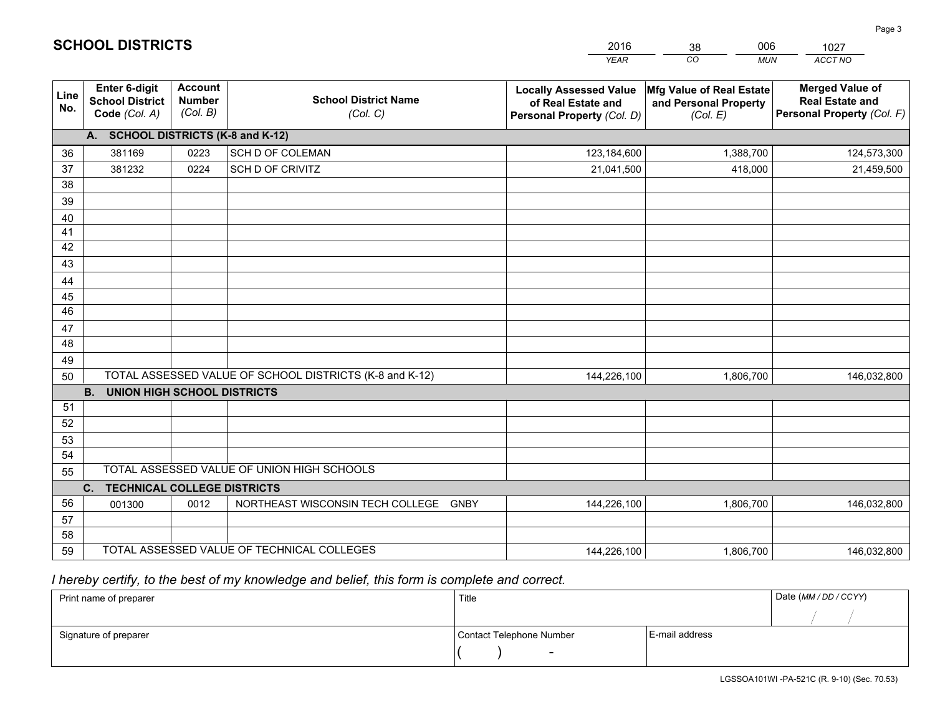|                       |                                                                 |                                             |                                                         | <b>YEAR</b>                                                                       | CO<br><b>MUN</b>                                              | ACCT NO                                                                        |
|-----------------------|-----------------------------------------------------------------|---------------------------------------------|---------------------------------------------------------|-----------------------------------------------------------------------------------|---------------------------------------------------------------|--------------------------------------------------------------------------------|
| Line<br>No.           | <b>Enter 6-digit</b><br><b>School District</b><br>Code (Col. A) | <b>Account</b><br><b>Number</b><br>(Col. B) | <b>School District Name</b><br>(Col. C)                 | <b>Locally Assessed Value</b><br>of Real Estate and<br>Personal Property (Col. D) | Mfg Value of Real Estate<br>and Personal Property<br>(Col. E) | <b>Merged Value of</b><br><b>Real Estate and</b><br>Personal Property (Col. F) |
|                       | A. SCHOOL DISTRICTS (K-8 and K-12)                              |                                             |                                                         |                                                                                   |                                                               |                                                                                |
| 36                    | 381169                                                          | 0223                                        | SCH D OF COLEMAN                                        | 123,184,600                                                                       | 1,388,700                                                     | 124,573,300                                                                    |
| 37                    | 381232                                                          | 0224                                        | SCH D OF CRIVITZ                                        | 21,041,500                                                                        | 418,000                                                       | 21,459,500                                                                     |
| 38                    |                                                                 |                                             |                                                         |                                                                                   |                                                               |                                                                                |
| 39                    |                                                                 |                                             |                                                         |                                                                                   |                                                               |                                                                                |
| 40                    |                                                                 |                                             |                                                         |                                                                                   |                                                               |                                                                                |
| 41                    |                                                                 |                                             |                                                         |                                                                                   |                                                               |                                                                                |
| 42                    |                                                                 |                                             |                                                         |                                                                                   |                                                               |                                                                                |
| 43                    |                                                                 |                                             |                                                         |                                                                                   |                                                               |                                                                                |
| 44                    |                                                                 |                                             |                                                         |                                                                                   |                                                               |                                                                                |
| 45<br>$\overline{46}$ |                                                                 |                                             |                                                         |                                                                                   |                                                               |                                                                                |
| 47                    |                                                                 |                                             |                                                         |                                                                                   |                                                               |                                                                                |
| 48                    |                                                                 |                                             |                                                         |                                                                                   |                                                               |                                                                                |
| 49                    |                                                                 |                                             |                                                         |                                                                                   |                                                               |                                                                                |
| 50                    |                                                                 |                                             | TOTAL ASSESSED VALUE OF SCHOOL DISTRICTS (K-8 and K-12) | 144,226,100                                                                       | 1,806,700                                                     | 146,032,800                                                                    |
|                       | <b>B.</b><br><b>UNION HIGH SCHOOL DISTRICTS</b>                 |                                             |                                                         |                                                                                   |                                                               |                                                                                |
| 51                    |                                                                 |                                             |                                                         |                                                                                   |                                                               |                                                                                |
| 52                    |                                                                 |                                             |                                                         |                                                                                   |                                                               |                                                                                |
| 53                    |                                                                 |                                             |                                                         |                                                                                   |                                                               |                                                                                |
| 54                    |                                                                 |                                             |                                                         |                                                                                   |                                                               |                                                                                |
| 55                    |                                                                 |                                             | TOTAL ASSESSED VALUE OF UNION HIGH SCHOOLS              |                                                                                   |                                                               |                                                                                |
|                       | C.<br><b>TECHNICAL COLLEGE DISTRICTS</b>                        |                                             |                                                         |                                                                                   |                                                               |                                                                                |
| 56                    | 001300                                                          | 0012                                        | NORTHEAST WISCONSIN TECH COLLEGE GNBY                   | 144,226,100                                                                       | 1,806,700                                                     | 146,032,800                                                                    |
| 57                    |                                                                 |                                             |                                                         |                                                                                   |                                                               |                                                                                |
| 58                    |                                                                 |                                             |                                                         |                                                                                   |                                                               |                                                                                |
| 59                    |                                                                 |                                             | TOTAL ASSESSED VALUE OF TECHNICAL COLLEGES              | 144,226,100                                                                       | 1,806,700                                                     | 146,032,800                                                                    |

38

006

 *I hereby certify, to the best of my knowledge and belief, this form is complete and correct.*

**SCHOOL DISTRICTS**

| Print name of preparer | Title                    |                | Date (MM/DD/CCYY) |
|------------------------|--------------------------|----------------|-------------------|
|                        |                          |                |                   |
| Signature of preparer  | Contact Telephone Number | E-mail address |                   |
|                        | $\overline{\phantom{a}}$ |                |                   |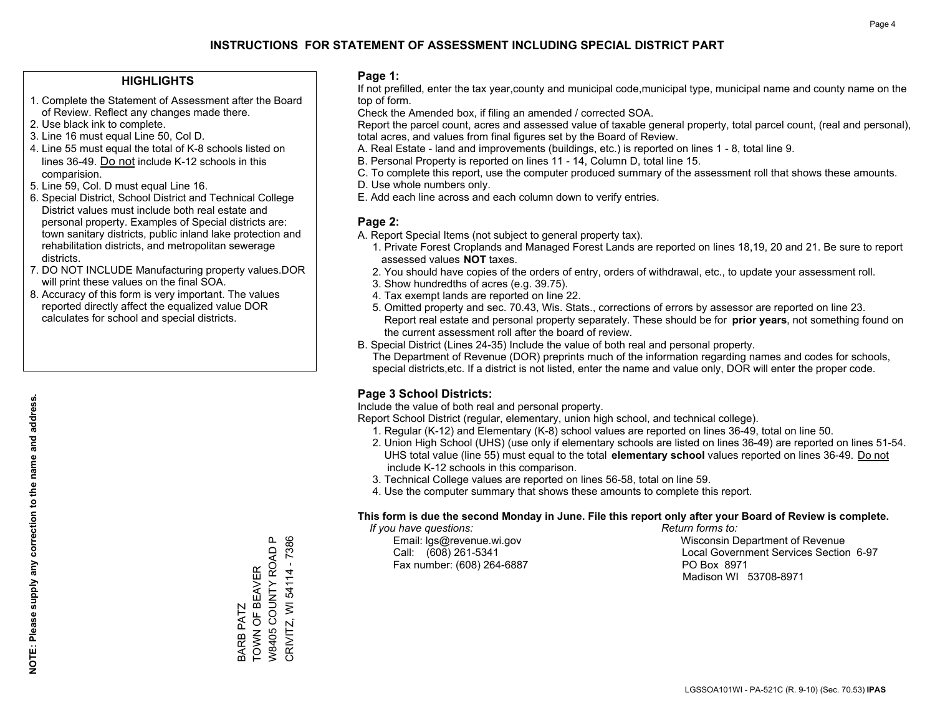#### **HIGHLIGHTS**

- 1. Complete the Statement of Assessment after the Board of Review. Reflect any changes made there.
- 2. Use black ink to complete.
- 3. Line 16 must equal Line 50, Col D.
- 4. Line 55 must equal the total of K-8 schools listed on lines 36-49. Do not include K-12 schools in this comparision.
- 5. Line 59, Col. D must equal Line 16.
- 6. Special District, School District and Technical College District values must include both real estate and personal property. Examples of Special districts are: town sanitary districts, public inland lake protection and rehabilitation districts, and metropolitan sewerage districts.
- 7. DO NOT INCLUDE Manufacturing property values.DOR will print these values on the final SOA.
- 8. Accuracy of this form is very important. The values reported directly affect the equalized value DOR calculates for school and special districts.

#### **Page 1:**

 If not prefilled, enter the tax year,county and municipal code,municipal type, municipal name and county name on the top of form.

Check the Amended box, if filing an amended / corrected SOA.

 Report the parcel count, acres and assessed value of taxable general property, total parcel count, (real and personal), total acres, and values from final figures set by the Board of Review.

- A. Real Estate land and improvements (buildings, etc.) is reported on lines 1 8, total line 9.
- B. Personal Property is reported on lines 11 14, Column D, total line 15.
- C. To complete this report, use the computer produced summary of the assessment roll that shows these amounts.
- D. Use whole numbers only.
- E. Add each line across and each column down to verify entries.

#### **Page 2:**

- A. Report Special Items (not subject to general property tax).
- 1. Private Forest Croplands and Managed Forest Lands are reported on lines 18,19, 20 and 21. Be sure to report assessed values **NOT** taxes.
- 2. You should have copies of the orders of entry, orders of withdrawal, etc., to update your assessment roll.
	- 3. Show hundredths of acres (e.g. 39.75).
- 4. Tax exempt lands are reported on line 22.
- 5. Omitted property and sec. 70.43, Wis. Stats., corrections of errors by assessor are reported on line 23. Report real estate and personal property separately. These should be for **prior years**, not something found on the current assessment roll after the board of review.
- B. Special District (Lines 24-35) Include the value of both real and personal property.
- The Department of Revenue (DOR) preprints much of the information regarding names and codes for schools, special districts,etc. If a district is not listed, enter the name and value only, DOR will enter the proper code.

### **Page 3 School Districts:**

Include the value of both real and personal property.

Report School District (regular, elementary, union high school, and technical college).

- 1. Regular (K-12) and Elementary (K-8) school values are reported on lines 36-49, total on line 50.
- 2. Union High School (UHS) (use only if elementary schools are listed on lines 36-49) are reported on lines 51-54. UHS total value (line 55) must equal to the total **elementary school** values reported on lines 36-49. Do notinclude K-12 schools in this comparison.
- 3. Technical College values are reported on lines 56-58, total on line 59.
- 4. Use the computer summary that shows these amounts to complete this report.

#### **This form is due the second Monday in June. File this report only after your Board of Review is complete.**

 *If you have questions: Return forms to:*

Fax number: (608) 264-6887 PO Box 8971

 Email: lgs@revenue.wi.gov Wisconsin Department of Revenue Call: (608) 261-5341 Local Government Services Section 6-97Madison WI 53708-8971

CRIVITZ, WI 54114 - 7386 W8405 COUNTY ROAD P CRIVITZ, WI 54114 - 7386 W8405 COUNTY ROAD BARB PATZ<br>TOWN OF BEAVER TOWN OF BEAVER BARB PATZ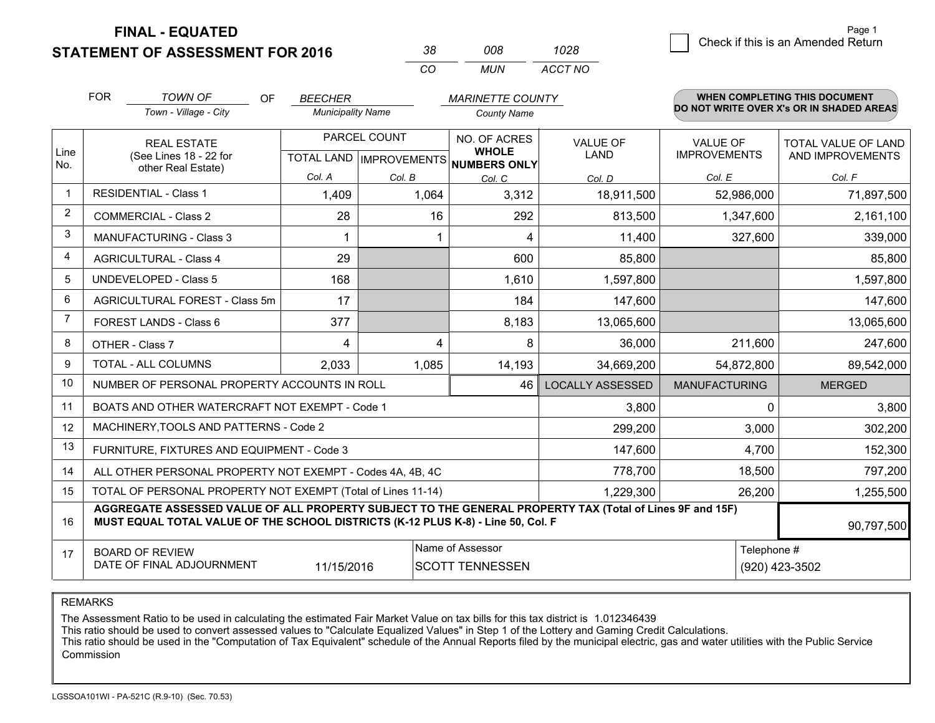**STATEMENT OF ASSESSMENT FOR 2016** 

| 38.       | 008.  | 1028    |
|-----------|-------|---------|
| $($ : $($ | MI IN | ACCT NO |

|             | <b>FOR</b>                                                                                                                                                                                   | <b>TOWN OF</b><br><b>OF</b>                                  | <b>BEECHER</b>           |              | <b>MARINETTE COUNTY</b>                                              |                                |                                        | WHEN COMPLETING THIS DOCUMENT                  |
|-------------|----------------------------------------------------------------------------------------------------------------------------------------------------------------------------------------------|--------------------------------------------------------------|--------------------------|--------------|----------------------------------------------------------------------|--------------------------------|----------------------------------------|------------------------------------------------|
|             |                                                                                                                                                                                              | Town - Village - City                                        | <b>Municipality Name</b> |              | <b>County Name</b>                                                   |                                |                                        | DO NOT WRITE OVER X's OR IN SHADED AREAS       |
| Line        |                                                                                                                                                                                              | <b>REAL ESTATE</b><br>(See Lines 18 - 22 for                 |                          | PARCEL COUNT | NO. OF ACRES<br><b>WHOLE</b><br>TOTAL LAND IMPROVEMENTS NUMBERS ONLY | <b>VALUE OF</b><br><b>LAND</b> | <b>VALUE OF</b><br><b>IMPROVEMENTS</b> | <b>TOTAL VALUE OF LAND</b><br>AND IMPROVEMENTS |
| No.         |                                                                                                                                                                                              | other Real Estate)                                           | Col. A                   | Col. B       | Col. C                                                               | Col. D                         | Col. E                                 | Col. F                                         |
| $\mathbf 1$ | <b>RESIDENTIAL - Class 1</b>                                                                                                                                                                 |                                                              | 1,409                    | 1,064        | 3,312                                                                | 18,911,500                     | 52,986,000                             | 71,897,500                                     |
| 2           |                                                                                                                                                                                              | <b>COMMERCIAL - Class 2</b>                                  | 28                       | 16           | 292                                                                  | 813,500                        | 1,347,600                              | 2,161,100                                      |
| 3           |                                                                                                                                                                                              | <b>MANUFACTURING - Class 3</b>                               |                          |              | 4                                                                    | 11,400                         | 327,600                                | 339,000                                        |
| 4           |                                                                                                                                                                                              | <b>AGRICULTURAL - Class 4</b>                                | 29                       |              | 600                                                                  | 85,800                         |                                        | 85,800                                         |
| 5           |                                                                                                                                                                                              | <b>UNDEVELOPED - Class 5</b>                                 | 168                      |              | 1,610                                                                | 1,597,800                      |                                        | 1,597,800                                      |
| 6           |                                                                                                                                                                                              | AGRICULTURAL FOREST - Class 5m                               | 17                       |              | 184                                                                  | 147,600                        |                                        | 147,600                                        |
| 7           |                                                                                                                                                                                              | FOREST LANDS - Class 6                                       | 377                      |              | 8,183                                                                | 13,065,600                     |                                        | 13,065,600                                     |
| 8           |                                                                                                                                                                                              | OTHER - Class 7                                              | 4                        | 4            | 8                                                                    | 36,000                         | 211,600                                | 247,600                                        |
| 9           |                                                                                                                                                                                              | TOTAL - ALL COLUMNS                                          | 2,033                    | 1,085        | 14,193                                                               | 34,669,200                     | 54,872,800                             | 89,542,000                                     |
| 10          |                                                                                                                                                                                              | NUMBER OF PERSONAL PROPERTY ACCOUNTS IN ROLL                 |                          |              | 46                                                                   | <b>LOCALLY ASSESSED</b>        | <b>MANUFACTURING</b>                   | <b>MERGED</b>                                  |
| 11          |                                                                                                                                                                                              | BOATS AND OTHER WATERCRAFT NOT EXEMPT - Code 1               |                          |              |                                                                      | 3,800                          | $\Omega$                               | 3,800                                          |
| 12          |                                                                                                                                                                                              | MACHINERY, TOOLS AND PATTERNS - Code 2                       |                          |              |                                                                      | 299,200                        | 3,000                                  | 302,200                                        |
| 13          |                                                                                                                                                                                              | FURNITURE, FIXTURES AND EQUIPMENT - Code 3                   |                          |              |                                                                      | 147,600                        | 4,700                                  | 152,300                                        |
| 14          |                                                                                                                                                                                              | ALL OTHER PERSONAL PROPERTY NOT EXEMPT - Codes 4A, 4B, 4C    |                          |              |                                                                      | 778,700                        | 18,500                                 | 797,200                                        |
| 15          |                                                                                                                                                                                              | TOTAL OF PERSONAL PROPERTY NOT EXEMPT (Total of Lines 11-14) | 1,229,300                | 26,200       | 1,255,500                                                            |                                |                                        |                                                |
| 16          | AGGREGATE ASSESSED VALUE OF ALL PROPERTY SUBJECT TO THE GENERAL PROPERTY TAX (Total of Lines 9F and 15F)<br>MUST EQUAL TOTAL VALUE OF THE SCHOOL DISTRICTS (K-12 PLUS K-8) - Line 50, Col. F |                                                              |                          |              |                                                                      |                                |                                        | 90,797,500                                     |
| 17          |                                                                                                                                                                                              | <b>BOARD OF REVIEW</b>                                       |                          |              | Name of Assessor                                                     |                                | Telephone #                            |                                                |
|             | DATE OF FINAL ADJOURNMENT<br>11/15/2016<br><b>SCOTT TENNESSEN</b>                                                                                                                            |                                                              |                          |              |                                                                      | (920) 423-3502                 |                                        |                                                |

REMARKS

The Assessment Ratio to be used in calculating the estimated Fair Market Value on tax bills for this tax district is 1.012346439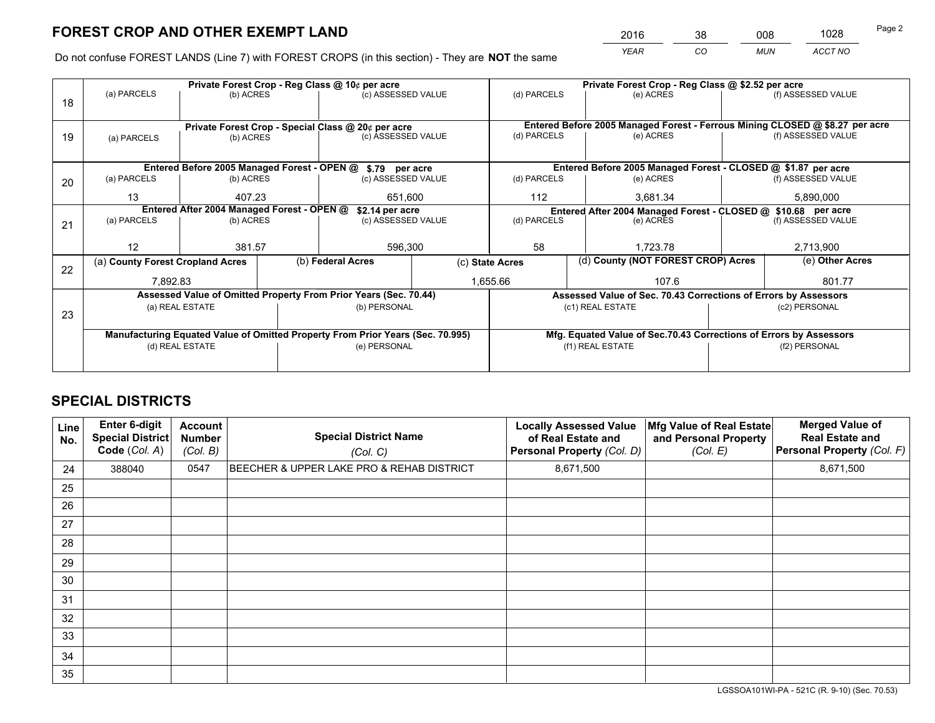*YEAR CO MUN ACCT NO* <sup>2016</sup> <sup>38</sup> <sup>008</sup> <sup>1028</sup>

Do not confuse FOREST LANDS (Line 7) with FOREST CROPS (in this section) - They are **NOT** the same

|    |                                                                                |                 |                 | Private Forest Crop - Reg Class @ 10¢ per acre                   |                 | Private Forest Crop - Reg Class @ \$2.52 per acre             |  |                                                                    |               |                                                                              |
|----|--------------------------------------------------------------------------------|-----------------|-----------------|------------------------------------------------------------------|-----------------|---------------------------------------------------------------|--|--------------------------------------------------------------------|---------------|------------------------------------------------------------------------------|
| 18 | (a) PARCELS                                                                    | (b) ACRES       |                 | (c) ASSESSED VALUE                                               |                 | (d) PARCELS                                                   |  | (e) ACRES                                                          |               | (f) ASSESSED VALUE                                                           |
|    |                                                                                |                 |                 |                                                                  |                 |                                                               |  |                                                                    |               |                                                                              |
|    | Private Forest Crop - Special Class @ 20¢ per acre                             |                 |                 |                                                                  |                 |                                                               |  |                                                                    |               | Entered Before 2005 Managed Forest - Ferrous Mining CLOSED @ \$8.27 per acre |
| 19 | (a) PARCELS                                                                    | (b) ACRES       |                 | (c) ASSESSED VALUE                                               |                 | (d) PARCELS                                                   |  | (e) ACRES                                                          |               | (f) ASSESSED VALUE                                                           |
|    |                                                                                |                 |                 |                                                                  |                 |                                                               |  |                                                                    |               |                                                                              |
|    |                                                                                |                 |                 | Entered Before 2005 Managed Forest - OPEN @ \$.79 per acre       |                 |                                                               |  | Entered Before 2005 Managed Forest - CLOSED @ \$1.87 per acre      |               |                                                                              |
| 20 | (a) PARCELS                                                                    | (b) ACRES       |                 | (c) ASSESSED VALUE                                               |                 | (d) PARCELS                                                   |  | (e) ACRES                                                          |               | (f) ASSESSED VALUE                                                           |
|    | 13                                                                             | 407.23          |                 | 651.600                                                          |                 | 112                                                           |  | 3.681.34                                                           |               | 5,890,000                                                                    |
|    | Entered After 2004 Managed Forest - OPEN @                                     |                 | \$2.14 per acre |                                                                  |                 | Entered After 2004 Managed Forest - CLOSED @ \$10.68 per acre |  |                                                                    |               |                                                                              |
| 21 | (a) PARCELS                                                                    | (b) ACRES       |                 | (c) ASSESSED VALUE                                               |                 | (d) PARCELS                                                   |  | (e) ACRES                                                          |               | (f) ASSESSED VALUE                                                           |
|    |                                                                                |                 |                 |                                                                  |                 |                                                               |  |                                                                    |               |                                                                              |
|    | 12                                                                             | 381.57          |                 | 596,300                                                          |                 | 58<br>1.723.78                                                |  |                                                                    | 2,713,900     |                                                                              |
| 22 | (a) County Forest Cropland Acres                                               |                 |                 | (b) Federal Acres                                                | (c) State Acres |                                                               |  | (d) County (NOT FOREST CROP) Acres                                 |               | (e) Other Acres                                                              |
|    | 7,892.83                                                                       |                 |                 | 1,655.66                                                         |                 |                                                               |  | 107.6                                                              |               | 801.77                                                                       |
|    |                                                                                |                 |                 | Assessed Value of Omitted Property From Prior Years (Sec. 70.44) |                 |                                                               |  | Assessed Value of Sec. 70.43 Corrections of Errors by Assessors    |               |                                                                              |
| 23 |                                                                                | (a) REAL ESTATE |                 | (b) PERSONAL                                                     |                 |                                                               |  | (c1) REAL ESTATE                                                   |               | (c2) PERSONAL                                                                |
|    |                                                                                |                 |                 |                                                                  |                 |                                                               |  |                                                                    |               |                                                                              |
|    | Manufacturing Equated Value of Omitted Property From Prior Years (Sec. 70.995) |                 |                 |                                                                  |                 |                                                               |  | Mfg. Equated Value of Sec.70.43 Corrections of Errors by Assessors |               |                                                                              |
|    |                                                                                | (d) REAL ESTATE |                 | (e) PERSONAL                                                     |                 | (f1) REAL ESTATE                                              |  |                                                                    | (f2) PERSONAL |                                                                              |
|    |                                                                                |                 |                 |                                                                  |                 |                                                               |  |                                                                    |               |                                                                              |

## **SPECIAL DISTRICTS**

| Line<br>No. | Enter 6-digit<br><b>Special District</b><br>Code (Col. A) | <b>Account</b><br><b>Number</b><br>(Col. B) | <b>Special District Name</b><br>(Col. C)  | <b>Locally Assessed Value</b><br>of Real Estate and<br>Personal Property (Col. D) | Mfg Value of Real Estate<br>and Personal Property<br>(Col. E) | <b>Merged Value of</b><br><b>Real Estate and</b><br>Personal Property (Col. F) |
|-------------|-----------------------------------------------------------|---------------------------------------------|-------------------------------------------|-----------------------------------------------------------------------------------|---------------------------------------------------------------|--------------------------------------------------------------------------------|
| 24          | 388040                                                    | 0547                                        | BEECHER & UPPER LAKE PRO & REHAB DISTRICT | 8,671,500                                                                         |                                                               | 8,671,500                                                                      |
| 25          |                                                           |                                             |                                           |                                                                                   |                                                               |                                                                                |
| 26          |                                                           |                                             |                                           |                                                                                   |                                                               |                                                                                |
| 27          |                                                           |                                             |                                           |                                                                                   |                                                               |                                                                                |
| 28          |                                                           |                                             |                                           |                                                                                   |                                                               |                                                                                |
| 29          |                                                           |                                             |                                           |                                                                                   |                                                               |                                                                                |
| 30          |                                                           |                                             |                                           |                                                                                   |                                                               |                                                                                |
| 31          |                                                           |                                             |                                           |                                                                                   |                                                               |                                                                                |
| 32          |                                                           |                                             |                                           |                                                                                   |                                                               |                                                                                |
| 33          |                                                           |                                             |                                           |                                                                                   |                                                               |                                                                                |
| 34          |                                                           |                                             |                                           |                                                                                   |                                                               |                                                                                |
| 35          |                                                           |                                             |                                           |                                                                                   |                                                               |                                                                                |

LGSSOA101WI-PA - 521C (R. 9-10) (Sec. 70.53)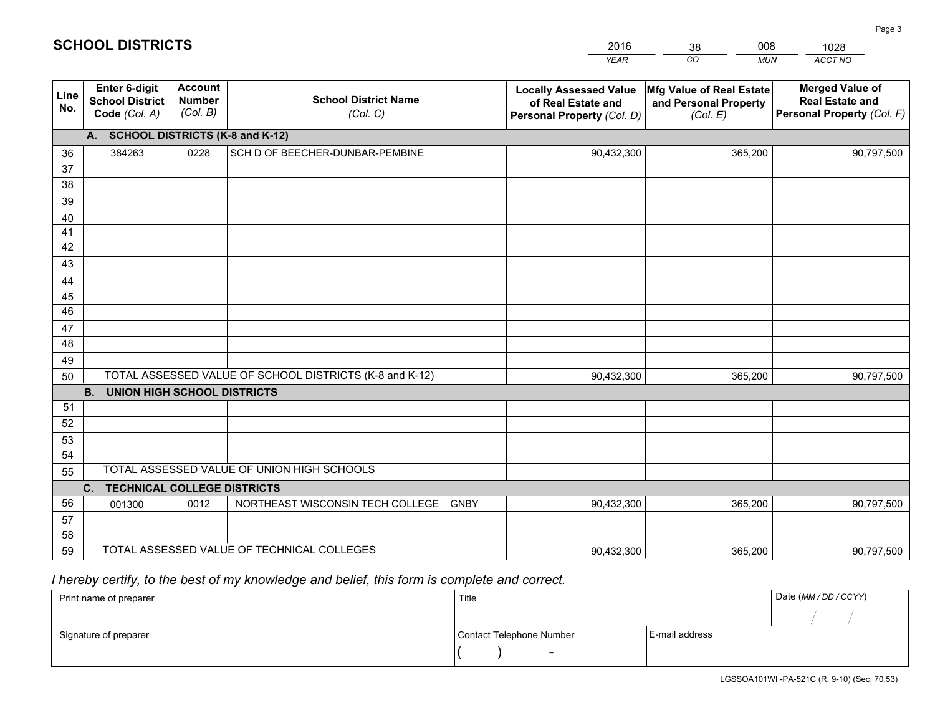|             |                                                          |                                             |                                                         | <b>YEAR</b>                                                                       | $\overline{co}$<br><b>MUN</b>                                 | ACCT NO                                                                        |
|-------------|----------------------------------------------------------|---------------------------------------------|---------------------------------------------------------|-----------------------------------------------------------------------------------|---------------------------------------------------------------|--------------------------------------------------------------------------------|
| Line<br>No. | Enter 6-digit<br><b>School District</b><br>Code (Col. A) | <b>Account</b><br><b>Number</b><br>(Col. B) | <b>School District Name</b><br>(Col. C)                 | <b>Locally Assessed Value</b><br>of Real Estate and<br>Personal Property (Col. D) | Mfg Value of Real Estate<br>and Personal Property<br>(Col. E) | <b>Merged Value of</b><br><b>Real Estate and</b><br>Personal Property (Col. F) |
|             | A. SCHOOL DISTRICTS (K-8 and K-12)                       |                                             |                                                         |                                                                                   |                                                               |                                                                                |
| 36          | 384263                                                   | 0228                                        | SCH D OF BEECHER-DUNBAR-PEMBINE                         | 90,432,300                                                                        | 365,200                                                       | 90,797,500                                                                     |
| 37          |                                                          |                                             |                                                         |                                                                                   |                                                               |                                                                                |
| 38          |                                                          |                                             |                                                         |                                                                                   |                                                               |                                                                                |
| 39          |                                                          |                                             |                                                         |                                                                                   |                                                               |                                                                                |
| 40          |                                                          |                                             |                                                         |                                                                                   |                                                               |                                                                                |
| 41          |                                                          |                                             |                                                         |                                                                                   |                                                               |                                                                                |
| 42          |                                                          |                                             |                                                         |                                                                                   |                                                               |                                                                                |
| 43          |                                                          |                                             |                                                         |                                                                                   |                                                               |                                                                                |
| 44          |                                                          |                                             |                                                         |                                                                                   |                                                               |                                                                                |
| 45<br>46    |                                                          |                                             |                                                         |                                                                                   |                                                               |                                                                                |
| 47          |                                                          |                                             |                                                         |                                                                                   |                                                               |                                                                                |
| 48          |                                                          |                                             |                                                         |                                                                                   |                                                               |                                                                                |
| 49          |                                                          |                                             |                                                         |                                                                                   |                                                               |                                                                                |
| 50          |                                                          |                                             | TOTAL ASSESSED VALUE OF SCHOOL DISTRICTS (K-8 and K-12) | 90,432,300                                                                        | 365,200                                                       | 90,797,500                                                                     |
|             | <b>B.</b><br><b>UNION HIGH SCHOOL DISTRICTS</b>          |                                             |                                                         |                                                                                   |                                                               |                                                                                |
| 51          |                                                          |                                             |                                                         |                                                                                   |                                                               |                                                                                |
| 52          |                                                          |                                             |                                                         |                                                                                   |                                                               |                                                                                |
| 53          |                                                          |                                             |                                                         |                                                                                   |                                                               |                                                                                |
| 54          |                                                          |                                             |                                                         |                                                                                   |                                                               |                                                                                |
| 55          |                                                          |                                             | TOTAL ASSESSED VALUE OF UNION HIGH SCHOOLS              |                                                                                   |                                                               |                                                                                |
|             | C.<br><b>TECHNICAL COLLEGE DISTRICTS</b>                 |                                             |                                                         |                                                                                   |                                                               |                                                                                |
| 56          | 001300                                                   | 0012                                        | NORTHEAST WISCONSIN TECH COLLEGE GNBY                   | 90,432,300                                                                        | 365,200                                                       | 90,797,500                                                                     |
| 57          |                                                          |                                             |                                                         |                                                                                   |                                                               |                                                                                |
| 58          |                                                          |                                             |                                                         |                                                                                   |                                                               |                                                                                |
| 59          |                                                          |                                             | TOTAL ASSESSED VALUE OF TECHNICAL COLLEGES              | 90,432,300                                                                        | 365,200                                                       | 90,797,500                                                                     |

38

008

 *I hereby certify, to the best of my knowledge and belief, this form is complete and correct.*

**SCHOOL DISTRICTS**

| Print name of preparer | Title                    |                | Date (MM/DD/CCYY) |
|------------------------|--------------------------|----------------|-------------------|
|                        |                          |                |                   |
| Signature of preparer  | Contact Telephone Number | E-mail address |                   |
|                        | $\overline{\phantom{a}}$ |                |                   |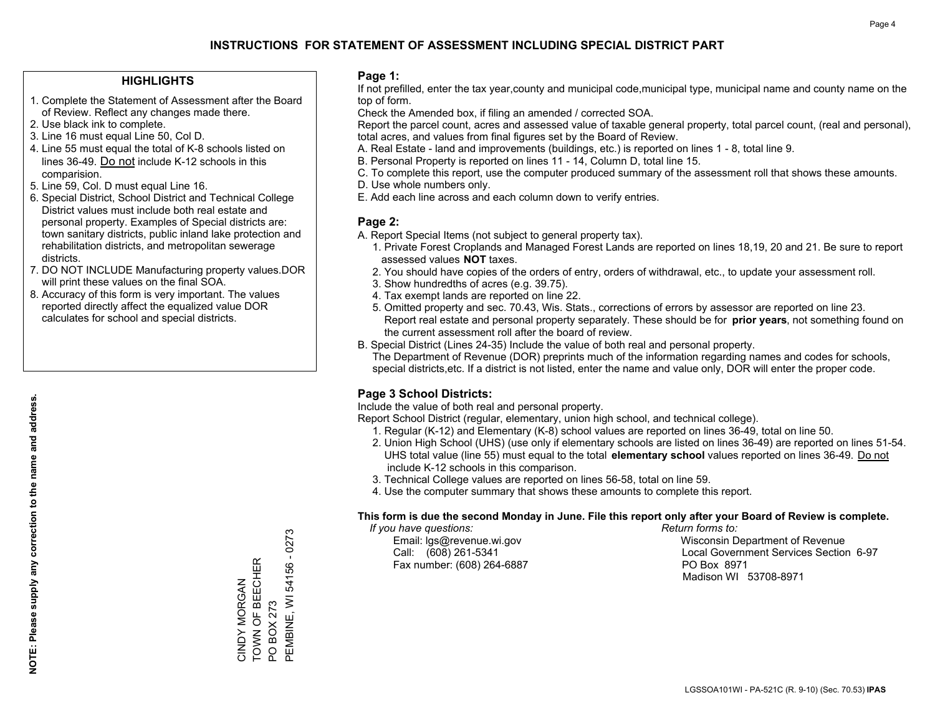#### **HIGHLIGHTS**

- 1. Complete the Statement of Assessment after the Board of Review. Reflect any changes made there.
- 2. Use black ink to complete.
- 3. Line 16 must equal Line 50, Col D.
- 4. Line 55 must equal the total of K-8 schools listed on lines 36-49. Do not include K-12 schools in this comparision.
- 5. Line 59, Col. D must equal Line 16.
- 6. Special District, School District and Technical College District values must include both real estate and personal property. Examples of Special districts are: town sanitary districts, public inland lake protection and rehabilitation districts, and metropolitan sewerage districts.
- 7. DO NOT INCLUDE Manufacturing property values.DOR will print these values on the final SOA.
- 8. Accuracy of this form is very important. The values reported directly affect the equalized value DOR calculates for school and special districts.

#### **Page 1:**

 If not prefilled, enter the tax year,county and municipal code,municipal type, municipal name and county name on the top of form.

Check the Amended box, if filing an amended / corrected SOA.

 Report the parcel count, acres and assessed value of taxable general property, total parcel count, (real and personal), total acres, and values from final figures set by the Board of Review.

- A. Real Estate land and improvements (buildings, etc.) is reported on lines 1 8, total line 9.
- B. Personal Property is reported on lines 11 14, Column D, total line 15.
- C. To complete this report, use the computer produced summary of the assessment roll that shows these amounts.
- D. Use whole numbers only.
- E. Add each line across and each column down to verify entries.

#### **Page 2:**

- A. Report Special Items (not subject to general property tax).
- 1. Private Forest Croplands and Managed Forest Lands are reported on lines 18,19, 20 and 21. Be sure to report assessed values **NOT** taxes.
- 2. You should have copies of the orders of entry, orders of withdrawal, etc., to update your assessment roll.
	- 3. Show hundredths of acres (e.g. 39.75).
- 4. Tax exempt lands are reported on line 22.
- 5. Omitted property and sec. 70.43, Wis. Stats., corrections of errors by assessor are reported on line 23. Report real estate and personal property separately. These should be for **prior years**, not something found on the current assessment roll after the board of review.
- B. Special District (Lines 24-35) Include the value of both real and personal property.

 The Department of Revenue (DOR) preprints much of the information regarding names and codes for schools, special districts,etc. If a district is not listed, enter the name and value only, DOR will enter the proper code.

### **Page 3 School Districts:**

Include the value of both real and personal property.

Report School District (regular, elementary, union high school, and technical college).

- 1. Regular (K-12) and Elementary (K-8) school values are reported on lines 36-49, total on line 50.
- 2. Union High School (UHS) (use only if elementary schools are listed on lines 36-49) are reported on lines 51-54. UHS total value (line 55) must equal to the total **elementary school** values reported on lines 36-49. Do notinclude K-12 schools in this comparison.
- 3. Technical College values are reported on lines 56-58, total on line 59.
- 4. Use the computer summary that shows these amounts to complete this report.

#### **This form is due the second Monday in June. File this report only after your Board of Review is complete.**

 *If you have questions: Return forms to:*

Fax number: (608) 264-6887 PO Box 8971

 Email: lgs@revenue.wi.gov Wisconsin Department of Revenue Call: (608) 261-5341 Local Government Services Section 6-97Madison WI 53708-8971

PEMBINE, WI 54156 - 0273 PEMBINE, WI 54156 - 0273 TOWN OF BEECHER CINDY MORGAN<br>TOWN OF BEECHER CINDY MORGAN PO BOX 273 PO BOX 273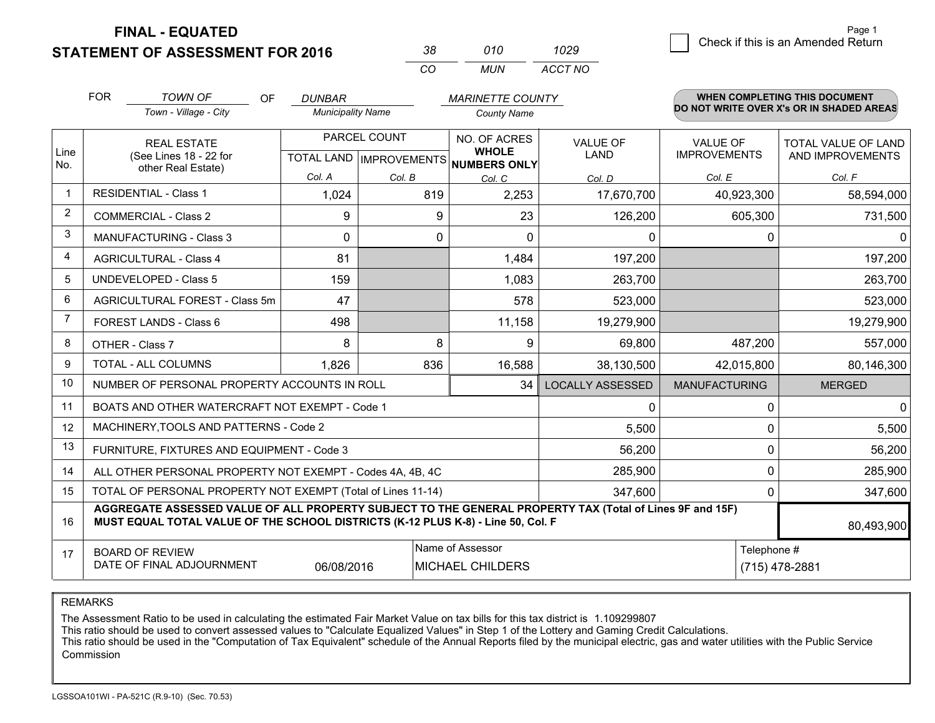**STATEMENT OF ASSESSMENT FOR 2016** 

| -38. | 010   | 1029    |
|------|-------|---------|
| CO.  | MI IN | ACCT NO |

|                | <b>FOR</b>                                                                                                                                                                                   | <b>TOWN OF</b><br>OF                                         | <b>DUNBAR</b>            |              | <b>MARINETTE COUNTY</b>                  |                                |                                        | WHEN COMPLETING THIS DOCUMENT            |
|----------------|----------------------------------------------------------------------------------------------------------------------------------------------------------------------------------------------|--------------------------------------------------------------|--------------------------|--------------|------------------------------------------|--------------------------------|----------------------------------------|------------------------------------------|
|                |                                                                                                                                                                                              | Town - Village - City                                        | <b>Municipality Name</b> |              | <b>County Name</b>                       |                                |                                        | DO NOT WRITE OVER X's OR IN SHADED AREAS |
| Line           |                                                                                                                                                                                              | <b>REAL ESTATE</b><br>(See Lines 18 - 22 for                 |                          | PARCEL COUNT | NO. OF ACRES<br><b>WHOLE</b>             | <b>VALUE OF</b><br><b>LAND</b> | <b>VALUE OF</b><br><b>IMPROVEMENTS</b> | TOTAL VALUE OF LAND<br>AND IMPROVEMENTS  |
| No.            |                                                                                                                                                                                              | other Real Estate)                                           |                          |              | TOTAL LAND   IMPROVEMENTS   NUMBERS ONLY |                                |                                        |                                          |
|                | <b>RESIDENTIAL - Class 1</b>                                                                                                                                                                 |                                                              | Col. A                   | Col. B       | Col. C                                   | Col. D                         | Col. E                                 | Col. F                                   |
|                |                                                                                                                                                                                              |                                                              | 1,024                    | 819          | 2,253                                    | 17,670,700                     | 40,923,300                             | 58,594,000                               |
| 2              |                                                                                                                                                                                              | <b>COMMERCIAL - Class 2</b>                                  | 9                        | 9            | 23                                       | 126,200                        | 605,300                                | 731,500                                  |
| 3              |                                                                                                                                                                                              | <b>MANUFACTURING - Class 3</b>                               | $\Omega$                 | $\Omega$     | $\Omega$                                 | 0                              |                                        | $\Omega$<br>$\Omega$                     |
| 4              |                                                                                                                                                                                              | <b>AGRICULTURAL - Class 4</b>                                | 81                       |              | 1,484                                    | 197,200                        |                                        | 197,200                                  |
| 5              |                                                                                                                                                                                              | <b>UNDEVELOPED - Class 5</b>                                 | 159                      |              | 1,083                                    | 263,700                        |                                        | 263,700                                  |
| 6              |                                                                                                                                                                                              | AGRICULTURAL FOREST - Class 5m                               | 47                       |              | 578                                      | 523,000                        |                                        | 523,000                                  |
| $\overline{7}$ | FOREST LANDS - Class 6                                                                                                                                                                       |                                                              | 498                      |              | 11,158                                   | 19,279,900                     |                                        | 19,279,900                               |
| 8              |                                                                                                                                                                                              | OTHER - Class 7                                              | 8                        | 8            | 9                                        | 69,800                         | 487,200                                | 557,000                                  |
| 9              |                                                                                                                                                                                              | TOTAL - ALL COLUMNS                                          | 1,826                    | 836          | 16,588                                   | 38,130,500                     | 42,015,800                             | 80,146,300                               |
| 10             |                                                                                                                                                                                              | NUMBER OF PERSONAL PROPERTY ACCOUNTS IN ROLL                 |                          |              | 34                                       | <b>LOCALLY ASSESSED</b>        | <b>MANUFACTURING</b>                   | <b>MERGED</b>                            |
| 11             |                                                                                                                                                                                              | BOATS AND OTHER WATERCRAFT NOT EXEMPT - Code 1               |                          |              |                                          | 0                              |                                        | $\Omega$<br>0                            |
| 12             |                                                                                                                                                                                              | MACHINERY, TOOLS AND PATTERNS - Code 2                       |                          |              |                                          | 5,500                          |                                        | 5,500<br>0                               |
| 13             |                                                                                                                                                                                              | FURNITURE, FIXTURES AND EQUIPMENT - Code 3                   |                          |              |                                          | 56,200                         |                                        | $\mathbf 0$<br>56,200                    |
| 14             |                                                                                                                                                                                              | ALL OTHER PERSONAL PROPERTY NOT EXEMPT - Codes 4A, 4B, 4C    |                          |              |                                          | 285,900                        |                                        | $\mathbf 0$<br>285,900                   |
| 15             |                                                                                                                                                                                              | TOTAL OF PERSONAL PROPERTY NOT EXEMPT (Total of Lines 11-14) |                          |              |                                          | 347,600                        |                                        | 347,600<br>0                             |
| 16             | AGGREGATE ASSESSED VALUE OF ALL PROPERTY SUBJECT TO THE GENERAL PROPERTY TAX (Total of Lines 9F and 15F)<br>MUST EQUAL TOTAL VALUE OF THE SCHOOL DISTRICTS (K-12 PLUS K-8) - Line 50, Col. F |                                                              |                          |              |                                          |                                | 80,493,900                             |                                          |
| 17             |                                                                                                                                                                                              | <b>BOARD OF REVIEW</b>                                       |                          |              | Name of Assessor                         |                                |                                        | Telephone #                              |
|                |                                                                                                                                                                                              | DATE OF FINAL ADJOURNMENT                                    | 06/08/2016               |              | <b>MICHAEL CHILDERS</b>                  |                                |                                        | (715) 478-2881                           |

REMARKS

The Assessment Ratio to be used in calculating the estimated Fair Market Value on tax bills for this tax district is 1.109299807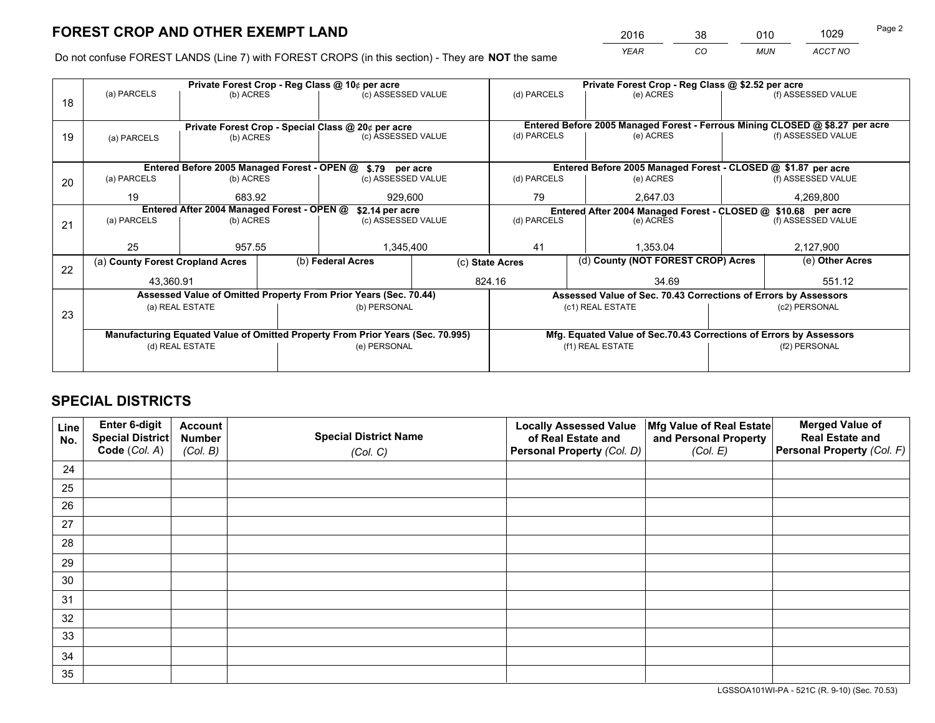*YEAR CO MUN ACCT NO* <sup>2016</sup> <sup>38</sup> <sup>010</sup> <sup>1029</sup>

Do not confuse FOREST LANDS (Line 7) with FOREST CROPS (in this section) - They are **NOT** the same

|    |                                                                                |                                            |                 | Private Forest Crop - Reg Class @ 10¢ per acre                   |                                                               | Private Forest Crop - Reg Class @ \$2.52 per acre |                                                                 |  |                                                                              |  |
|----|--------------------------------------------------------------------------------|--------------------------------------------|-----------------|------------------------------------------------------------------|---------------------------------------------------------------|---------------------------------------------------|-----------------------------------------------------------------|--|------------------------------------------------------------------------------|--|
| 18 | (a) PARCELS                                                                    | (b) ACRES                                  |                 | (c) ASSESSED VALUE                                               |                                                               | (d) PARCELS                                       | (e) ACRES                                                       |  | (f) ASSESSED VALUE                                                           |  |
|    |                                                                                |                                            |                 |                                                                  |                                                               |                                                   |                                                                 |  |                                                                              |  |
|    |                                                                                |                                            |                 | Private Forest Crop - Special Class @ 20¢ per acre               |                                                               |                                                   |                                                                 |  | Entered Before 2005 Managed Forest - Ferrous Mining CLOSED @ \$8.27 per acre |  |
| 19 | (a) PARCELS                                                                    | (b) ACRES                                  |                 | (c) ASSESSED VALUE                                               |                                                               | (d) PARCELS                                       | (e) ACRES                                                       |  | (f) ASSESSED VALUE                                                           |  |
|    |                                                                                |                                            |                 |                                                                  |                                                               |                                                   |                                                                 |  |                                                                              |  |
|    |                                                                                |                                            |                 | Entered Before 2005 Managed Forest - OPEN @ \$.79 per acre       |                                                               |                                                   | Entered Before 2005 Managed Forest - CLOSED @ \$1.87 per acre   |  |                                                                              |  |
| 20 | (a) PARCELS                                                                    | (b) ACRES                                  |                 | (c) ASSESSED VALUE                                               |                                                               | (d) PARCELS                                       | (e) ACRES                                                       |  | (f) ASSESSED VALUE                                                           |  |
|    | 19                                                                             | 683.92                                     |                 | 929,600                                                          |                                                               | 79                                                | 2,647.03                                                        |  | 4,269,800                                                                    |  |
|    |                                                                                | Entered After 2004 Managed Forest - OPEN @ | \$2.14 per acre |                                                                  | Entered After 2004 Managed Forest - CLOSED @ \$10.68 per acre |                                                   |                                                                 |  |                                                                              |  |
| 21 | (a) PARCELS                                                                    | (b) ACRES                                  |                 | (c) ASSESSED VALUE                                               | (d) PARCELS                                                   |                                                   | (e) ACRES                                                       |  | (f) ASSESSED VALUE                                                           |  |
|    |                                                                                |                                            |                 |                                                                  |                                                               |                                                   |                                                                 |  |                                                                              |  |
|    | 25                                                                             | 957.55                                     |                 | 1,345,400                                                        |                                                               | 41<br>1.353.04                                    |                                                                 |  | 2,127,900                                                                    |  |
| 22 | (a) County Forest Cropland Acres                                               |                                            |                 | (b) Federal Acres                                                | (c) State Acres                                               |                                                   | (d) County (NOT FOREST CROP) Acres                              |  | (e) Other Acres                                                              |  |
|    | 43,360.91                                                                      |                                            |                 |                                                                  |                                                               | 824.16                                            | 34.69                                                           |  | 551.12                                                                       |  |
|    |                                                                                |                                            |                 | Assessed Value of Omitted Property From Prior Years (Sec. 70.44) |                                                               |                                                   | Assessed Value of Sec. 70.43 Corrections of Errors by Assessors |  |                                                                              |  |
| 23 |                                                                                | (a) REAL ESTATE                            |                 | (b) PERSONAL                                                     |                                                               |                                                   | (c1) REAL ESTATE                                                |  | (c2) PERSONAL                                                                |  |
|    |                                                                                |                                            |                 |                                                                  |                                                               |                                                   |                                                                 |  |                                                                              |  |
|    | Manufacturing Equated Value of Omitted Property From Prior Years (Sec. 70.995) |                                            |                 |                                                                  |                                                               |                                                   |                                                                 |  | Mfg. Equated Value of Sec.70.43 Corrections of Errors by Assessors           |  |
|    |                                                                                | (d) REAL ESTATE                            |                 | (e) PERSONAL                                                     |                                                               | (f1) REAL ESTATE                                  |                                                                 |  | (f2) PERSONAL                                                                |  |
|    |                                                                                |                                            |                 |                                                                  |                                                               |                                                   |                                                                 |  |                                                                              |  |

## **SPECIAL DISTRICTS**

| Line<br>No. | Enter 6-digit<br><b>Special District</b> | <b>Account</b><br><b>Number</b> | <b>Special District Name</b> | <b>Locally Assessed Value</b><br>of Real Estate and | Mfg Value of Real Estate<br>and Personal Property | <b>Merged Value of</b><br><b>Real Estate and</b> |
|-------------|------------------------------------------|---------------------------------|------------------------------|-----------------------------------------------------|---------------------------------------------------|--------------------------------------------------|
|             | Code (Col. A)                            | (Col. B)                        | (Col. C)                     | Personal Property (Col. D)                          | (Col. E)                                          | Personal Property (Col. F)                       |
| 24          |                                          |                                 |                              |                                                     |                                                   |                                                  |
| 25          |                                          |                                 |                              |                                                     |                                                   |                                                  |
| 26          |                                          |                                 |                              |                                                     |                                                   |                                                  |
| 27          |                                          |                                 |                              |                                                     |                                                   |                                                  |
| 28          |                                          |                                 |                              |                                                     |                                                   |                                                  |
| 29          |                                          |                                 |                              |                                                     |                                                   |                                                  |
| 30          |                                          |                                 |                              |                                                     |                                                   |                                                  |
| 31          |                                          |                                 |                              |                                                     |                                                   |                                                  |
| 32          |                                          |                                 |                              |                                                     |                                                   |                                                  |
| 33          |                                          |                                 |                              |                                                     |                                                   |                                                  |
| 34          |                                          |                                 |                              |                                                     |                                                   |                                                  |
| 35          |                                          |                                 |                              |                                                     |                                                   |                                                  |

LGSSOA101WI-PA - 521C (R. 9-10) (Sec. 70.53)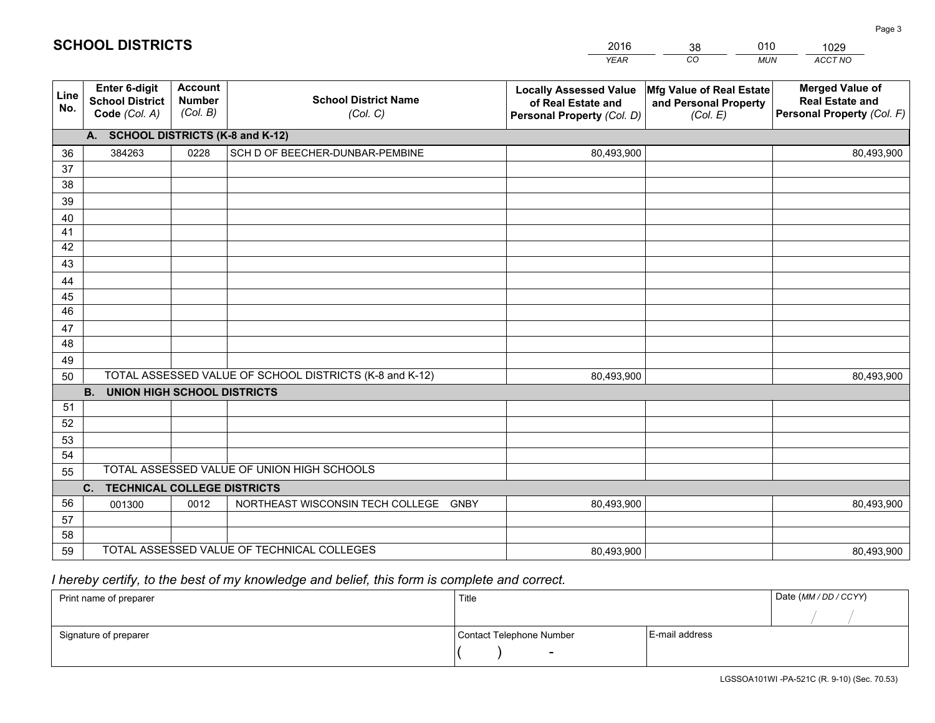|             |                                                          |                                             |                                                         | <b>YEAR</b>                                                                       | $\overline{co}$<br><b>MUN</b>                                 | ACCT NO                                                                        |
|-------------|----------------------------------------------------------|---------------------------------------------|---------------------------------------------------------|-----------------------------------------------------------------------------------|---------------------------------------------------------------|--------------------------------------------------------------------------------|
| Line<br>No. | Enter 6-digit<br><b>School District</b><br>Code (Col. A) | <b>Account</b><br><b>Number</b><br>(Col. B) | <b>School District Name</b><br>(Col. C)                 | <b>Locally Assessed Value</b><br>of Real Estate and<br>Personal Property (Col. D) | Mfg Value of Real Estate<br>and Personal Property<br>(Col. E) | <b>Merged Value of</b><br><b>Real Estate and</b><br>Personal Property (Col. F) |
|             | <b>SCHOOL DISTRICTS (K-8 and K-12)</b><br>A.             |                                             |                                                         |                                                                                   |                                                               |                                                                                |
| 36          | 384263                                                   | 0228                                        | SCH D OF BEECHER-DUNBAR-PEMBINE                         | 80,493,900                                                                        |                                                               | 80,493,900                                                                     |
| 37          |                                                          |                                             |                                                         |                                                                                   |                                                               |                                                                                |
| 38          |                                                          |                                             |                                                         |                                                                                   |                                                               |                                                                                |
| 39          |                                                          |                                             |                                                         |                                                                                   |                                                               |                                                                                |
| 40          |                                                          |                                             |                                                         |                                                                                   |                                                               |                                                                                |
| 41          |                                                          |                                             |                                                         |                                                                                   |                                                               |                                                                                |
| 42          |                                                          |                                             |                                                         |                                                                                   |                                                               |                                                                                |
| 43          |                                                          |                                             |                                                         |                                                                                   |                                                               |                                                                                |
| 44          |                                                          |                                             |                                                         |                                                                                   |                                                               |                                                                                |
| 45          |                                                          |                                             |                                                         |                                                                                   |                                                               |                                                                                |
| 46          |                                                          |                                             |                                                         |                                                                                   |                                                               |                                                                                |
| 47          |                                                          |                                             |                                                         |                                                                                   |                                                               |                                                                                |
| 48          |                                                          |                                             |                                                         |                                                                                   |                                                               |                                                                                |
| 49<br>50    |                                                          |                                             | TOTAL ASSESSED VALUE OF SCHOOL DISTRICTS (K-8 and K-12) | 80,493,900                                                                        |                                                               | 80,493,900                                                                     |
|             | <b>B.</b><br><b>UNION HIGH SCHOOL DISTRICTS</b>          |                                             |                                                         |                                                                                   |                                                               |                                                                                |
| 51          |                                                          |                                             |                                                         |                                                                                   |                                                               |                                                                                |
| 52          |                                                          |                                             |                                                         |                                                                                   |                                                               |                                                                                |
| 53          |                                                          |                                             |                                                         |                                                                                   |                                                               |                                                                                |
| 54          |                                                          |                                             |                                                         |                                                                                   |                                                               |                                                                                |
| 55          |                                                          |                                             | TOTAL ASSESSED VALUE OF UNION HIGH SCHOOLS              |                                                                                   |                                                               |                                                                                |
|             | C. TECHNICAL COLLEGE DISTRICTS                           |                                             |                                                         |                                                                                   |                                                               |                                                                                |
| 56          | 001300                                                   | 0012                                        | NORTHEAST WISCONSIN TECH COLLEGE<br>GNBY                | 80,493,900                                                                        |                                                               | 80,493,900                                                                     |
| 57          |                                                          |                                             |                                                         |                                                                                   |                                                               |                                                                                |
| 58          |                                                          |                                             |                                                         |                                                                                   |                                                               |                                                                                |
| 59          |                                                          |                                             | TOTAL ASSESSED VALUE OF TECHNICAL COLLEGES              | 80,493,900                                                                        |                                                               | 80,493,900                                                                     |

38

010

 *I hereby certify, to the best of my knowledge and belief, this form is complete and correct.*

**SCHOOL DISTRICTS**

| Print name of preparer | Title                    |                | Date (MM / DD / CCYY) |
|------------------------|--------------------------|----------------|-----------------------|
|                        |                          |                |                       |
| Signature of preparer  | Contact Telephone Number | E-mail address |                       |
|                        |                          |                |                       |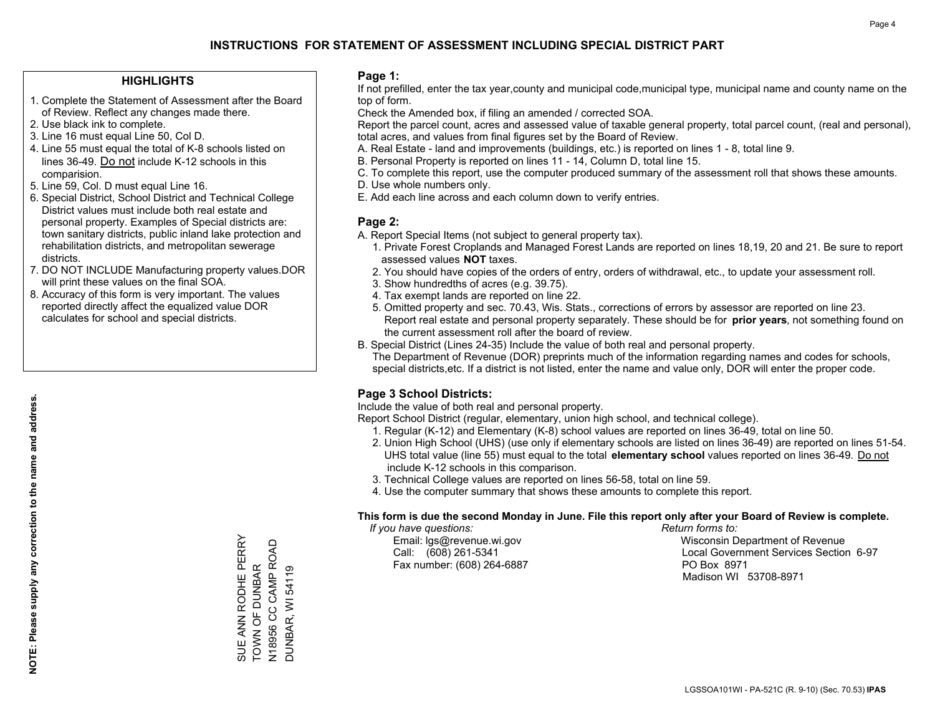#### **HIGHLIGHTS**

- 1. Complete the Statement of Assessment after the Board of Review. Reflect any changes made there.
- 2. Use black ink to complete.
- 3. Line 16 must equal Line 50, Col D.
- 4. Line 55 must equal the total of K-8 schools listed on lines 36-49. Do not include K-12 schools in this comparision.
- 5. Line 59, Col. D must equal Line 16.
- 6. Special District, School District and Technical College District values must include both real estate and personal property. Examples of Special districts are: town sanitary districts, public inland lake protection and rehabilitation districts, and metropolitan sewerage districts.
- 7. DO NOT INCLUDE Manufacturing property values.DOR will print these values on the final SOA.

SUE ANN RODHE PERRY TOWN OF DUNBAR N18956 CC CAMP ROAD DUNBAR, WI 54119

SUE ANN RODHE PERRY<br>TOWN OF DUNBAR<br>N18956 CC CAMP ROAD<br>DUNBAR, WI 54119

 8. Accuracy of this form is very important. The values reported directly affect the equalized value DOR calculates for school and special districts.

#### **Page 1:**

 If not prefilled, enter the tax year,county and municipal code,municipal type, municipal name and county name on the top of form.

Check the Amended box, if filing an amended / corrected SOA.

 Report the parcel count, acres and assessed value of taxable general property, total parcel count, (real and personal), total acres, and values from final figures set by the Board of Review.

- A. Real Estate land and improvements (buildings, etc.) is reported on lines 1 8, total line 9.
- B. Personal Property is reported on lines 11 14, Column D, total line 15.
- C. To complete this report, use the computer produced summary of the assessment roll that shows these amounts.
- D. Use whole numbers only.
- E. Add each line across and each column down to verify entries.

#### **Page 2:**

- A. Report Special Items (not subject to general property tax).
- 1. Private Forest Croplands and Managed Forest Lands are reported on lines 18,19, 20 and 21. Be sure to report assessed values **NOT** taxes.
- 2. You should have copies of the orders of entry, orders of withdrawal, etc., to update your assessment roll.
	- 3. Show hundredths of acres (e.g. 39.75).
- 4. Tax exempt lands are reported on line 22.
- 5. Omitted property and sec. 70.43, Wis. Stats., corrections of errors by assessor are reported on line 23. Report real estate and personal property separately. These should be for **prior years**, not something found on the current assessment roll after the board of review.
- B. Special District (Lines 24-35) Include the value of both real and personal property.
- The Department of Revenue (DOR) preprints much of the information regarding names and codes for schools, special districts,etc. If a district is not listed, enter the name and value only, DOR will enter the proper code.

### **Page 3 School Districts:**

Include the value of both real and personal property.

Report School District (regular, elementary, union high school, and technical college).

- 1. Regular (K-12) and Elementary (K-8) school values are reported on lines 36-49, total on line 50.
- 2. Union High School (UHS) (use only if elementary schools are listed on lines 36-49) are reported on lines 51-54. UHS total value (line 55) must equal to the total **elementary school** values reported on lines 36-49. Do notinclude K-12 schools in this comparison.
- 3. Technical College values are reported on lines 56-58, total on line 59.
- 4. Use the computer summary that shows these amounts to complete this report.

#### **This form is due the second Monday in June. File this report only after your Board of Review is complete.**

 *If you have questions: Return forms to:*

Fax number: (608) 264-6887 PO Box 8971

 Email: lgs@revenue.wi.gov Wisconsin Department of Revenue Call: (608) 261-5341 Local Government Services Section 6-97Madison WI 53708-8971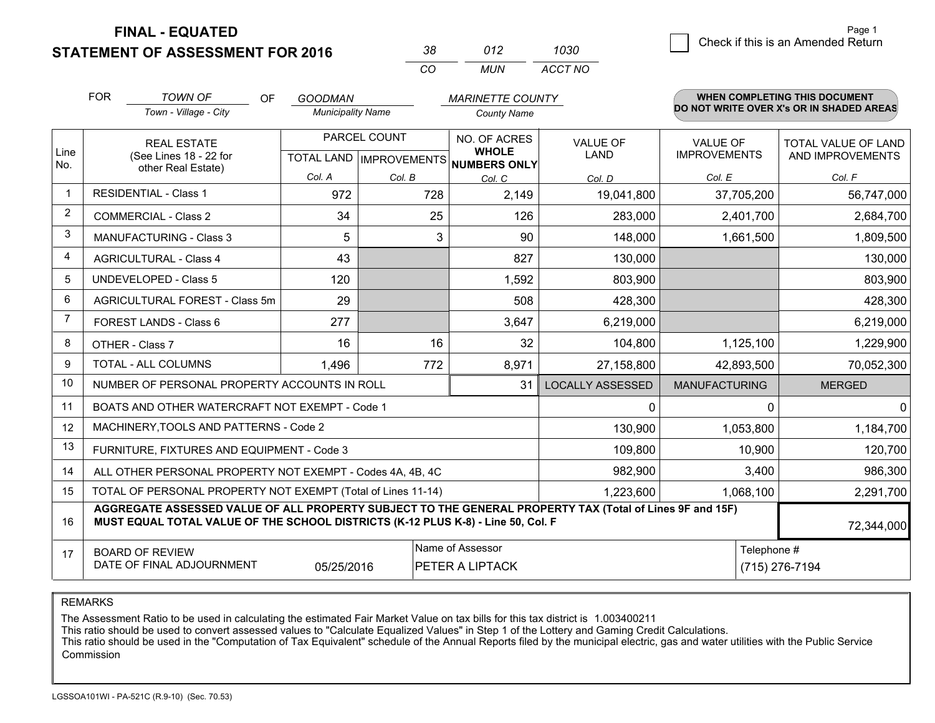**STATEMENT OF ASSESSMENT FOR 2016** 

| 38.      | 012 | 1030    |
|----------|-----|---------|
| $\alpha$ | MUN | ACCT NO |

|                | <b>FOR</b>                                                                                                                                                                                   | <b>TOWN OF</b><br><b>OF</b>                                  | <b>GOODMAN</b>           |              | <b>MARINETTE COUNTY</b>                                                  |                                |                                        | WHEN COMPLETING THIS DOCUMENT                  |
|----------------|----------------------------------------------------------------------------------------------------------------------------------------------------------------------------------------------|--------------------------------------------------------------|--------------------------|--------------|--------------------------------------------------------------------------|--------------------------------|----------------------------------------|------------------------------------------------|
|                |                                                                                                                                                                                              | Town - Village - City                                        | <b>Municipality Name</b> |              | <b>County Name</b>                                                       |                                |                                        | DO NOT WRITE OVER X's OR IN SHADED AREAS       |
| Line<br>No.    |                                                                                                                                                                                              | <b>REAL ESTATE</b><br>(See Lines 18 - 22 for                 |                          | PARCEL COUNT | NO. OF ACRES<br><b>WHOLE</b><br>TOTAL LAND   IMPROVEMENTS   NUMBERS ONLY | <b>VALUE OF</b><br><b>LAND</b> | <b>VALUE OF</b><br><b>IMPROVEMENTS</b> | <b>TOTAL VALUE OF LAND</b><br>AND IMPROVEMENTS |
|                | other Real Estate)                                                                                                                                                                           |                                                              | Col. A                   | Col. B       | Col. C                                                                   | Col. D                         | Col. E                                 | Col. F                                         |
|                | <b>RESIDENTIAL - Class 1</b>                                                                                                                                                                 |                                                              | 972                      | 728          | 2,149                                                                    | 19,041,800                     | 37,705,200                             | 56,747,000                                     |
| 2              |                                                                                                                                                                                              | <b>COMMERCIAL - Class 2</b>                                  | 34                       | 25           | 126                                                                      | 283,000                        | 2,401,700                              | 2,684,700                                      |
| 3              |                                                                                                                                                                                              | <b>MANUFACTURING - Class 3</b>                               | 5                        | 3            | 90                                                                       | 148,000                        | 1,661,500                              | 1,809,500                                      |
| 4              |                                                                                                                                                                                              | <b>AGRICULTURAL - Class 4</b>                                | 43                       |              | 827                                                                      | 130,000                        |                                        | 130,000                                        |
| 5              |                                                                                                                                                                                              | <b>UNDEVELOPED - Class 5</b>                                 | 120                      |              | 1,592                                                                    | 803,900                        |                                        | 803,900                                        |
| 6              |                                                                                                                                                                                              | AGRICULTURAL FOREST - Class 5m                               | 29                       |              | 508                                                                      | 428,300                        |                                        | 428,300                                        |
| $\overline{7}$ |                                                                                                                                                                                              | FOREST LANDS - Class 6                                       | 277                      |              | 3,647                                                                    | 6,219,000                      |                                        | 6,219,000                                      |
| 8              |                                                                                                                                                                                              | OTHER - Class 7                                              | 16                       | 16           | 32                                                                       | 104,800                        | 1,125,100                              | 1,229,900                                      |
| 9              |                                                                                                                                                                                              | TOTAL - ALL COLUMNS                                          | 1,496                    | 772          | 8,971                                                                    | 27,158,800                     | 42,893,500                             | 70,052,300                                     |
| 10             |                                                                                                                                                                                              | NUMBER OF PERSONAL PROPERTY ACCOUNTS IN ROLL                 |                          |              | 31                                                                       | <b>LOCALLY ASSESSED</b>        | <b>MANUFACTURING</b>                   | <b>MERGED</b>                                  |
| 11             |                                                                                                                                                                                              | BOATS AND OTHER WATERCRAFT NOT EXEMPT - Code 1               |                          |              |                                                                          | 0                              | $\Omega$                               | $\mathbf{0}$                                   |
| 12             |                                                                                                                                                                                              | MACHINERY, TOOLS AND PATTERNS - Code 2                       |                          |              |                                                                          | 130,900                        | 1,053,800                              | 1,184,700                                      |
| 13             |                                                                                                                                                                                              | FURNITURE, FIXTURES AND EQUIPMENT - Code 3                   |                          |              |                                                                          | 109,800                        | 10,900                                 | 120,700                                        |
| 14             |                                                                                                                                                                                              | ALL OTHER PERSONAL PROPERTY NOT EXEMPT - Codes 4A, 4B, 4C    |                          |              |                                                                          | 982,900                        | 3,400                                  | 986,300                                        |
| 15             |                                                                                                                                                                                              | TOTAL OF PERSONAL PROPERTY NOT EXEMPT (Total of Lines 11-14) |                          |              |                                                                          | 1,223,600                      | 1,068,100                              | 2,291,700                                      |
| 16             | AGGREGATE ASSESSED VALUE OF ALL PROPERTY SUBJECT TO THE GENERAL PROPERTY TAX (Total of Lines 9F and 15F)<br>MUST EQUAL TOTAL VALUE OF THE SCHOOL DISTRICTS (K-12 PLUS K-8) - Line 50, Col. F |                                                              |                          |              |                                                                          |                                | 72,344,000                             |                                                |
| 17             | Name of Assessor<br>Telephone #<br><b>BOARD OF REVIEW</b><br>DATE OF FINAL ADJOURNMENT<br>05/25/2016<br>PETER A LIPTACK<br>(715) 276-7194                                                    |                                                              |                          |              |                                                                          |                                |                                        |                                                |

REMARKS

The Assessment Ratio to be used in calculating the estimated Fair Market Value on tax bills for this tax district is 1.003400211<br>This ratio should be used to convert assessed values to "Calculate Equalized Values" in Step Commission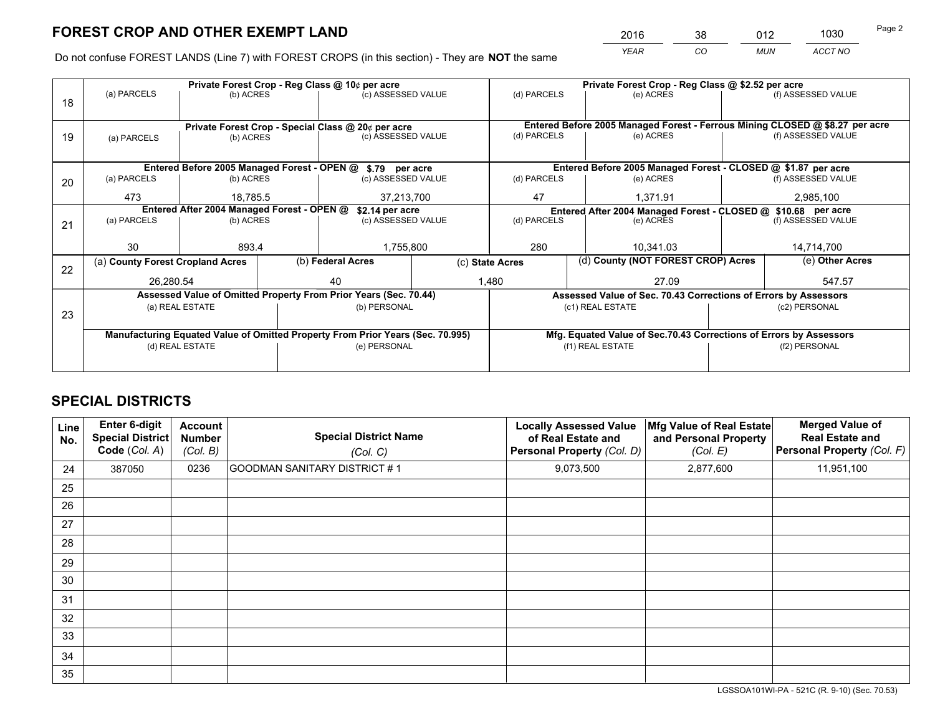*YEAR CO MUN ACCT NO* <sup>2016</sup> <sup>38</sup> <sup>012</sup> <sup>1030</sup>

Do not confuse FOREST LANDS (Line 7) with FOREST CROPS (in this section) - They are **NOT** the same

|    |                                                                                | Private Forest Crop - Reg Class @ 10¢ per acre                   |  |                                                    |  | Private Forest Crop - Reg Class @ \$2.52 per acre             |                                                                              |                                                                    |                    |  |
|----|--------------------------------------------------------------------------------|------------------------------------------------------------------|--|----------------------------------------------------|--|---------------------------------------------------------------|------------------------------------------------------------------------------|--------------------------------------------------------------------|--------------------|--|
| 18 | (a) PARCELS                                                                    | (b) ACRES                                                        |  | (c) ASSESSED VALUE                                 |  | (d) PARCELS                                                   | (e) ACRES                                                                    |                                                                    | (f) ASSESSED VALUE |  |
|    |                                                                                |                                                                  |  |                                                    |  |                                                               |                                                                              |                                                                    |                    |  |
|    |                                                                                |                                                                  |  | Private Forest Crop - Special Class @ 20¢ per acre |  |                                                               | Entered Before 2005 Managed Forest - Ferrous Mining CLOSED @ \$8.27 per acre |                                                                    |                    |  |
| 19 | (a) PARCELS                                                                    | (b) ACRES                                                        |  | (c) ASSESSED VALUE                                 |  | (d) PARCELS                                                   | (e) ACRES                                                                    |                                                                    | (f) ASSESSED VALUE |  |
|    |                                                                                |                                                                  |  |                                                    |  |                                                               |                                                                              |                                                                    |                    |  |
|    |                                                                                | Entered Before 2005 Managed Forest - OPEN @ \$.79 per acre       |  |                                                    |  |                                                               | Entered Before 2005 Managed Forest - CLOSED @ \$1.87 per acre                |                                                                    |                    |  |
| 20 | (a) PARCELS                                                                    | (b) ACRES                                                        |  | (c) ASSESSED VALUE                                 |  | (d) PARCELS                                                   | (e) ACRES                                                                    |                                                                    | (f) ASSESSED VALUE |  |
|    | 473                                                                            | 18.785.5                                                         |  | 37,213,700                                         |  | 47                                                            | 1,371.91                                                                     |                                                                    | 2,985,100          |  |
|    | Entered After 2004 Managed Forest - OPEN @                                     |                                                                  |  | \$2.14 per acre                                    |  | Entered After 2004 Managed Forest - CLOSED @ \$10.68 per acre |                                                                              |                                                                    |                    |  |
| 21 | (a) PARCELS                                                                    | (b) ACRES                                                        |  | (c) ASSESSED VALUE                                 |  | (d) PARCELS                                                   | (e) ACRES                                                                    | (f) ASSESSED VALUE                                                 |                    |  |
|    |                                                                                |                                                                  |  |                                                    |  |                                                               |                                                                              |                                                                    |                    |  |
|    | 30                                                                             | 893.4                                                            |  | 1,755,800                                          |  | 280<br>10,341.03                                              |                                                                              |                                                                    | 14,714,700         |  |
| 22 | (a) County Forest Cropland Acres                                               |                                                                  |  | (b) Federal Acres                                  |  | (d) County (NOT FOREST CROP) Acres<br>(c) State Acres         |                                                                              | (e) Other Acres                                                    |                    |  |
|    | 26,280.54                                                                      |                                                                  |  | 40                                                 |  | 1,480<br>27.09                                                |                                                                              |                                                                    | 547.57             |  |
|    |                                                                                | Assessed Value of Omitted Property From Prior Years (Sec. 70.44) |  |                                                    |  |                                                               | Assessed Value of Sec. 70.43 Corrections of Errors by Assessors              |                                                                    |                    |  |
| 23 |                                                                                | (a) REAL ESTATE                                                  |  | (b) PERSONAL                                       |  |                                                               | (c1) REAL ESTATE                                                             |                                                                    | (c2) PERSONAL      |  |
|    |                                                                                |                                                                  |  |                                                    |  |                                                               |                                                                              |                                                                    |                    |  |
|    | Manufacturing Equated Value of Omitted Property From Prior Years (Sec. 70.995) |                                                                  |  |                                                    |  |                                                               |                                                                              | Mfg. Equated Value of Sec.70.43 Corrections of Errors by Assessors |                    |  |
|    | (d) REAL ESTATE                                                                |                                                                  |  | (e) PERSONAL                                       |  | (f1) REAL ESTATE                                              |                                                                              |                                                                    | (f2) PERSONAL      |  |
|    |                                                                                |                                                                  |  |                                                    |  |                                                               |                                                                              |                                                                    |                    |  |

## **SPECIAL DISTRICTS**

| Line<br>No. | Enter 6-digit<br><b>Special District</b><br>Code (Col. A) | <b>Account</b><br><b>Number</b><br>(Col. B) | <b>Special District Name</b><br>(Col. C) | <b>Locally Assessed Value</b><br>of Real Estate and<br>Personal Property (Col. D) | Mfg Value of Real Estate<br>and Personal Property<br>(Col. E) | <b>Merged Value of</b><br><b>Real Estate and</b><br>Personal Property (Col. F) |
|-------------|-----------------------------------------------------------|---------------------------------------------|------------------------------------------|-----------------------------------------------------------------------------------|---------------------------------------------------------------|--------------------------------------------------------------------------------|
| 24          | 387050                                                    | 0236                                        | GOODMAN SANITARY DISTRICT #1             | 9,073,500                                                                         | 2,877,600                                                     | 11,951,100                                                                     |
| 25          |                                                           |                                             |                                          |                                                                                   |                                                               |                                                                                |
| 26          |                                                           |                                             |                                          |                                                                                   |                                                               |                                                                                |
| 27          |                                                           |                                             |                                          |                                                                                   |                                                               |                                                                                |
| 28          |                                                           |                                             |                                          |                                                                                   |                                                               |                                                                                |
| 29          |                                                           |                                             |                                          |                                                                                   |                                                               |                                                                                |
| 30          |                                                           |                                             |                                          |                                                                                   |                                                               |                                                                                |
| 31          |                                                           |                                             |                                          |                                                                                   |                                                               |                                                                                |
| 32          |                                                           |                                             |                                          |                                                                                   |                                                               |                                                                                |
| 33          |                                                           |                                             |                                          |                                                                                   |                                                               |                                                                                |
| 34          |                                                           |                                             |                                          |                                                                                   |                                                               |                                                                                |
| 35          |                                                           |                                             |                                          |                                                                                   |                                                               |                                                                                |

LGSSOA101WI-PA - 521C (R. 9-10) (Sec. 70.53)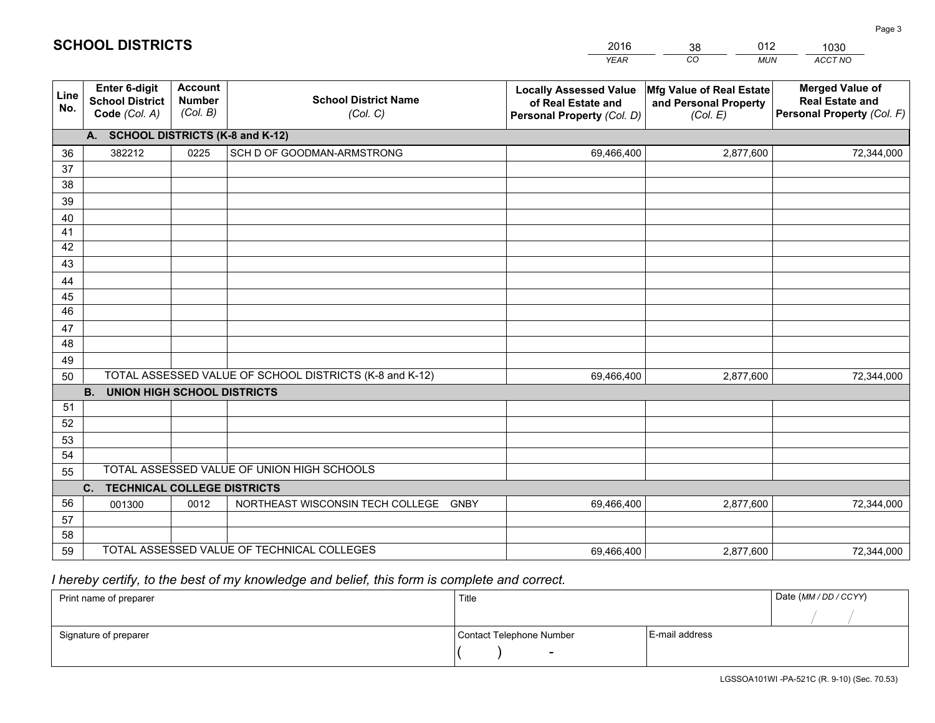|             |                                                          |                                             |                                                         | <b>YEAR</b>                                                                       | $\overline{co}$<br><b>MUN</b>                                 | ACCT NO                                                                        |
|-------------|----------------------------------------------------------|---------------------------------------------|---------------------------------------------------------|-----------------------------------------------------------------------------------|---------------------------------------------------------------|--------------------------------------------------------------------------------|
| Line<br>No. | Enter 6-digit<br><b>School District</b><br>Code (Col. A) | <b>Account</b><br><b>Number</b><br>(Col. B) | <b>School District Name</b><br>(Col. C)                 | <b>Locally Assessed Value</b><br>of Real Estate and<br>Personal Property (Col. D) | Mfg Value of Real Estate<br>and Personal Property<br>(Col. E) | <b>Merged Value of</b><br><b>Real Estate and</b><br>Personal Property (Col. F) |
|             | A. SCHOOL DISTRICTS (K-8 and K-12)                       |                                             |                                                         |                                                                                   |                                                               |                                                                                |
| 36          | 382212                                                   | 0225                                        | SCH D OF GOODMAN-ARMSTRONG                              | 69,466,400                                                                        | 2,877,600                                                     | 72,344,000                                                                     |
| 37          |                                                          |                                             |                                                         |                                                                                   |                                                               |                                                                                |
| 38          |                                                          |                                             |                                                         |                                                                                   |                                                               |                                                                                |
| 39          |                                                          |                                             |                                                         |                                                                                   |                                                               |                                                                                |
| 40          |                                                          |                                             |                                                         |                                                                                   |                                                               |                                                                                |
| 41          |                                                          |                                             |                                                         |                                                                                   |                                                               |                                                                                |
| 42          |                                                          |                                             |                                                         |                                                                                   |                                                               |                                                                                |
| 43          |                                                          |                                             |                                                         |                                                                                   |                                                               |                                                                                |
| 44          |                                                          |                                             |                                                         |                                                                                   |                                                               |                                                                                |
| 45<br>46    |                                                          |                                             |                                                         |                                                                                   |                                                               |                                                                                |
| 47          |                                                          |                                             |                                                         |                                                                                   |                                                               |                                                                                |
| 48          |                                                          |                                             |                                                         |                                                                                   |                                                               |                                                                                |
| 49          |                                                          |                                             |                                                         |                                                                                   |                                                               |                                                                                |
| 50          |                                                          |                                             | TOTAL ASSESSED VALUE OF SCHOOL DISTRICTS (K-8 and K-12) | 69,466,400                                                                        | 2,877,600                                                     | 72,344,000                                                                     |
|             | <b>B.</b><br><b>UNION HIGH SCHOOL DISTRICTS</b>          |                                             |                                                         |                                                                                   |                                                               |                                                                                |
| 51          |                                                          |                                             |                                                         |                                                                                   |                                                               |                                                                                |
| 52          |                                                          |                                             |                                                         |                                                                                   |                                                               |                                                                                |
| 53          |                                                          |                                             |                                                         |                                                                                   |                                                               |                                                                                |
| 54          |                                                          |                                             |                                                         |                                                                                   |                                                               |                                                                                |
| 55          |                                                          |                                             | TOTAL ASSESSED VALUE OF UNION HIGH SCHOOLS              |                                                                                   |                                                               |                                                                                |
|             | C.<br><b>TECHNICAL COLLEGE DISTRICTS</b>                 |                                             |                                                         |                                                                                   |                                                               |                                                                                |
| 56          | 001300                                                   | 0012                                        | NORTHEAST WISCONSIN TECH COLLEGE GNBY                   | 69,466,400                                                                        | 2,877,600                                                     | 72,344,000                                                                     |
| 57          |                                                          |                                             |                                                         |                                                                                   |                                                               |                                                                                |
| 58          |                                                          |                                             |                                                         |                                                                                   |                                                               |                                                                                |
| 59          |                                                          |                                             | TOTAL ASSESSED VALUE OF TECHNICAL COLLEGES              | 69,466,400                                                                        | 2,877,600                                                     | 72,344,000                                                                     |

38

012

 *I hereby certify, to the best of my knowledge and belief, this form is complete and correct.*

**SCHOOL DISTRICTS**

| Print name of preparer | Title                    |                | Date (MM/DD/CCYY) |
|------------------------|--------------------------|----------------|-------------------|
|                        |                          |                |                   |
| Signature of preparer  | Contact Telephone Number | E-mail address |                   |
|                        | $\overline{\phantom{a}}$ |                |                   |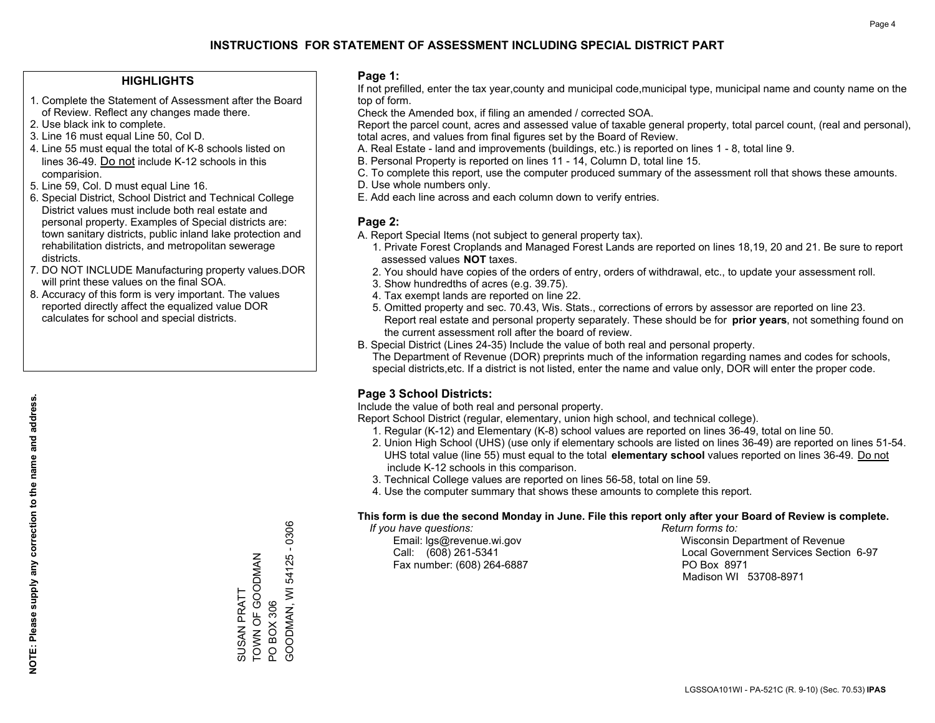#### **HIGHLIGHTS**

- 1. Complete the Statement of Assessment after the Board of Review. Reflect any changes made there.
- 2. Use black ink to complete.
- 3. Line 16 must equal Line 50, Col D.
- 4. Line 55 must equal the total of K-8 schools listed on lines 36-49. Do not include K-12 schools in this comparision.
- 5. Line 59, Col. D must equal Line 16.
- 6. Special District, School District and Technical College District values must include both real estate and personal property. Examples of Special districts are: town sanitary districts, public inland lake protection and rehabilitation districts, and metropolitan sewerage districts.
- 7. DO NOT INCLUDE Manufacturing property values.DOR will print these values on the final SOA.

SUSAN PRATT

TOWN OF GOODMAN

TOWN OF GOODMAN SUSAN PRATT

PO BOX 306

PO BOX 306

GOODMAN, WI 54125 - 0306

GOODMAN, WI 54125 - 0306

 8. Accuracy of this form is very important. The values reported directly affect the equalized value DOR calculates for school and special districts.

#### **Page 1:**

 If not prefilled, enter the tax year,county and municipal code,municipal type, municipal name and county name on the top of form.

Check the Amended box, if filing an amended / corrected SOA.

 Report the parcel count, acres and assessed value of taxable general property, total parcel count, (real and personal), total acres, and values from final figures set by the Board of Review.

- A. Real Estate land and improvements (buildings, etc.) is reported on lines 1 8, total line 9.
- B. Personal Property is reported on lines 11 14, Column D, total line 15.
- C. To complete this report, use the computer produced summary of the assessment roll that shows these amounts.
- D. Use whole numbers only.
- E. Add each line across and each column down to verify entries.

#### **Page 2:**

- A. Report Special Items (not subject to general property tax).
- 1. Private Forest Croplands and Managed Forest Lands are reported on lines 18,19, 20 and 21. Be sure to report assessed values **NOT** taxes.
- 2. You should have copies of the orders of entry, orders of withdrawal, etc., to update your assessment roll.
	- 3. Show hundredths of acres (e.g. 39.75).
- 4. Tax exempt lands are reported on line 22.
- 5. Omitted property and sec. 70.43, Wis. Stats., corrections of errors by assessor are reported on line 23. Report real estate and personal property separately. These should be for **prior years**, not something found on the current assessment roll after the board of review.
- B. Special District (Lines 24-35) Include the value of both real and personal property.
- The Department of Revenue (DOR) preprints much of the information regarding names and codes for schools, special districts,etc. If a district is not listed, enter the name and value only, DOR will enter the proper code.

### **Page 3 School Districts:**

Include the value of both real and personal property.

Report School District (regular, elementary, union high school, and technical college).

- 1. Regular (K-12) and Elementary (K-8) school values are reported on lines 36-49, total on line 50.
- 2. Union High School (UHS) (use only if elementary schools are listed on lines 36-49) are reported on lines 51-54. UHS total value (line 55) must equal to the total **elementary school** values reported on lines 36-49. Do notinclude K-12 schools in this comparison.
- 3. Technical College values are reported on lines 56-58, total on line 59.
- 4. Use the computer summary that shows these amounts to complete this report.

#### **This form is due the second Monday in June. File this report only after your Board of Review is complete.**

 *If you have questions: Return forms to:*

Fax number: (608) 264-6887 PO Box 8971

 Email: lgs@revenue.wi.gov Wisconsin Department of Revenue Call: (608) 261-5341 Local Government Services Section 6-97Madison WI 53708-8971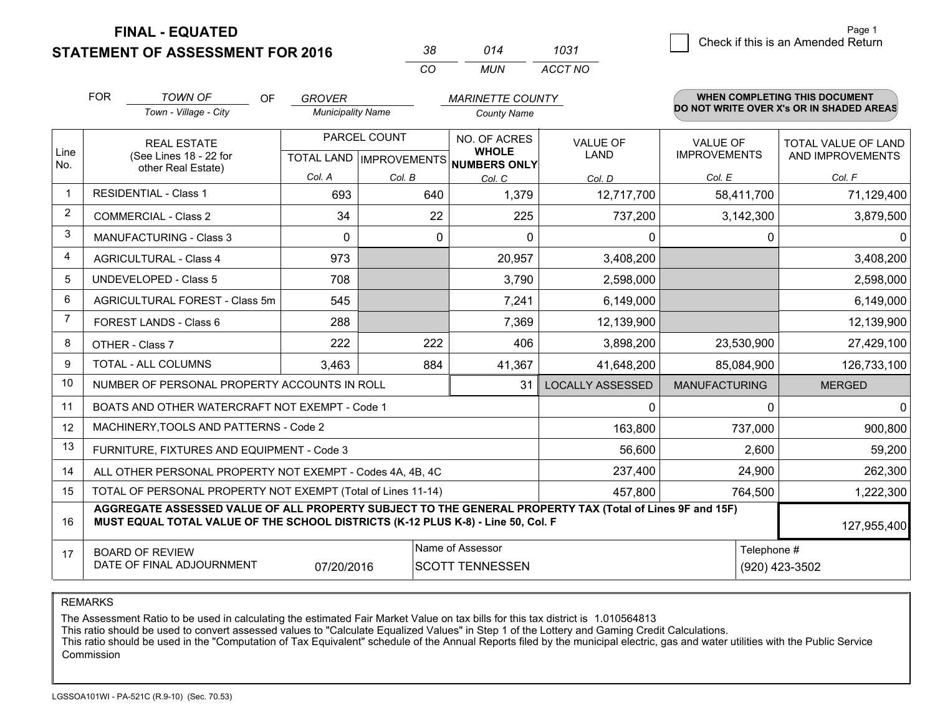**STATEMENT OF ASSESSMENT FOR 2016** 

| 38  | 014 | 1031    |
|-----|-----|---------|
| CO. | MUN | ACCT NO |

|                | <b>FOR</b>                                                                                                                                                                                   | <b>TOWN OF</b><br><b>OF</b>                                  | <b>GROVER</b>            |                                           | <b>MARINETTE COUNTY</b>      |                                |                                        | <b>WHEN COMPLETING THIS DOCUMENT</b>           |
|----------------|----------------------------------------------------------------------------------------------------------------------------------------------------------------------------------------------|--------------------------------------------------------------|--------------------------|-------------------------------------------|------------------------------|--------------------------------|----------------------------------------|------------------------------------------------|
|                |                                                                                                                                                                                              | Town - Village - City                                        | <b>Municipality Name</b> |                                           | <b>County Name</b>           |                                |                                        | DO NOT WRITE OVER X's OR IN SHADED AREAS       |
| Line           |                                                                                                                                                                                              | <b>REAL ESTATE</b><br>(See Lines 18 - 22 for                 |                          | PARCEL COUNT<br>TOTAL LAND   IMPROVEMENTS | NO. OF ACRES<br><b>WHOLE</b> | <b>VALUE OF</b><br><b>LAND</b> | <b>VALUE OF</b><br><b>IMPROVEMENTS</b> | <b>TOTAL VALUE OF LAND</b><br>AND IMPROVEMENTS |
| No.            |                                                                                                                                                                                              | other Real Estate)                                           | Col. A                   | Col. B                                    | NUMBERS ONLY<br>Col. C       | Col. D                         | Col. E                                 | Col. F                                         |
| $\mathbf 1$    |                                                                                                                                                                                              | <b>RESIDENTIAL - Class 1</b><br>693<br>640<br>1,379          |                          | 12,717,700                                | 58,411,700                   | 71,129,400                     |                                        |                                                |
| 2              |                                                                                                                                                                                              | <b>COMMERCIAL - Class 2</b>                                  | 34                       | 22                                        | 225                          | 737,200                        | 3,142,300                              | 3,879,500                                      |
| 3              |                                                                                                                                                                                              | <b>MANUFACTURING - Class 3</b>                               | $\Omega$                 | $\Omega$                                  | $\Omega$                     | 0                              | 0                                      | $\mathbf{0}$                                   |
| 4              |                                                                                                                                                                                              | <b>AGRICULTURAL - Class 4</b>                                | 973                      |                                           | 20,957                       | 3,408,200                      |                                        | 3,408,200                                      |
| 5              |                                                                                                                                                                                              | <b>UNDEVELOPED - Class 5</b>                                 | 708                      |                                           | 3,790                        | 2,598,000                      |                                        | 2,598,000                                      |
| 6              |                                                                                                                                                                                              | AGRICULTURAL FOREST - Class 5m                               | 545                      |                                           | 7,241                        | 6,149,000                      |                                        | 6,149,000                                      |
| $\overline{7}$ |                                                                                                                                                                                              | FOREST LANDS - Class 6                                       | 288                      |                                           | 7,369                        | 12,139,900                     |                                        | 12,139,900                                     |
| 8              |                                                                                                                                                                                              | OTHER - Class 7                                              | 222                      | 222                                       | 406                          | 3,898,200                      | 23,530,900                             | 27,429,100                                     |
| 9              |                                                                                                                                                                                              | TOTAL - ALL COLUMNS                                          | 3,463                    | 884                                       | 41,367                       | 41,648,200                     | 85,084,900                             | 126,733,100                                    |
| 10             |                                                                                                                                                                                              | NUMBER OF PERSONAL PROPERTY ACCOUNTS IN ROLL                 |                          |                                           | 31                           | <b>LOCALLY ASSESSED</b>        | <b>MANUFACTURING</b>                   | <b>MERGED</b>                                  |
| 11             |                                                                                                                                                                                              | BOATS AND OTHER WATERCRAFT NOT EXEMPT - Code 1               |                          |                                           |                              | 0                              | 0                                      | $\mathbf{0}$                                   |
| 12             |                                                                                                                                                                                              | MACHINERY, TOOLS AND PATTERNS - Code 2                       |                          |                                           |                              | 163,800                        | 737,000                                | 900,800                                        |
| 13             |                                                                                                                                                                                              | FURNITURE, FIXTURES AND EQUIPMENT - Code 3                   |                          |                                           |                              | 56,600                         | 2,600                                  | 59,200                                         |
| 14             |                                                                                                                                                                                              | ALL OTHER PERSONAL PROPERTY NOT EXEMPT - Codes 4A, 4B, 4C    |                          |                                           |                              | 237,400                        | 24,900                                 | 262,300                                        |
| 15             |                                                                                                                                                                                              | TOTAL OF PERSONAL PROPERTY NOT EXEMPT (Total of Lines 11-14) | 457,800                  | 764,500                                   | 1,222,300                    |                                |                                        |                                                |
| 16             | AGGREGATE ASSESSED VALUE OF ALL PROPERTY SUBJECT TO THE GENERAL PROPERTY TAX (Total of Lines 9F and 15F)<br>MUST EQUAL TOTAL VALUE OF THE SCHOOL DISTRICTS (K-12 PLUS K-8) - Line 50, Col. F |                                                              |                          |                                           |                              |                                | 127,955,400                            |                                                |
| 17             |                                                                                                                                                                                              | <b>BOARD OF REVIEW</b>                                       |                          |                                           | Name of Assessor             |                                | Telephone #                            |                                                |
|                | DATE OF FINAL ADJOURNMENT<br>07/20/2016<br><b>SCOTT TENNESSEN</b><br>(920) 423-3502                                                                                                          |                                                              |                          |                                           |                              |                                |                                        |                                                |

REMARKS

The Assessment Ratio to be used in calculating the estimated Fair Market Value on tax bills for this tax district is 1.010564813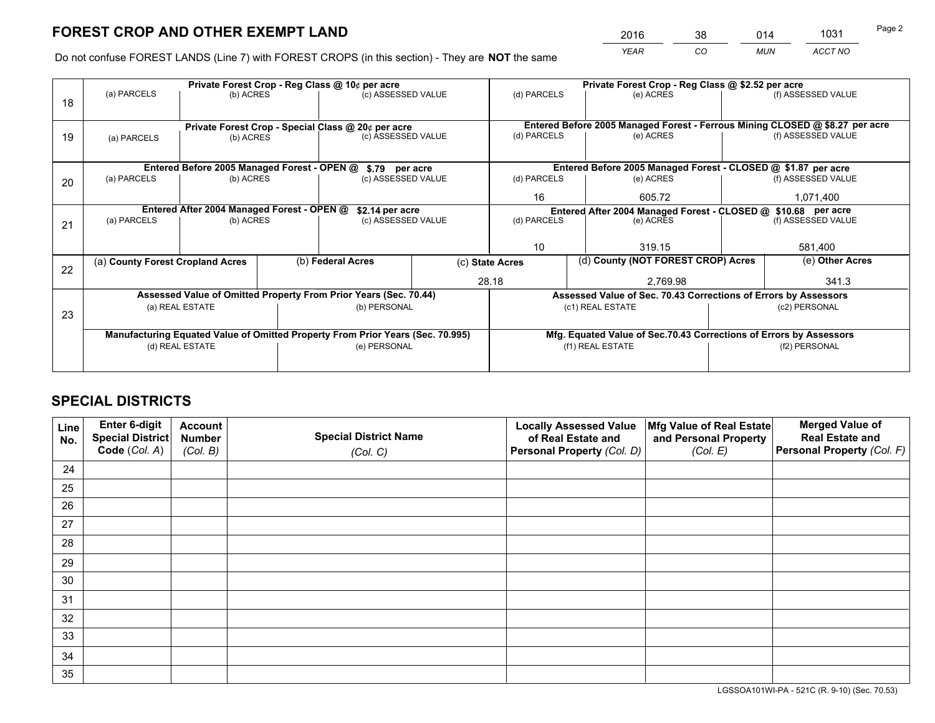*YEAR CO MUN ACCT NO* <sup>2016</sup> <sup>38</sup> <sup>014</sup> <sup>1031</sup>

Do not confuse FOREST LANDS (Line 7) with FOREST CROPS (in this section) - They are **NOT** the same

|    |                                                               |                                             |  | Private Forest Crop - Reg Class @ 10¢ per acre                                 |                    | Private Forest Crop - Reg Class @ \$2.52 per acre                            |                                                                    |               |                    |  |
|----|---------------------------------------------------------------|---------------------------------------------|--|--------------------------------------------------------------------------------|--------------------|------------------------------------------------------------------------------|--------------------------------------------------------------------|---------------|--------------------|--|
| 18 | (a) PARCELS                                                   | (b) ACRES                                   |  | (c) ASSESSED VALUE                                                             |                    | (d) PARCELS                                                                  | (e) ACRES                                                          |               | (f) ASSESSED VALUE |  |
|    |                                                               |                                             |  |                                                                                |                    |                                                                              |                                                                    |               |                    |  |
|    | Private Forest Crop - Special Class @ 20¢ per acre            |                                             |  |                                                                                |                    | Entered Before 2005 Managed Forest - Ferrous Mining CLOSED @ \$8.27 per acre |                                                                    |               |                    |  |
| 19 | (a) PARCELS                                                   | (b) ACRES                                   |  | (c) ASSESSED VALUE                                                             |                    | (d) PARCELS                                                                  | (e) ACRES                                                          |               | (f) ASSESSED VALUE |  |
|    |                                                               |                                             |  |                                                                                |                    |                                                                              |                                                                    |               |                    |  |
|    |                                                               | Entered Before 2005 Managed Forest - OPEN @ |  | \$.79 per acre                                                                 |                    |                                                                              | Entered Before 2005 Managed Forest - CLOSED @ \$1.87 per acre      |               |                    |  |
| 20 | (a) PARCELS                                                   | (b) ACRES                                   |  | (c) ASSESSED VALUE                                                             |                    | (d) PARCELS                                                                  | (e) ACRES                                                          |               | (f) ASSESSED VALUE |  |
|    |                                                               |                                             |  |                                                                                |                    | 16                                                                           | 605.72                                                             |               | 1,071,400          |  |
|    | Entered After 2004 Managed Forest - OPEN @<br>\$2.14 per acre |                                             |  |                                                                                |                    |                                                                              | Entered After 2004 Managed Forest - CLOSED @ \$10.68 per acre      |               |                    |  |
| 21 | (a) PARCELS                                                   | (b) ACRES                                   |  |                                                                                | (c) ASSESSED VALUE |                                                                              | (d) PARCELS<br>(e) ACRES                                           |               | (f) ASSESSED VALUE |  |
|    |                                                               |                                             |  |                                                                                |                    |                                                                              |                                                                    |               |                    |  |
|    |                                                               |                                             |  |                                                                                |                    | 10                                                                           | 319.15                                                             |               | 581,400            |  |
| 22 | (a) County Forest Cropland Acres                              |                                             |  | (b) Federal Acres                                                              |                    | (d) County (NOT FOREST CROP) Acres<br>(c) State Acres                        |                                                                    |               | (e) Other Acres    |  |
|    |                                                               |                                             |  |                                                                                |                    | 28.18                                                                        | 2,769.98                                                           |               | 341.3              |  |
|    |                                                               |                                             |  | Assessed Value of Omitted Property From Prior Years (Sec. 70.44)               |                    |                                                                              | Assessed Value of Sec. 70.43 Corrections of Errors by Assessors    |               |                    |  |
|    |                                                               | (a) REAL ESTATE                             |  | (b) PERSONAL                                                                   |                    |                                                                              | (c1) REAL ESTATE                                                   |               | (c2) PERSONAL      |  |
| 23 |                                                               |                                             |  |                                                                                |                    |                                                                              |                                                                    |               |                    |  |
|    |                                                               |                                             |  | Manufacturing Equated Value of Omitted Property From Prior Years (Sec. 70.995) |                    |                                                                              | Mfg. Equated Value of Sec.70.43 Corrections of Errors by Assessors |               |                    |  |
|    | (d) REAL ESTATE                                               |                                             |  | (e) PERSONAL                                                                   |                    | (f1) REAL ESTATE                                                             |                                                                    | (f2) PERSONAL |                    |  |
|    |                                                               |                                             |  |                                                                                |                    |                                                                              |                                                                    |               |                    |  |

## **SPECIAL DISTRICTS**

| Line<br>No. | Enter 6-digit<br>Special District<br>Code (Col. A) | <b>Account</b><br><b>Number</b> | <b>Special District Name</b> | <b>Locally Assessed Value</b><br>of Real Estate and | Mfg Value of Real Estate<br>and Personal Property | <b>Merged Value of</b><br><b>Real Estate and</b><br>Personal Property (Col. F) |
|-------------|----------------------------------------------------|---------------------------------|------------------------------|-----------------------------------------------------|---------------------------------------------------|--------------------------------------------------------------------------------|
|             |                                                    | (Col. B)                        | (Col. C)                     | Personal Property (Col. D)                          | (Col. E)                                          |                                                                                |
| 24          |                                                    |                                 |                              |                                                     |                                                   |                                                                                |
| 25          |                                                    |                                 |                              |                                                     |                                                   |                                                                                |
| 26          |                                                    |                                 |                              |                                                     |                                                   |                                                                                |
| 27          |                                                    |                                 |                              |                                                     |                                                   |                                                                                |
| 28          |                                                    |                                 |                              |                                                     |                                                   |                                                                                |
| 29          |                                                    |                                 |                              |                                                     |                                                   |                                                                                |
| 30          |                                                    |                                 |                              |                                                     |                                                   |                                                                                |
| 31          |                                                    |                                 |                              |                                                     |                                                   |                                                                                |
| 32          |                                                    |                                 |                              |                                                     |                                                   |                                                                                |
| 33          |                                                    |                                 |                              |                                                     |                                                   |                                                                                |
| 34          |                                                    |                                 |                              |                                                     |                                                   |                                                                                |
| 35          |                                                    |                                 |                              |                                                     |                                                   |                                                                                |

LGSSOA101WI-PA - 521C (R. 9-10) (Sec. 70.53)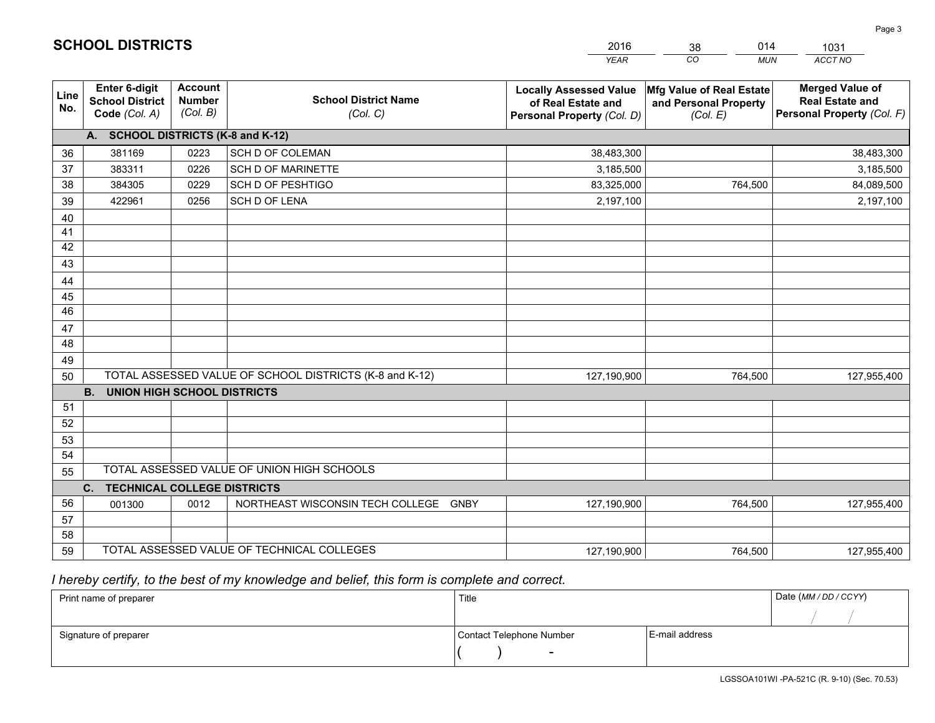|             |                                                          |                                             |                                                         | <b>YEAR</b>                                                                       | CO<br><b>MUN</b>                                              | ACCT NO                                                                        |
|-------------|----------------------------------------------------------|---------------------------------------------|---------------------------------------------------------|-----------------------------------------------------------------------------------|---------------------------------------------------------------|--------------------------------------------------------------------------------|
| Line<br>No. | Enter 6-digit<br><b>School District</b><br>Code (Col. A) | <b>Account</b><br><b>Number</b><br>(Col. B) | <b>School District Name</b><br>(Col. C)                 | <b>Locally Assessed Value</b><br>of Real Estate and<br>Personal Property (Col. D) | Mfg Value of Real Estate<br>and Personal Property<br>(Col. E) | <b>Merged Value of</b><br><b>Real Estate and</b><br>Personal Property (Col. F) |
|             | A. SCHOOL DISTRICTS (K-8 and K-12)                       |                                             |                                                         |                                                                                   |                                                               |                                                                                |
| 36          | 381169                                                   | 0223                                        | SCH D OF COLEMAN                                        | 38,483,300                                                                        |                                                               | 38,483,300                                                                     |
| 37          | 383311                                                   | 0226                                        | <b>SCH D OF MARINETTE</b>                               | 3,185,500                                                                         |                                                               | 3,185,500                                                                      |
| 38          | 384305                                                   | 0229                                        | <b>SCH D OF PESHTIGO</b>                                | 83,325,000                                                                        | 764,500                                                       | 84,089,500                                                                     |
| 39          | 422961                                                   | 0256                                        | <b>SCH D OF LENA</b>                                    | 2,197,100                                                                         |                                                               | 2,197,100                                                                      |
| 40          |                                                          |                                             |                                                         |                                                                                   |                                                               |                                                                                |
| 41          |                                                          |                                             |                                                         |                                                                                   |                                                               |                                                                                |
| 42          |                                                          |                                             |                                                         |                                                                                   |                                                               |                                                                                |
| 43          |                                                          |                                             |                                                         |                                                                                   |                                                               |                                                                                |
| 44          |                                                          |                                             |                                                         |                                                                                   |                                                               |                                                                                |
| 45          |                                                          |                                             |                                                         |                                                                                   |                                                               |                                                                                |
| 46          |                                                          |                                             |                                                         |                                                                                   |                                                               |                                                                                |
| 47          |                                                          |                                             |                                                         |                                                                                   |                                                               |                                                                                |
| 48          |                                                          |                                             |                                                         |                                                                                   |                                                               |                                                                                |
| 49          |                                                          |                                             |                                                         |                                                                                   |                                                               |                                                                                |
| 50          |                                                          |                                             | TOTAL ASSESSED VALUE OF SCHOOL DISTRICTS (K-8 and K-12) | 127,190,900                                                                       | 764,500                                                       | 127,955,400                                                                    |
|             | <b>B.</b><br><b>UNION HIGH SCHOOL DISTRICTS</b>          |                                             |                                                         |                                                                                   |                                                               |                                                                                |
| 51          |                                                          |                                             |                                                         |                                                                                   |                                                               |                                                                                |
| 52          |                                                          |                                             |                                                         |                                                                                   |                                                               |                                                                                |
| 53          |                                                          |                                             |                                                         |                                                                                   |                                                               |                                                                                |
| 54          |                                                          |                                             |                                                         |                                                                                   |                                                               |                                                                                |
| 55          |                                                          |                                             | TOTAL ASSESSED VALUE OF UNION HIGH SCHOOLS              |                                                                                   |                                                               |                                                                                |
|             | C.<br><b>TECHNICAL COLLEGE DISTRICTS</b>                 |                                             |                                                         |                                                                                   |                                                               |                                                                                |
| 56          | 001300                                                   | 0012                                        | NORTHEAST WISCONSIN TECH COLLEGE<br><b>GNBY</b>         | 127,190,900                                                                       | 764,500                                                       | 127,955,400                                                                    |
| 57          |                                                          |                                             |                                                         |                                                                                   |                                                               |                                                                                |
| 58          |                                                          |                                             |                                                         |                                                                                   |                                                               |                                                                                |
| 59          |                                                          |                                             | TOTAL ASSESSED VALUE OF TECHNICAL COLLEGES              | 127,190,900                                                                       | 764,500                                                       | 127,955,400                                                                    |

38

014

 *I hereby certify, to the best of my knowledge and belief, this form is complete and correct.*

**SCHOOL DISTRICTS**

| Print name of preparer | Title                    |                | Date (MM/DD/CCYY) |
|------------------------|--------------------------|----------------|-------------------|
|                        |                          |                |                   |
| Signature of preparer  | Contact Telephone Number | E-mail address |                   |
|                        | $\overline{\phantom{0}}$ |                |                   |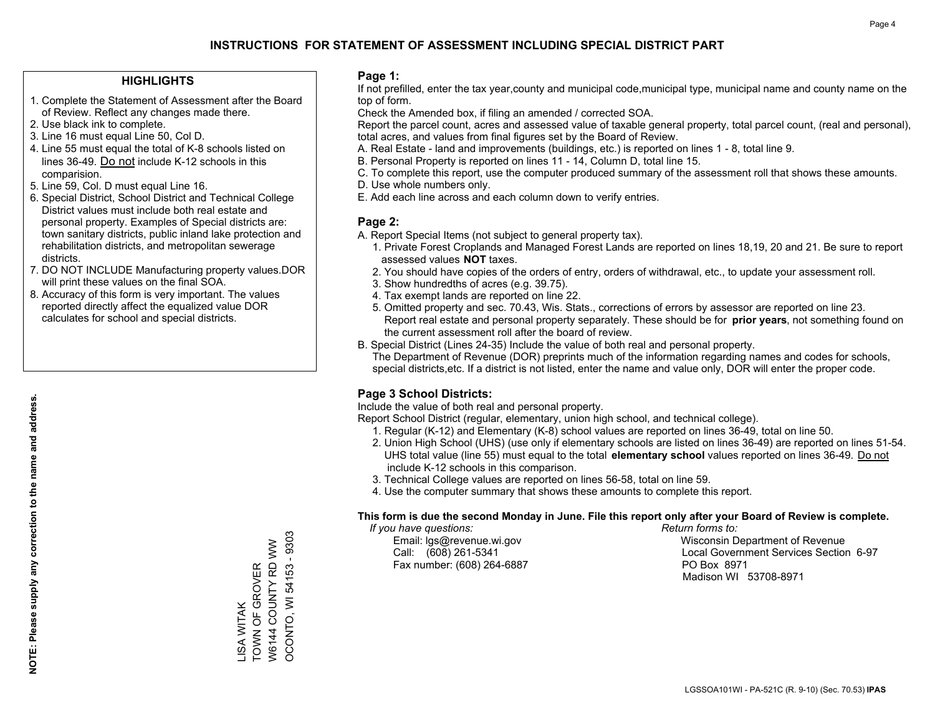#### **HIGHLIGHTS**

- 1. Complete the Statement of Assessment after the Board of Review. Reflect any changes made there.
- 2. Use black ink to complete.
- 3. Line 16 must equal Line 50, Col D.
- 4. Line 55 must equal the total of K-8 schools listed on lines 36-49. Do not include K-12 schools in this comparision.
- 5. Line 59, Col. D must equal Line 16.
- 6. Special District, School District and Technical College District values must include both real estate and personal property. Examples of Special districts are: town sanitary districts, public inland lake protection and rehabilitation districts, and metropolitan sewerage districts.
- 7. DO NOT INCLUDE Manufacturing property values.DOR will print these values on the final SOA.

LISA WITAK

TOWN OF GROVER W6144 COUNTY RD WW OCONTO, WI 54153 - 9303

LISA WITAK<br>TOWN OF GROVER

OCONTO, WI 54153 - 9303 W6144 COUNTY RD WW

 8. Accuracy of this form is very important. The values reported directly affect the equalized value DOR calculates for school and special districts.

#### **Page 1:**

 If not prefilled, enter the tax year,county and municipal code,municipal type, municipal name and county name on the top of form.

Check the Amended box, if filing an amended / corrected SOA.

 Report the parcel count, acres and assessed value of taxable general property, total parcel count, (real and personal), total acres, and values from final figures set by the Board of Review.

- A. Real Estate land and improvements (buildings, etc.) is reported on lines 1 8, total line 9.
- B. Personal Property is reported on lines 11 14, Column D, total line 15.
- C. To complete this report, use the computer produced summary of the assessment roll that shows these amounts.
- D. Use whole numbers only.
- E. Add each line across and each column down to verify entries.

### **Page 2:**

- A. Report Special Items (not subject to general property tax).
- 1. Private Forest Croplands and Managed Forest Lands are reported on lines 18,19, 20 and 21. Be sure to report assessed values **NOT** taxes.
- 2. You should have copies of the orders of entry, orders of withdrawal, etc., to update your assessment roll.
	- 3. Show hundredths of acres (e.g. 39.75).
- 4. Tax exempt lands are reported on line 22.
- 5. Omitted property and sec. 70.43, Wis. Stats., corrections of errors by assessor are reported on line 23. Report real estate and personal property separately. These should be for **prior years**, not something found on the current assessment roll after the board of review.
- B. Special District (Lines 24-35) Include the value of both real and personal property.

 The Department of Revenue (DOR) preprints much of the information regarding names and codes for schools, special districts,etc. If a district is not listed, enter the name and value only, DOR will enter the proper code.

### **Page 3 School Districts:**

Include the value of both real and personal property.

Report School District (regular, elementary, union high school, and technical college).

- 1. Regular (K-12) and Elementary (K-8) school values are reported on lines 36-49, total on line 50.
- 2. Union High School (UHS) (use only if elementary schools are listed on lines 36-49) are reported on lines 51-54. UHS total value (line 55) must equal to the total **elementary school** values reported on lines 36-49. Do notinclude K-12 schools in this comparison.
- 3. Technical College values are reported on lines 56-58, total on line 59.
- 4. Use the computer summary that shows these amounts to complete this report.

#### **This form is due the second Monday in June. File this report only after your Board of Review is complete.**

 *If you have questions: Return forms to:*

Fax number: (608) 264-6887 PO Box 8971

 Email: lgs@revenue.wi.gov Wisconsin Department of Revenue Call: (608) 261-5341 Local Government Services Section 6-97Madison WI 53708-8971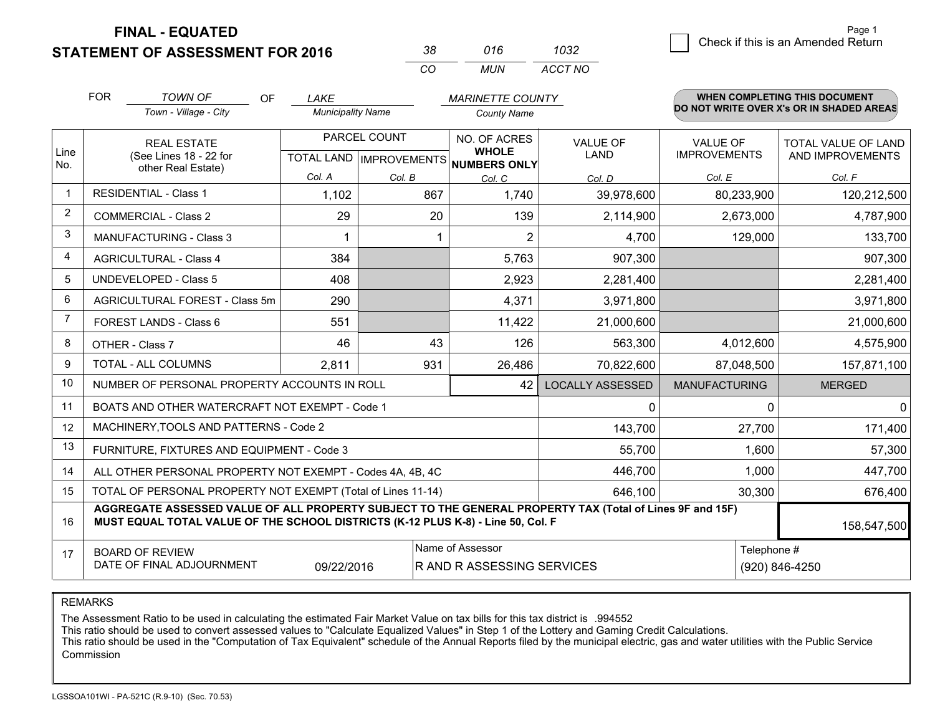**STATEMENT OF ASSESSMENT FOR 2016** 

| -38 | 016 | 1032    |
|-----|-----|---------|
| Γn  | MUN | ACCT NO |

|                | <b>FOR</b><br><b>TOWN OF</b><br><b>OF</b><br><b>MARINETTE COUNTY</b><br>LAKE                                                                                                                 |                                                           |                          |        | WHEN COMPLETING THIS DOCUMENT       |                         |                      |                                          |
|----------------|----------------------------------------------------------------------------------------------------------------------------------------------------------------------------------------------|-----------------------------------------------------------|--------------------------|--------|-------------------------------------|-------------------------|----------------------|------------------------------------------|
|                |                                                                                                                                                                                              | Town - Village - City                                     | <b>Municipality Name</b> |        | <b>County Name</b>                  |                         |                      | DO NOT WRITE OVER X's OR IN SHADED AREAS |
| Line           |                                                                                                                                                                                              | <b>REAL ESTATE</b>                                        | PARCEL COUNT             |        | NO. OF ACRES<br><b>WHOLE</b>        | <b>VALUE OF</b>         | <b>VALUE OF</b>      | TOTAL VALUE OF LAND                      |
| No.            |                                                                                                                                                                                              | (See Lines 18 - 22 for<br>other Real Estate)              |                          |        | TOTAL LAND MPROVEMENTS NUMBERS ONLY | LAND                    | <b>IMPROVEMENTS</b>  | AND IMPROVEMENTS                         |
|                |                                                                                                                                                                                              |                                                           | Col. A                   | Col. B | Col. C                              | Col. D                  | Col. E               | Col. F                                   |
| -1             | <b>RESIDENTIAL - Class 1</b>                                                                                                                                                                 |                                                           | 1,102                    | 867    | 1,740                               | 39,978,600              | 80,233,900           | 120,212,500                              |
| 2              |                                                                                                                                                                                              | <b>COMMERCIAL - Class 2</b>                               | 29                       | 20     | 139                                 | 2,114,900               | 2,673,000            | 4,787,900                                |
| 3              |                                                                                                                                                                                              | <b>MANUFACTURING - Class 3</b>                            |                          |        | $\overline{2}$                      | 4,700                   | 129,000              | 133,700                                  |
| 4              |                                                                                                                                                                                              | <b>AGRICULTURAL - Class 4</b>                             | 384                      |        | 5,763                               | 907,300                 |                      | 907,300                                  |
| 5              |                                                                                                                                                                                              | <b>UNDEVELOPED - Class 5</b>                              | 408                      |        | 2,923                               | 2,281,400               |                      | 2,281,400                                |
| 6              |                                                                                                                                                                                              | AGRICULTURAL FOREST - Class 5m                            | 290                      |        | 4,371                               | 3,971,800               |                      | 3,971,800                                |
| $\overline{7}$ |                                                                                                                                                                                              | FOREST LANDS - Class 6                                    | 551                      |        | 11,422                              | 21,000,600              |                      | 21,000,600                               |
| 8              |                                                                                                                                                                                              | OTHER - Class 7                                           | 46                       | 43     | 126                                 | 563,300                 | 4,012,600            | 4,575,900                                |
| 9              |                                                                                                                                                                                              | TOTAL - ALL COLUMNS                                       | 2,811                    | 931    | 26,486                              | 70,822,600              | 87,048,500           | 157,871,100                              |
| 10             |                                                                                                                                                                                              | NUMBER OF PERSONAL PROPERTY ACCOUNTS IN ROLL              |                          |        | 42                                  | <b>LOCALLY ASSESSED</b> | <b>MANUFACTURING</b> | <b>MERGED</b>                            |
| 11             |                                                                                                                                                                                              | BOATS AND OTHER WATERCRAFT NOT EXEMPT - Code 1            |                          |        |                                     | 0                       | 0                    | $\mathbf 0$                              |
| 12             |                                                                                                                                                                                              | MACHINERY, TOOLS AND PATTERNS - Code 2                    |                          |        |                                     | 143,700                 | 27,700               | 171,400                                  |
| 13             |                                                                                                                                                                                              | FURNITURE, FIXTURES AND EQUIPMENT - Code 3                |                          |        |                                     | 55,700                  | 1,600                | 57,300                                   |
| 14             |                                                                                                                                                                                              | ALL OTHER PERSONAL PROPERTY NOT EXEMPT - Codes 4A, 4B, 4C |                          |        |                                     | 446,700                 | 1,000                | 447,700                                  |
| 15             | TOTAL OF PERSONAL PROPERTY NOT EXEMPT (Total of Lines 11-14)                                                                                                                                 |                                                           |                          |        |                                     |                         | 30,300               | 676,400                                  |
| 16             | AGGREGATE ASSESSED VALUE OF ALL PROPERTY SUBJECT TO THE GENERAL PROPERTY TAX (Total of Lines 9F and 15F)<br>MUST EQUAL TOTAL VALUE OF THE SCHOOL DISTRICTS (K-12 PLUS K-8) - Line 50, Col. F |                                                           |                          |        |                                     |                         | 158,547,500          |                                          |
| 17             |                                                                                                                                                                                              | <b>BOARD OF REVIEW</b>                                    |                          |        | Name of Assessor                    |                         | Telephone #          |                                          |
|                |                                                                                                                                                                                              | DATE OF FINAL ADJOURNMENT                                 | 09/22/2016               |        | R AND R ASSESSING SERVICES          |                         |                      | (920) 846-4250                           |

REMARKS

The Assessment Ratio to be used in calculating the estimated Fair Market Value on tax bills for this tax district is .994552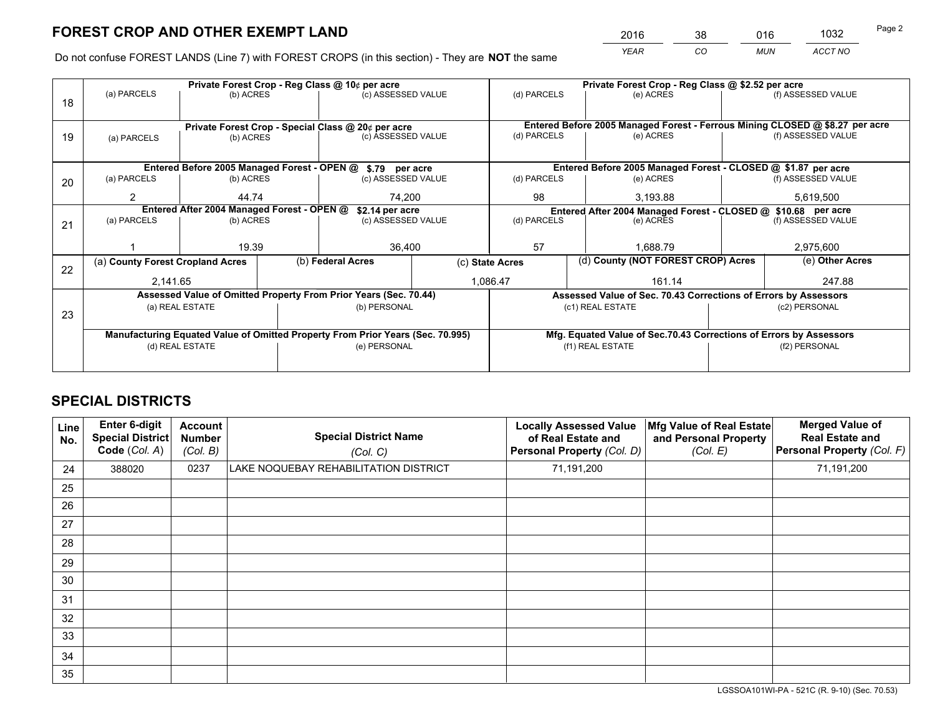*YEAR CO MUN ACCT NO* <sup>2016</sup> <sup>38</sup> <sup>016</sup> <sup>1032</sup>

Do not confuse FOREST LANDS (Line 7) with FOREST CROPS (in this section) - They are **NOT** the same

|    |                                                                                |                 |  | Private Forest Crop - Reg Class @ 10¢ per acre                   |                 | Private Forest Crop - Reg Class @ \$2.52 per acre             |                  |                                                                    |           |                                                                              |
|----|--------------------------------------------------------------------------------|-----------------|--|------------------------------------------------------------------|-----------------|---------------------------------------------------------------|------------------|--------------------------------------------------------------------|-----------|------------------------------------------------------------------------------|
| 18 | (a) PARCELS                                                                    | (b) ACRES       |  | (c) ASSESSED VALUE                                               |                 | (d) PARCELS                                                   |                  | (e) ACRES                                                          |           | (f) ASSESSED VALUE                                                           |
|    |                                                                                |                 |  |                                                                  |                 |                                                               |                  |                                                                    |           |                                                                              |
|    | Private Forest Crop - Special Class @ 20¢ per acre                             |                 |  |                                                                  |                 |                                                               |                  |                                                                    |           | Entered Before 2005 Managed Forest - Ferrous Mining CLOSED @ \$8.27 per acre |
| 19 | (a) PARCELS                                                                    | (b) ACRES       |  | (c) ASSESSED VALUE                                               |                 | (d) PARCELS                                                   |                  | (e) ACRES                                                          |           | (f) ASSESSED VALUE                                                           |
|    |                                                                                |                 |  |                                                                  |                 |                                                               |                  |                                                                    |           |                                                                              |
|    |                                                                                |                 |  | Entered Before 2005 Managed Forest - OPEN @ \$.79 per acre       |                 |                                                               |                  | Entered Before 2005 Managed Forest - CLOSED @ \$1.87 per acre      |           |                                                                              |
| 20 | (a) PARCELS                                                                    | (b) ACRES       |  | (c) ASSESSED VALUE                                               |                 | (d) PARCELS                                                   |                  | (e) ACRES                                                          |           | (f) ASSESSED VALUE                                                           |
|    | 2                                                                              | 44.74           |  | 74.200                                                           |                 | 98                                                            | 3,193.88         |                                                                    |           | 5,619,500                                                                    |
|    | Entered After 2004 Managed Forest - OPEN @<br>\$2.14 per acre                  |                 |  |                                                                  |                 | Entered After 2004 Managed Forest - CLOSED @ \$10.68 per acre |                  |                                                                    |           |                                                                              |
| 21 | (a) PARCELS                                                                    | (b) ACRES       |  | (c) ASSESSED VALUE                                               |                 | (d) PARCELS<br>(e) ACRES                                      |                  | (f) ASSESSED VALUE                                                 |           |                                                                              |
|    |                                                                                |                 |  |                                                                  |                 |                                                               |                  |                                                                    |           |                                                                              |
|    |                                                                                | 19.39           |  | 36,400                                                           |                 | 57                                                            |                  | 1.688.79                                                           | 2,975,600 |                                                                              |
| 22 | (a) County Forest Cropland Acres                                               |                 |  | (b) Federal Acres                                                | (c) State Acres |                                                               |                  | (d) County (NOT FOREST CROP) Acres                                 |           | (e) Other Acres                                                              |
|    | 2.141.65                                                                       |                 |  | 1,086.47                                                         |                 |                                                               | 161.14           |                                                                    | 247.88    |                                                                              |
|    |                                                                                |                 |  | Assessed Value of Omitted Property From Prior Years (Sec. 70.44) |                 |                                                               |                  | Assessed Value of Sec. 70.43 Corrections of Errors by Assessors    |           |                                                                              |
|    |                                                                                | (a) REAL ESTATE |  | (b) PERSONAL                                                     |                 |                                                               | (c1) REAL ESTATE |                                                                    |           | (c2) PERSONAL                                                                |
| 23 |                                                                                |                 |  |                                                                  |                 |                                                               |                  |                                                                    |           |                                                                              |
|    | Manufacturing Equated Value of Omitted Property From Prior Years (Sec. 70.995) |                 |  |                                                                  |                 |                                                               |                  | Mfg. Equated Value of Sec.70.43 Corrections of Errors by Assessors |           |                                                                              |
|    | (d) REAL ESTATE                                                                |                 |  | (e) PERSONAL                                                     |                 | (f1) REAL ESTATE                                              |                  | (f2) PERSONAL                                                      |           |                                                                              |
|    |                                                                                |                 |  |                                                                  |                 |                                                               |                  |                                                                    |           |                                                                              |

## **SPECIAL DISTRICTS**

| Line<br>No. | Enter 6-digit<br>Special District<br>Code (Col. A) | <b>Account</b><br><b>Number</b><br>(Col. B) | <b>Special District Name</b><br>(Col. C) | <b>Locally Assessed Value</b><br>of Real Estate and<br>Personal Property (Col. D) | Mfg Value of Real Estate<br>and Personal Property<br>(Col. E) | <b>Merged Value of</b><br><b>Real Estate and</b><br>Personal Property (Col. F) |
|-------------|----------------------------------------------------|---------------------------------------------|------------------------------------------|-----------------------------------------------------------------------------------|---------------------------------------------------------------|--------------------------------------------------------------------------------|
| 24          | 388020                                             | 0237                                        | LAKE NOQUEBAY REHABILITATION DISTRICT    | 71,191,200                                                                        |                                                               | 71,191,200                                                                     |
| 25          |                                                    |                                             |                                          |                                                                                   |                                                               |                                                                                |
| 26          |                                                    |                                             |                                          |                                                                                   |                                                               |                                                                                |
| 27          |                                                    |                                             |                                          |                                                                                   |                                                               |                                                                                |
| 28          |                                                    |                                             |                                          |                                                                                   |                                                               |                                                                                |
| 29          |                                                    |                                             |                                          |                                                                                   |                                                               |                                                                                |
| 30          |                                                    |                                             |                                          |                                                                                   |                                                               |                                                                                |
| 31          |                                                    |                                             |                                          |                                                                                   |                                                               |                                                                                |
| 32          |                                                    |                                             |                                          |                                                                                   |                                                               |                                                                                |
| 33          |                                                    |                                             |                                          |                                                                                   |                                                               |                                                                                |
| 34          |                                                    |                                             |                                          |                                                                                   |                                                               |                                                                                |
| 35          |                                                    |                                             |                                          |                                                                                   |                                                               |                                                                                |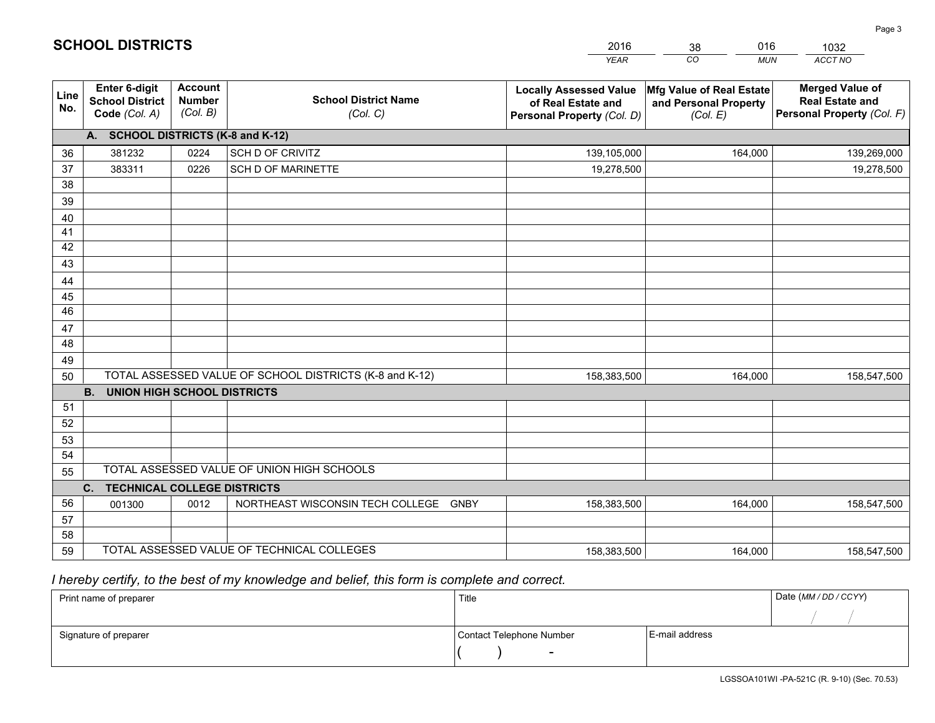|             |                                                                 |                                             |                                                         | <b>YEAR</b>                                                                       | CO<br><b>MUN</b>                                              | ACCT NO                                                                        |
|-------------|-----------------------------------------------------------------|---------------------------------------------|---------------------------------------------------------|-----------------------------------------------------------------------------------|---------------------------------------------------------------|--------------------------------------------------------------------------------|
| Line<br>No. | <b>Enter 6-digit</b><br><b>School District</b><br>Code (Col. A) | <b>Account</b><br><b>Number</b><br>(Col. B) | <b>School District Name</b><br>(Col. C)                 | <b>Locally Assessed Value</b><br>of Real Estate and<br>Personal Property (Col. D) | Mfg Value of Real Estate<br>and Personal Property<br>(Col. E) | <b>Merged Value of</b><br><b>Real Estate and</b><br>Personal Property (Col. F) |
|             | A. SCHOOL DISTRICTS (K-8 and K-12)                              |                                             |                                                         |                                                                                   |                                                               |                                                                                |
| 36          | 381232                                                          | 0224                                        | SCH D OF CRIVITZ                                        | 139,105,000                                                                       | 164,000                                                       | 139,269,000                                                                    |
| 37          | 383311                                                          | 0226                                        | <b>SCH D OF MARINETTE</b>                               | 19,278,500                                                                        |                                                               | 19,278,500                                                                     |
| 38          |                                                                 |                                             |                                                         |                                                                                   |                                                               |                                                                                |
| 39          |                                                                 |                                             |                                                         |                                                                                   |                                                               |                                                                                |
| 40          |                                                                 |                                             |                                                         |                                                                                   |                                                               |                                                                                |
| 41          |                                                                 |                                             |                                                         |                                                                                   |                                                               |                                                                                |
| 42          |                                                                 |                                             |                                                         |                                                                                   |                                                               |                                                                                |
| 43          |                                                                 |                                             |                                                         |                                                                                   |                                                               |                                                                                |
| 44          |                                                                 |                                             |                                                         |                                                                                   |                                                               |                                                                                |
| 45<br>46    |                                                                 |                                             |                                                         |                                                                                   |                                                               |                                                                                |
| 47          |                                                                 |                                             |                                                         |                                                                                   |                                                               |                                                                                |
| 48          |                                                                 |                                             |                                                         |                                                                                   |                                                               |                                                                                |
| 49          |                                                                 |                                             |                                                         |                                                                                   |                                                               |                                                                                |
| 50          |                                                                 |                                             | TOTAL ASSESSED VALUE OF SCHOOL DISTRICTS (K-8 and K-12) | 158,383,500                                                                       | 164,000                                                       | 158,547,500                                                                    |
|             | <b>B.</b><br><b>UNION HIGH SCHOOL DISTRICTS</b>                 |                                             |                                                         |                                                                                   |                                                               |                                                                                |
| 51          |                                                                 |                                             |                                                         |                                                                                   |                                                               |                                                                                |
| 52          |                                                                 |                                             |                                                         |                                                                                   |                                                               |                                                                                |
| 53          |                                                                 |                                             |                                                         |                                                                                   |                                                               |                                                                                |
| 54          |                                                                 |                                             |                                                         |                                                                                   |                                                               |                                                                                |
| 55          |                                                                 |                                             | TOTAL ASSESSED VALUE OF UNION HIGH SCHOOLS              |                                                                                   |                                                               |                                                                                |
|             | C.<br><b>TECHNICAL COLLEGE DISTRICTS</b>                        |                                             |                                                         |                                                                                   |                                                               |                                                                                |
| 56          | 001300                                                          | 0012                                        | NORTHEAST WISCONSIN TECH COLLEGE GNBY                   | 158,383,500                                                                       | 164,000                                                       | 158,547,500                                                                    |
| 57          |                                                                 |                                             |                                                         |                                                                                   |                                                               |                                                                                |
| 58          |                                                                 |                                             |                                                         |                                                                                   |                                                               |                                                                                |
| 59          |                                                                 |                                             | TOTAL ASSESSED VALUE OF TECHNICAL COLLEGES              | 158,383,500                                                                       | 164,000                                                       | 158,547,500                                                                    |

38

016

 *I hereby certify, to the best of my knowledge and belief, this form is complete and correct.*

**SCHOOL DISTRICTS**

| Print name of preparer | Title                    |                | Date (MM / DD / CCYY) |
|------------------------|--------------------------|----------------|-----------------------|
|                        |                          |                |                       |
| Signature of preparer  | Contact Telephone Number | E-mail address |                       |
|                        | $\sim$                   |                |                       |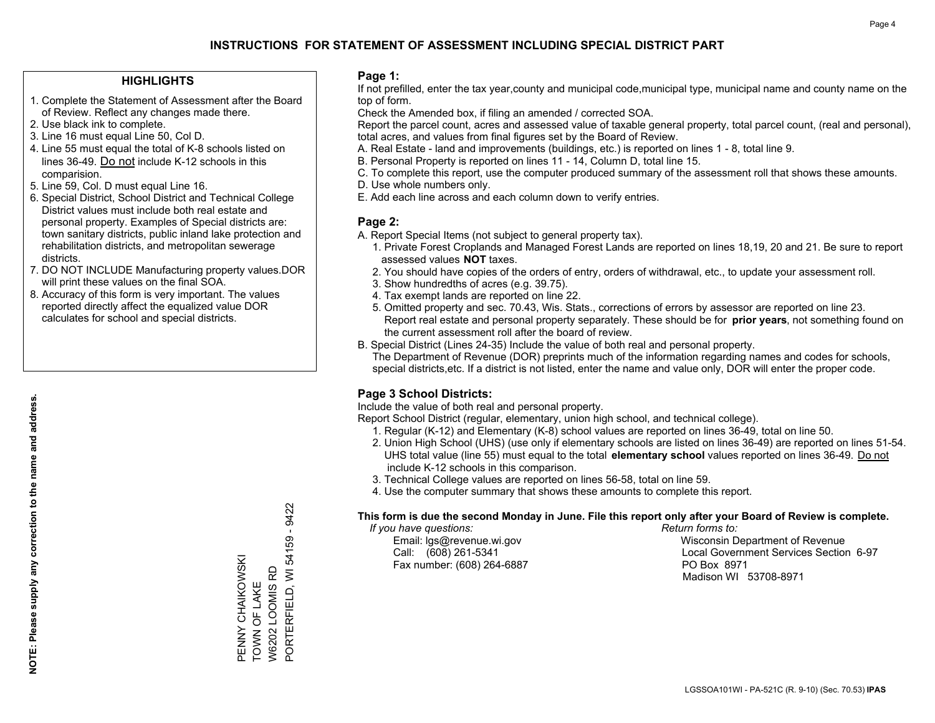#### **HIGHLIGHTS**

- 1. Complete the Statement of Assessment after the Board of Review. Reflect any changes made there.
- 2. Use black ink to complete.
- 3. Line 16 must equal Line 50, Col D.
- 4. Line 55 must equal the total of K-8 schools listed on lines 36-49. Do not include K-12 schools in this comparision.
- 5. Line 59, Col. D must equal Line 16.
- 6. Special District, School District and Technical College District values must include both real estate and personal property. Examples of Special districts are: town sanitary districts, public inland lake protection and rehabilitation districts, and metropolitan sewerage districts.
- 7. DO NOT INCLUDE Manufacturing property values.DOR will print these values on the final SOA.

PENNY CHAIKOWSKI TOWN OF LAKE W6202 LOOMIS RD

PENNY CHAIKOWSKI<br>TOWN OF LAKE W6202 LOOMIS RD PORTERFIELD, WI

PORTERFIELD, WI 54159 - 9422

54159 - 9422

 8. Accuracy of this form is very important. The values reported directly affect the equalized value DOR calculates for school and special districts.

#### **Page 1:**

 If not prefilled, enter the tax year,county and municipal code,municipal type, municipal name and county name on the top of form.

Check the Amended box, if filing an amended / corrected SOA.

 Report the parcel count, acres and assessed value of taxable general property, total parcel count, (real and personal), total acres, and values from final figures set by the Board of Review.

- A. Real Estate land and improvements (buildings, etc.) is reported on lines 1 8, total line 9.
- B. Personal Property is reported on lines 11 14, Column D, total line 15.
- C. To complete this report, use the computer produced summary of the assessment roll that shows these amounts.
- D. Use whole numbers only.
- E. Add each line across and each column down to verify entries.

#### **Page 2:**

- A. Report Special Items (not subject to general property tax).
- 1. Private Forest Croplands and Managed Forest Lands are reported on lines 18,19, 20 and 21. Be sure to report assessed values **NOT** taxes.
- 2. You should have copies of the orders of entry, orders of withdrawal, etc., to update your assessment roll.
	- 3. Show hundredths of acres (e.g. 39.75).
- 4. Tax exempt lands are reported on line 22.
- 5. Omitted property and sec. 70.43, Wis. Stats., corrections of errors by assessor are reported on line 23. Report real estate and personal property separately. These should be for **prior years**, not something found on the current assessment roll after the board of review.
- B. Special District (Lines 24-35) Include the value of both real and personal property.
- The Department of Revenue (DOR) preprints much of the information regarding names and codes for schools, special districts,etc. If a district is not listed, enter the name and value only, DOR will enter the proper code.

### **Page 3 School Districts:**

Include the value of both real and personal property.

Report School District (regular, elementary, union high school, and technical college).

- 1. Regular (K-12) and Elementary (K-8) school values are reported on lines 36-49, total on line 50.
- 2. Union High School (UHS) (use only if elementary schools are listed on lines 36-49) are reported on lines 51-54. UHS total value (line 55) must equal to the total **elementary school** values reported on lines 36-49. Do notinclude K-12 schools in this comparison.
- 3. Technical College values are reported on lines 56-58, total on line 59.
- 4. Use the computer summary that shows these amounts to complete this report.

#### **This form is due the second Monday in June. File this report only after your Board of Review is complete.**

 *If you have questions: Return forms to:*

Fax number: (608) 264-6887 PO Box 8971

 Email: lgs@revenue.wi.gov Wisconsin Department of Revenue Call: (608) 261-5341 Local Government Services Section 6-97Madison WI 53708-8971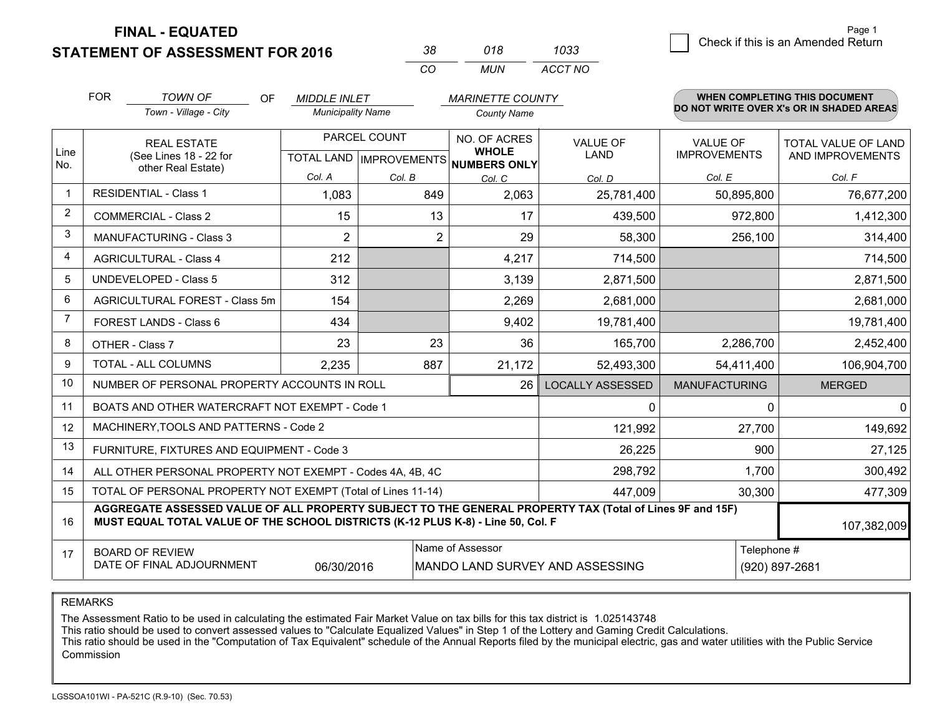**STATEMENT OF ASSESSMENT FOR 2016** 

| 38.      | 018 | 1033    |  |
|----------|-----|---------|--|
| $\alpha$ | MUN | ACCT NO |  |

|             | <b>FOR</b>                                                                                                                                                                                                  | <b>TOWN OF</b><br>OF                                         | <b>MIDDLE INLET</b>                                  |         | <b>MARINETTE COUNTY</b>      |                         |                                        | WHEN COMPLETING THIS DOCUMENT                  |
|-------------|-------------------------------------------------------------------------------------------------------------------------------------------------------------------------------------------------------------|--------------------------------------------------------------|------------------------------------------------------|---------|------------------------------|-------------------------|----------------------------------------|------------------------------------------------|
|             |                                                                                                                                                                                                             | Town - Village - City                                        | <b>Municipality Name</b>                             |         | <b>County Name</b>           |                         |                                        | DO NOT WRITE OVER X's OR IN SHADED AREAS       |
| Line<br>No. | <b>REAL ESTATE</b><br>(See Lines 18 - 22 for                                                                                                                                                                |                                                              | PARCEL COUNT<br>TOTAL LAND IMPROVEMENTS NUMBERS ONLY |         | NO. OF ACRES<br><b>WHOLE</b> | <b>VALUE OF</b><br>LAND | <b>VALUE OF</b><br><b>IMPROVEMENTS</b> | <b>TOTAL VALUE OF LAND</b><br>AND IMPROVEMENTS |
|             |                                                                                                                                                                                                             | other Real Estate)                                           | Col. A                                               | Col. B  | Col. C                       | Col. D                  | Col. E                                 | Col. F                                         |
|             |                                                                                                                                                                                                             | <b>RESIDENTIAL - Class 1</b>                                 | 1,083                                                | 849     | 2,063                        | 25,781,400              | 50,895,800                             | 76,677,200                                     |
| 2           |                                                                                                                                                                                                             | <b>COMMERCIAL - Class 2</b>                                  | 15                                                   | 13      | 17                           | 439,500                 | 972,800                                | 1,412,300                                      |
| 3           |                                                                                                                                                                                                             | MANUFACTURING - Class 3                                      | $\overline{2}$                                       | 2       | 29                           | 58,300                  | 256,100                                | 314,400                                        |
| 4           |                                                                                                                                                                                                             | <b>AGRICULTURAL - Class 4</b>                                | 212                                                  |         | 4,217                        | 714,500                 |                                        | 714,500                                        |
| 5           |                                                                                                                                                                                                             | <b>UNDEVELOPED - Class 5</b>                                 | 312                                                  |         | 3,139                        | 2,871,500               |                                        | 2,871,500                                      |
| 6           |                                                                                                                                                                                                             | AGRICULTURAL FOREST - Class 5m                               | 154                                                  |         | 2,269                        | 2,681,000               |                                        | 2,681,000                                      |
| 7           |                                                                                                                                                                                                             | FOREST LANDS - Class 6                                       | 434                                                  |         | 9,402                        | 19,781,400              |                                        | 19,781,400                                     |
| 8           |                                                                                                                                                                                                             | OTHER - Class 7                                              | 23                                                   | 23      | 36                           | 165,700                 | 2,286,700                              | 2,452,400                                      |
| 9           | TOTAL - ALL COLUMNS                                                                                                                                                                                         |                                                              | 2,235                                                | 887     | 21,172                       | 52,493,300              | 54,411,400                             | 106,904,700                                    |
| 10          | NUMBER OF PERSONAL PROPERTY ACCOUNTS IN ROLL<br>26                                                                                                                                                          |                                                              |                                                      |         |                              | <b>LOCALLY ASSESSED</b> | <b>MANUFACTURING</b>                   | <b>MERGED</b>                                  |
| 11          | BOATS AND OTHER WATERCRAFT NOT EXEMPT - Code 1                                                                                                                                                              |                                                              |                                                      |         |                              |                         | 0                                      | $\mathbf{0}$                                   |
| 12          |                                                                                                                                                                                                             | MACHINERY, TOOLS AND PATTERNS - Code 2                       |                                                      |         |                              | 121,992                 | 27,700                                 | 149,692                                        |
| 13          |                                                                                                                                                                                                             | FURNITURE, FIXTURES AND EQUIPMENT - Code 3                   |                                                      |         |                              | 26,225                  | 900                                    | 27,125                                         |
| 14          |                                                                                                                                                                                                             | ALL OTHER PERSONAL PROPERTY NOT EXEMPT - Codes 4A, 4B, 4C    |                                                      | 298,792 | 1,700                        | 300,492                 |                                        |                                                |
| 15          |                                                                                                                                                                                                             | TOTAL OF PERSONAL PROPERTY NOT EXEMPT (Total of Lines 11-14) |                                                      | 447,009 | 30,300                       | 477,309                 |                                        |                                                |
| 16          | AGGREGATE ASSESSED VALUE OF ALL PROPERTY SUBJECT TO THE GENERAL PROPERTY TAX (Total of Lines 9F and 15F)<br>MUST EQUAL TOTAL VALUE OF THE SCHOOL DISTRICTS (K-12 PLUS K-8) - Line 50, Col. F<br>107,382,009 |                                                              |                                                      |         |                              |                         |                                        |                                                |
| 17          | Name of Assessor<br>Telephone #<br><b>BOARD OF REVIEW</b><br>DATE OF FINAL ADJOURNMENT<br>06/30/2016<br>MANDO LAND SURVEY AND ASSESSING<br>(920) 897-2681                                                   |                                                              |                                                      |         |                              |                         |                                        |                                                |

REMARKS

The Assessment Ratio to be used in calculating the estimated Fair Market Value on tax bills for this tax district is 1.025143748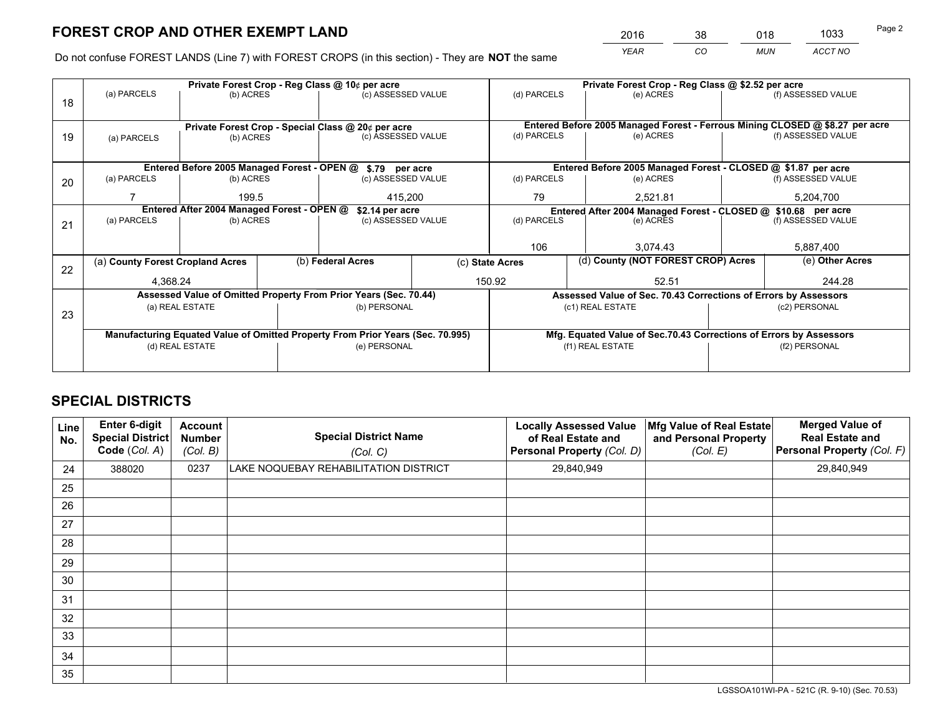*YEAR CO MUN ACCT NO* <sup>2016</sup> <sup>38</sup> <sup>018</sup> <sup>1033</sup>

Do not confuse FOREST LANDS (Line 7) with FOREST CROPS (in this section) - They are **NOT** the same

|    | Private Forest Crop - Reg Class @ 10¢ per acre                                 |                                 |              |                                                            |                                                                    | Private Forest Crop - Reg Class @ \$2.52 per acre               |                                                                              |               |                    |  |
|----|--------------------------------------------------------------------------------|---------------------------------|--------------|------------------------------------------------------------|--------------------------------------------------------------------|-----------------------------------------------------------------|------------------------------------------------------------------------------|---------------|--------------------|--|
| 18 | (a) PARCELS                                                                    | (b) ACRES                       |              | (c) ASSESSED VALUE                                         |                                                                    | (d) PARCELS                                                     | (e) ACRES                                                                    |               | (f) ASSESSED VALUE |  |
|    |                                                                                |                                 |              |                                                            |                                                                    |                                                                 |                                                                              |               |                    |  |
|    |                                                                                |                                 |              | Private Forest Crop - Special Class @ 20¢ per acre         |                                                                    |                                                                 | Entered Before 2005 Managed Forest - Ferrous Mining CLOSED @ \$8.27 per acre |               |                    |  |
| 19 | (a) PARCELS                                                                    | (b) ACRES                       |              | (c) ASSESSED VALUE                                         |                                                                    | (d) PARCELS                                                     | (e) ACRES                                                                    |               | (f) ASSESSED VALUE |  |
|    |                                                                                |                                 |              |                                                            |                                                                    |                                                                 |                                                                              |               |                    |  |
|    |                                                                                |                                 |              | Entered Before 2005 Managed Forest - OPEN @ \$.79 per acre |                                                                    |                                                                 | Entered Before 2005 Managed Forest - CLOSED @ \$1.87 per acre                |               |                    |  |
| 20 | (a) PARCELS<br>(b) ACRES                                                       |                                 |              | (c) ASSESSED VALUE                                         |                                                                    | (d) PARCELS                                                     | (e) ACRES                                                                    |               |                    |  |
|    |                                                                                | 199.5                           |              | 415,200                                                    |                                                                    | 79                                                              | 2,521.81                                                                     |               | 5,204,700          |  |
|    | Entered After 2004 Managed Forest - OPEN @<br>\$2.14 per acre                  |                                 |              |                                                            |                                                                    | Entered After 2004 Managed Forest - CLOSED @ \$10.68 per acre   |                                                                              |               |                    |  |
| 21 | (a) PARCELS                                                                    | (c) ASSESSED VALUE<br>(b) ACRES |              |                                                            | (d) PARCELS                                                        | (e) ACRES                                                       |                                                                              |               |                    |  |
|    |                                                                                |                                 |              |                                                            |                                                                    |                                                                 |                                                                              |               |                    |  |
|    |                                                                                |                                 |              |                                                            |                                                                    | 106                                                             | 3.074.43                                                                     |               | 5,887,400          |  |
| 22 | (a) County Forest Cropland Acres                                               |                                 |              | (b) Federal Acres<br>(c) State Acres                       |                                                                    |                                                                 | (d) County (NOT FOREST CROP) Acres                                           |               | (e) Other Acres    |  |
|    | 4.368.24                                                                       |                                 |              |                                                            |                                                                    | 150.92<br>52.51                                                 |                                                                              |               | 244.28             |  |
|    | Assessed Value of Omitted Property From Prior Years (Sec. 70.44)               |                                 |              |                                                            |                                                                    | Assessed Value of Sec. 70.43 Corrections of Errors by Assessors |                                                                              |               |                    |  |
| 23 | (a) REAL ESTATE                                                                |                                 | (b) PERSONAL |                                                            | (c1) REAL ESTATE                                                   |                                                                 |                                                                              | (c2) PERSONAL |                    |  |
|    |                                                                                |                                 |              |                                                            |                                                                    |                                                                 |                                                                              |               |                    |  |
|    | Manufacturing Equated Value of Omitted Property From Prior Years (Sec. 70.995) |                                 |              |                                                            | Mfg. Equated Value of Sec.70.43 Corrections of Errors by Assessors |                                                                 |                                                                              |               |                    |  |
|    | (d) REAL ESTATE                                                                |                                 |              | (e) PERSONAL                                               |                                                                    | (f1) REAL ESTATE                                                |                                                                              |               | (f2) PERSONAL      |  |
|    |                                                                                |                                 |              |                                                            |                                                                    |                                                                 |                                                                              |               |                    |  |

## **SPECIAL DISTRICTS**

| Line<br>No. | Enter 6-digit<br><b>Special District</b><br>Code (Col. A) | <b>Account</b><br><b>Number</b><br>(Col. B) | <b>Special District Name</b><br>(Col. C) | <b>Locally Assessed Value</b><br>of Real Estate and<br>Personal Property (Col. D) | Mfg Value of Real Estate<br>and Personal Property<br>(Col. E) | <b>Merged Value of</b><br><b>Real Estate and</b><br>Personal Property (Col. F) |
|-------------|-----------------------------------------------------------|---------------------------------------------|------------------------------------------|-----------------------------------------------------------------------------------|---------------------------------------------------------------|--------------------------------------------------------------------------------|
| 24          | 388020                                                    | 0237                                        | LAKE NOQUEBAY REHABILITATION DISTRICT    | 29,840,949                                                                        |                                                               | 29,840,949                                                                     |
| 25          |                                                           |                                             |                                          |                                                                                   |                                                               |                                                                                |
| 26          |                                                           |                                             |                                          |                                                                                   |                                                               |                                                                                |
| 27          |                                                           |                                             |                                          |                                                                                   |                                                               |                                                                                |
| 28          |                                                           |                                             |                                          |                                                                                   |                                                               |                                                                                |
| 29          |                                                           |                                             |                                          |                                                                                   |                                                               |                                                                                |
| 30          |                                                           |                                             |                                          |                                                                                   |                                                               |                                                                                |
| 31          |                                                           |                                             |                                          |                                                                                   |                                                               |                                                                                |
| 32          |                                                           |                                             |                                          |                                                                                   |                                                               |                                                                                |
| 33          |                                                           |                                             |                                          |                                                                                   |                                                               |                                                                                |
| 34          |                                                           |                                             |                                          |                                                                                   |                                                               |                                                                                |
| 35          |                                                           |                                             |                                          |                                                                                   |                                                               |                                                                                |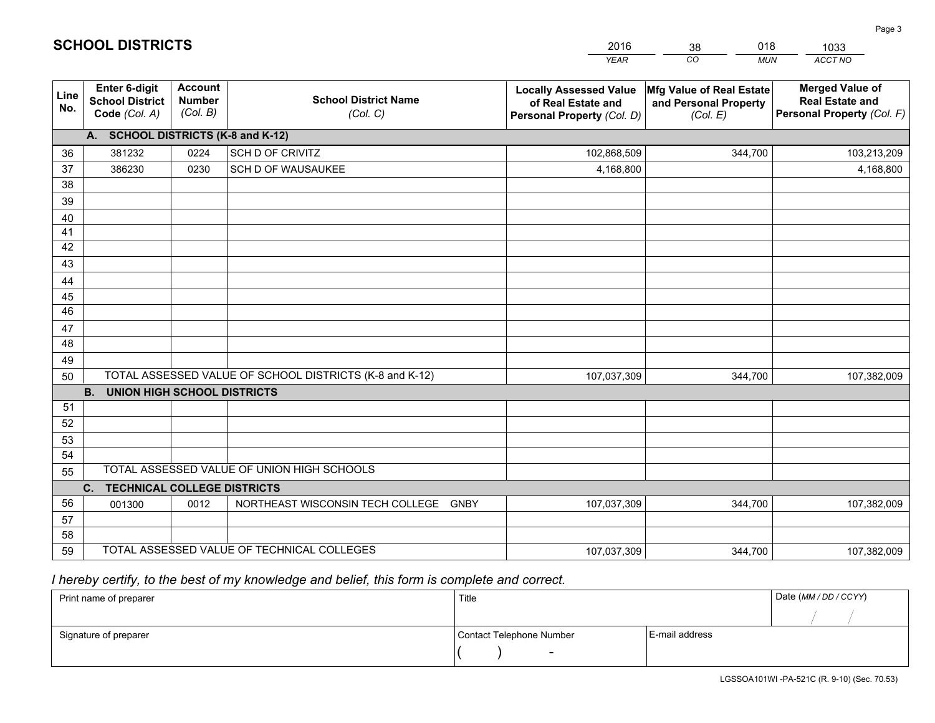|             |                                                                 |                                             |                                                         | <b>YEAR</b>                                                                       | CO<br><b>MUN</b>                                              | ACCT NO                                                                        |  |  |  |  |
|-------------|-----------------------------------------------------------------|---------------------------------------------|---------------------------------------------------------|-----------------------------------------------------------------------------------|---------------------------------------------------------------|--------------------------------------------------------------------------------|--|--|--|--|
| Line<br>No. | <b>Enter 6-digit</b><br><b>School District</b><br>Code (Col. A) | <b>Account</b><br><b>Number</b><br>(Col. B) | <b>School District Name</b><br>(Col. C)                 | <b>Locally Assessed Value</b><br>of Real Estate and<br>Personal Property (Col. D) | Mfg Value of Real Estate<br>and Personal Property<br>(Col. E) | <b>Merged Value of</b><br><b>Real Estate and</b><br>Personal Property (Col. F) |  |  |  |  |
|             | A. SCHOOL DISTRICTS (K-8 and K-12)                              |                                             |                                                         |                                                                                   |                                                               |                                                                                |  |  |  |  |
| 36          | 381232                                                          | 0224                                        | SCH D OF CRIVITZ                                        | 102,868,509                                                                       | 344,700                                                       | 103,213,209                                                                    |  |  |  |  |
| 37          | 386230                                                          | 0230                                        | SCH D OF WAUSAUKEE                                      | 4,168,800                                                                         |                                                               | 4,168,800                                                                      |  |  |  |  |
| 38          |                                                                 |                                             |                                                         |                                                                                   |                                                               |                                                                                |  |  |  |  |
| 39          |                                                                 |                                             |                                                         |                                                                                   |                                                               |                                                                                |  |  |  |  |
| 40          |                                                                 |                                             |                                                         |                                                                                   |                                                               |                                                                                |  |  |  |  |
| 41          |                                                                 |                                             |                                                         |                                                                                   |                                                               |                                                                                |  |  |  |  |
| 42          |                                                                 |                                             |                                                         |                                                                                   |                                                               |                                                                                |  |  |  |  |
| 43          |                                                                 |                                             |                                                         |                                                                                   |                                                               |                                                                                |  |  |  |  |
| 44          |                                                                 |                                             |                                                         |                                                                                   |                                                               |                                                                                |  |  |  |  |
| 45<br>46    |                                                                 |                                             |                                                         |                                                                                   |                                                               |                                                                                |  |  |  |  |
|             |                                                                 |                                             |                                                         |                                                                                   |                                                               |                                                                                |  |  |  |  |
| 47<br>48    |                                                                 |                                             |                                                         |                                                                                   |                                                               |                                                                                |  |  |  |  |
| 49          |                                                                 |                                             |                                                         |                                                                                   |                                                               |                                                                                |  |  |  |  |
| 50          |                                                                 |                                             | TOTAL ASSESSED VALUE OF SCHOOL DISTRICTS (K-8 and K-12) | 107,037,309                                                                       | 344,700                                                       | 107,382,009                                                                    |  |  |  |  |
|             | <b>B.</b><br><b>UNION HIGH SCHOOL DISTRICTS</b>                 |                                             |                                                         |                                                                                   |                                                               |                                                                                |  |  |  |  |
| 51          |                                                                 |                                             |                                                         |                                                                                   |                                                               |                                                                                |  |  |  |  |
| 52          |                                                                 |                                             |                                                         |                                                                                   |                                                               |                                                                                |  |  |  |  |
| 53          |                                                                 |                                             |                                                         |                                                                                   |                                                               |                                                                                |  |  |  |  |
| 54          |                                                                 |                                             |                                                         |                                                                                   |                                                               |                                                                                |  |  |  |  |
| 55          |                                                                 |                                             | TOTAL ASSESSED VALUE OF UNION HIGH SCHOOLS              |                                                                                   |                                                               |                                                                                |  |  |  |  |
|             | C.<br><b>TECHNICAL COLLEGE DISTRICTS</b>                        |                                             |                                                         |                                                                                   |                                                               |                                                                                |  |  |  |  |
| 56          | 001300                                                          | 0012                                        | NORTHEAST WISCONSIN TECH COLLEGE<br><b>GNBY</b>         | 107,037,309                                                                       | 344,700                                                       | 107,382,009                                                                    |  |  |  |  |
| 57          |                                                                 |                                             |                                                         |                                                                                   |                                                               |                                                                                |  |  |  |  |
| 58          |                                                                 |                                             |                                                         |                                                                                   |                                                               |                                                                                |  |  |  |  |
| 59          |                                                                 |                                             | TOTAL ASSESSED VALUE OF TECHNICAL COLLEGES              | 107,037,309                                                                       | 344,700                                                       | 107,382,009                                                                    |  |  |  |  |

38

018

## *I hereby certify, to the best of my knowledge and belief, this form is complete and correct.*

**SCHOOL DISTRICTS**

| Print name of preparer | Title                    |                | Date (MM / DD / CCYY) |
|------------------------|--------------------------|----------------|-----------------------|
|                        |                          |                |                       |
| Signature of preparer  | Contact Telephone Number | E-mail address |                       |
|                        | $\overline{\phantom{0}}$ |                |                       |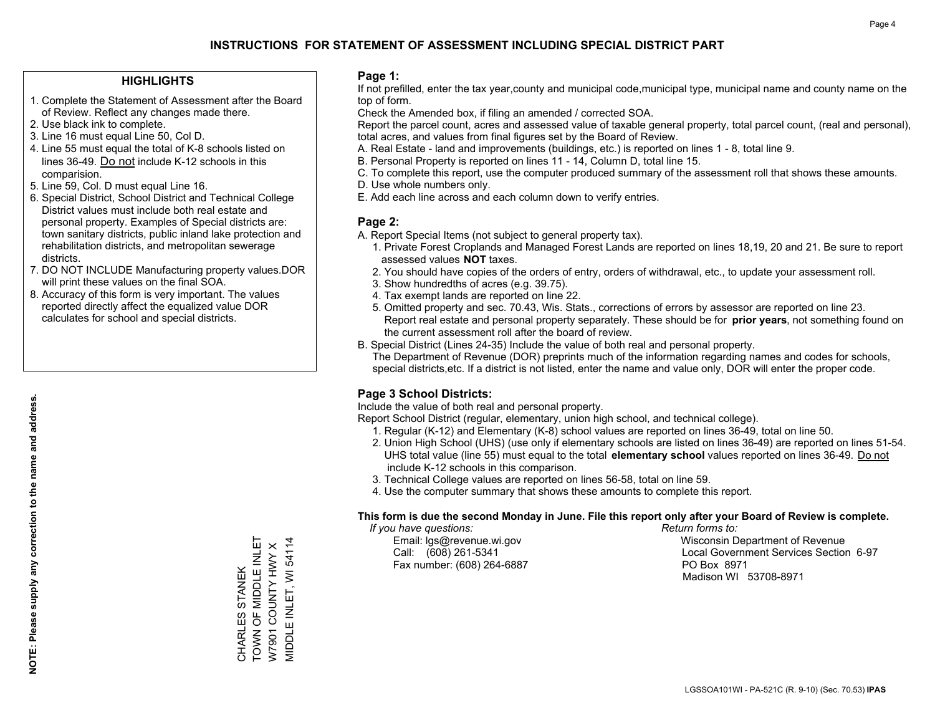#### **HIGHLIGHTS**

- 1. Complete the Statement of Assessment after the Board of Review. Reflect any changes made there.
- 2. Use black ink to complete.
- 3. Line 16 must equal Line 50, Col D.
- 4. Line 55 must equal the total of K-8 schools listed on lines 36-49. Do not include K-12 schools in this comparision.
- 5. Line 59, Col. D must equal Line 16.
- 6. Special District, School District and Technical College District values must include both real estate and personal property. Examples of Special districts are: town sanitary districts, public inland lake protection and rehabilitation districts, and metropolitan sewerage districts.
- 7. DO NOT INCLUDE Manufacturing property values.DOR will print these values on the final SOA.
- 8. Accuracy of this form is very important. The values reported directly affect the equalized value DOR calculates for school and special districts.

#### **Page 1:**

 If not prefilled, enter the tax year,county and municipal code,municipal type, municipal name and county name on the top of form.

Check the Amended box, if filing an amended / corrected SOA.

 Report the parcel count, acres and assessed value of taxable general property, total parcel count, (real and personal), total acres, and values from final figures set by the Board of Review.

- A. Real Estate land and improvements (buildings, etc.) is reported on lines 1 8, total line 9.
- B. Personal Property is reported on lines 11 14, Column D, total line 15.
- C. To complete this report, use the computer produced summary of the assessment roll that shows these amounts.
- D. Use whole numbers only.
- E. Add each line across and each column down to verify entries.

#### **Page 2:**

- A. Report Special Items (not subject to general property tax).
- 1. Private Forest Croplands and Managed Forest Lands are reported on lines 18,19, 20 and 21. Be sure to report assessed values **NOT** taxes.
- 2. You should have copies of the orders of entry, orders of withdrawal, etc., to update your assessment roll.
	- 3. Show hundredths of acres (e.g. 39.75).
- 4. Tax exempt lands are reported on line 22.
- 5. Omitted property and sec. 70.43, Wis. Stats., corrections of errors by assessor are reported on line 23. Report real estate and personal property separately. These should be for **prior years**, not something found on the current assessment roll after the board of review.
- B. Special District (Lines 24-35) Include the value of both real and personal property.

 The Department of Revenue (DOR) preprints much of the information regarding names and codes for schools, special districts,etc. If a district is not listed, enter the name and value only, DOR will enter the proper code.

### **Page 3 School Districts:**

Include the value of both real and personal property.

Report School District (regular, elementary, union high school, and technical college).

- 1. Regular (K-12) and Elementary (K-8) school values are reported on lines 36-49, total on line 50.
- 2. Union High School (UHS) (use only if elementary schools are listed on lines 36-49) are reported on lines 51-54. UHS total value (line 55) must equal to the total **elementary school** values reported on lines 36-49. Do notinclude K-12 schools in this comparison.
- 3. Technical College values are reported on lines 56-58, total on line 59.
- 4. Use the computer summary that shows these amounts to complete this report.

#### **This form is due the second Monday in June. File this report only after your Board of Review is complete.**

 *If you have questions: Return forms to:*

Fax number: (608) 264-6887 PO Box 8971

 Email: lgs@revenue.wi.gov Wisconsin Department of Revenue Call: (608) 261-5341 Local Government Services Section 6-97Madison WI 53708-8971

CHARLES STANEK<br>TOWN OF MIDDLE INLET<br>W7901 COUNTY HWY X TOWN OF MIDDLE INLET MIDDLE INLET, WI 54114 MIDDLE INLET, WI 54114 W7901 COUNTY HWY X CHARLES STANEK

**NOTE: Please supply any correction to the name and address.**

NOTE: Please supply any correction to the name and address.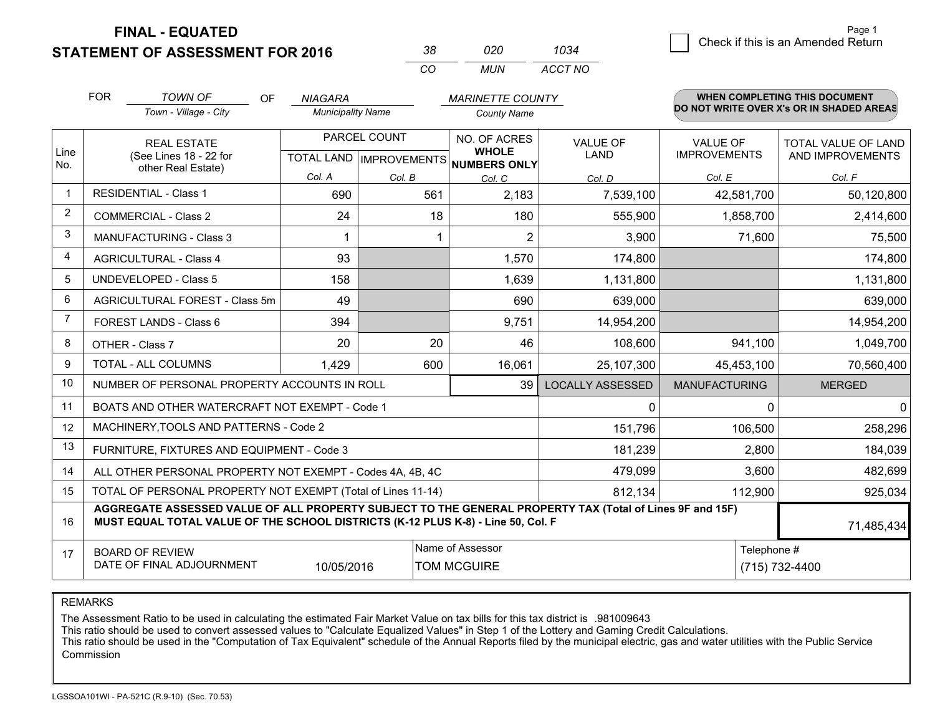**STATEMENT OF ASSESSMENT FOR 2016** 

| 38. | 020 | 1034    |
|-----|-----|---------|
| CO. | MUN | ACCT NO |

|                | <b>FOR</b>                                                                                                                                   | <b>TOWN OF</b><br>OF                                                                                                                                                                         | <b>NIAGARA</b>           |              | <b>MARINETTE COUNTY</b>             |                         |                                        | WHEN COMPLETING THIS DOCUMENT            |
|----------------|----------------------------------------------------------------------------------------------------------------------------------------------|----------------------------------------------------------------------------------------------------------------------------------------------------------------------------------------------|--------------------------|--------------|-------------------------------------|-------------------------|----------------------------------------|------------------------------------------|
|                |                                                                                                                                              | Town - Village - City                                                                                                                                                                        | <b>Municipality Name</b> |              | <b>County Name</b>                  |                         |                                        | DO NOT WRITE OVER X's OR IN SHADED AREAS |
| Line           |                                                                                                                                              | <b>REAL ESTATE</b>                                                                                                                                                                           |                          | PARCEL COUNT | NO. OF ACRES<br><b>WHOLE</b>        | <b>VALUE OF</b><br>LAND | <b>VALUE OF</b><br><b>IMPROVEMENTS</b> | <b>TOTAL VALUE OF LAND</b>               |
| No.            |                                                                                                                                              | (See Lines 18 - 22 for<br>other Real Estate)                                                                                                                                                 |                          |              | TOTAL LAND MPROVEMENTS NUMBERS ONLY |                         |                                        | AND IMPROVEMENTS                         |
|                |                                                                                                                                              |                                                                                                                                                                                              | Col. A                   | Col. B       | Col. C                              | Col. D                  | Col. E                                 | Col. F                                   |
| -1             |                                                                                                                                              | <b>RESIDENTIAL - Class 1</b>                                                                                                                                                                 | 690                      | 561          | 2,183                               | 7,539,100               | 42,581,700                             | 50,120,800                               |
| 2              |                                                                                                                                              | <b>COMMERCIAL - Class 2</b>                                                                                                                                                                  | 24                       | 18           | 180                                 | 555,900                 | 1,858,700                              | 2,414,600                                |
| 3              |                                                                                                                                              | <b>MANUFACTURING - Class 3</b>                                                                                                                                                               |                          |              | 2                                   | 3,900                   | 71,600                                 | 75,500                                   |
| 4              |                                                                                                                                              | <b>AGRICULTURAL - Class 4</b>                                                                                                                                                                | 93                       |              | 1,570                               | 174,800                 |                                        | 174,800                                  |
| 5              |                                                                                                                                              | UNDEVELOPED - Class 5                                                                                                                                                                        | 158                      |              | 1,639                               | 1,131,800               |                                        | 1,131,800                                |
| 6              | AGRICULTURAL FOREST - Class 5m                                                                                                               |                                                                                                                                                                                              | 49                       |              | 690                                 | 639,000                 |                                        | 639,000                                  |
| $\overline{7}$ |                                                                                                                                              | FOREST LANDS - Class 6                                                                                                                                                                       | 394                      |              | 9,751                               | 14,954,200              |                                        | 14,954,200                               |
| 8              |                                                                                                                                              | OTHER - Class 7                                                                                                                                                                              | 20                       | 20           | 46                                  | 108,600                 | 941,100                                | 1,049,700                                |
| 9              |                                                                                                                                              | TOTAL - ALL COLUMNS                                                                                                                                                                          | 1,429                    | 600          | 16,061                              | 25,107,300              | 45,453,100                             | 70,560,400                               |
| 10             |                                                                                                                                              | NUMBER OF PERSONAL PROPERTY ACCOUNTS IN ROLL                                                                                                                                                 |                          |              | 39                                  | <b>LOCALLY ASSESSED</b> | <b>MANUFACTURING</b>                   | <b>MERGED</b>                            |
| 11             |                                                                                                                                              | BOATS AND OTHER WATERCRAFT NOT EXEMPT - Code 1                                                                                                                                               |                          |              |                                     | $\Omega$                | $\Omega$                               | $\Omega$                                 |
| 12             |                                                                                                                                              | MACHINERY, TOOLS AND PATTERNS - Code 2                                                                                                                                                       |                          |              |                                     | 151,796                 | 106,500                                | 258,296                                  |
| 13             |                                                                                                                                              | FURNITURE, FIXTURES AND EQUIPMENT - Code 3                                                                                                                                                   |                          |              |                                     | 181,239                 | 2,800                                  | 184,039                                  |
| 14             |                                                                                                                                              | ALL OTHER PERSONAL PROPERTY NOT EXEMPT - Codes 4A, 4B, 4C                                                                                                                                    |                          |              |                                     | 479,099                 | 3,600                                  | 482,699                                  |
| 15             | TOTAL OF PERSONAL PROPERTY NOT EXEMPT (Total of Lines 11-14)                                                                                 |                                                                                                                                                                                              |                          |              |                                     |                         | 112,900                                | 925,034                                  |
| 16             |                                                                                                                                              | AGGREGATE ASSESSED VALUE OF ALL PROPERTY SUBJECT TO THE GENERAL PROPERTY TAX (Total of Lines 9F and 15F)<br>MUST EQUAL TOTAL VALUE OF THE SCHOOL DISTRICTS (K-12 PLUS K-8) - Line 50, Col. F |                          |              |                                     |                         |                                        | 71,485,434                               |
| 17             | Name of Assessor<br>Telephone #<br><b>BOARD OF REVIEW</b><br>DATE OF FINAL ADJOURNMENT<br>10/05/2016<br><b>TOM MCGUIRE</b><br>(715) 732-4400 |                                                                                                                                                                                              |                          |              |                                     |                         |                                        |                                          |

REMARKS

The Assessment Ratio to be used in calculating the estimated Fair Market Value on tax bills for this tax district is .981009643

This ratio should be used to convert assessed values to "Calculate Equalized Values" in Step 1 of the Lottery and Gaming Credit Calculations.<br>This ratio should be used in the "Computation of Tax Equivalent" schedule of the Commission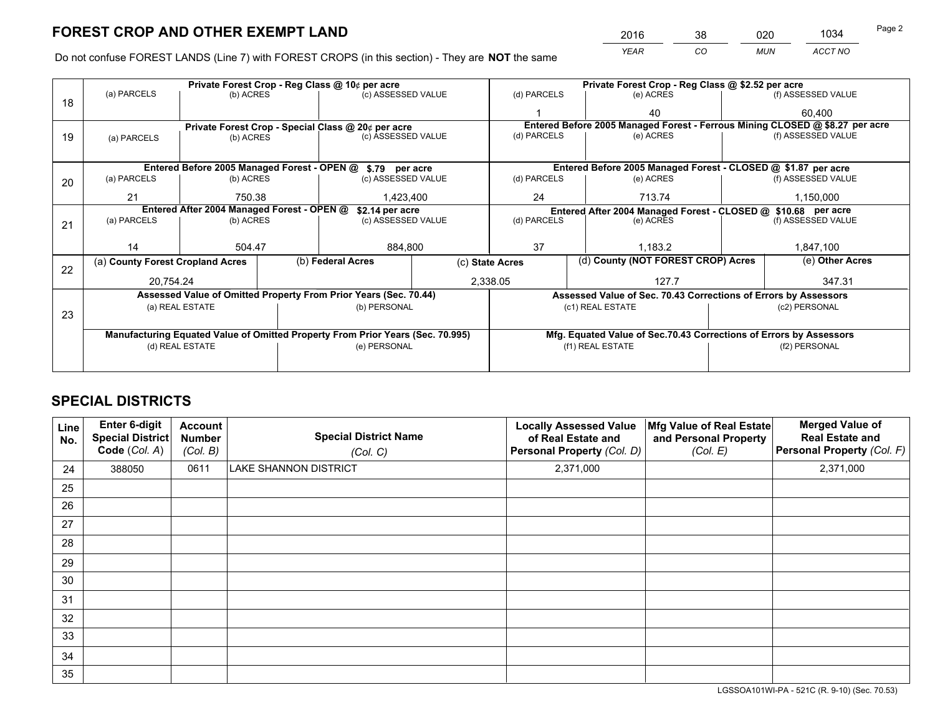*YEAR CO MUN ACCT NO* <sup>2016</sup> <sup>38</sup> <sup>020</sup> <sup>1034</sup>

Do not confuse FOREST LANDS (Line 7) with FOREST CROPS (in this section) - They are **NOT** the same

|    |                                                                                |                 |  | Private Forest Crop - Reg Class @ 10¢ per acre                   |                 | Private Forest Crop - Reg Class @ \$2.52 per acre |                                                                              |  |                    |  |
|----|--------------------------------------------------------------------------------|-----------------|--|------------------------------------------------------------------|-----------------|---------------------------------------------------|------------------------------------------------------------------------------|--|--------------------|--|
| 18 | (a) PARCELS                                                                    | (b) ACRES       |  | (c) ASSESSED VALUE                                               |                 | (d) PARCELS                                       | (e) ACRES                                                                    |  | (f) ASSESSED VALUE |  |
|    |                                                                                |                 |  |                                                                  |                 |                                                   | 40                                                                           |  | 60.400             |  |
|    |                                                                                |                 |  | Private Forest Crop - Special Class @ 20¢ per acre               |                 |                                                   | Entered Before 2005 Managed Forest - Ferrous Mining CLOSED @ \$8.27 per acre |  |                    |  |
| 19 | (a) PARCELS                                                                    | (b) ACRES       |  | (c) ASSESSED VALUE                                               |                 | (d) PARCELS                                       | (e) ACRES                                                                    |  | (f) ASSESSED VALUE |  |
|    |                                                                                |                 |  |                                                                  |                 |                                                   |                                                                              |  |                    |  |
|    |                                                                                |                 |  | Entered Before 2005 Managed Forest - OPEN @ \$.79 per acre       |                 |                                                   | Entered Before 2005 Managed Forest - CLOSED @ \$1.87 per acre                |  |                    |  |
| 20 | (a) PARCELS                                                                    | (b) ACRES       |  | (c) ASSESSED VALUE                                               |                 | (d) PARCELS                                       | (e) ACRES                                                                    |  | (f) ASSESSED VALUE |  |
|    | 21                                                                             | 750.38          |  | 1,423,400                                                        |                 | 24                                                | 713.74                                                                       |  | 1,150,000          |  |
|    | Entered After 2004 Managed Forest - OPEN @<br>\$2.14 per acre                  |                 |  |                                                                  |                 |                                                   | Entered After 2004 Managed Forest - CLOSED @ \$10.68 per acre                |  |                    |  |
| 21 | (a) PARCELS                                                                    | (b) ACRES       |  | (c) ASSESSED VALUE                                               |                 | (d) PARCELS<br>(e) ACRES                          |                                                                              |  | (f) ASSESSED VALUE |  |
|    |                                                                                |                 |  |                                                                  |                 |                                                   |                                                                              |  |                    |  |
|    | 14                                                                             | 504.47          |  | 884,800                                                          |                 | 37<br>1.183.2                                     |                                                                              |  | 1,847,100          |  |
| 22 | (a) County Forest Cropland Acres                                               |                 |  | (b) Federal Acres                                                | (c) State Acres |                                                   | (d) County (NOT FOREST CROP) Acres                                           |  | (e) Other Acres    |  |
|    | 20,754.24                                                                      |                 |  | 2,338.05                                                         |                 |                                                   | 127.7                                                                        |  | 347.31             |  |
|    |                                                                                |                 |  | Assessed Value of Omitted Property From Prior Years (Sec. 70.44) |                 |                                                   | Assessed Value of Sec. 70.43 Corrections of Errors by Assessors              |  |                    |  |
| 23 |                                                                                | (a) REAL ESTATE |  | (b) PERSONAL                                                     |                 |                                                   | (c1) REAL ESTATE                                                             |  | (c2) PERSONAL      |  |
|    |                                                                                |                 |  |                                                                  |                 |                                                   |                                                                              |  |                    |  |
|    | Manufacturing Equated Value of Omitted Property From Prior Years (Sec. 70.995) |                 |  |                                                                  |                 |                                                   | Mfg. Equated Value of Sec.70.43 Corrections of Errors by Assessors           |  |                    |  |
|    | (d) REAL ESTATE                                                                |                 |  | (e) PERSONAL                                                     |                 | (f1) REAL ESTATE                                  |                                                                              |  | (f2) PERSONAL      |  |
|    |                                                                                |                 |  |                                                                  |                 |                                                   |                                                                              |  |                    |  |

## **SPECIAL DISTRICTS**

| Line<br>No. | Enter 6-digit<br><b>Special District</b><br>Code (Col. A) | <b>Account</b><br><b>Number</b><br>(Col. B) | <b>Special District Name</b><br>(Col. C) | <b>Locally Assessed Value</b><br>of Real Estate and<br>Personal Property (Col. D) | Mfg Value of Real Estate<br>and Personal Property<br>(Col. E) | <b>Merged Value of</b><br><b>Real Estate and</b><br>Personal Property (Col. F) |
|-------------|-----------------------------------------------------------|---------------------------------------------|------------------------------------------|-----------------------------------------------------------------------------------|---------------------------------------------------------------|--------------------------------------------------------------------------------|
| 24          | 388050                                                    | 0611                                        | LAKE SHANNON DISTRICT                    | 2,371,000                                                                         |                                                               | 2,371,000                                                                      |
| 25          |                                                           |                                             |                                          |                                                                                   |                                                               |                                                                                |
| 26          |                                                           |                                             |                                          |                                                                                   |                                                               |                                                                                |
| 27          |                                                           |                                             |                                          |                                                                                   |                                                               |                                                                                |
| 28          |                                                           |                                             |                                          |                                                                                   |                                                               |                                                                                |
| 29          |                                                           |                                             |                                          |                                                                                   |                                                               |                                                                                |
| 30          |                                                           |                                             |                                          |                                                                                   |                                                               |                                                                                |
| 31          |                                                           |                                             |                                          |                                                                                   |                                                               |                                                                                |
| 32          |                                                           |                                             |                                          |                                                                                   |                                                               |                                                                                |
| 33          |                                                           |                                             |                                          |                                                                                   |                                                               |                                                                                |
| 34          |                                                           |                                             |                                          |                                                                                   |                                                               |                                                                                |
| 35          |                                                           |                                             |                                          |                                                                                   |                                                               |                                                                                |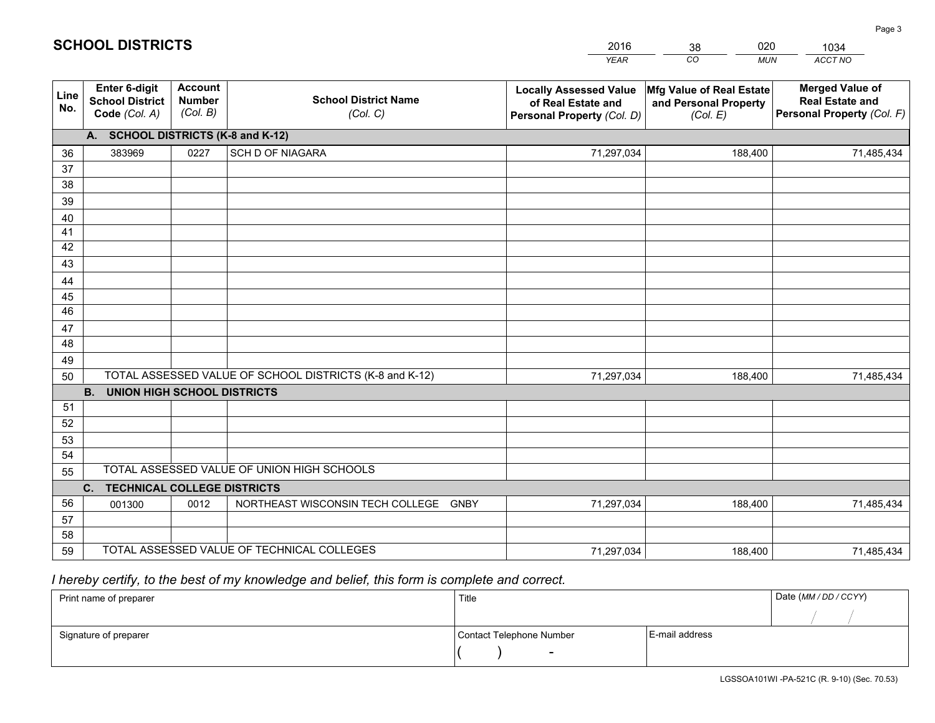|             |                                                                 |                                             |                                                         | <b>YEAR</b>                                                                       | CO<br><b>MUN</b>                                              | ACCT NO                                                                        |
|-------------|-----------------------------------------------------------------|---------------------------------------------|---------------------------------------------------------|-----------------------------------------------------------------------------------|---------------------------------------------------------------|--------------------------------------------------------------------------------|
| Line<br>No. | <b>Enter 6-digit</b><br><b>School District</b><br>Code (Col. A) | <b>Account</b><br><b>Number</b><br>(Col. B) | <b>School District Name</b><br>(Col. C)                 | <b>Locally Assessed Value</b><br>of Real Estate and<br>Personal Property (Col. D) | Mfg Value of Real Estate<br>and Personal Property<br>(Col. E) | <b>Merged Value of</b><br><b>Real Estate and</b><br>Personal Property (Col. F) |
|             | A. SCHOOL DISTRICTS (K-8 and K-12)                              |                                             |                                                         |                                                                                   |                                                               |                                                                                |
| 36          | 383969                                                          | 0227                                        | <b>SCH D OF NIAGARA</b>                                 | 71,297,034                                                                        | 188,400                                                       | 71,485,434                                                                     |
| 37          |                                                                 |                                             |                                                         |                                                                                   |                                                               |                                                                                |
| 38          |                                                                 |                                             |                                                         |                                                                                   |                                                               |                                                                                |
| 39          |                                                                 |                                             |                                                         |                                                                                   |                                                               |                                                                                |
| 40          |                                                                 |                                             |                                                         |                                                                                   |                                                               |                                                                                |
| 41<br>42    |                                                                 |                                             |                                                         |                                                                                   |                                                               |                                                                                |
| 43          |                                                                 |                                             |                                                         |                                                                                   |                                                               |                                                                                |
|             |                                                                 |                                             |                                                         |                                                                                   |                                                               |                                                                                |
| 44<br>45    |                                                                 |                                             |                                                         |                                                                                   |                                                               |                                                                                |
| 46          |                                                                 |                                             |                                                         |                                                                                   |                                                               |                                                                                |
| 47          |                                                                 |                                             |                                                         |                                                                                   |                                                               |                                                                                |
| 48          |                                                                 |                                             |                                                         |                                                                                   |                                                               |                                                                                |
| 49          |                                                                 |                                             |                                                         |                                                                                   |                                                               |                                                                                |
| 50          |                                                                 |                                             | TOTAL ASSESSED VALUE OF SCHOOL DISTRICTS (K-8 and K-12) | 71,297,034                                                                        | 188,400                                                       | 71,485,434                                                                     |
|             | <b>B.</b><br><b>UNION HIGH SCHOOL DISTRICTS</b>                 |                                             |                                                         |                                                                                   |                                                               |                                                                                |
| 51          |                                                                 |                                             |                                                         |                                                                                   |                                                               |                                                                                |
| 52          |                                                                 |                                             |                                                         |                                                                                   |                                                               |                                                                                |
| 53          |                                                                 |                                             |                                                         |                                                                                   |                                                               |                                                                                |
| 54          |                                                                 |                                             |                                                         |                                                                                   |                                                               |                                                                                |
| 55          |                                                                 |                                             | TOTAL ASSESSED VALUE OF UNION HIGH SCHOOLS              |                                                                                   |                                                               |                                                                                |
|             | C.<br><b>TECHNICAL COLLEGE DISTRICTS</b>                        |                                             |                                                         |                                                                                   |                                                               |                                                                                |
| 56          | 001300                                                          | 0012                                        | NORTHEAST WISCONSIN TECH COLLEGE<br><b>GNBY</b>         | 71,297,034                                                                        | 188,400                                                       | 71,485,434                                                                     |
| 57<br>58    |                                                                 |                                             |                                                         |                                                                                   |                                                               |                                                                                |
| 59          |                                                                 |                                             | TOTAL ASSESSED VALUE OF TECHNICAL COLLEGES              | 71,297,034                                                                        | 188,400                                                       | 71,485,434                                                                     |
|             |                                                                 |                                             |                                                         |                                                                                   |                                                               |                                                                                |

38

020

 *I hereby certify, to the best of my knowledge and belief, this form is complete and correct.*

**SCHOOL DISTRICTS**

| Print name of preparer | Title                    |                | Date (MM / DD / CCYY) |
|------------------------|--------------------------|----------------|-----------------------|
|                        |                          |                |                       |
| Signature of preparer  | Contact Telephone Number | E-mail address |                       |
|                        | $\sim$                   |                |                       |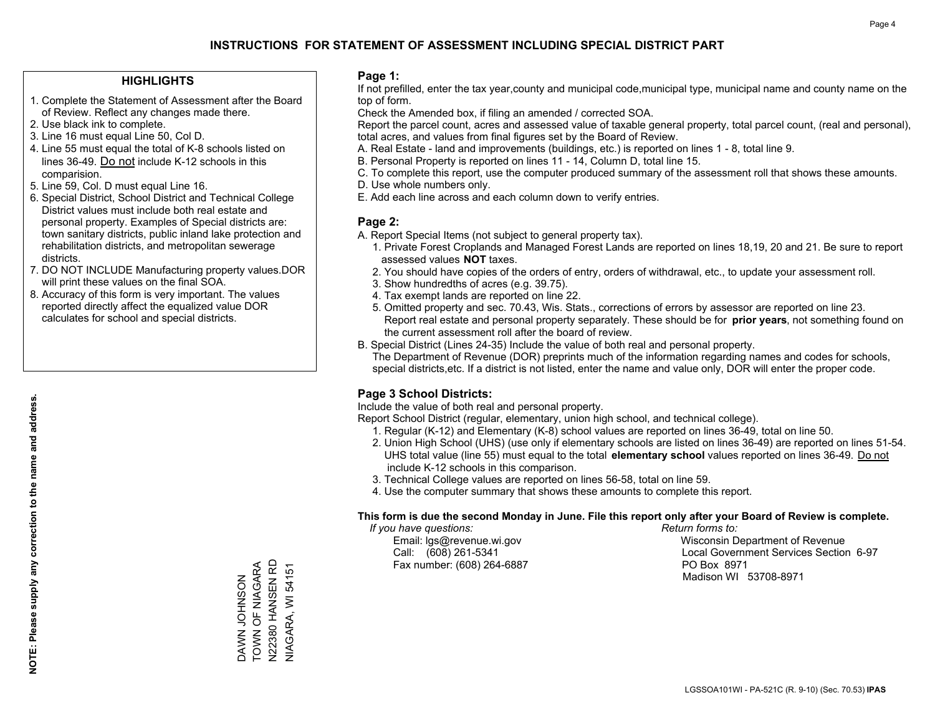### **HIGHLIGHTS**

- 1. Complete the Statement of Assessment after the Board of Review. Reflect any changes made there.
- 2. Use black ink to complete.
- 3. Line 16 must equal Line 50, Col D.
- 4. Line 55 must equal the total of K-8 schools listed on lines 36-49. Do not include K-12 schools in this comparision.
- 5. Line 59, Col. D must equal Line 16.
- 6. Special District, School District and Technical College District values must include both real estate and personal property. Examples of Special districts are: town sanitary districts, public inland lake protection and rehabilitation districts, and metropolitan sewerage districts.
- 7. DO NOT INCLUDE Manufacturing property values.DOR will print these values on the final SOA.
- 8. Accuracy of this form is very important. The values reported directly affect the equalized value DOR calculates for school and special districts.

### **Page 1:**

 If not prefilled, enter the tax year,county and municipal code,municipal type, municipal name and county name on the top of form.

Check the Amended box, if filing an amended / corrected SOA.

 Report the parcel count, acres and assessed value of taxable general property, total parcel count, (real and personal), total acres, and values from final figures set by the Board of Review.

- A. Real Estate land and improvements (buildings, etc.) is reported on lines 1 8, total line 9.
- B. Personal Property is reported on lines 11 14, Column D, total line 15.
- C. To complete this report, use the computer produced summary of the assessment roll that shows these amounts.
- D. Use whole numbers only.
- E. Add each line across and each column down to verify entries.

### **Page 2:**

- A. Report Special Items (not subject to general property tax).
- 1. Private Forest Croplands and Managed Forest Lands are reported on lines 18,19, 20 and 21. Be sure to report assessed values **NOT** taxes.
- 2. You should have copies of the orders of entry, orders of withdrawal, etc., to update your assessment roll.
	- 3. Show hundredths of acres (e.g. 39.75).
- 4. Tax exempt lands are reported on line 22.
- 5. Omitted property and sec. 70.43, Wis. Stats., corrections of errors by assessor are reported on line 23. Report real estate and personal property separately. These should be for **prior years**, not something found on the current assessment roll after the board of review.
- B. Special District (Lines 24-35) Include the value of both real and personal property.
- The Department of Revenue (DOR) preprints much of the information regarding names and codes for schools, special districts,etc. If a district is not listed, enter the name and value only, DOR will enter the proper code.

### **Page 3 School Districts:**

Include the value of both real and personal property.

Report School District (regular, elementary, union high school, and technical college).

- 1. Regular (K-12) and Elementary (K-8) school values are reported on lines 36-49, total on line 50.
- 2. Union High School (UHS) (use only if elementary schools are listed on lines 36-49) are reported on lines 51-54. UHS total value (line 55) must equal to the total **elementary school** values reported on lines 36-49. Do notinclude K-12 schools in this comparison.
- 3. Technical College values are reported on lines 56-58, total on line 59.
- 4. Use the computer summary that shows these amounts to complete this report.

#### **This form is due the second Monday in June. File this report only after your Board of Review is complete.**

 *If you have questions: Return forms to:*

Fax number: (608) 264-6887 PO Box 8971

 Email: lgs@revenue.wi.gov Wisconsin Department of Revenue Call: (608) 261-5341 Local Government Services Section 6-97Madison WI 53708-8971

TOWN OF NIAGARA V22380 HANSEN RD N22380 HANSEN RD DAWN JOHNSON<br>TOWN OF NIAGARA ZOSNHOT NAVA

NIAGARA, WI 54151

**VIAGARA, WI 54151**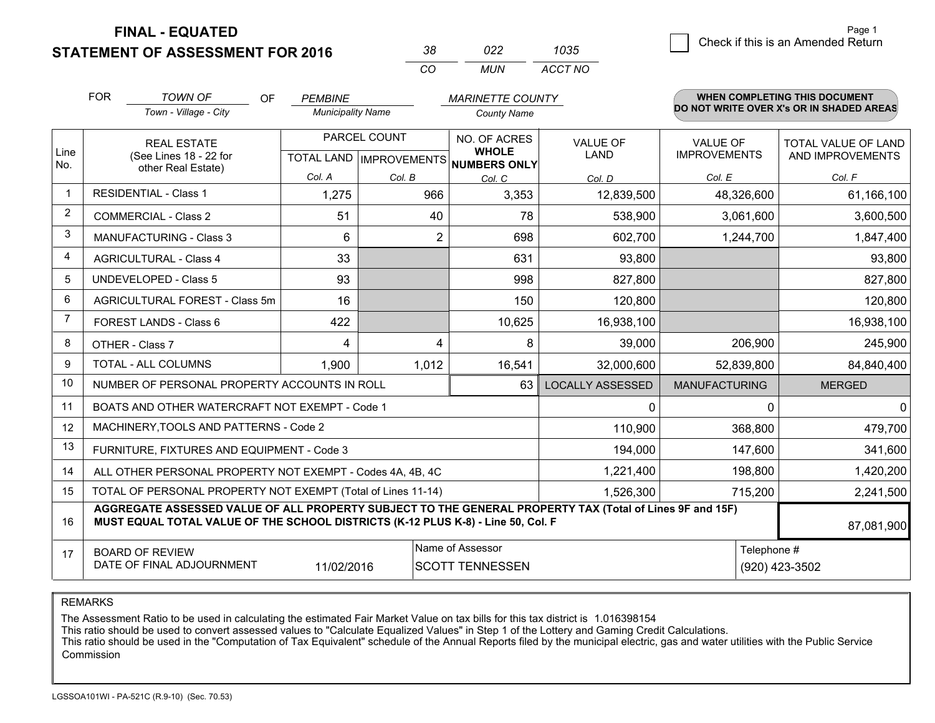**STATEMENT OF ASSESSMENT FOR 2016** 

| 38       | פפח   | 1035    |
|----------|-------|---------|
| $\cdots$ | MI IN | ACCT NO |

|                | <b>FOR</b>                                                                                                      | <b>TOWN OF</b><br>OF                                                                                                                                                                         | <b>PEMBINE</b>           |                | <b>MARINETTE COUNTY</b>                                                                                |                         |                                 | <b>WHEN COMPLETING THIS DOCUMENT</b>     |
|----------------|-----------------------------------------------------------------------------------------------------------------|----------------------------------------------------------------------------------------------------------------------------------------------------------------------------------------------|--------------------------|----------------|--------------------------------------------------------------------------------------------------------|-------------------------|---------------------------------|------------------------------------------|
|                |                                                                                                                 | Town - Village - City                                                                                                                                                                        | <b>Municipality Name</b> |                | <b>County Name</b>                                                                                     |                         |                                 | DO NOT WRITE OVER X's OR IN SHADED AREAS |
| Line<br>No.    | <b>REAL ESTATE</b><br>(See Lines 18 - 22 for<br>other Real Estate)                                              |                                                                                                                                                                                              |                          | PARCEL COUNT   | NO. OF ACRES<br><b>VALUE OF</b><br><b>WHOLE</b><br><b>LAND</b><br>TOTAL LAND IMPROVEMENTS NUMBERS ONLY |                         | VALUE OF<br><b>IMPROVEMENTS</b> | TOTAL VALUE OF LAND<br>AND IMPROVEMENTS  |
|                |                                                                                                                 |                                                                                                                                                                                              | Col. A                   | Col. B         | Col. C                                                                                                 | Col. D                  | Col. E                          | Col. F                                   |
|                |                                                                                                                 | <b>RESIDENTIAL - Class 1</b>                                                                                                                                                                 | 1,275                    | 966            | 3,353                                                                                                  | 12,839,500              | 48,326,600                      | 61,166,100                               |
| 2              |                                                                                                                 | <b>COMMERCIAL - Class 2</b>                                                                                                                                                                  | 51                       | 40             | 78                                                                                                     | 538,900                 | 3,061,600                       | 3,600,500                                |
| 3              |                                                                                                                 | <b>MANUFACTURING - Class 3</b>                                                                                                                                                               | 6                        | $\overline{2}$ | 698                                                                                                    | 602,700                 | 1,244,700                       | 1,847,400                                |
| 4              |                                                                                                                 | <b>AGRICULTURAL - Class 4</b>                                                                                                                                                                | 33                       |                | 631                                                                                                    | 93,800                  |                                 | 93,800                                   |
| 5              |                                                                                                                 | <b>UNDEVELOPED - Class 5</b>                                                                                                                                                                 | 93                       |                | 998                                                                                                    | 827,800                 |                                 | 827,800                                  |
| 6              |                                                                                                                 | AGRICULTURAL FOREST - Class 5m                                                                                                                                                               | 16                       |                | 150                                                                                                    | 120,800                 |                                 | 120,800                                  |
| $\overline{7}$ |                                                                                                                 | FOREST LANDS - Class 6                                                                                                                                                                       | 422                      |                | 10,625                                                                                                 | 16,938,100              |                                 | 16,938,100                               |
| 8              |                                                                                                                 | OTHER - Class 7                                                                                                                                                                              | 4                        | 4              | 8                                                                                                      | 39,000                  | 206,900                         | 245,900                                  |
| 9              |                                                                                                                 | TOTAL - ALL COLUMNS                                                                                                                                                                          | 1,900                    | 1,012          | 16,541                                                                                                 | 32,000,600              | 52,839,800                      | 84,840,400                               |
| 10             |                                                                                                                 | NUMBER OF PERSONAL PROPERTY ACCOUNTS IN ROLL                                                                                                                                                 |                          |                | 63                                                                                                     | <b>LOCALLY ASSESSED</b> | <b>MANUFACTURING</b>            | <b>MERGED</b>                            |
| 11             |                                                                                                                 | BOATS AND OTHER WATERCRAFT NOT EXEMPT - Code 1                                                                                                                                               |                          |                |                                                                                                        | $\Omega$                | 0                               | $\Omega$                                 |
| 12             |                                                                                                                 | MACHINERY, TOOLS AND PATTERNS - Code 2                                                                                                                                                       |                          |                |                                                                                                        | 110,900                 | 368,800                         | 479,700                                  |
| 13             |                                                                                                                 | FURNITURE, FIXTURES AND EQUIPMENT - Code 3                                                                                                                                                   |                          |                |                                                                                                        | 194,000                 | 147,600                         | 341,600                                  |
| 14             |                                                                                                                 | ALL OTHER PERSONAL PROPERTY NOT EXEMPT - Codes 4A, 4B, 4C                                                                                                                                    |                          |                |                                                                                                        | 1,221,400               | 198,800                         | 1,420,200                                |
| 15             |                                                                                                                 | TOTAL OF PERSONAL PROPERTY NOT EXEMPT (Total of Lines 11-14)                                                                                                                                 |                          | 1,526,300      | 715,200                                                                                                | 2,241,500               |                                 |                                          |
| 16             |                                                                                                                 | AGGREGATE ASSESSED VALUE OF ALL PROPERTY SUBJECT TO THE GENERAL PROPERTY TAX (Total of Lines 9F and 15F)<br>MUST EQUAL TOTAL VALUE OF THE SCHOOL DISTRICTS (K-12 PLUS K-8) - Line 50, Col. F |                          |                |                                                                                                        |                         |                                 | 87,081,900                               |
| 17             | Name of Assessor<br><b>BOARD OF REVIEW</b><br>DATE OF FINAL ADJOURNMENT<br>11/02/2016<br><b>SCOTT TENNESSEN</b> |                                                                                                                                                                                              |                          |                |                                                                                                        | Telephone #             | (920) 423-3502                  |                                          |

REMARKS

The Assessment Ratio to be used in calculating the estimated Fair Market Value on tax bills for this tax district is 1.016398154<br>This ratio should be used to convert assessed values to "Calculate Equalized Values" in Step Commission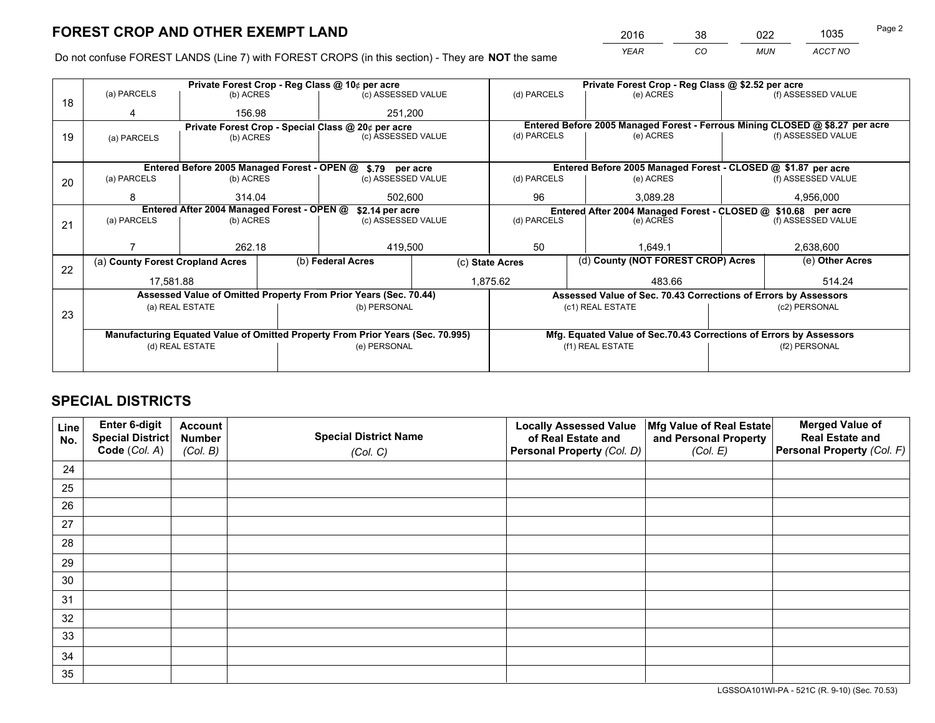*YEAR CO MUN ACCT NO* <sup>2016</sup> <sup>38</sup> <sup>022</sup> <sup>1035</sup>

Do not confuse FOREST LANDS (Line 7) with FOREST CROPS (in this section) - They are **NOT** the same

|    |                                                                                |                 |  | Private Forest Crop - Reg Class @ 10¢ per acre                   |                 | Private Forest Crop - Reg Class @ \$2.52 per acre                                      |                                                                              |                    |                    |  |
|----|--------------------------------------------------------------------------------|-----------------|--|------------------------------------------------------------------|-----------------|----------------------------------------------------------------------------------------|------------------------------------------------------------------------------|--------------------|--------------------|--|
| 18 | (a) PARCELS                                                                    | (b) ACRES       |  | (c) ASSESSED VALUE                                               |                 | (d) PARCELS                                                                            | (e) ACRES                                                                    |                    | (f) ASSESSED VALUE |  |
|    |                                                                                | 156.98          |  | 251,200                                                          |                 |                                                                                        |                                                                              |                    |                    |  |
|    |                                                                                |                 |  | Private Forest Crop - Special Class @ 20¢ per acre               |                 |                                                                                        | Entered Before 2005 Managed Forest - Ferrous Mining CLOSED @ \$8.27 per acre |                    |                    |  |
| 19 | (a) PARCELS                                                                    | (b) ACRES       |  | (c) ASSESSED VALUE                                               |                 | (d) PARCELS                                                                            | (e) ACRES                                                                    |                    | (f) ASSESSED VALUE |  |
|    |                                                                                |                 |  |                                                                  |                 |                                                                                        |                                                                              |                    |                    |  |
|    |                                                                                |                 |  | Entered Before 2005 Managed Forest - OPEN @ \$.79 per acre       |                 |                                                                                        | Entered Before 2005 Managed Forest - CLOSED @ \$1.87 per acre                |                    |                    |  |
| 20 | (a) PARCELS                                                                    | (b) ACRES       |  | (c) ASSESSED VALUE                                               |                 | (d) PARCELS                                                                            | (e) ACRES                                                                    |                    | (f) ASSESSED VALUE |  |
|    | 8                                                                              | 314.04          |  |                                                                  | 502.600         |                                                                                        | 3.089.28                                                                     |                    | 4,956,000          |  |
|    | Entered After 2004 Managed Forest - OPEN @<br>\$2.14 per acre                  |                 |  |                                                                  |                 |                                                                                        | Entered After 2004 Managed Forest - CLOSED @ \$10.68 per acre                |                    |                    |  |
| 21 | (a) PARCELS                                                                    | (b) ACRES       |  | (c) ASSESSED VALUE                                               |                 | (d) PARCELS<br>(e) ACRES                                                               |                                                                              | (f) ASSESSED VALUE |                    |  |
|    |                                                                                |                 |  |                                                                  |                 |                                                                                        |                                                                              |                    |                    |  |
|    |                                                                                | 262.18          |  | 419,500                                                          |                 | 50<br>1.649.1                                                                          |                                                                              |                    | 2,638,600          |  |
|    | (a) County Forest Cropland Acres                                               |                 |  | (b) Federal Acres                                                | (c) State Acres |                                                                                        | (d) County (NOT FOREST CROP) Acres                                           |                    | (e) Other Acres    |  |
| 22 | 17,581.88                                                                      |                 |  |                                                                  | 1,875.62        |                                                                                        | 483.66                                                                       |                    | 514.24             |  |
|    |                                                                                |                 |  | Assessed Value of Omitted Property From Prior Years (Sec. 70.44) |                 |                                                                                        | Assessed Value of Sec. 70.43 Corrections of Errors by Assessors              |                    |                    |  |
|    |                                                                                | (a) REAL ESTATE |  | (b) PERSONAL                                                     |                 |                                                                                        | (c1) REAL ESTATE                                                             |                    | (c2) PERSONAL      |  |
| 23 |                                                                                |                 |  |                                                                  |                 |                                                                                        |                                                                              |                    |                    |  |
|    | Manufacturing Equated Value of Omitted Property From Prior Years (Sec. 70.995) |                 |  |                                                                  |                 |                                                                                        |                                                                              |                    |                    |  |
|    |                                                                                | (d) REAL ESTATE |  | (e) PERSONAL                                                     |                 | Mfg. Equated Value of Sec.70.43 Corrections of Errors by Assessors<br>(f1) REAL ESTATE |                                                                              | (f2) PERSONAL      |                    |  |
|    |                                                                                |                 |  |                                                                  |                 |                                                                                        |                                                                              |                    |                    |  |
|    |                                                                                |                 |  |                                                                  |                 |                                                                                        |                                                                              |                    |                    |  |

## **SPECIAL DISTRICTS**

| Line<br>No. | Enter 6-digit<br><b>Special District</b> | <b>Account</b><br><b>Number</b> | <b>Special District Name</b> | <b>Locally Assessed Value</b><br>of Real Estate and | Mfg Value of Real Estate<br>and Personal Property | <b>Merged Value of</b><br><b>Real Estate and</b> |
|-------------|------------------------------------------|---------------------------------|------------------------------|-----------------------------------------------------|---------------------------------------------------|--------------------------------------------------|
|             | Code (Col. A)                            | (Col. B)                        | (Col. C)                     | Personal Property (Col. D)                          | (Col. E)                                          | Personal Property (Col. F)                       |
| 24          |                                          |                                 |                              |                                                     |                                                   |                                                  |
| 25          |                                          |                                 |                              |                                                     |                                                   |                                                  |
| 26          |                                          |                                 |                              |                                                     |                                                   |                                                  |
| 27          |                                          |                                 |                              |                                                     |                                                   |                                                  |
| 28          |                                          |                                 |                              |                                                     |                                                   |                                                  |
| 29          |                                          |                                 |                              |                                                     |                                                   |                                                  |
| 30          |                                          |                                 |                              |                                                     |                                                   |                                                  |
| 31          |                                          |                                 |                              |                                                     |                                                   |                                                  |
| 32          |                                          |                                 |                              |                                                     |                                                   |                                                  |
| 33          |                                          |                                 |                              |                                                     |                                                   |                                                  |
| 34          |                                          |                                 |                              |                                                     |                                                   |                                                  |
| 35          |                                          |                                 |                              |                                                     |                                                   |                                                  |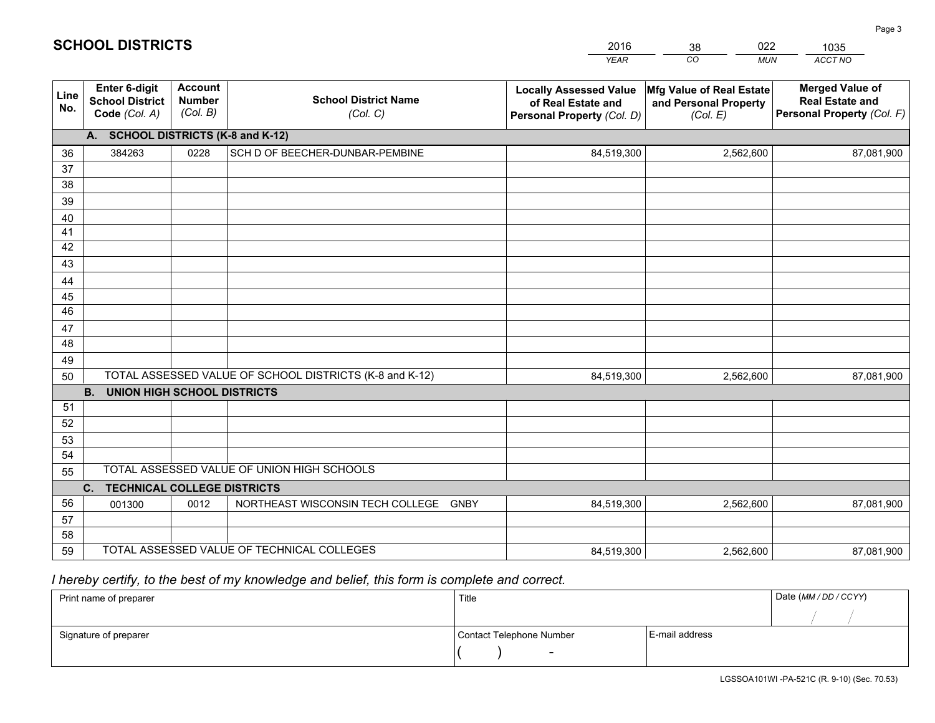|             |                                                          |                                             |                                                         | <b>YEAR</b>                                                                       | $\overline{co}$<br><b>MUN</b>                                 | ACCT NO                                                                        |
|-------------|----------------------------------------------------------|---------------------------------------------|---------------------------------------------------------|-----------------------------------------------------------------------------------|---------------------------------------------------------------|--------------------------------------------------------------------------------|
| Line<br>No. | Enter 6-digit<br><b>School District</b><br>Code (Col. A) | <b>Account</b><br><b>Number</b><br>(Col. B) | <b>School District Name</b><br>(Col. C)                 | <b>Locally Assessed Value</b><br>of Real Estate and<br>Personal Property (Col. D) | Mfg Value of Real Estate<br>and Personal Property<br>(Col. E) | <b>Merged Value of</b><br><b>Real Estate and</b><br>Personal Property (Col. F) |
|             | A. SCHOOL DISTRICTS (K-8 and K-12)                       |                                             |                                                         |                                                                                   |                                                               |                                                                                |
| 36          | 384263                                                   | 0228                                        | SCH D OF BEECHER-DUNBAR-PEMBINE                         | 84,519,300                                                                        | 2,562,600                                                     | 87,081,900                                                                     |
| 37          |                                                          |                                             |                                                         |                                                                                   |                                                               |                                                                                |
| 38          |                                                          |                                             |                                                         |                                                                                   |                                                               |                                                                                |
| 39          |                                                          |                                             |                                                         |                                                                                   |                                                               |                                                                                |
| 40          |                                                          |                                             |                                                         |                                                                                   |                                                               |                                                                                |
| 41          |                                                          |                                             |                                                         |                                                                                   |                                                               |                                                                                |
| 42          |                                                          |                                             |                                                         |                                                                                   |                                                               |                                                                                |
| 43          |                                                          |                                             |                                                         |                                                                                   |                                                               |                                                                                |
| 44          |                                                          |                                             |                                                         |                                                                                   |                                                               |                                                                                |
| 45<br>46    |                                                          |                                             |                                                         |                                                                                   |                                                               |                                                                                |
| 47          |                                                          |                                             |                                                         |                                                                                   |                                                               |                                                                                |
| 48          |                                                          |                                             |                                                         |                                                                                   |                                                               |                                                                                |
| 49          |                                                          |                                             |                                                         |                                                                                   |                                                               |                                                                                |
| 50          |                                                          |                                             | TOTAL ASSESSED VALUE OF SCHOOL DISTRICTS (K-8 and K-12) | 84,519,300                                                                        | 2,562,600                                                     | 87,081,900                                                                     |
|             | <b>B.</b><br><b>UNION HIGH SCHOOL DISTRICTS</b>          |                                             |                                                         |                                                                                   |                                                               |                                                                                |
| 51          |                                                          |                                             |                                                         |                                                                                   |                                                               |                                                                                |
| 52          |                                                          |                                             |                                                         |                                                                                   |                                                               |                                                                                |
| 53          |                                                          |                                             |                                                         |                                                                                   |                                                               |                                                                                |
| 54          |                                                          |                                             |                                                         |                                                                                   |                                                               |                                                                                |
| 55          |                                                          |                                             | TOTAL ASSESSED VALUE OF UNION HIGH SCHOOLS              |                                                                                   |                                                               |                                                                                |
|             | C.<br><b>TECHNICAL COLLEGE DISTRICTS</b>                 |                                             |                                                         |                                                                                   |                                                               |                                                                                |
| 56          | 001300                                                   | 0012                                        | NORTHEAST WISCONSIN TECH COLLEGE GNBY                   | 84,519,300                                                                        | 2,562,600                                                     | 87,081,900                                                                     |
| 57          |                                                          |                                             |                                                         |                                                                                   |                                                               |                                                                                |
| 58          |                                                          |                                             |                                                         |                                                                                   |                                                               |                                                                                |
| 59          |                                                          |                                             | TOTAL ASSESSED VALUE OF TECHNICAL COLLEGES              | 84,519,300                                                                        | 2,562,600                                                     | 87,081,900                                                                     |

38

022

 *I hereby certify, to the best of my knowledge and belief, this form is complete and correct.*

**SCHOOL DISTRICTS**

| Print name of preparer | Title                    |                | Date (MM / DD / CCYY) |
|------------------------|--------------------------|----------------|-----------------------|
|                        |                          |                |                       |
| Signature of preparer  | Contact Telephone Number | E-mail address |                       |
|                        | $\overline{\phantom{0}}$ |                |                       |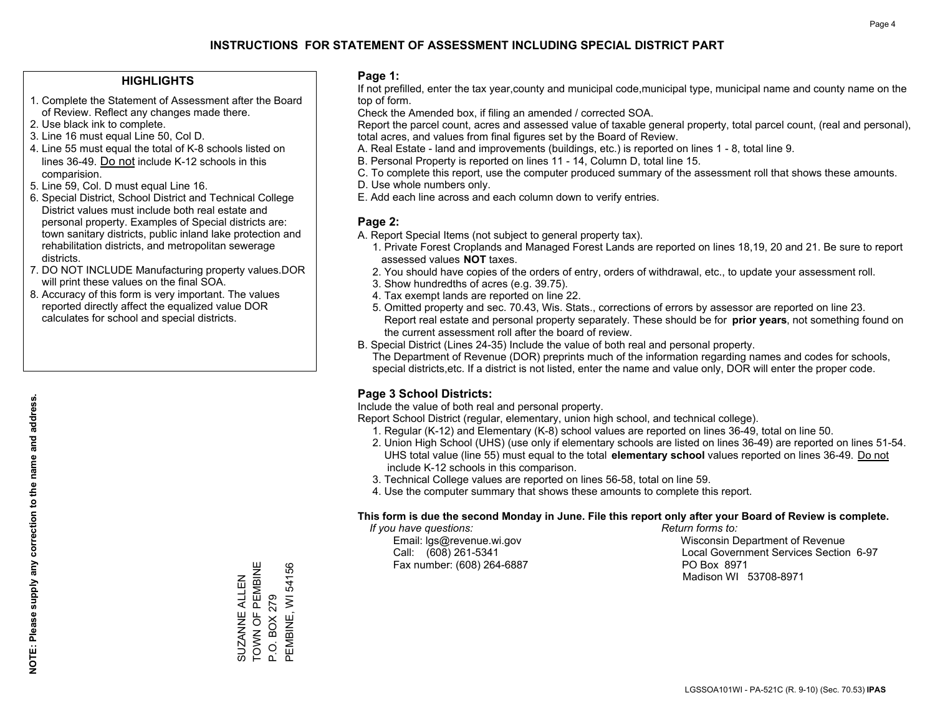### **HIGHLIGHTS**

- 1. Complete the Statement of Assessment after the Board of Review. Reflect any changes made there.
- 2. Use black ink to complete.
- 3. Line 16 must equal Line 50, Col D.
- 4. Line 55 must equal the total of K-8 schools listed on lines 36-49. Do not include K-12 schools in this comparision.
- 5. Line 59, Col. D must equal Line 16.
- 6. Special District, School District and Technical College District values must include both real estate and personal property. Examples of Special districts are: town sanitary districts, public inland lake protection and rehabilitation districts, and metropolitan sewerage districts.
- 7. DO NOT INCLUDE Manufacturing property values.DOR will print these values on the final SOA.
- 8. Accuracy of this form is very important. The values reported directly affect the equalized value DOR calculates for school and special districts.

### **Page 1:**

 If not prefilled, enter the tax year,county and municipal code,municipal type, municipal name and county name on the top of form.

Check the Amended box, if filing an amended / corrected SOA.

 Report the parcel count, acres and assessed value of taxable general property, total parcel count, (real and personal), total acres, and values from final figures set by the Board of Review.

- A. Real Estate land and improvements (buildings, etc.) is reported on lines 1 8, total line 9.
- B. Personal Property is reported on lines 11 14, Column D, total line 15.
- C. To complete this report, use the computer produced summary of the assessment roll that shows these amounts.
- D. Use whole numbers only.
- E. Add each line across and each column down to verify entries.

### **Page 2:**

- A. Report Special Items (not subject to general property tax).
- 1. Private Forest Croplands and Managed Forest Lands are reported on lines 18,19, 20 and 21. Be sure to report assessed values **NOT** taxes.
- 2. You should have copies of the orders of entry, orders of withdrawal, etc., to update your assessment roll.
	- 3. Show hundredths of acres (e.g. 39.75).
- 4. Tax exempt lands are reported on line 22.
- 5. Omitted property and sec. 70.43, Wis. Stats., corrections of errors by assessor are reported on line 23. Report real estate and personal property separately. These should be for **prior years**, not something found on the current assessment roll after the board of review.
- B. Special District (Lines 24-35) Include the value of both real and personal property.
- The Department of Revenue (DOR) preprints much of the information regarding names and codes for schools, special districts,etc. If a district is not listed, enter the name and value only, DOR will enter the proper code.

### **Page 3 School Districts:**

Include the value of both real and personal property.

Report School District (regular, elementary, union high school, and technical college).

- 1. Regular (K-12) and Elementary (K-8) school values are reported on lines 36-49, total on line 50.
- 2. Union High School (UHS) (use only if elementary schools are listed on lines 36-49) are reported on lines 51-54. UHS total value (line 55) must equal to the total **elementary school** values reported on lines 36-49. Do notinclude K-12 schools in this comparison.
- 3. Technical College values are reported on lines 56-58, total on line 59.
- 4. Use the computer summary that shows these amounts to complete this report.

#### **This form is due the second Monday in June. File this report only after your Board of Review is complete.**

 *If you have questions: Return forms to:*

Fax number: (608) 264-6887 PO Box 8971

 Email: lgs@revenue.wi.gov Wisconsin Department of Revenue Call: (608) 261-5341 Local Government Services Section 6-97Madison WI 53708-8971

TOWN OF PEMBINE SUZANNE ALLEN<br>TOWN OF PEMBINE PEMBINE, WI 54156 PEMBINE, WI 54156 SUZANNE ALLEN P.O. BOX 279 P.O. BOX 279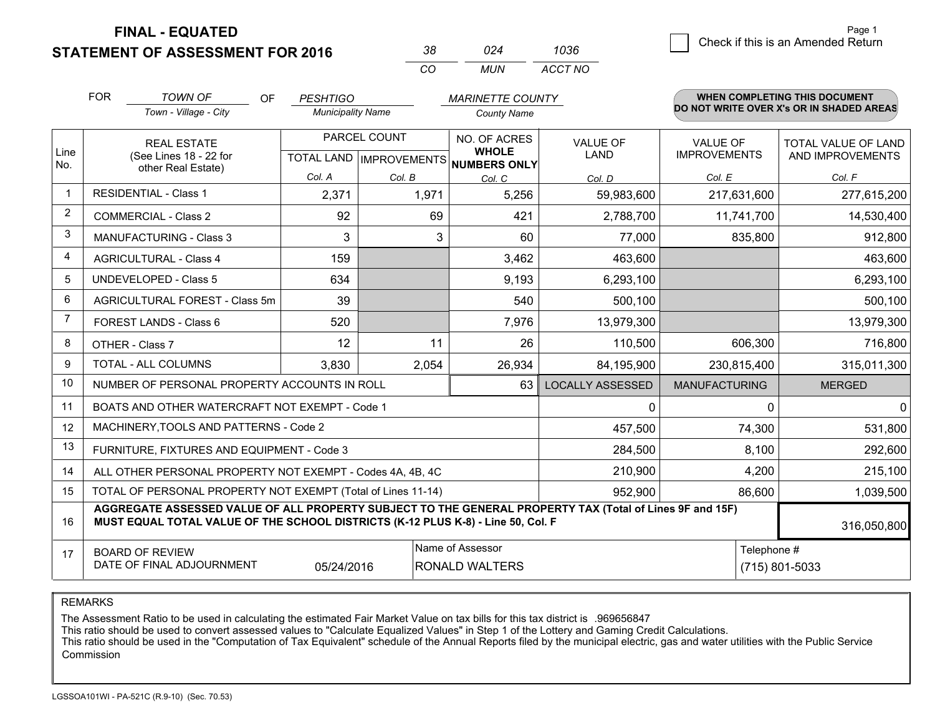**STATEMENT OF ASSESSMENT FOR 2016** 

| ≺×           | በጋፈ   | 1036    |
|--------------|-------|---------|
| $\mathbf{r}$ | MI IN | ACCT NO |

|                | <b>FOR</b> | <b>TOWN OF</b><br>OF                                                                                                                                                                         | <b>PESHTIGO</b>          |              | <b>MARINETTE COUNTY</b>                   |                                |                                        | <b>WHEN COMPLETING THIS DOCUMENT</b>           |
|----------------|------------|----------------------------------------------------------------------------------------------------------------------------------------------------------------------------------------------|--------------------------|--------------|-------------------------------------------|--------------------------------|----------------------------------------|------------------------------------------------|
|                |            | Town - Village - City                                                                                                                                                                        | <b>Municipality Name</b> |              | <b>County Name</b>                        |                                |                                        | DO NOT WRITE OVER X's OR IN SHADED AREAS       |
| Line           |            | <b>REAL ESTATE</b><br>(See Lines 18 - 22 for                                                                                                                                                 |                          | PARCEL COUNT | NO. OF ACRES<br><b>WHOLE</b>              | <b>VALUE OF</b><br><b>LAND</b> | <b>VALUE OF</b><br><b>IMPROVEMENTS</b> | <b>TOTAL VALUE OF LAND</b><br>AND IMPROVEMENTS |
| No.            |            | other Real Estate)                                                                                                                                                                           | Col. A                   | Col. B       | TOTAL LAND IMPROVEMENTS NUMBERS ONLY      |                                | Col. E                                 | Col. F                                         |
| $\mathbf 1$    |            | <b>RESIDENTIAL - Class 1</b>                                                                                                                                                                 | 2,371                    | 1,971        | Col. C<br>5,256                           | Col. D<br>59,983,600           | 217,631,600                            | 277,615,200                                    |
| 2              |            | <b>COMMERCIAL - Class 2</b>                                                                                                                                                                  | 92                       | 69           | 421                                       | 2,788,700                      | 11,741,700                             | 14,530,400                                     |
| 3              |            | <b>MANUFACTURING - Class 3</b>                                                                                                                                                               | 3                        |              | 3<br>60                                   | 77,000                         | 835,800                                | 912,800                                        |
| 4              |            | <b>AGRICULTURAL - Class 4</b>                                                                                                                                                                | 159                      |              | 3,462                                     | 463,600                        |                                        | 463,600                                        |
| 5              |            | <b>UNDEVELOPED - Class 5</b>                                                                                                                                                                 | 634                      |              | 9,193                                     | 6,293,100                      |                                        | 6,293,100                                      |
| 6              |            | AGRICULTURAL FOREST - Class 5m                                                                                                                                                               | 39                       |              | 540                                       | 500,100                        |                                        | 500,100                                        |
| $\overline{7}$ |            | FOREST LANDS - Class 6                                                                                                                                                                       | 520                      |              | 7,976                                     | 13,979,300                     |                                        | 13,979,300                                     |
| 8              |            | OTHER - Class 7                                                                                                                                                                              | 12                       | 11           | 26                                        | 110,500                        | 606,300                                | 716,800                                        |
| 9              |            | TOTAL - ALL COLUMNS                                                                                                                                                                          | 3,830                    | 2,054        | 26,934                                    | 84,195,900                     | 230,815,400                            | 315,011,300                                    |
| 10             |            | NUMBER OF PERSONAL PROPERTY ACCOUNTS IN ROLL                                                                                                                                                 |                          |              | 63                                        | <b>LOCALLY ASSESSED</b>        | <b>MANUFACTURING</b>                   | <b>MERGED</b>                                  |
| 11             |            | BOATS AND OTHER WATERCRAFT NOT EXEMPT - Code 1                                                                                                                                               |                          |              |                                           | $\mathbf{0}$                   | $\Omega$                               | 0                                              |
| 12             |            | MACHINERY, TOOLS AND PATTERNS - Code 2                                                                                                                                                       |                          |              |                                           | 457,500                        | 74,300                                 | 531,800                                        |
| 13             |            | FURNITURE, FIXTURES AND EQUIPMENT - Code 3                                                                                                                                                   |                          |              |                                           | 284,500                        | 8,100                                  | 292,600                                        |
| 14             |            | ALL OTHER PERSONAL PROPERTY NOT EXEMPT - Codes 4A, 4B, 4C                                                                                                                                    |                          |              |                                           | 210,900                        | 4,200                                  | 215,100                                        |
| 15             |            | TOTAL OF PERSONAL PROPERTY NOT EXEMPT (Total of Lines 11-14)                                                                                                                                 |                          |              |                                           | 952,900                        | 86,600                                 | 1,039,500                                      |
| 16             |            | AGGREGATE ASSESSED VALUE OF ALL PROPERTY SUBJECT TO THE GENERAL PROPERTY TAX (Total of Lines 9F and 15F)<br>MUST EQUAL TOTAL VALUE OF THE SCHOOL DISTRICTS (K-12 PLUS K-8) - Line 50, Col. F |                          |              |                                           |                                |                                        | 316,050,800                                    |
| 17             |            | <b>BOARD OF REVIEW</b><br>DATE OF FINAL ADJOURNMENT                                                                                                                                          | 05/24/2016               |              | Name of Assessor<br><b>RONALD WALTERS</b> |                                | Telephone #                            | (715) 801-5033                                 |
|                |            |                                                                                                                                                                                              |                          |              |                                           |                                |                                        |                                                |

REMARKS

The Assessment Ratio to be used in calculating the estimated Fair Market Value on tax bills for this tax district is .969656847<br>This ratio should be used to convert assessed values to "Calculate Equalized Values" in Step 1 Commission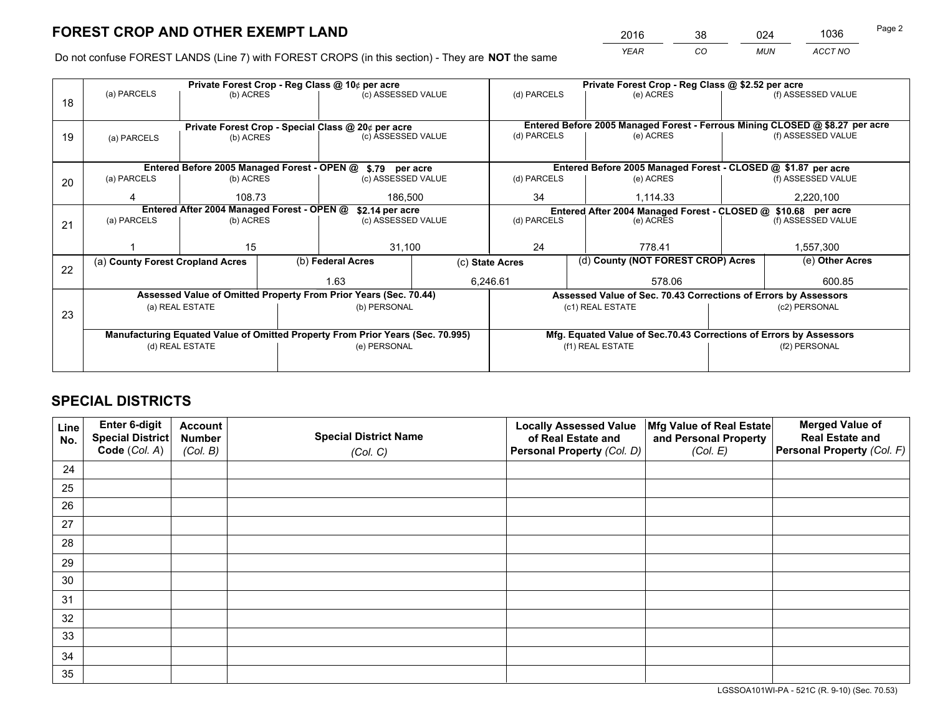*YEAR CO MUN ACCT NO* <sup>2016</sup> <sup>38</sup> <sup>024</sup> <sup>1036</sup>

Do not confuse FOREST LANDS (Line 7) with FOREST CROPS (in this section) - They are **NOT** the same

|    |                                                               |                   |  | Private Forest Crop - Reg Class @ 10¢ per acre                                 |                                                                              | Private Forest Crop - Reg Class @ \$2.52 per acre             |           |                                                                    |                    |                    |
|----|---------------------------------------------------------------|-------------------|--|--------------------------------------------------------------------------------|------------------------------------------------------------------------------|---------------------------------------------------------------|-----------|--------------------------------------------------------------------|--------------------|--------------------|
| 18 | (a) PARCELS                                                   | (b) ACRES         |  | (c) ASSESSED VALUE                                                             |                                                                              | (d) PARCELS                                                   |           | (e) ACRES                                                          |                    | (f) ASSESSED VALUE |
|    |                                                               |                   |  |                                                                                |                                                                              |                                                               |           |                                                                    |                    |                    |
|    | Private Forest Crop - Special Class @ 20¢ per acre            |                   |  |                                                                                | Entered Before 2005 Managed Forest - Ferrous Mining CLOSED @ \$8.27 per acre |                                                               |           |                                                                    |                    |                    |
| 19 | (c) ASSESSED VALUE<br>(b) ACRES<br>(a) PARCELS                |                   |  | (d) PARCELS                                                                    |                                                                              | (e) ACRES                                                     |           | (f) ASSESSED VALUE                                                 |                    |                    |
|    |                                                               |                   |  |                                                                                |                                                                              |                                                               |           |                                                                    |                    |                    |
|    |                                                               |                   |  | Entered Before 2005 Managed Forest - OPEN @ \$.79 per acre                     |                                                                              |                                                               |           | Entered Before 2005 Managed Forest - CLOSED @ \$1.87 per acre      |                    |                    |
| 20 | (a) PARCELS                                                   | (b) ACRES         |  | (c) ASSESSED VALUE                                                             |                                                                              | (d) PARCELS                                                   |           | (e) ACRES                                                          |                    | (f) ASSESSED VALUE |
|    | Δ                                                             | 108.73<br>186,500 |  |                                                                                | 34                                                                           |                                                               | 1.114.33  |                                                                    | 2,220,100          |                    |
|    | Entered After 2004 Managed Forest - OPEN @<br>\$2.14 per acre |                   |  |                                                                                |                                                                              | Entered After 2004 Managed Forest - CLOSED @ \$10.68 per acre |           |                                                                    |                    |                    |
| 21 | (a) PARCELS                                                   | (b) ACRES         |  | (c) ASSESSED VALUE                                                             | (d) PARCELS                                                                  |                                                               | (e) ACRES |                                                                    | (f) ASSESSED VALUE |                    |
|    |                                                               |                   |  |                                                                                |                                                                              |                                                               |           |                                                                    |                    |                    |
|    |                                                               | 15                |  | 31,100                                                                         |                                                                              | 24<br>778.41                                                  |           | 1,557,300                                                          |                    |                    |
| 22 | (a) County Forest Cropland Acres                              |                   |  | (b) Federal Acres                                                              | (c) State Acres                                                              |                                                               |           | (d) County (NOT FOREST CROP) Acres                                 |                    | (e) Other Acres    |
|    |                                                               |                   |  | 1.63<br>6,246.61                                                               |                                                                              | 578.06                                                        |           |                                                                    |                    | 600.85             |
|    |                                                               |                   |  | Assessed Value of Omitted Property From Prior Years (Sec. 70.44)               |                                                                              |                                                               |           | Assessed Value of Sec. 70.43 Corrections of Errors by Assessors    |                    |                    |
| 23 |                                                               | (a) REAL ESTATE   |  | (b) PERSONAL                                                                   |                                                                              |                                                               |           | (c1) REAL ESTATE                                                   |                    | (c2) PERSONAL      |
|    |                                                               |                   |  |                                                                                |                                                                              |                                                               |           |                                                                    |                    |                    |
|    |                                                               |                   |  | Manufacturing Equated Value of Omitted Property From Prior Years (Sec. 70.995) |                                                                              |                                                               |           | Mfg. Equated Value of Sec.70.43 Corrections of Errors by Assessors |                    |                    |
|    |                                                               | (d) REAL ESTATE   |  | (e) PERSONAL                                                                   |                                                                              | (f1) REAL ESTATE                                              |           | (f2) PERSONAL                                                      |                    |                    |
|    |                                                               |                   |  |                                                                                |                                                                              |                                                               |           |                                                                    |                    |                    |

## **SPECIAL DISTRICTS**

| Line<br>No. | Enter 6-digit<br>Special District<br>Code (Col. A) | <b>Account</b><br><b>Number</b> | <b>Special District Name</b> | <b>Locally Assessed Value</b><br>of Real Estate and | Mfg Value of Real Estate<br>and Personal Property | <b>Merged Value of</b><br><b>Real Estate and</b><br>Personal Property (Col. F) |
|-------------|----------------------------------------------------|---------------------------------|------------------------------|-----------------------------------------------------|---------------------------------------------------|--------------------------------------------------------------------------------|
|             |                                                    | (Col. B)                        | (Col. C)                     | Personal Property (Col. D)                          | (Col. E)                                          |                                                                                |
| 24          |                                                    |                                 |                              |                                                     |                                                   |                                                                                |
| 25          |                                                    |                                 |                              |                                                     |                                                   |                                                                                |
| 26          |                                                    |                                 |                              |                                                     |                                                   |                                                                                |
| 27          |                                                    |                                 |                              |                                                     |                                                   |                                                                                |
| 28          |                                                    |                                 |                              |                                                     |                                                   |                                                                                |
| 29          |                                                    |                                 |                              |                                                     |                                                   |                                                                                |
| 30          |                                                    |                                 |                              |                                                     |                                                   |                                                                                |
| 31          |                                                    |                                 |                              |                                                     |                                                   |                                                                                |
| 32          |                                                    |                                 |                              |                                                     |                                                   |                                                                                |
| 33          |                                                    |                                 |                              |                                                     |                                                   |                                                                                |
| 34          |                                                    |                                 |                              |                                                     |                                                   |                                                                                |
| 35          |                                                    |                                 |                              |                                                     |                                                   |                                                                                |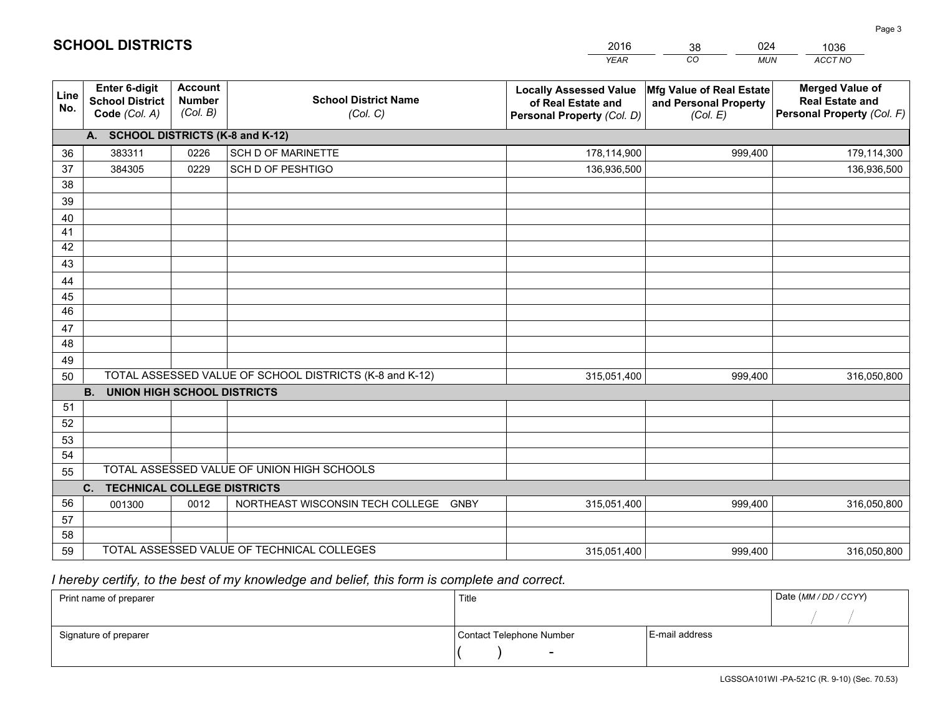|                       |                                                                 |                                             |                                                         | <b>YEAR</b>                                                                       | CO<br><b>MUN</b>                                              | ACCT NO                                                                        |
|-----------------------|-----------------------------------------------------------------|---------------------------------------------|---------------------------------------------------------|-----------------------------------------------------------------------------------|---------------------------------------------------------------|--------------------------------------------------------------------------------|
| Line<br>No.           | <b>Enter 6-digit</b><br><b>School District</b><br>Code (Col. A) | <b>Account</b><br><b>Number</b><br>(Col. B) | <b>School District Name</b><br>(Col. C)                 | <b>Locally Assessed Value</b><br>of Real Estate and<br>Personal Property (Col. D) | Mfg Value of Real Estate<br>and Personal Property<br>(Col. E) | <b>Merged Value of</b><br><b>Real Estate and</b><br>Personal Property (Col. F) |
|                       | A. SCHOOL DISTRICTS (K-8 and K-12)                              |                                             |                                                         |                                                                                   |                                                               |                                                                                |
| 36                    | 383311                                                          | 0226                                        | <b>SCH D OF MARINETTE</b>                               | 178,114,900                                                                       | 999,400                                                       | 179,114,300                                                                    |
| 37                    | 384305                                                          | 0229                                        | SCH D OF PESHTIGO                                       | 136,936,500                                                                       |                                                               | 136,936,500                                                                    |
| 38                    |                                                                 |                                             |                                                         |                                                                                   |                                                               |                                                                                |
| 39                    |                                                                 |                                             |                                                         |                                                                                   |                                                               |                                                                                |
| 40                    |                                                                 |                                             |                                                         |                                                                                   |                                                               |                                                                                |
| 41                    |                                                                 |                                             |                                                         |                                                                                   |                                                               |                                                                                |
| 42                    |                                                                 |                                             |                                                         |                                                                                   |                                                               |                                                                                |
| 43                    |                                                                 |                                             |                                                         |                                                                                   |                                                               |                                                                                |
| 44                    |                                                                 |                                             |                                                         |                                                                                   |                                                               |                                                                                |
| 45<br>$\overline{46}$ |                                                                 |                                             |                                                         |                                                                                   |                                                               |                                                                                |
|                       |                                                                 |                                             |                                                         |                                                                                   |                                                               |                                                                                |
| 47<br>48              |                                                                 |                                             |                                                         |                                                                                   |                                                               |                                                                                |
| 49                    |                                                                 |                                             |                                                         |                                                                                   |                                                               |                                                                                |
| 50                    |                                                                 |                                             | TOTAL ASSESSED VALUE OF SCHOOL DISTRICTS (K-8 and K-12) | 315,051,400                                                                       | 999,400                                                       | 316,050,800                                                                    |
|                       | <b>B.</b><br><b>UNION HIGH SCHOOL DISTRICTS</b>                 |                                             |                                                         |                                                                                   |                                                               |                                                                                |
| 51                    |                                                                 |                                             |                                                         |                                                                                   |                                                               |                                                                                |
| 52                    |                                                                 |                                             |                                                         |                                                                                   |                                                               |                                                                                |
| 53                    |                                                                 |                                             |                                                         |                                                                                   |                                                               |                                                                                |
| 54                    |                                                                 |                                             |                                                         |                                                                                   |                                                               |                                                                                |
| 55                    |                                                                 |                                             | TOTAL ASSESSED VALUE OF UNION HIGH SCHOOLS              |                                                                                   |                                                               |                                                                                |
|                       | C.<br><b>TECHNICAL COLLEGE DISTRICTS</b>                        |                                             |                                                         |                                                                                   |                                                               |                                                                                |
| 56                    | 001300                                                          | 0012                                        | NORTHEAST WISCONSIN TECH COLLEGE<br>GNBY                | 315,051,400                                                                       | 999,400                                                       | 316,050,800                                                                    |
| 57                    |                                                                 |                                             |                                                         |                                                                                   |                                                               |                                                                                |
| 58                    |                                                                 |                                             |                                                         |                                                                                   |                                                               |                                                                                |
| 59                    |                                                                 |                                             | TOTAL ASSESSED VALUE OF TECHNICAL COLLEGES              | 315,051,400                                                                       | 999,400                                                       | 316,050,800                                                                    |

38

024

 *I hereby certify, to the best of my knowledge and belief, this form is complete and correct.*

**SCHOOL DISTRICTS**

| Print name of preparer | Title                    |                | Date (MM / DD / CCYY) |
|------------------------|--------------------------|----------------|-----------------------|
|                        |                          |                |                       |
| Signature of preparer  | Contact Telephone Number | E-mail address |                       |
|                        | $\overline{\phantom{a}}$ |                |                       |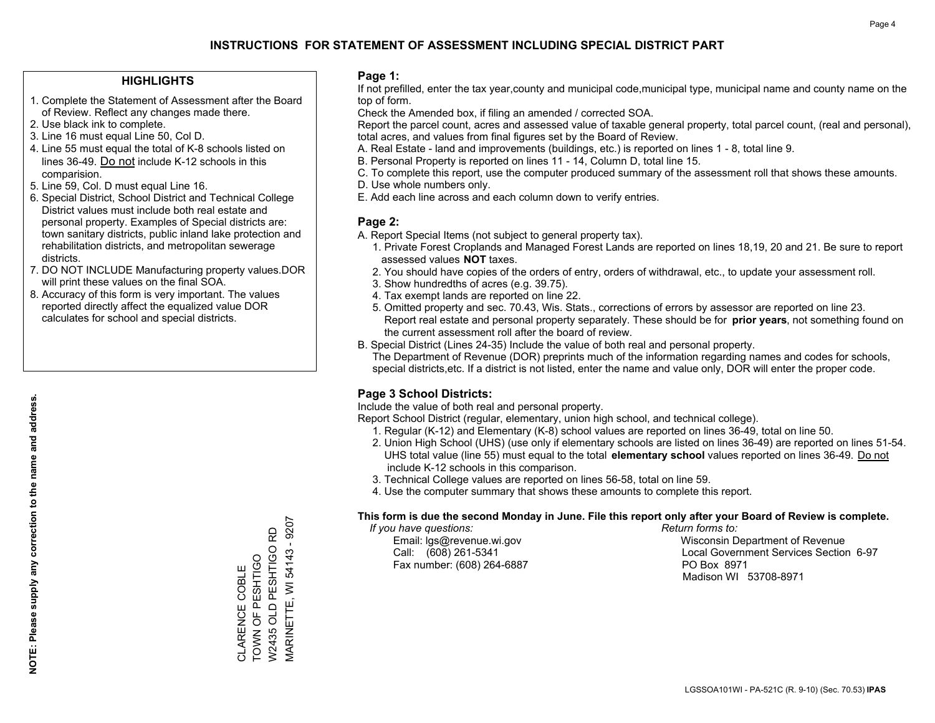### **HIGHLIGHTS**

- 1. Complete the Statement of Assessment after the Board of Review. Reflect any changes made there.
- 2. Use black ink to complete.
- 3. Line 16 must equal Line 50, Col D.
- 4. Line 55 must equal the total of K-8 schools listed on lines 36-49. Do not include K-12 schools in this comparision.
- 5. Line 59, Col. D must equal Line 16.
- 6. Special District, School District and Technical College District values must include both real estate and personal property. Examples of Special districts are: town sanitary districts, public inland lake protection and rehabilitation districts, and metropolitan sewerage districts.
- 7. DO NOT INCLUDE Manufacturing property values.DOR will print these values on the final SOA.
- 8. Accuracy of this form is very important. The values reported directly affect the equalized value DOR calculates for school and special districts.

### **Page 1:**

 If not prefilled, enter the tax year,county and municipal code,municipal type, municipal name and county name on the top of form.

Check the Amended box, if filing an amended / corrected SOA.

 Report the parcel count, acres and assessed value of taxable general property, total parcel count, (real and personal), total acres, and values from final figures set by the Board of Review.

- A. Real Estate land and improvements (buildings, etc.) is reported on lines 1 8, total line 9.
- B. Personal Property is reported on lines 11 14, Column D, total line 15.
- C. To complete this report, use the computer produced summary of the assessment roll that shows these amounts.
- D. Use whole numbers only.
- E. Add each line across and each column down to verify entries.

### **Page 2:**

- A. Report Special Items (not subject to general property tax).
- 1. Private Forest Croplands and Managed Forest Lands are reported on lines 18,19, 20 and 21. Be sure to report assessed values **NOT** taxes.
- 2. You should have copies of the orders of entry, orders of withdrawal, etc., to update your assessment roll.
	- 3. Show hundredths of acres (e.g. 39.75).
- 4. Tax exempt lands are reported on line 22.
- 5. Omitted property and sec. 70.43, Wis. Stats., corrections of errors by assessor are reported on line 23. Report real estate and personal property separately. These should be for **prior years**, not something found on the current assessment roll after the board of review.
- B. Special District (Lines 24-35) Include the value of both real and personal property.
- The Department of Revenue (DOR) preprints much of the information regarding names and codes for schools, special districts,etc. If a district is not listed, enter the name and value only, DOR will enter the proper code.

## **Page 3 School Districts:**

Include the value of both real and personal property.

Report School District (regular, elementary, union high school, and technical college).

- 1. Regular (K-12) and Elementary (K-8) school values are reported on lines 36-49, total on line 50.
- 2. Union High School (UHS) (use only if elementary schools are listed on lines 36-49) are reported on lines 51-54. UHS total value (line 55) must equal to the total **elementary school** values reported on lines 36-49. Do notinclude K-12 schools in this comparison.
- 3. Technical College values are reported on lines 56-58, total on line 59.
- 4. Use the computer summary that shows these amounts to complete this report.

#### **This form is due the second Monday in June. File this report only after your Board of Review is complete.**

 *If you have questions: Return forms to:*

Fax number: (608) 264-6887 PO Box 8971

 Email: lgs@revenue.wi.gov Wisconsin Department of Revenue Call: (608) 261-5341 Local Government Services Section 6-97Madison WI 53708-8971

**MARINETTE, WI 54143 - 9207** MARINETTE, WI 54143 - 9207 W2435 OLD PESHTIGO RD W2435 OLD PESHTIGO RD CLARENCE COBLE<br>TOWN OF PESHTIGO TOWN OF PESHTIGO CLARENCE COBLE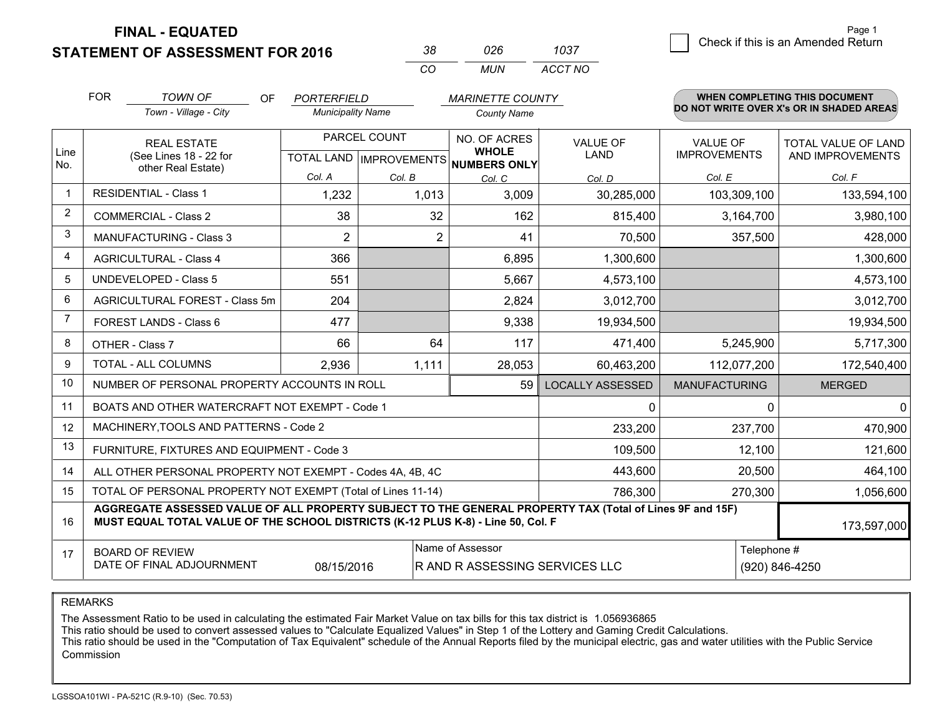**STATEMENT OF ASSESSMENT FOR 2016** 

| 38 | กวค | 1037    |
|----|-----|---------|
| (  | MUN | ACCT NO |

|                | <b>FOR</b>                                                                                                                                                                                   | <b>TOWN OF</b><br>OF                                         | <b>PORTERFIELD</b>                        |        | <b>MARINETTE COUNTY</b>                            |                                |                                        | <b>WHEN COMPLETING THIS DOCUMENT</b>     |
|----------------|----------------------------------------------------------------------------------------------------------------------------------------------------------------------------------------------|--------------------------------------------------------------|-------------------------------------------|--------|----------------------------------------------------|--------------------------------|----------------------------------------|------------------------------------------|
|                |                                                                                                                                                                                              | Town - Village - City                                        | <b>Municipality Name</b>                  |        | <b>County Name</b>                                 |                                |                                        | DO NOT WRITE OVER X's OR IN SHADED AREAS |
| Line           | <b>REAL ESTATE</b><br>(See Lines 18 - 22 for                                                                                                                                                 |                                                              | PARCEL COUNT<br>TOTAL LAND   IMPROVEMENTS |        | NO. OF ACRES<br><b>WHOLE</b><br>NUMBERS ONLY       | <b>VALUE OF</b><br><b>LAND</b> | <b>VALUE OF</b><br><b>IMPROVEMENTS</b> | TOTAL VALUE OF LAND<br>AND IMPROVEMENTS  |
| No.            |                                                                                                                                                                                              | other Real Estate)                                           | Col. A                                    | Col. B | Col. C                                             | Col. D                         | Col. E                                 | Col. F                                   |
|                |                                                                                                                                                                                              | <b>RESIDENTIAL - Class 1</b>                                 | 1,232                                     | 1,013  | 3,009                                              | 30,285,000                     | 103,309,100                            | 133,594,100                              |
| 2              |                                                                                                                                                                                              | <b>COMMERCIAL - Class 2</b>                                  | 38                                        | 32     | 162                                                | 815,400                        | 3,164,700                              | 3,980,100                                |
| 3              |                                                                                                                                                                                              | <b>MANUFACTURING - Class 3</b>                               | $\overline{2}$                            | 2      | 41                                                 | 70,500                         | 357,500                                | 428,000                                  |
| 4              |                                                                                                                                                                                              | <b>AGRICULTURAL - Class 4</b>                                | 366                                       |        | 6,895                                              | 1,300,600                      |                                        | 1,300,600                                |
| 5              |                                                                                                                                                                                              | <b>UNDEVELOPED - Class 5</b>                                 | 551                                       |        | 5,667                                              | 4,573,100                      |                                        | 4,573,100                                |
| 6              |                                                                                                                                                                                              | AGRICULTURAL FOREST - Class 5m                               | 204                                       |        | 2,824                                              | 3,012,700                      |                                        | 3,012,700                                |
| $\overline{7}$ |                                                                                                                                                                                              | FOREST LANDS - Class 6                                       | 477                                       |        | 9,338                                              | 19,934,500                     |                                        | 19,934,500                               |
| 8              |                                                                                                                                                                                              | OTHER - Class 7                                              | 66                                        | 64     | 117                                                | 471,400                        | 5,245,900                              | 5,717,300                                |
| 9              |                                                                                                                                                                                              | TOTAL - ALL COLUMNS                                          | 2,936                                     | 1,111  | 28,053                                             | 60,463,200                     | 112,077,200                            | 172,540,400                              |
| 10             |                                                                                                                                                                                              | NUMBER OF PERSONAL PROPERTY ACCOUNTS IN ROLL                 |                                           |        | 59                                                 | <b>LOCALLY ASSESSED</b>        | <b>MANUFACTURING</b>                   | <b>MERGED</b>                            |
| 11             |                                                                                                                                                                                              | BOATS AND OTHER WATERCRAFT NOT EXEMPT - Code 1               |                                           |        |                                                    | 0                              | $\Omega$                               | $\mathbf{0}$                             |
| 12             |                                                                                                                                                                                              | MACHINERY, TOOLS AND PATTERNS - Code 2                       |                                           |        |                                                    | 233,200                        | 237,700                                | 470,900                                  |
| 13             |                                                                                                                                                                                              | FURNITURE, FIXTURES AND EQUIPMENT - Code 3                   |                                           |        |                                                    | 109,500                        | 12,100                                 | 121,600                                  |
| 14             |                                                                                                                                                                                              | ALL OTHER PERSONAL PROPERTY NOT EXEMPT - Codes 4A, 4B, 4C    |                                           |        |                                                    | 443,600                        | 20,500                                 | 464,100                                  |
| 15             |                                                                                                                                                                                              | TOTAL OF PERSONAL PROPERTY NOT EXEMPT (Total of Lines 11-14) |                                           |        |                                                    | 786,300                        | 270,300                                | 1,056,600                                |
| 16             | AGGREGATE ASSESSED VALUE OF ALL PROPERTY SUBJECT TO THE GENERAL PROPERTY TAX (Total of Lines 9F and 15F)<br>MUST EQUAL TOTAL VALUE OF THE SCHOOL DISTRICTS (K-12 PLUS K-8) - Line 50, Col. F |                                                              |                                           |        |                                                    |                                | 173,597,000                            |                                          |
| 17             |                                                                                                                                                                                              | <b>BOARD OF REVIEW</b><br>DATE OF FINAL ADJOURNMENT          | 08/15/2016                                |        | Name of Assessor<br>R AND R ASSESSING SERVICES LLC |                                | Telephone #                            | (920) 846-4250                           |

REMARKS

The Assessment Ratio to be used in calculating the estimated Fair Market Value on tax bills for this tax district is 1.056936865

This ratio should be used to convert assessed values to "Calculate Equalized Values" in Step 1 of the Lottery and Gaming Credit Calculations.<br>This ratio should be used in the "Computation of Tax Equivalent" schedule of the Commission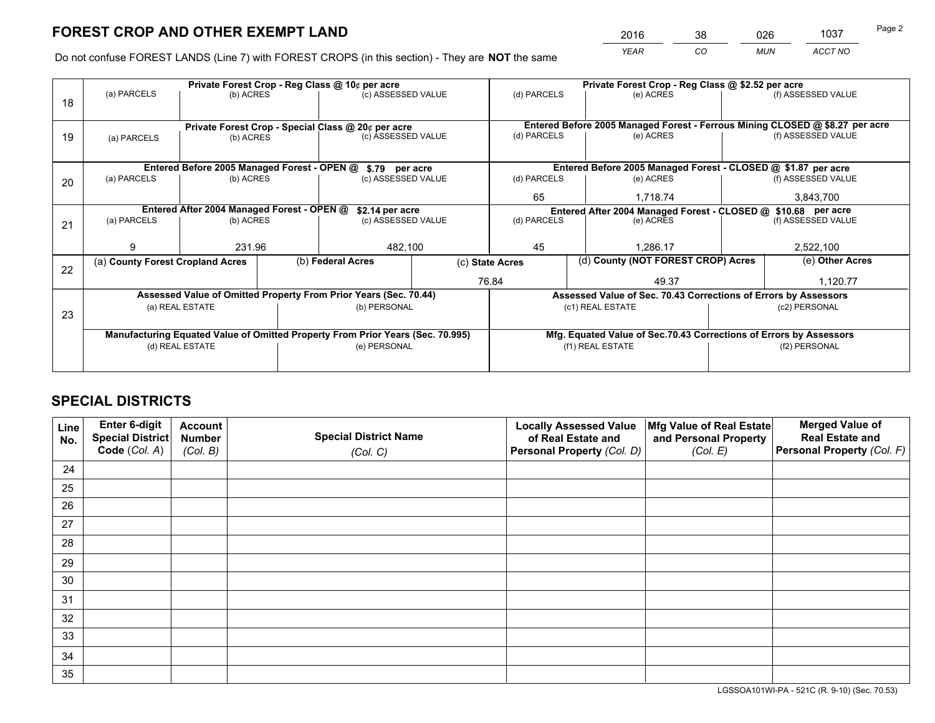*YEAR CO MUN ACCT NO* <sup>2016</sup> <sup>38</sup> <sup>026</sup> <sup>1037</sup>

Do not confuse FOREST LANDS (Line 7) with FOREST CROPS (in this section) - They are **NOT** the same

|    |                                                                                |                                                    |                    | Private Forest Crop - Reg Class @ 10¢ per acre                   |                 | Private Forest Crop - Reg Class @ \$2.52 per acre             |                                                                              |                                    |                    |  |
|----|--------------------------------------------------------------------------------|----------------------------------------------------|--------------------|------------------------------------------------------------------|-----------------|---------------------------------------------------------------|------------------------------------------------------------------------------|------------------------------------|--------------------|--|
| 18 | (a) PARCELS                                                                    | (b) ACRES                                          |                    | (c) ASSESSED VALUE                                               |                 | (d) PARCELS                                                   | (e) ACRES                                                                    |                                    | (f) ASSESSED VALUE |  |
|    |                                                                                | Private Forest Crop - Special Class @ 20¢ per acre |                    |                                                                  |                 |                                                               | Entered Before 2005 Managed Forest - Ferrous Mining CLOSED @ \$8.27 per acre |                                    |                    |  |
| 19 | (b) ACRES<br>(a) PARCELS                                                       |                                                    | (c) ASSESSED VALUE |                                                                  | (d) PARCELS     | (e) ACRES                                                     |                                                                              | (f) ASSESSED VALUE                 |                    |  |
|    |                                                                                |                                                    |                    |                                                                  |                 |                                                               |                                                                              |                                    |                    |  |
|    |                                                                                | Entered Before 2005 Managed Forest - OPEN @        |                    | \$.79 per acre                                                   |                 |                                                               | Entered Before 2005 Managed Forest - CLOSED @ \$1.87 per acre                |                                    |                    |  |
| 20 | (a) PARCELS                                                                    | (b) ACRES                                          |                    | (c) ASSESSED VALUE                                               |                 | (d) PARCELS                                                   | (e) ACRES                                                                    |                                    | (f) ASSESSED VALUE |  |
|    |                                                                                |                                                    |                    |                                                                  | 65              | 1.718.74                                                      |                                                                              | 3,843,700                          |                    |  |
|    | Entered After 2004 Managed Forest - OPEN @<br>\$2.14 per acre                  |                                                    |                    |                                                                  |                 | Entered After 2004 Managed Forest - CLOSED @ \$10.68 per acre |                                                                              |                                    |                    |  |
| 21 | (a) PARCELS                                                                    | (b) ACRES                                          |                    | (c) ASSESSED VALUE                                               |                 | (d) PARCELS<br>(e) ACRES                                      |                                                                              |                                    | (f) ASSESSED VALUE |  |
|    |                                                                                |                                                    |                    |                                                                  |                 |                                                               |                                                                              |                                    |                    |  |
|    | g                                                                              | 231.96                                             |                    | 482,100                                                          |                 | 45                                                            | 1.286.17                                                                     |                                    |                    |  |
| 22 | (a) County Forest Cropland Acres                                               |                                                    |                    | (b) Federal Acres                                                | (c) State Acres |                                                               |                                                                              | (d) County (NOT FOREST CROP) Acres |                    |  |
|    |                                                                                |                                                    |                    |                                                                  | 76.84           |                                                               | 49.37                                                                        |                                    | 1,120.77           |  |
|    |                                                                                |                                                    |                    | Assessed Value of Omitted Property From Prior Years (Sec. 70.44) |                 |                                                               | Assessed Value of Sec. 70.43 Corrections of Errors by Assessors              |                                    |                    |  |
|    |                                                                                | (a) REAL ESTATE                                    |                    | (b) PERSONAL                                                     |                 |                                                               | (c1) REAL ESTATE                                                             |                                    | (c2) PERSONAL      |  |
| 23 |                                                                                |                                                    |                    |                                                                  |                 |                                                               |                                                                              |                                    |                    |  |
|    | Manufacturing Equated Value of Omitted Property From Prior Years (Sec. 70.995) |                                                    |                    |                                                                  |                 |                                                               | Mfg. Equated Value of Sec.70.43 Corrections of Errors by Assessors           |                                    |                    |  |
|    |                                                                                | (d) REAL ESTATE                                    |                    | (e) PERSONAL                                                     |                 | (f1) REAL ESTATE                                              |                                                                              |                                    | (f2) PERSONAL      |  |
|    |                                                                                |                                                    |                    |                                                                  |                 |                                                               |                                                                              |                                    |                    |  |

## **SPECIAL DISTRICTS**

| Line<br>No. | Enter 6-digit<br><b>Special District</b> | <b>Account</b><br><b>Number</b> | <b>Special District Name</b> | <b>Locally Assessed Value</b><br>of Real Estate and | Mfg Value of Real Estate<br>and Personal Property | <b>Merged Value of</b><br><b>Real Estate and</b> |
|-------------|------------------------------------------|---------------------------------|------------------------------|-----------------------------------------------------|---------------------------------------------------|--------------------------------------------------|
|             | Code (Col. A)                            | (Col. B)                        | (Col. C)                     | Personal Property (Col. D)                          | (Col. E)                                          | Personal Property (Col. F)                       |
| 24          |                                          |                                 |                              |                                                     |                                                   |                                                  |
| 25          |                                          |                                 |                              |                                                     |                                                   |                                                  |
| 26          |                                          |                                 |                              |                                                     |                                                   |                                                  |
| 27          |                                          |                                 |                              |                                                     |                                                   |                                                  |
| 28          |                                          |                                 |                              |                                                     |                                                   |                                                  |
| 29          |                                          |                                 |                              |                                                     |                                                   |                                                  |
| 30          |                                          |                                 |                              |                                                     |                                                   |                                                  |
| 31          |                                          |                                 |                              |                                                     |                                                   |                                                  |
| 32          |                                          |                                 |                              |                                                     |                                                   |                                                  |
| 33          |                                          |                                 |                              |                                                     |                                                   |                                                  |
| 34          |                                          |                                 |                              |                                                     |                                                   |                                                  |
| 35          |                                          |                                 |                              |                                                     |                                                   |                                                  |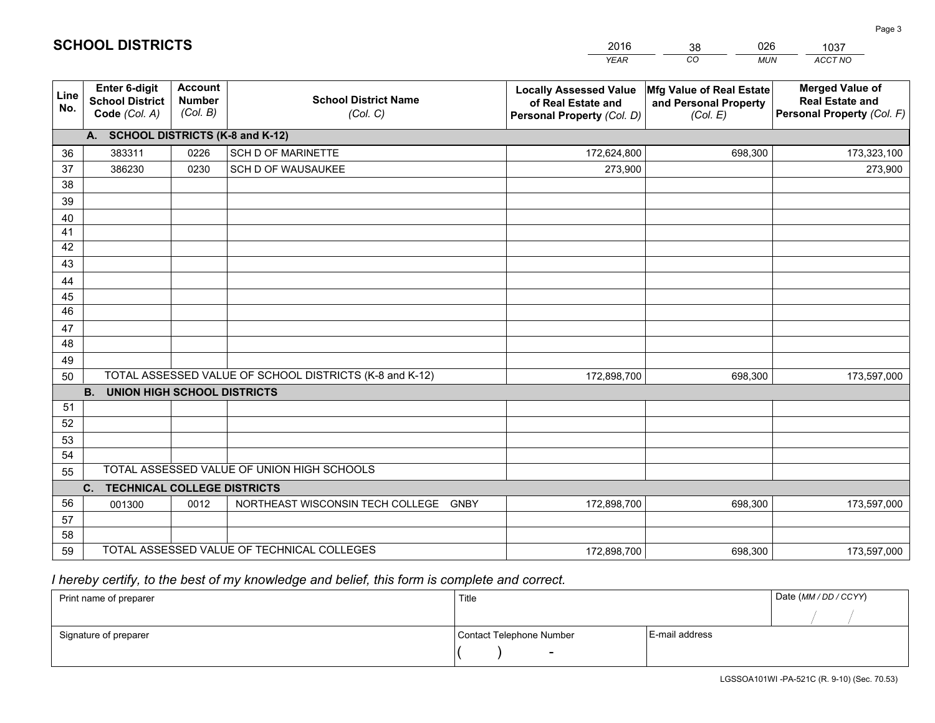|             |                                                                 |                                             |                                                         | <b>YEAR</b>                                                                       | CO<br><b>MUN</b>                                              | ACCT NO                                                                        |
|-------------|-----------------------------------------------------------------|---------------------------------------------|---------------------------------------------------------|-----------------------------------------------------------------------------------|---------------------------------------------------------------|--------------------------------------------------------------------------------|
| Line<br>No. | <b>Enter 6-digit</b><br><b>School District</b><br>Code (Col. A) | <b>Account</b><br><b>Number</b><br>(Col. B) | <b>School District Name</b><br>(Col. C)                 | <b>Locally Assessed Value</b><br>of Real Estate and<br>Personal Property (Col. D) | Mfg Value of Real Estate<br>and Personal Property<br>(Col. E) | <b>Merged Value of</b><br><b>Real Estate and</b><br>Personal Property (Col. F) |
|             | A. SCHOOL DISTRICTS (K-8 and K-12)                              |                                             |                                                         |                                                                                   |                                                               |                                                                                |
| 36          | 383311                                                          | 0226                                        | <b>SCH D OF MARINETTE</b>                               | 172,624,800                                                                       | 698,300                                                       | 173,323,100                                                                    |
| 37          | 386230                                                          | 0230                                        | SCH D OF WAUSAUKEE                                      | 273,900                                                                           |                                                               | 273,900                                                                        |
| 38          |                                                                 |                                             |                                                         |                                                                                   |                                                               |                                                                                |
| 39          |                                                                 |                                             |                                                         |                                                                                   |                                                               |                                                                                |
| 40          |                                                                 |                                             |                                                         |                                                                                   |                                                               |                                                                                |
| 41          |                                                                 |                                             |                                                         |                                                                                   |                                                               |                                                                                |
| 42          |                                                                 |                                             |                                                         |                                                                                   |                                                               |                                                                                |
| 43          |                                                                 |                                             |                                                         |                                                                                   |                                                               |                                                                                |
| 44          |                                                                 |                                             |                                                         |                                                                                   |                                                               |                                                                                |
| 45<br>46    |                                                                 |                                             |                                                         |                                                                                   |                                                               |                                                                                |
| 47          |                                                                 |                                             |                                                         |                                                                                   |                                                               |                                                                                |
| 48          |                                                                 |                                             |                                                         |                                                                                   |                                                               |                                                                                |
| 49          |                                                                 |                                             |                                                         |                                                                                   |                                                               |                                                                                |
| 50          |                                                                 |                                             | TOTAL ASSESSED VALUE OF SCHOOL DISTRICTS (K-8 and K-12) | 172,898,700                                                                       | 698,300                                                       | 173,597,000                                                                    |
|             | <b>B.</b><br><b>UNION HIGH SCHOOL DISTRICTS</b>                 |                                             |                                                         |                                                                                   |                                                               |                                                                                |
| 51          |                                                                 |                                             |                                                         |                                                                                   |                                                               |                                                                                |
| 52          |                                                                 |                                             |                                                         |                                                                                   |                                                               |                                                                                |
| 53          |                                                                 |                                             |                                                         |                                                                                   |                                                               |                                                                                |
| 54          |                                                                 |                                             |                                                         |                                                                                   |                                                               |                                                                                |
| 55          |                                                                 |                                             | TOTAL ASSESSED VALUE OF UNION HIGH SCHOOLS              |                                                                                   |                                                               |                                                                                |
|             | C.<br><b>TECHNICAL COLLEGE DISTRICTS</b>                        |                                             |                                                         |                                                                                   |                                                               |                                                                                |
| 56          | 001300                                                          | 0012                                        | NORTHEAST WISCONSIN TECH COLLEGE<br><b>GNBY</b>         | 172,898,700                                                                       | 698,300                                                       | 173,597,000                                                                    |
| 57          |                                                                 |                                             |                                                         |                                                                                   |                                                               |                                                                                |
| 58          |                                                                 |                                             |                                                         |                                                                                   |                                                               |                                                                                |
| 59          |                                                                 |                                             | TOTAL ASSESSED VALUE OF TECHNICAL COLLEGES              | 172,898,700                                                                       | 698,300                                                       | 173,597,000                                                                    |

38

026

 *I hereby certify, to the best of my knowledge and belief, this form is complete and correct.*

**SCHOOL DISTRICTS**

| Print name of preparer | Title                    |                | Date (MM / DD / CCYY) |
|------------------------|--------------------------|----------------|-----------------------|
|                        |                          |                |                       |
| Signature of preparer  | Contact Telephone Number | E-mail address |                       |
|                        | $\sim$                   |                |                       |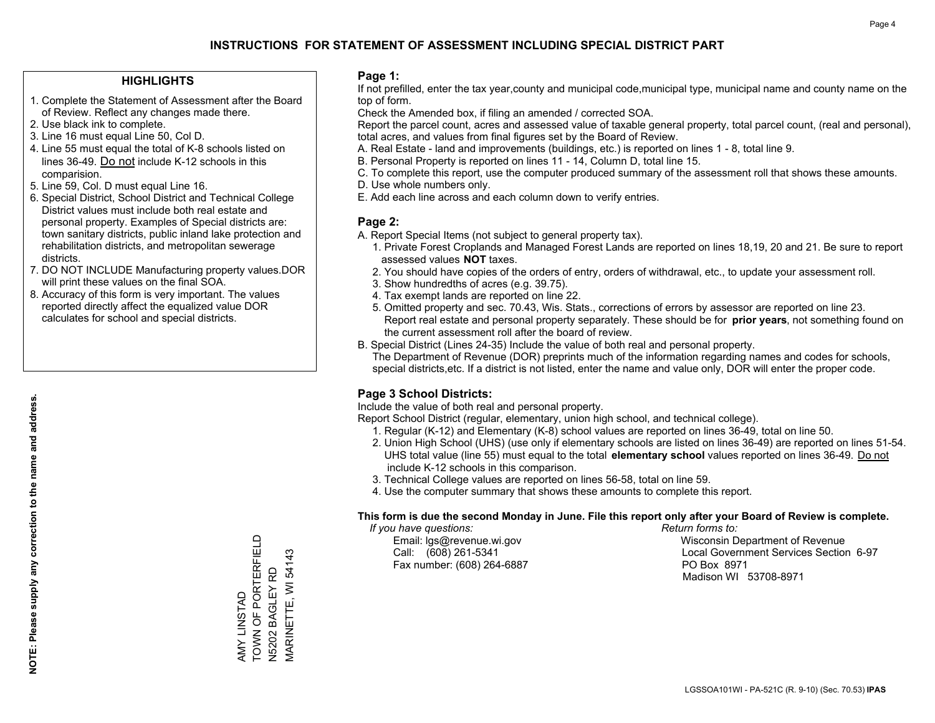### **HIGHLIGHTS**

- 1. Complete the Statement of Assessment after the Board of Review. Reflect any changes made there.
- 2. Use black ink to complete.
- 3. Line 16 must equal Line 50, Col D.
- 4. Line 55 must equal the total of K-8 schools listed on lines 36-49. Do not include K-12 schools in this comparision.
- 5. Line 59, Col. D must equal Line 16.
- 6. Special District, School District and Technical College District values must include both real estate and personal property. Examples of Special districts are: town sanitary districts, public inland lake protection and rehabilitation districts, and metropolitan sewerage districts.
- 7. DO NOT INCLUDE Manufacturing property values.DOR will print these values on the final SOA.
- 8. Accuracy of this form is very important. The values reported directly affect the equalized value DOR calculates for school and special districts.

### **Page 1:**

 If not prefilled, enter the tax year,county and municipal code,municipal type, municipal name and county name on the top of form.

Check the Amended box, if filing an amended / corrected SOA.

 Report the parcel count, acres and assessed value of taxable general property, total parcel count, (real and personal), total acres, and values from final figures set by the Board of Review.

- A. Real Estate land and improvements (buildings, etc.) is reported on lines 1 8, total line 9.
- B. Personal Property is reported on lines 11 14, Column D, total line 15.
- C. To complete this report, use the computer produced summary of the assessment roll that shows these amounts.
- D. Use whole numbers only.
- E. Add each line across and each column down to verify entries.

### **Page 2:**

- A. Report Special Items (not subject to general property tax).
- 1. Private Forest Croplands and Managed Forest Lands are reported on lines 18,19, 20 and 21. Be sure to report assessed values **NOT** taxes.
- 2. You should have copies of the orders of entry, orders of withdrawal, etc., to update your assessment roll.
	- 3. Show hundredths of acres (e.g. 39.75).
- 4. Tax exempt lands are reported on line 22.
- 5. Omitted property and sec. 70.43, Wis. Stats., corrections of errors by assessor are reported on line 23. Report real estate and personal property separately. These should be for **prior years**, not something found on the current assessment roll after the board of review.
- B. Special District (Lines 24-35) Include the value of both real and personal property.
- The Department of Revenue (DOR) preprints much of the information regarding names and codes for schools, special districts,etc. If a district is not listed, enter the name and value only, DOR will enter the proper code.

### **Page 3 School Districts:**

Include the value of both real and personal property.

Report School District (regular, elementary, union high school, and technical college).

- 1. Regular (K-12) and Elementary (K-8) school values are reported on lines 36-49, total on line 50.
- 2. Union High School (UHS) (use only if elementary schools are listed on lines 36-49) are reported on lines 51-54. UHS total value (line 55) must equal to the total **elementary school** values reported on lines 36-49. Do notinclude K-12 schools in this comparison.
- 3. Technical College values are reported on lines 56-58, total on line 59.
- 4. Use the computer summary that shows these amounts to complete this report.

#### **This form is due the second Monday in June. File this report only after your Board of Review is complete.**

 *If you have questions: Return forms to:*

Fax number: (608) 264-6887 PO Box 8971

 Email: lgs@revenue.wi.gov Wisconsin Department of Revenue Call: (608) 261-5341 Local Government Services Section 6-97Madison WI 53708-8971

TOWN OF PORTERFIELD TOWN OF PORTERFIELD N5202 BAGLEY RD<br>MARINETTE, WI 54143 MARINETTE, WI 54143 N5202 BAGLEY RD AMY LINSTAD AMY LINSTAD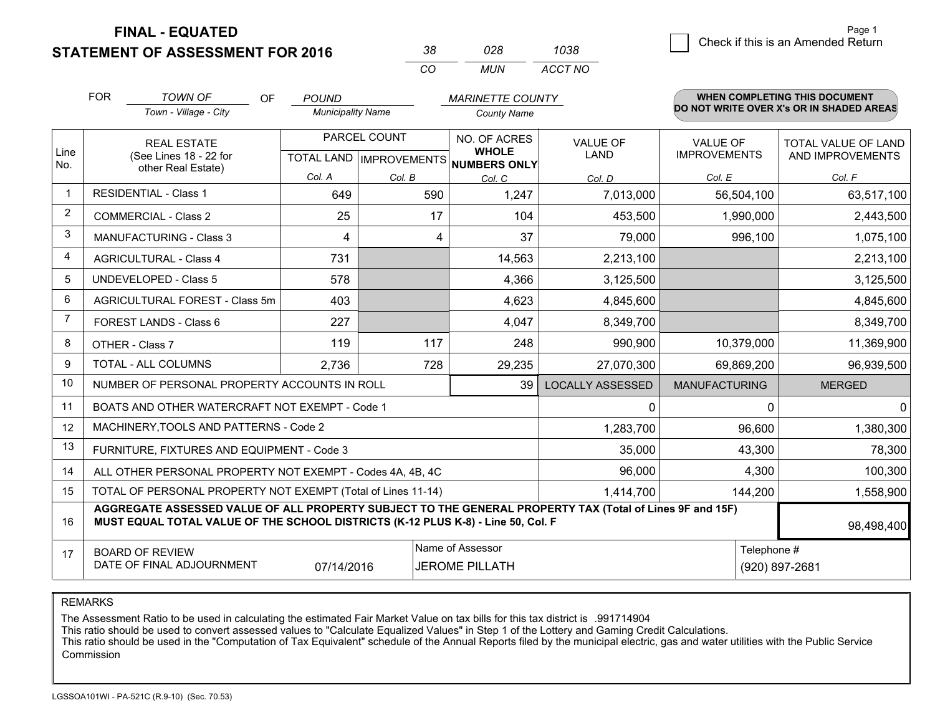**STATEMENT OF ASSESSMENT FOR 2016** 

| ≺×       | 028   | 1038    |
|----------|-------|---------|
| $\cdots$ | MI IN | ACCT NO |

|                | <b>FOR</b>                                                                                                                                                                                   | <b>TOWN OF</b><br><b>OF</b>                                  | <b>POUND</b>             |                                                      | <b>MARINETTE COUNTY</b>                                        |                         |                                        | WHEN COMPLETING THIS DOCUMENT            |
|----------------|----------------------------------------------------------------------------------------------------------------------------------------------------------------------------------------------|--------------------------------------------------------------|--------------------------|------------------------------------------------------|----------------------------------------------------------------|-------------------------|----------------------------------------|------------------------------------------|
|                |                                                                                                                                                                                              | Town - Village - City                                        | <b>Municipality Name</b> |                                                      | <b>County Name</b>                                             |                         |                                        | DO NOT WRITE OVER X's OR IN SHADED AREAS |
| Line<br>No.    | <b>REAL ESTATE</b><br>(See Lines 18 - 22 for                                                                                                                                                 |                                                              |                          | PARCEL COUNT<br>TOTAL LAND IMPROVEMENTS NUMBERS ONLY | NO. OF ACRES<br><b>VALUE OF</b><br><b>WHOLE</b><br><b>LAND</b> |                         | <b>VALUE OF</b><br><b>IMPROVEMENTS</b> | TOTAL VALUE OF LAND<br>AND IMPROVEMENTS  |
|                |                                                                                                                                                                                              | other Real Estate)                                           | Col. A                   | Col. B                                               | Col. C                                                         | Col. D                  | Col. E                                 | Col. F                                   |
| -1             |                                                                                                                                                                                              | <b>RESIDENTIAL - Class 1</b>                                 | 649                      | 590                                                  | 1,247                                                          | 7,013,000               | 56,504,100                             | 63,517,100                               |
| 2              |                                                                                                                                                                                              | <b>COMMERCIAL - Class 2</b>                                  | 25                       | 17                                                   | 104                                                            | 453,500                 | 1,990,000                              | 2,443,500                                |
| 3              |                                                                                                                                                                                              | <b>MANUFACTURING - Class 3</b>                               | 4                        | 4                                                    | 37                                                             | 79,000                  | 996,100                                | 1,075,100                                |
| 4              |                                                                                                                                                                                              | <b>AGRICULTURAL - Class 4</b>                                | 731                      |                                                      | 14,563                                                         | 2,213,100               |                                        | 2,213,100                                |
| 5              |                                                                                                                                                                                              | UNDEVELOPED - Class 5                                        | 578                      |                                                      | 4,366                                                          | 3,125,500               |                                        | 3,125,500                                |
| 6              |                                                                                                                                                                                              | AGRICULTURAL FOREST - Class 5m                               | 403                      |                                                      | 4,623                                                          | 4,845,600               |                                        | 4,845,600                                |
| $\overline{7}$ |                                                                                                                                                                                              | FOREST LANDS - Class 6                                       | 227                      |                                                      | 4,047                                                          | 8,349,700               |                                        | 8,349,700                                |
| 8              |                                                                                                                                                                                              | OTHER - Class 7                                              | 119                      | 117                                                  | 248                                                            | 990,900                 | 10,379,000                             | 11,369,900                               |
| 9              |                                                                                                                                                                                              | TOTAL - ALL COLUMNS                                          | 2,736                    | 728                                                  | 29,235                                                         | 27,070,300              | 69,869,200                             | 96,939,500                               |
| 10             |                                                                                                                                                                                              | NUMBER OF PERSONAL PROPERTY ACCOUNTS IN ROLL                 |                          |                                                      | 39                                                             | <b>LOCALLY ASSESSED</b> | <b>MANUFACTURING</b>                   | <b>MERGED</b>                            |
| 11             |                                                                                                                                                                                              | BOATS AND OTHER WATERCRAFT NOT EXEMPT - Code 1               |                          |                                                      |                                                                | 0                       | 0                                      | $\mathbf{0}$                             |
| 12             |                                                                                                                                                                                              | MACHINERY, TOOLS AND PATTERNS - Code 2                       |                          |                                                      |                                                                | 1,283,700               | 96,600                                 | 1,380,300                                |
| 13             |                                                                                                                                                                                              | FURNITURE, FIXTURES AND EQUIPMENT - Code 3                   |                          |                                                      |                                                                | 35,000                  | 43,300                                 | 78,300                                   |
| 14             |                                                                                                                                                                                              | ALL OTHER PERSONAL PROPERTY NOT EXEMPT - Codes 4A, 4B, 4C    |                          |                                                      |                                                                | 96,000                  | 4,300                                  | 100,300                                  |
| 15             |                                                                                                                                                                                              | TOTAL OF PERSONAL PROPERTY NOT EXEMPT (Total of Lines 11-14) |                          |                                                      |                                                                | 1,414,700               | 144,200                                | 1,558,900                                |
| 16             | AGGREGATE ASSESSED VALUE OF ALL PROPERTY SUBJECT TO THE GENERAL PROPERTY TAX (Total of Lines 9F and 15F)<br>MUST EQUAL TOTAL VALUE OF THE SCHOOL DISTRICTS (K-12 PLUS K-8) - Line 50, Col. F |                                                              |                          |                                                      |                                                                |                         |                                        | 98,498,400                               |
| 17             | Name of Assessor<br><b>BOARD OF REVIEW</b><br>DATE OF FINAL ADJOURNMENT<br><b>JEROME PILLATH</b><br>07/14/2016                                                                               |                                                              |                          |                                                      |                                                                | Telephone #             | (920) 897-2681                         |                                          |

REMARKS

The Assessment Ratio to be used in calculating the estimated Fair Market Value on tax bills for this tax district is .991714904

This ratio should be used to convert assessed values to "Calculate Equalized Values" in Step 1 of the Lottery and Gaming Credit Calculations.<br>This ratio should be used in the "Computation of Tax Equivalent" schedule of the Commission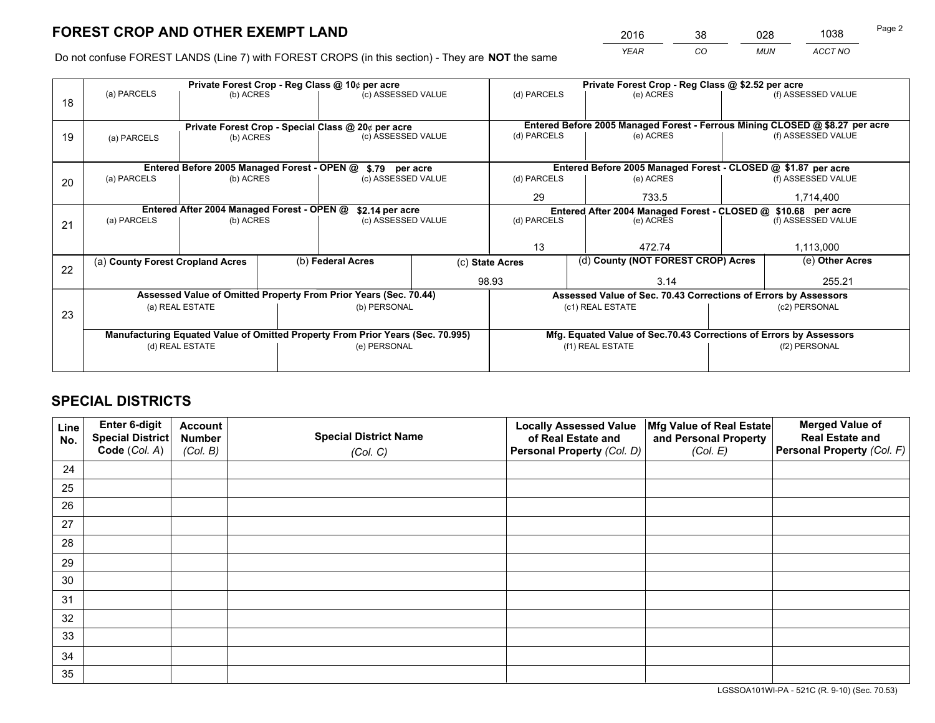*YEAR CO MUN ACCT NO* <sup>2016</sup> <sup>38</sup> <sup>028</sup> <sup>1038</sup>

Do not confuse FOREST LANDS (Line 7) with FOREST CROPS (in this section) - They are **NOT** the same

|    | Private Forest Crop - Reg Class @ 10¢ per acre                |                                             |  |                                                                                |                 | Private Forest Crop - Reg Class @ \$2.52 per acre             |                                                                              |  |                    |  |
|----|---------------------------------------------------------------|---------------------------------------------|--|--------------------------------------------------------------------------------|-----------------|---------------------------------------------------------------|------------------------------------------------------------------------------|--|--------------------|--|
| 18 | (a) PARCELS                                                   | (b) ACRES                                   |  | (c) ASSESSED VALUE                                                             |                 | (d) PARCELS                                                   | (e) ACRES                                                                    |  | (f) ASSESSED VALUE |  |
|    |                                                               |                                             |  |                                                                                |                 |                                                               |                                                                              |  |                    |  |
|    |                                                               |                                             |  | Private Forest Crop - Special Class @ 20¢ per acre                             |                 |                                                               | Entered Before 2005 Managed Forest - Ferrous Mining CLOSED @ \$8.27 per acre |  |                    |  |
| 19 | (a) PARCELS                                                   | (b) ACRES                                   |  | (c) ASSESSED VALUE                                                             |                 | (d) PARCELS                                                   | (e) ACRES                                                                    |  | (f) ASSESSED VALUE |  |
|    |                                                               |                                             |  |                                                                                |                 |                                                               |                                                                              |  |                    |  |
|    |                                                               | Entered Before 2005 Managed Forest - OPEN @ |  | \$.79 per acre                                                                 |                 |                                                               | Entered Before 2005 Managed Forest - CLOSED @ \$1.87 per acre                |  |                    |  |
| 20 | (a) PARCELS                                                   | (b) ACRES                                   |  | (c) ASSESSED VALUE                                                             |                 | (d) PARCELS                                                   | (e) ACRES                                                                    |  | (f) ASSESSED VALUE |  |
|    |                                                               |                                             |  |                                                                                |                 | 29                                                            | 733.5                                                                        |  | 1,714,400          |  |
|    | Entered After 2004 Managed Forest - OPEN @<br>\$2.14 per acre |                                             |  |                                                                                |                 | Entered After 2004 Managed Forest - CLOSED @ \$10.68 per acre |                                                                              |  |                    |  |
| 21 | (a) PARCELS                                                   | (b) ACRES                                   |  | (c) ASSESSED VALUE                                                             |                 | (d) PARCELS<br>(e) ACRES                                      |                                                                              |  | (f) ASSESSED VALUE |  |
|    |                                                               |                                             |  |                                                                                |                 |                                                               |                                                                              |  | 1,113,000          |  |
|    |                                                               |                                             |  |                                                                                |                 | 13                                                            | 472.74                                                                       |  |                    |  |
| 22 | (a) County Forest Cropland Acres                              |                                             |  | (b) Federal Acres                                                              | (c) State Acres |                                                               | (d) County (NOT FOREST CROP) Acres                                           |  | (e) Other Acres    |  |
|    |                                                               |                                             |  |                                                                                | 98.93           |                                                               | 3.14                                                                         |  | 255.21             |  |
|    |                                                               |                                             |  | Assessed Value of Omitted Property From Prior Years (Sec. 70.44)               |                 |                                                               | Assessed Value of Sec. 70.43 Corrections of Errors by Assessors              |  |                    |  |
| 23 |                                                               | (a) REAL ESTATE                             |  | (b) PERSONAL                                                                   |                 |                                                               | (c1) REAL ESTATE                                                             |  | (c2) PERSONAL      |  |
|    |                                                               |                                             |  |                                                                                |                 |                                                               |                                                                              |  |                    |  |
|    |                                                               |                                             |  | Manufacturing Equated Value of Omitted Property From Prior Years (Sec. 70.995) |                 |                                                               | Mfg. Equated Value of Sec.70.43 Corrections of Errors by Assessors           |  |                    |  |
|    |                                                               | (d) REAL ESTATE                             |  | (e) PERSONAL                                                                   |                 | (f1) REAL ESTATE                                              |                                                                              |  | (f2) PERSONAL      |  |
|    |                                                               |                                             |  |                                                                                |                 |                                                               |                                                                              |  |                    |  |

## **SPECIAL DISTRICTS**

| Line<br>No. | Enter 6-digit<br>Special District<br>Code (Col. A) | <b>Account</b><br><b>Number</b><br>(Col. B) | <b>Special District Name</b><br>(Col. C) | <b>Locally Assessed Value</b><br>of Real Estate and<br>Personal Property (Col. D) | Mfg Value of Real Estate<br>and Personal Property<br>(Col. E) | <b>Merged Value of</b><br><b>Real Estate and</b><br>Personal Property (Col. F) |
|-------------|----------------------------------------------------|---------------------------------------------|------------------------------------------|-----------------------------------------------------------------------------------|---------------------------------------------------------------|--------------------------------------------------------------------------------|
| 24          |                                                    |                                             |                                          |                                                                                   |                                                               |                                                                                |
| 25          |                                                    |                                             |                                          |                                                                                   |                                                               |                                                                                |
| 26          |                                                    |                                             |                                          |                                                                                   |                                                               |                                                                                |
| 27          |                                                    |                                             |                                          |                                                                                   |                                                               |                                                                                |
| 28          |                                                    |                                             |                                          |                                                                                   |                                                               |                                                                                |
| 29          |                                                    |                                             |                                          |                                                                                   |                                                               |                                                                                |
| 30          |                                                    |                                             |                                          |                                                                                   |                                                               |                                                                                |
| 31          |                                                    |                                             |                                          |                                                                                   |                                                               |                                                                                |
| 32          |                                                    |                                             |                                          |                                                                                   |                                                               |                                                                                |
| 33          |                                                    |                                             |                                          |                                                                                   |                                                               |                                                                                |
| 34          |                                                    |                                             |                                          |                                                                                   |                                                               |                                                                                |
| 35          |                                                    |                                             |                                          |                                                                                   |                                                               |                                                                                |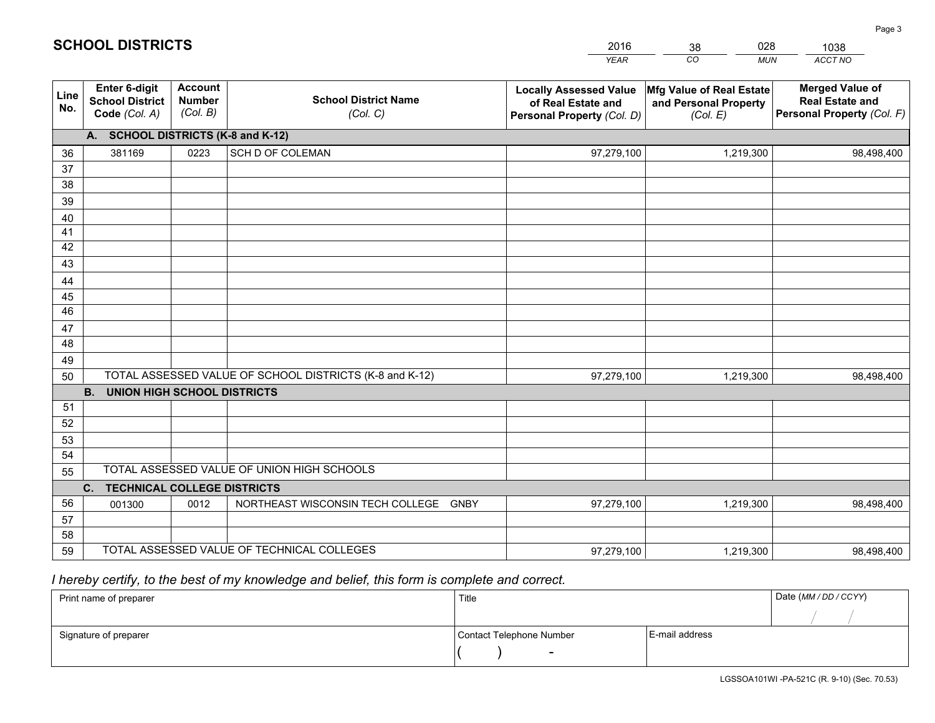|             |                                                                 |                                             |                                                         | <b>YEAR</b>                                                                       | CO<br><b>MUN</b>                                              | <b>ACCT NO</b>                                                                 |
|-------------|-----------------------------------------------------------------|---------------------------------------------|---------------------------------------------------------|-----------------------------------------------------------------------------------|---------------------------------------------------------------|--------------------------------------------------------------------------------|
| Line<br>No. | <b>Enter 6-digit</b><br><b>School District</b><br>Code (Col. A) | <b>Account</b><br><b>Number</b><br>(Col. B) | <b>School District Name</b><br>(Col. C)                 | <b>Locally Assessed Value</b><br>of Real Estate and<br>Personal Property (Col. D) | Mfg Value of Real Estate<br>and Personal Property<br>(Col. E) | <b>Merged Value of</b><br><b>Real Estate and</b><br>Personal Property (Col. F) |
|             | A. SCHOOL DISTRICTS (K-8 and K-12)                              |                                             |                                                         |                                                                                   |                                                               |                                                                                |
| 36          | 381169                                                          | 0223                                        | SCH D OF COLEMAN                                        | 97,279,100                                                                        | 1,219,300                                                     | 98,498,400                                                                     |
| 37          |                                                                 |                                             |                                                         |                                                                                   |                                                               |                                                                                |
| 38          |                                                                 |                                             |                                                         |                                                                                   |                                                               |                                                                                |
| 39          |                                                                 |                                             |                                                         |                                                                                   |                                                               |                                                                                |
| 40          |                                                                 |                                             |                                                         |                                                                                   |                                                               |                                                                                |
| 41          |                                                                 |                                             |                                                         |                                                                                   |                                                               |                                                                                |
| 42          |                                                                 |                                             |                                                         |                                                                                   |                                                               |                                                                                |
| 43          |                                                                 |                                             |                                                         |                                                                                   |                                                               |                                                                                |
| 44<br>45    |                                                                 |                                             |                                                         |                                                                                   |                                                               |                                                                                |
| 46          |                                                                 |                                             |                                                         |                                                                                   |                                                               |                                                                                |
| 47          |                                                                 |                                             |                                                         |                                                                                   |                                                               |                                                                                |
| 48          |                                                                 |                                             |                                                         |                                                                                   |                                                               |                                                                                |
| 49          |                                                                 |                                             |                                                         |                                                                                   |                                                               |                                                                                |
| 50          |                                                                 |                                             | TOTAL ASSESSED VALUE OF SCHOOL DISTRICTS (K-8 and K-12) | 97,279,100                                                                        | 1,219,300                                                     | 98,498,400                                                                     |
|             | <b>B.</b><br><b>UNION HIGH SCHOOL DISTRICTS</b>                 |                                             |                                                         |                                                                                   |                                                               |                                                                                |
| 51          |                                                                 |                                             |                                                         |                                                                                   |                                                               |                                                                                |
| 52          |                                                                 |                                             |                                                         |                                                                                   |                                                               |                                                                                |
| 53          |                                                                 |                                             |                                                         |                                                                                   |                                                               |                                                                                |
| 54          |                                                                 |                                             |                                                         |                                                                                   |                                                               |                                                                                |
| 55          |                                                                 |                                             | TOTAL ASSESSED VALUE OF UNION HIGH SCHOOLS              |                                                                                   |                                                               |                                                                                |
|             | C.<br><b>TECHNICAL COLLEGE DISTRICTS</b>                        |                                             |                                                         |                                                                                   |                                                               |                                                                                |
| 56          | 001300                                                          | 0012                                        | NORTHEAST WISCONSIN TECH COLLEGE<br><b>GNBY</b>         | 97,279,100                                                                        | 1,219,300                                                     | 98,498,400                                                                     |
| 57          |                                                                 |                                             |                                                         |                                                                                   |                                                               |                                                                                |
| 58          |                                                                 |                                             | TOTAL ASSESSED VALUE OF TECHNICAL COLLEGES              |                                                                                   |                                                               |                                                                                |
| 59          |                                                                 |                                             |                                                         | 97,279,100                                                                        | 1,219,300                                                     | 98,498,400                                                                     |

38

028

# *I hereby certify, to the best of my knowledge and belief, this form is complete and correct.*

**SCHOOL DISTRICTS**

| Print name of preparer | Title                    |                | Date (MM / DD / CCYY) |
|------------------------|--------------------------|----------------|-----------------------|
|                        |                          |                |                       |
| Signature of preparer  | Contact Telephone Number | E-mail address |                       |
|                        | $\overline{\phantom{0}}$ |                |                       |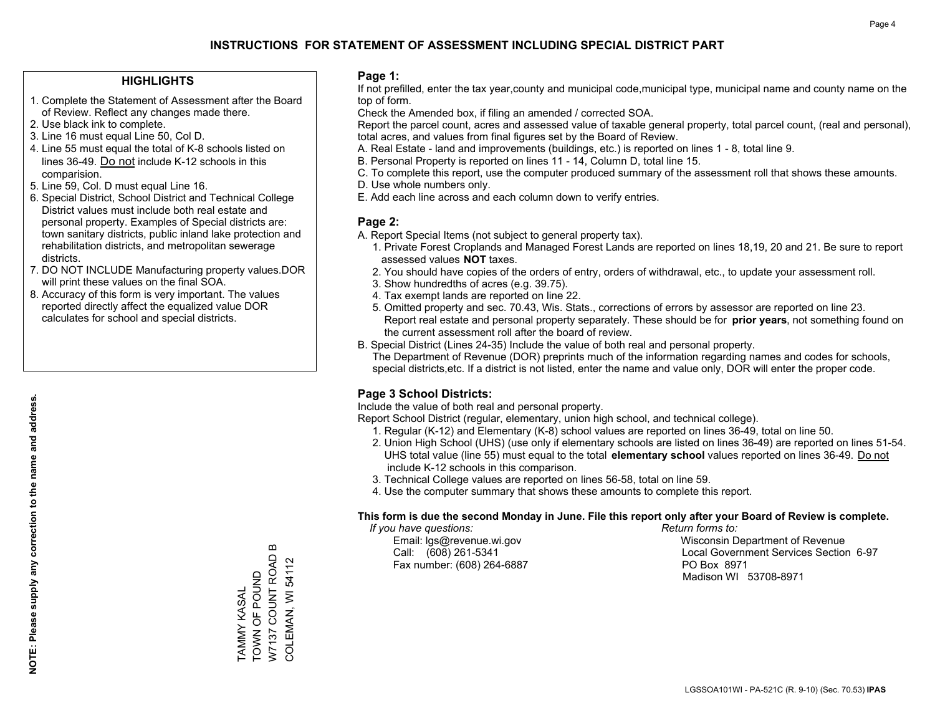### **HIGHLIGHTS**

- 1. Complete the Statement of Assessment after the Board of Review. Reflect any changes made there.
- 2. Use black ink to complete.

**NOTE: Please supply any correction to the name and address.**

NOTE: Please supply any correction to the name and address.

- 3. Line 16 must equal Line 50, Col D.
- 4. Line 55 must equal the total of K-8 schools listed on lines 36-49. Do not include K-12 schools in this comparision.
- 5. Line 59, Col. D must equal Line 16.
- 6. Special District, School District and Technical College District values must include both real estate and personal property. Examples of Special districts are: town sanitary districts, public inland lake protection and rehabilitation districts, and metropolitan sewerage districts.
- 7. DO NOT INCLUDE Manufacturing property values.DOR will print these values on the final SOA.
- 8. Accuracy of this form is very important. The values reported directly affect the equalized value DOR calculates for school and special districts.

### **Page 1:**

 If not prefilled, enter the tax year,county and municipal code,municipal type, municipal name and county name on the top of form.

Check the Amended box, if filing an amended / corrected SOA.

 Report the parcel count, acres and assessed value of taxable general property, total parcel count, (real and personal), total acres, and values from final figures set by the Board of Review.

- A. Real Estate land and improvements (buildings, etc.) is reported on lines 1 8, total line 9.
- B. Personal Property is reported on lines 11 14, Column D, total line 15.
- C. To complete this report, use the computer produced summary of the assessment roll that shows these amounts.
- D. Use whole numbers only.
- E. Add each line across and each column down to verify entries.

### **Page 2:**

- A. Report Special Items (not subject to general property tax).
- 1. Private Forest Croplands and Managed Forest Lands are reported on lines 18,19, 20 and 21. Be sure to report assessed values **NOT** taxes.
- 2. You should have copies of the orders of entry, orders of withdrawal, etc., to update your assessment roll.
	- 3. Show hundredths of acres (e.g. 39.75).
- 4. Tax exempt lands are reported on line 22.
- 5. Omitted property and sec. 70.43, Wis. Stats., corrections of errors by assessor are reported on line 23. Report real estate and personal property separately. These should be for **prior years**, not something found on the current assessment roll after the board of review.
- B. Special District (Lines 24-35) Include the value of both real and personal property.
- The Department of Revenue (DOR) preprints much of the information regarding names and codes for schools, special districts,etc. If a district is not listed, enter the name and value only, DOR will enter the proper code.

### **Page 3 School Districts:**

Include the value of both real and personal property.

Report School District (regular, elementary, union high school, and technical college).

- 1. Regular (K-12) and Elementary (K-8) school values are reported on lines 36-49, total on line 50.
- 2. Union High School (UHS) (use only if elementary schools are listed on lines 36-49) are reported on lines 51-54. UHS total value (line 55) must equal to the total **elementary school** values reported on lines 36-49. Do notinclude K-12 schools in this comparison.
- 3. Technical College values are reported on lines 56-58, total on line 59.
- 4. Use the computer summary that shows these amounts to complete this report.

#### **This form is due the second Monday in June. File this report only after your Board of Review is complete.**

 *If you have questions: Return forms to:*

Fax number: (608) 264-6887 PO Box 8971

 Email: lgs@revenue.wi.gov Wisconsin Department of Revenue Call: (608) 261-5341 Local Government Services Section 6-97Madison WI 53708-8971

 $\boldsymbol{\underline{\mathrm{m}}}$ W7137 COUNT ROAD B W7137 COUNT ROAD TAMMY KASAL<br>TOWN OF POUND TOWN OF POUND TAMMY KASAL

COLEMAN, WI 54112

COLEMAN, WI 54112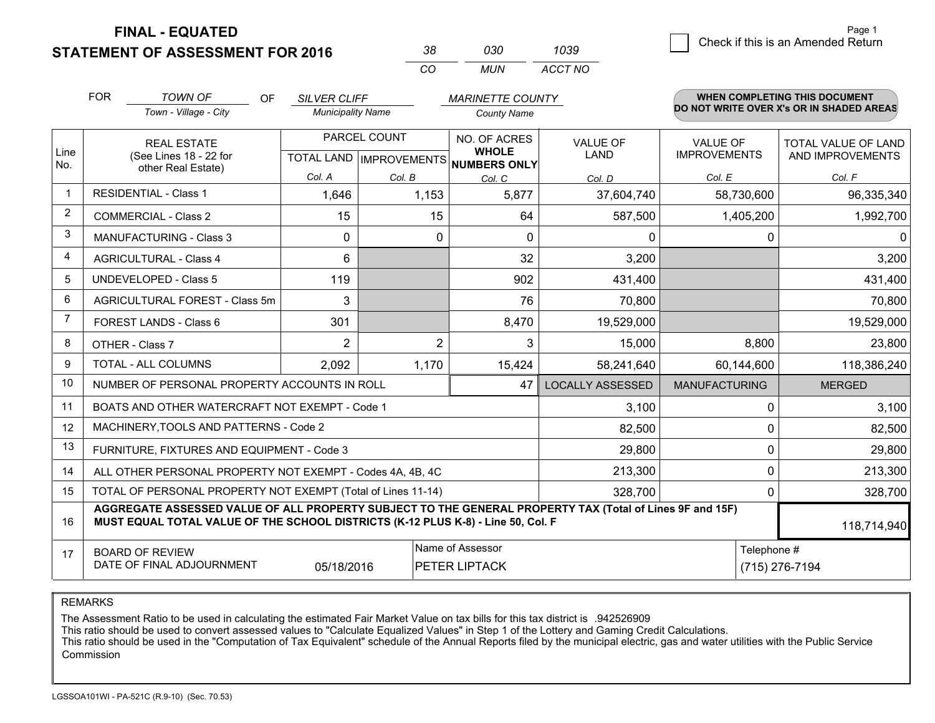**STATEMENT OF ASSESSMENT FOR 2016** 

| 38. | റദറ   | 1039    |
|-----|-------|---------|
| CO. | MI IN | ACCT NO |

|                         | <b>FOR</b>                                                                                                                                                                                   | <b>TOWN OF</b><br><b>OF</b>                                  | <b>SILVER CLIFF</b>                                  |                | <b>MARINETTE COUNTY</b>      |                                |                                        | WHEN COMPLETING THIS DOCUMENT            |
|-------------------------|----------------------------------------------------------------------------------------------------------------------------------------------------------------------------------------------|--------------------------------------------------------------|------------------------------------------------------|----------------|------------------------------|--------------------------------|----------------------------------------|------------------------------------------|
|                         |                                                                                                                                                                                              | Town - Village - City                                        | <b>Municipality Name</b>                             |                | <b>County Name</b>           |                                |                                        | DO NOT WRITE OVER X's OR IN SHADED AREAS |
| Line                    |                                                                                                                                                                                              | <b>REAL ESTATE</b><br>(See Lines 18 - 22 for                 | PARCEL COUNT<br>TOTAL LAND IMPROVEMENTS NUMBERS ONLY |                | NO. OF ACRES<br><b>WHOLE</b> | <b>VALUE OF</b><br><b>LAND</b> | <b>VALUE OF</b><br><b>IMPROVEMENTS</b> | TOTAL VALUE OF LAND<br>AND IMPROVEMENTS  |
| No.                     |                                                                                                                                                                                              | other Real Estate)                                           | Col. A                                               | Col. B         | Col. C                       | Col. D                         | Col. E                                 | Col. F                                   |
| -1                      |                                                                                                                                                                                              | <b>RESIDENTIAL - Class 1</b>                                 | 1,646                                                | 1,153          | 5,877                        | 37,604,740                     | 58,730,600                             | 96,335,340                               |
| 2                       |                                                                                                                                                                                              | <b>COMMERCIAL - Class 2</b>                                  | 15                                                   | 15             | 64                           | 587,500                        | 1,405,200                              | 1,992,700                                |
| 3                       |                                                                                                                                                                                              | <b>MANUFACTURING - Class 3</b>                               | $\Omega$                                             | $\Omega$       | $\Omega$                     | $\mathbf{0}$                   |                                        | $\Omega$<br>$\mathbf{0}$                 |
| $\overline{\mathbf{4}}$ |                                                                                                                                                                                              | <b>AGRICULTURAL - Class 4</b>                                | 6                                                    |                | 32                           | 3,200                          |                                        | 3,200                                    |
| 5                       |                                                                                                                                                                                              | <b>UNDEVELOPED - Class 5</b>                                 | 119                                                  |                | 902                          | 431,400                        |                                        | 431,400                                  |
| 6                       |                                                                                                                                                                                              | AGRICULTURAL FOREST - Class 5m                               | 3                                                    |                | 76                           | 70,800                         |                                        | 70,800                                   |
| $\overline{7}$          |                                                                                                                                                                                              | <b>FOREST LANDS - Class 6</b>                                | 301                                                  |                | 8,470                        | 19,529,000                     |                                        | 19,529,000                               |
| 8                       |                                                                                                                                                                                              | OTHER - Class 7                                              | 2                                                    | $\overline{2}$ | 3                            | 15,000                         | 8,800                                  | 23,800                                   |
| 9                       |                                                                                                                                                                                              | TOTAL - ALL COLUMNS                                          | 2,092                                                | 1,170          | 15,424                       | 58,241,640                     | 60,144,600                             | 118,386,240                              |
| 10                      |                                                                                                                                                                                              | NUMBER OF PERSONAL PROPERTY ACCOUNTS IN ROLL                 |                                                      |                | 47                           | <b>LOCALLY ASSESSED</b>        | <b>MANUFACTURING</b>                   | <b>MERGED</b>                            |
| 11                      |                                                                                                                                                                                              | BOATS AND OTHER WATERCRAFT NOT EXEMPT - Code 1               |                                                      |                |                              | 3,100                          |                                        | 3,100<br>$\mathbf 0$                     |
| 12                      |                                                                                                                                                                                              | MACHINERY, TOOLS AND PATTERNS - Code 2                       |                                                      |                |                              | 82,500                         |                                        | $\mathbf{0}$<br>82,500                   |
| 13                      |                                                                                                                                                                                              | FURNITURE, FIXTURES AND EQUIPMENT - Code 3                   |                                                      |                |                              | 29,800                         |                                        | 0<br>29,800                              |
| 14                      |                                                                                                                                                                                              | ALL OTHER PERSONAL PROPERTY NOT EXEMPT - Codes 4A, 4B, 4C    |                                                      |                |                              | 213,300                        |                                        | $\mathbf 0$<br>213,300                   |
| 15                      |                                                                                                                                                                                              | TOTAL OF PERSONAL PROPERTY NOT EXEMPT (Total of Lines 11-14) |                                                      |                |                              | 328,700                        |                                        | 328,700<br>0                             |
| 16                      | AGGREGATE ASSESSED VALUE OF ALL PROPERTY SUBJECT TO THE GENERAL PROPERTY TAX (Total of Lines 9F and 15F)<br>MUST EQUAL TOTAL VALUE OF THE SCHOOL DISTRICTS (K-12 PLUS K-8) - Line 50, Col. F |                                                              |                                                      |                |                              |                                | 118,714,940                            |                                          |
| 17                      | Name of Assessor<br><b>BOARD OF REVIEW</b><br>DATE OF FINAL ADJOURNMENT<br>05/18/2016<br>PETER LIPTACK                                                                                       |                                                              |                                                      |                |                              | Telephone #<br>(715) 276-7194  |                                        |                                          |

REMARKS

The Assessment Ratio to be used in calculating the estimated Fair Market Value on tax bills for this tax district is .942526909

This ratio should be used to convert assessed values to "Calculate Equalized Values" in Step 1 of the Lottery and Gaming Credit Calculations.<br>This ratio should be used in the "Computation of Tax Equivalent" schedule of the Commission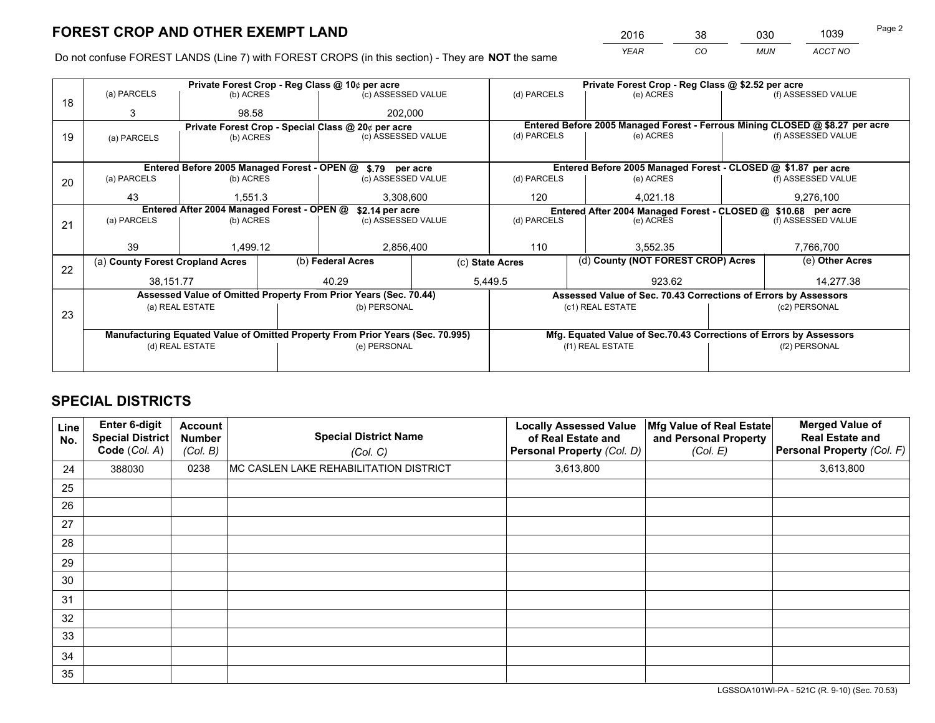*YEAR CO MUN ACCT NO* <sup>2016</sup> <sup>38</sup> <sup>030</sup> <sup>1039</sup>

Do not confuse FOREST LANDS (Line 7) with FOREST CROPS (in this section) - They are **NOT** the same

|    |                                                               |                 |  | Private Forest Crop - Reg Class @ 10¢ per acre                                 | Private Forest Crop - Reg Class @ \$2.52 per acre             |                                                       |  |                                                                    |                 |                                                                              |
|----|---------------------------------------------------------------|-----------------|--|--------------------------------------------------------------------------------|---------------------------------------------------------------|-------------------------------------------------------|--|--------------------------------------------------------------------|-----------------|------------------------------------------------------------------------------|
| 18 | (a) PARCELS                                                   | (b) ACRES       |  | (c) ASSESSED VALUE                                                             |                                                               | (d) PARCELS                                           |  | (e) ACRES                                                          |                 | (f) ASSESSED VALUE                                                           |
|    | 3                                                             | 98.58           |  | 202.000                                                                        |                                                               |                                                       |  |                                                                    |                 |                                                                              |
|    |                                                               |                 |  | Private Forest Crop - Special Class @ 20¢ per acre                             |                                                               |                                                       |  |                                                                    |                 | Entered Before 2005 Managed Forest - Ferrous Mining CLOSED @ \$8.27 per acre |
| 19 | (a) PARCELS                                                   | (b) ACRES       |  | (c) ASSESSED VALUE                                                             |                                                               | (d) PARCELS                                           |  | (e) ACRES                                                          |                 | (f) ASSESSED VALUE                                                           |
|    |                                                               |                 |  |                                                                                |                                                               |                                                       |  |                                                                    |                 |                                                                              |
|    |                                                               |                 |  | Entered Before 2005 Managed Forest - OPEN @ \$.79 per acre                     |                                                               |                                                       |  | Entered Before 2005 Managed Forest - CLOSED @ \$1.87 per acre      |                 |                                                                              |
| 20 | (a) PARCELS                                                   | (b) ACRES       |  | (c) ASSESSED VALUE                                                             |                                                               | (d) PARCELS                                           |  | (e) ACRES                                                          |                 | (f) ASSESSED VALUE                                                           |
|    | 43                                                            | 1,551.3         |  | 3,308,600                                                                      |                                                               | 120                                                   |  | 4,021.18                                                           |                 | 9,276,100                                                                    |
|    | Entered After 2004 Managed Forest - OPEN @<br>\$2.14 per acre |                 |  |                                                                                | Entered After 2004 Managed Forest - CLOSED @ \$10.68 per acre |                                                       |  |                                                                    |                 |                                                                              |
|    | (a) PARCELS<br>(b) ACRES                                      |                 |  | (c) ASSESSED VALUE                                                             |                                                               | (d) PARCELS<br>(e) ACRES                              |  | (f) ASSESSED VALUE                                                 |                 |                                                                              |
| 21 |                                                               |                 |  |                                                                                |                                                               |                                                       |  |                                                                    |                 |                                                                              |
|    | 39                                                            | 1,499.12        |  | 2,856,400                                                                      |                                                               | 110                                                   |  | 3,552.35                                                           |                 | 7,766,700                                                                    |
| 22 | (a) County Forest Cropland Acres                              |                 |  | (b) Federal Acres                                                              |                                                               | (d) County (NOT FOREST CROP) Acres<br>(c) State Acres |  |                                                                    | (e) Other Acres |                                                                              |
|    | 38,151.77                                                     |                 |  | 40.29                                                                          |                                                               | 5,449.5<br>923.62                                     |  |                                                                    |                 | 14,277.38                                                                    |
|    |                                                               |                 |  | Assessed Value of Omitted Property From Prior Years (Sec. 70.44)               |                                                               |                                                       |  | Assessed Value of Sec. 70.43 Corrections of Errors by Assessors    |                 |                                                                              |
|    |                                                               | (a) REAL ESTATE |  | (b) PERSONAL                                                                   |                                                               |                                                       |  | (c1) REAL ESTATE                                                   |                 | (c2) PERSONAL                                                                |
| 23 |                                                               |                 |  |                                                                                |                                                               |                                                       |  |                                                                    |                 |                                                                              |
|    |                                                               |                 |  | Manufacturing Equated Value of Omitted Property From Prior Years (Sec. 70.995) |                                                               |                                                       |  | Mfg. Equated Value of Sec.70.43 Corrections of Errors by Assessors |                 |                                                                              |
|    |                                                               | (d) REAL ESTATE |  | (e) PERSONAL                                                                   |                                                               | (f1) REAL ESTATE                                      |  | (f2) PERSONAL                                                      |                 |                                                                              |
|    |                                                               |                 |  |                                                                                |                                                               |                                                       |  |                                                                    |                 |                                                                              |

## **SPECIAL DISTRICTS**

| Line<br>No. | Enter 6-digit<br><b>Special District</b><br>Code (Col. A) | <b>Account</b><br><b>Number</b><br>(Col. B) | <b>Special District Name</b><br>(Col. C) | <b>Locally Assessed Value</b><br>of Real Estate and<br>Personal Property (Col. D) | Mfg Value of Real Estate<br>and Personal Property<br>(Col. E) | <b>Merged Value of</b><br><b>Real Estate and</b><br>Personal Property (Col. F) |
|-------------|-----------------------------------------------------------|---------------------------------------------|------------------------------------------|-----------------------------------------------------------------------------------|---------------------------------------------------------------|--------------------------------------------------------------------------------|
| 24          | 388030                                                    | 0238                                        | MC CASLEN LAKE REHABILITATION DISTRICT   | 3,613,800                                                                         |                                                               | 3,613,800                                                                      |
| 25          |                                                           |                                             |                                          |                                                                                   |                                                               |                                                                                |
| 26          |                                                           |                                             |                                          |                                                                                   |                                                               |                                                                                |
| 27          |                                                           |                                             |                                          |                                                                                   |                                                               |                                                                                |
| 28          |                                                           |                                             |                                          |                                                                                   |                                                               |                                                                                |
| 29          |                                                           |                                             |                                          |                                                                                   |                                                               |                                                                                |
| 30          |                                                           |                                             |                                          |                                                                                   |                                                               |                                                                                |
| 31          |                                                           |                                             |                                          |                                                                                   |                                                               |                                                                                |
| 32          |                                                           |                                             |                                          |                                                                                   |                                                               |                                                                                |
| 33          |                                                           |                                             |                                          |                                                                                   |                                                               |                                                                                |
| 34          |                                                           |                                             |                                          |                                                                                   |                                                               |                                                                                |
| 35          |                                                           |                                             |                                          |                                                                                   |                                                               |                                                                                |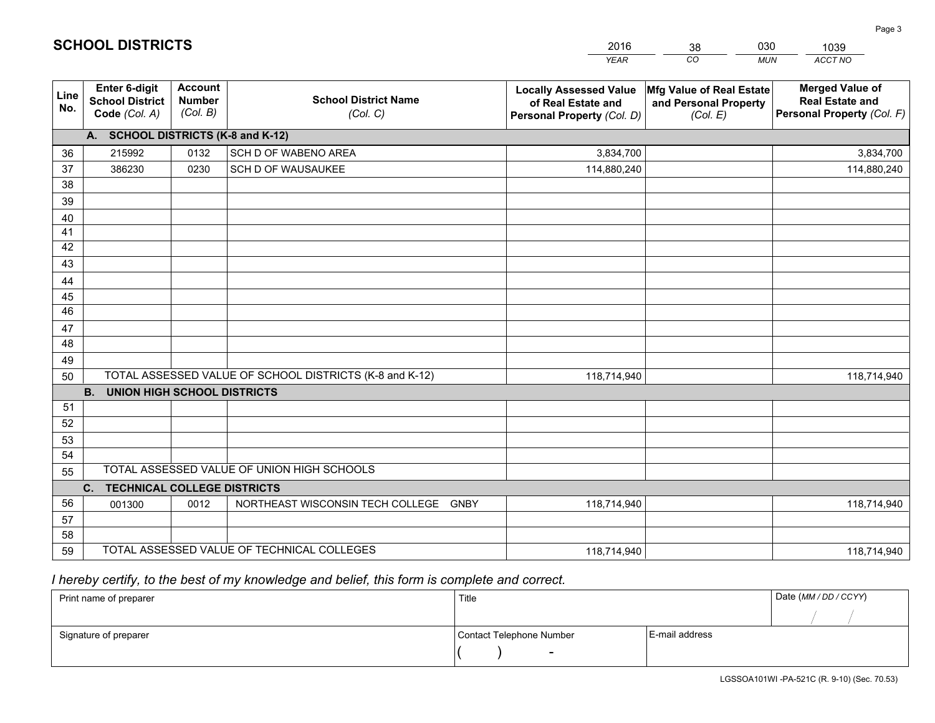|             |                                                                 |                                             |                                                         | <b>YEAR</b>                                                                       | CO<br><b>MUN</b>                                              | ACCT NO                                                                        |
|-------------|-----------------------------------------------------------------|---------------------------------------------|---------------------------------------------------------|-----------------------------------------------------------------------------------|---------------------------------------------------------------|--------------------------------------------------------------------------------|
| Line<br>No. | <b>Enter 6-digit</b><br><b>School District</b><br>Code (Col. A) | <b>Account</b><br><b>Number</b><br>(Col. B) | <b>School District Name</b><br>(Col. C)                 | <b>Locally Assessed Value</b><br>of Real Estate and<br>Personal Property (Col. D) | Mfg Value of Real Estate<br>and Personal Property<br>(Col. E) | <b>Merged Value of</b><br><b>Real Estate and</b><br>Personal Property (Col. F) |
|             | A. SCHOOL DISTRICTS (K-8 and K-12)                              |                                             |                                                         |                                                                                   |                                                               |                                                                                |
| 36          | 215992                                                          | 0132                                        | SCH D OF WABENO AREA                                    | 3,834,700                                                                         |                                                               | 3,834,700                                                                      |
| 37          | 386230                                                          | 0230                                        | SCH D OF WAUSAUKEE                                      | 114,880,240                                                                       |                                                               | 114,880,240                                                                    |
| 38          |                                                                 |                                             |                                                         |                                                                                   |                                                               |                                                                                |
| 39          |                                                                 |                                             |                                                         |                                                                                   |                                                               |                                                                                |
| 40          |                                                                 |                                             |                                                         |                                                                                   |                                                               |                                                                                |
| 41          |                                                                 |                                             |                                                         |                                                                                   |                                                               |                                                                                |
| 42          |                                                                 |                                             |                                                         |                                                                                   |                                                               |                                                                                |
| 43          |                                                                 |                                             |                                                         |                                                                                   |                                                               |                                                                                |
| 44          |                                                                 |                                             |                                                         |                                                                                   |                                                               |                                                                                |
| 45          |                                                                 |                                             |                                                         |                                                                                   |                                                               |                                                                                |
| 46          |                                                                 |                                             |                                                         |                                                                                   |                                                               |                                                                                |
| 47<br>48    |                                                                 |                                             |                                                         |                                                                                   |                                                               |                                                                                |
| 49          |                                                                 |                                             |                                                         |                                                                                   |                                                               |                                                                                |
| 50          |                                                                 |                                             | TOTAL ASSESSED VALUE OF SCHOOL DISTRICTS (K-8 and K-12) | 118,714,940                                                                       |                                                               | 118,714,940                                                                    |
|             | <b>B.</b><br><b>UNION HIGH SCHOOL DISTRICTS</b>                 |                                             |                                                         |                                                                                   |                                                               |                                                                                |
| 51          |                                                                 |                                             |                                                         |                                                                                   |                                                               |                                                                                |
| 52          |                                                                 |                                             |                                                         |                                                                                   |                                                               |                                                                                |
| 53          |                                                                 |                                             |                                                         |                                                                                   |                                                               |                                                                                |
| 54          |                                                                 |                                             |                                                         |                                                                                   |                                                               |                                                                                |
| 55          |                                                                 |                                             | TOTAL ASSESSED VALUE OF UNION HIGH SCHOOLS              |                                                                                   |                                                               |                                                                                |
|             | <b>TECHNICAL COLLEGE DISTRICTS</b><br>C.                        |                                             |                                                         |                                                                                   |                                                               |                                                                                |
| 56          | 001300                                                          | 0012                                        | NORTHEAST WISCONSIN TECH COLLEGE GNBY                   | 118,714,940                                                                       |                                                               | 118,714,940                                                                    |
| 57          |                                                                 |                                             |                                                         |                                                                                   |                                                               |                                                                                |
| 58          |                                                                 |                                             |                                                         |                                                                                   |                                                               |                                                                                |
| 59          |                                                                 |                                             | TOTAL ASSESSED VALUE OF TECHNICAL COLLEGES              | 118,714,940                                                                       |                                                               | 118,714,940                                                                    |

38

030

 *I hereby certify, to the best of my knowledge and belief, this form is complete and correct.*

**SCHOOL DISTRICTS**

| Print name of preparer | Title                    |                | Date (MM / DD / CCYY) |
|------------------------|--------------------------|----------------|-----------------------|
|                        |                          |                |                       |
| Signature of preparer  | Contact Telephone Number | E-mail address |                       |
|                        | $\overline{\phantom{a}}$ |                |                       |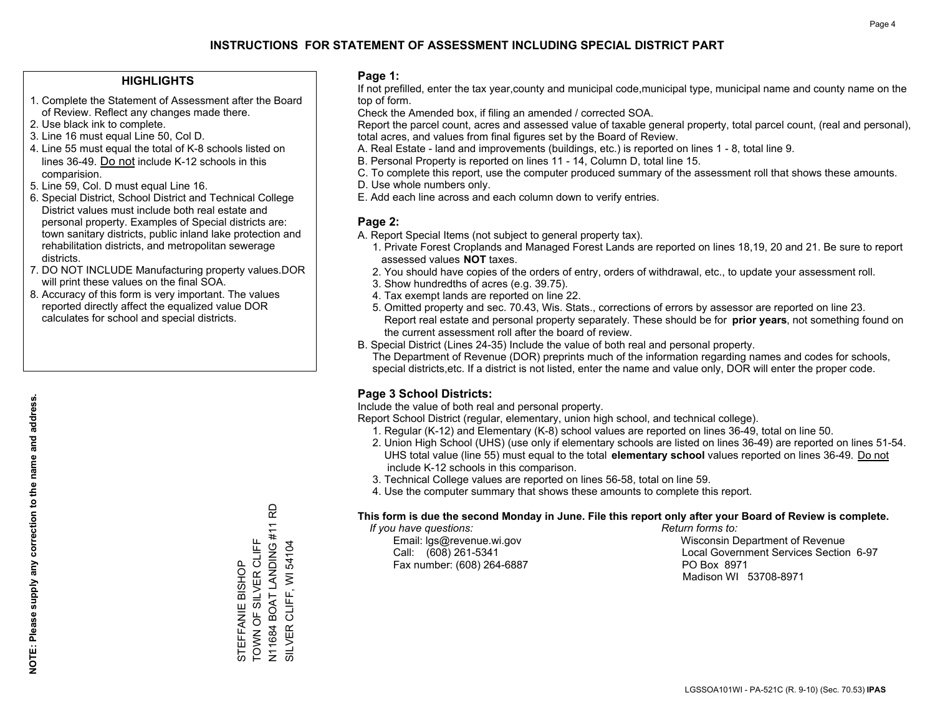### **HIGHLIGHTS**

- 1. Complete the Statement of Assessment after the Board of Review. Reflect any changes made there.
- 2. Use black ink to complete.
- 3. Line 16 must equal Line 50, Col D.
- 4. Line 55 must equal the total of K-8 schools listed on lines 36-49. Do not include K-12 schools in this comparision.
- 5. Line 59, Col. D must equal Line 16.
- 6. Special District, School District and Technical College District values must include both real estate and personal property. Examples of Special districts are: town sanitary districts, public inland lake protection and rehabilitation districts, and metropolitan sewerage districts.
- 7. DO NOT INCLUDE Manufacturing property values.DOR will print these values on the final SOA.

STEFFANIE BISHOP TOWN OF SILVER CLIFF N11684 BOAT LANDING #11 RD

TOWN OF SILVER CLIFF STEFFANIE BISHOP

SILVER CLIFF, WI 54104

N11684 BOAT LANDING #11 I<br>SILVER CLIFF, WI 54104

윤

 8. Accuracy of this form is very important. The values reported directly affect the equalized value DOR calculates for school and special districts.

### **Page 1:**

 If not prefilled, enter the tax year,county and municipal code,municipal type, municipal name and county name on the top of form.

Check the Amended box, if filing an amended / corrected SOA.

 Report the parcel count, acres and assessed value of taxable general property, total parcel count, (real and personal), total acres, and values from final figures set by the Board of Review.

- A. Real Estate land and improvements (buildings, etc.) is reported on lines 1 8, total line 9.
- B. Personal Property is reported on lines 11 14, Column D, total line 15.
- C. To complete this report, use the computer produced summary of the assessment roll that shows these amounts.
- D. Use whole numbers only.
- E. Add each line across and each column down to verify entries.

### **Page 2:**

- A. Report Special Items (not subject to general property tax).
- 1. Private Forest Croplands and Managed Forest Lands are reported on lines 18,19, 20 and 21. Be sure to report assessed values **NOT** taxes.
- 2. You should have copies of the orders of entry, orders of withdrawal, etc., to update your assessment roll.
	- 3. Show hundredths of acres (e.g. 39.75).
- 4. Tax exempt lands are reported on line 22.
- 5. Omitted property and sec. 70.43, Wis. Stats., corrections of errors by assessor are reported on line 23. Report real estate and personal property separately. These should be for **prior years**, not something found on the current assessment roll after the board of review.
- B. Special District (Lines 24-35) Include the value of both real and personal property.
- The Department of Revenue (DOR) preprints much of the information regarding names and codes for schools, special districts,etc. If a district is not listed, enter the name and value only, DOR will enter the proper code.

### **Page 3 School Districts:**

Include the value of both real and personal property.

Report School District (regular, elementary, union high school, and technical college).

- 1. Regular (K-12) and Elementary (K-8) school values are reported on lines 36-49, total on line 50.
- 2. Union High School (UHS) (use only if elementary schools are listed on lines 36-49) are reported on lines 51-54. UHS total value (line 55) must equal to the total **elementary school** values reported on lines 36-49. Do notinclude K-12 schools in this comparison.
- 3. Technical College values are reported on lines 56-58, total on line 59.
- 4. Use the computer summary that shows these amounts to complete this report.

#### **This form is due the second Monday in June. File this report only after your Board of Review is complete.**

 *If you have questions: Return forms to:*

Fax number: (608) 264-6887 PO Box 8971

 Email: lgs@revenue.wi.gov Wisconsin Department of Revenue Call: (608) 261-5341 Local Government Services Section 6-97Madison WI 53708-8971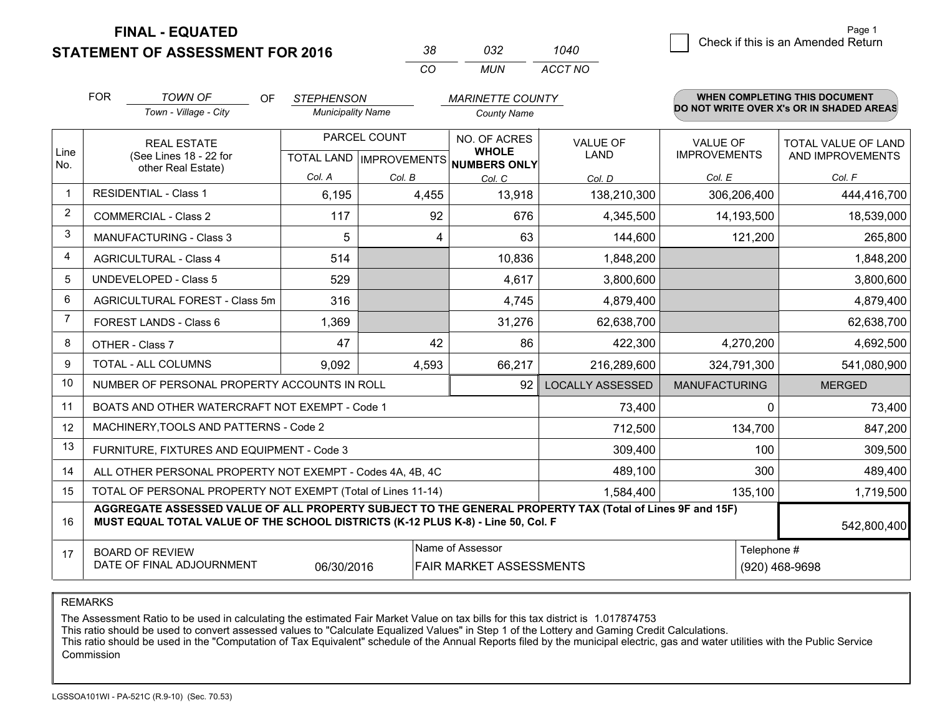**STATEMENT OF ASSESSMENT FOR 2016** 

| .38 | กาว   | 1040    |
|-----|-------|---------|
| (   | MI IN | ACCT NO |

|      | <b>FOR</b>                                                                                                                                                                                   | <b>TOWN OF</b><br><b>OF</b>                                  | <b>STEPHENSON</b>                                    |        | <b>MARINETTE COUNTY</b>      |                                |                                        | <b>WHEN COMPLETING THIS DOCUMENT</b>     |
|------|----------------------------------------------------------------------------------------------------------------------------------------------------------------------------------------------|--------------------------------------------------------------|------------------------------------------------------|--------|------------------------------|--------------------------------|----------------------------------------|------------------------------------------|
|      |                                                                                                                                                                                              | Town - Village - City                                        | <b>Municipality Name</b>                             |        | <b>County Name</b>           |                                |                                        | DO NOT WRITE OVER X's OR IN SHADED AREAS |
| Line | <b>REAL ESTATE</b><br>(See Lines 18 - 22 for                                                                                                                                                 |                                                              | PARCEL COUNT<br>TOTAL LAND IMPROVEMENTS NUMBERS ONLY |        | NO. OF ACRES<br><b>WHOLE</b> | <b>VALUE OF</b><br><b>LAND</b> | <b>VALUE OF</b><br><b>IMPROVEMENTS</b> | TOTAL VALUE OF LAND<br>AND IMPROVEMENTS  |
| No.  |                                                                                                                                                                                              | other Real Estate)                                           | Col. A                                               | Col. B | Col. C                       | Col. D                         | Col. E                                 | Col. F                                   |
|      | <b>RESIDENTIAL - Class 1</b>                                                                                                                                                                 |                                                              | 6,195                                                | 4,455  | 13,918                       | 138,210,300                    | 306,206,400                            | 444,416,700                              |
| 2    |                                                                                                                                                                                              | <b>COMMERCIAL - Class 2</b>                                  | 117                                                  | 92     | 676                          | 4,345,500                      | 14,193,500                             | 18,539,000                               |
| 3    |                                                                                                                                                                                              | <b>MANUFACTURING - Class 3</b>                               | 5                                                    | 4      | 63                           | 144,600                        | 121,200                                | 265,800                                  |
| 4    |                                                                                                                                                                                              | <b>AGRICULTURAL - Class 4</b>                                | 514                                                  |        | 10,836                       | 1,848,200                      |                                        | 1,848,200                                |
| 5    |                                                                                                                                                                                              | <b>UNDEVELOPED - Class 5</b>                                 | 529                                                  |        | 4,617                        | 3,800,600                      |                                        | 3,800,600                                |
| 6    |                                                                                                                                                                                              | AGRICULTURAL FOREST - Class 5m                               | 316                                                  |        | 4,745                        | 4,879,400                      |                                        | 4,879,400                                |
| 7    |                                                                                                                                                                                              | FOREST LANDS - Class 6                                       | 1,369                                                |        | 31,276                       | 62,638,700                     |                                        | 62,638,700                               |
| 8    |                                                                                                                                                                                              | OTHER - Class 7                                              | 47                                                   | 42     | 86                           | 422,300                        | 4,270,200                              | 4,692,500                                |
| 9    |                                                                                                                                                                                              | TOTAL - ALL COLUMNS                                          | 9,092                                                | 4,593  | 66,217                       | 216,289,600                    | 324,791,300                            | 541,080,900                              |
| 10   |                                                                                                                                                                                              | NUMBER OF PERSONAL PROPERTY ACCOUNTS IN ROLL                 |                                                      |        | 92                           | <b>LOCALLY ASSESSED</b>        | <b>MANUFACTURING</b>                   | <b>MERGED</b>                            |
| 11   |                                                                                                                                                                                              | BOATS AND OTHER WATERCRAFT NOT EXEMPT - Code 1               |                                                      |        |                              | 73,400                         | 0                                      | 73,400                                   |
| 12   |                                                                                                                                                                                              | MACHINERY, TOOLS AND PATTERNS - Code 2                       |                                                      |        |                              | 712,500                        | 134,700                                | 847,200                                  |
| 13   |                                                                                                                                                                                              | FURNITURE, FIXTURES AND EQUIPMENT - Code 3                   |                                                      |        |                              | 309,400                        | 100                                    | 309,500                                  |
| 14   |                                                                                                                                                                                              | ALL OTHER PERSONAL PROPERTY NOT EXEMPT - Codes 4A, 4B, 4C    |                                                      |        |                              | 489,100                        | 300                                    | 489,400                                  |
| 15   |                                                                                                                                                                                              | TOTAL OF PERSONAL PROPERTY NOT EXEMPT (Total of Lines 11-14) |                                                      |        |                              | 1,584,400                      | 135,100                                | 1,719,500                                |
| 16   | AGGREGATE ASSESSED VALUE OF ALL PROPERTY SUBJECT TO THE GENERAL PROPERTY TAX (Total of Lines 9F and 15F)<br>MUST EQUAL TOTAL VALUE OF THE SCHOOL DISTRICTS (K-12 PLUS K-8) - Line 50, Col. F |                                                              |                                                      |        |                              |                                |                                        | 542,800,400                              |
| 17   | Name of Assessor<br>Telephone #<br><b>BOARD OF REVIEW</b><br>DATE OF FINAL ADJOURNMENT<br>06/30/2016<br>FAIR MARKET ASSESSMENTS                                                              |                                                              |                                                      |        |                              | (920) 468-9698                 |                                        |                                          |

REMARKS

The Assessment Ratio to be used in calculating the estimated Fair Market Value on tax bills for this tax district is 1.017874753

This ratio should be used to convert assessed values to "Calculate Equalized Values" in Step 1 of the Lottery and Gaming Credit Calculations.<br>This ratio should be used in the "Computation of Tax Equivalent" schedule of the Commission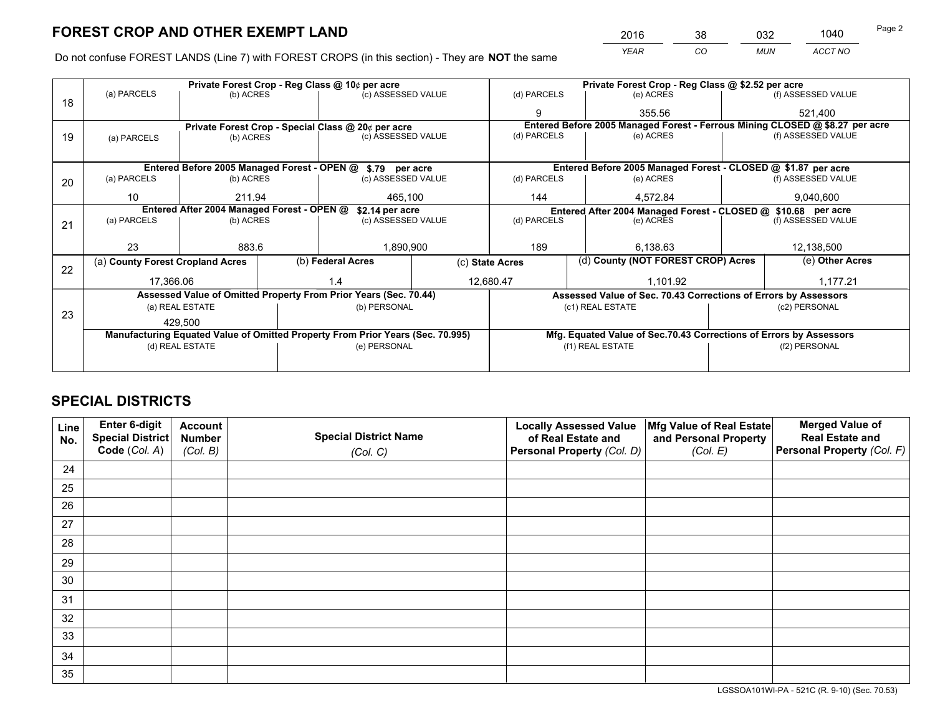*YEAR CO MUN ACCT NO* <sup>2016</sup> <sup>38</sup> <sup>032</sup> <sup>1040</sup>

Do not confuse FOREST LANDS (Line 7) with FOREST CROPS (in this section) - They are **NOT** the same

|    |                                                                                |                 |  | Private Forest Crop - Reg Class @ 10¢ per acre                   |                                                               | Private Forest Crop - Reg Class @ \$2.52 per acre |                                                                    |                                                                 |               |                                                                              |
|----|--------------------------------------------------------------------------------|-----------------|--|------------------------------------------------------------------|---------------------------------------------------------------|---------------------------------------------------|--------------------------------------------------------------------|-----------------------------------------------------------------|---------------|------------------------------------------------------------------------------|
| 18 | (a) PARCELS                                                                    | (b) ACRES       |  | (c) ASSESSED VALUE                                               |                                                               | (d) PARCELS                                       |                                                                    | (e) ACRES                                                       |               | (f) ASSESSED VALUE                                                           |
|    |                                                                                |                 |  |                                                                  |                                                               | 9                                                 |                                                                    | 355.56                                                          |               | 521,400                                                                      |
|    |                                                                                |                 |  | Private Forest Crop - Special Class @ 20¢ per acre               |                                                               |                                                   |                                                                    |                                                                 |               | Entered Before 2005 Managed Forest - Ferrous Mining CLOSED @ \$8.27 per acre |
| 19 | (a) PARCELS                                                                    | (b) ACRES       |  | (c) ASSESSED VALUE                                               |                                                               | (d) PARCELS                                       |                                                                    | (e) ACRES                                                       |               | (f) ASSESSED VALUE                                                           |
|    |                                                                                |                 |  |                                                                  |                                                               |                                                   |                                                                    |                                                                 |               |                                                                              |
|    |                                                                                |                 |  | Entered Before 2005 Managed Forest - OPEN @ \$.79 per acre       |                                                               |                                                   |                                                                    | Entered Before 2005 Managed Forest - CLOSED @ \$1.87 per acre   |               |                                                                              |
| 20 | (a) PARCELS                                                                    | (b) ACRES       |  | (c) ASSESSED VALUE                                               |                                                               | (d) PARCELS                                       |                                                                    | (e) ACRES                                                       |               | (f) ASSESSED VALUE                                                           |
|    | 10                                                                             | 211.94          |  | 465.100                                                          |                                                               | 144                                               |                                                                    | 4,572.84                                                        |               | 9,040,600                                                                    |
|    | Entered After 2004 Managed Forest - OPEN @<br>\$2.14 per acre                  |                 |  |                                                                  | Entered After 2004 Managed Forest - CLOSED @ \$10.68 per acre |                                                   |                                                                    |                                                                 |               |                                                                              |
| 21 | (a) PARCELS                                                                    | (b) ACRES       |  | (c) ASSESSED VALUE                                               |                                                               | (d) PARCELS<br>(e) ACRES                          |                                                                    | (f) ASSESSED VALUE                                              |               |                                                                              |
|    |                                                                                |                 |  |                                                                  |                                                               |                                                   |                                                                    |                                                                 |               |                                                                              |
|    | 23                                                                             | 883.6           |  | 1,890,900                                                        |                                                               | 189<br>6,138.63                                   |                                                                    |                                                                 | 12,138,500    |                                                                              |
| 22 | (a) County Forest Cropland Acres                                               |                 |  | (b) Federal Acres                                                | (c) State Acres                                               |                                                   |                                                                    | (d) County (NOT FOREST CROP) Acres                              |               | (e) Other Acres                                                              |
|    | 17,366.06                                                                      |                 |  | 12,680.47<br>1.4                                                 |                                                               |                                                   | 1,101.92                                                           |                                                                 |               | 1,177.21                                                                     |
|    |                                                                                |                 |  | Assessed Value of Omitted Property From Prior Years (Sec. 70.44) |                                                               |                                                   |                                                                    | Assessed Value of Sec. 70.43 Corrections of Errors by Assessors |               |                                                                              |
|    |                                                                                | (a) REAL ESTATE |  | (b) PERSONAL                                                     |                                                               |                                                   |                                                                    | (c1) REAL ESTATE                                                |               | (c2) PERSONAL                                                                |
| 23 |                                                                                | 429,500         |  |                                                                  |                                                               |                                                   |                                                                    |                                                                 |               |                                                                              |
|    | Manufacturing Equated Value of Omitted Property From Prior Years (Sec. 70.995) |                 |  |                                                                  |                                                               |                                                   | Mfg. Equated Value of Sec.70.43 Corrections of Errors by Assessors |                                                                 |               |                                                                              |
|    |                                                                                | (d) REAL ESTATE |  | (e) PERSONAL                                                     |                                                               | (f1) REAL ESTATE                                  |                                                                    |                                                                 | (f2) PERSONAL |                                                                              |
|    |                                                                                |                 |  |                                                                  |                                                               |                                                   |                                                                    |                                                                 |               |                                                                              |

## **SPECIAL DISTRICTS**

| Line<br>No. | Enter 6-digit<br>Special District<br>Code (Col. A) | <b>Account</b><br><b>Number</b><br>(Col. B) | <b>Special District Name</b><br>(Col. C) | <b>Locally Assessed Value</b><br>of Real Estate and<br>Personal Property (Col. D) | Mfg Value of Real Estate<br>and Personal Property<br>(Col. E) | <b>Merged Value of</b><br><b>Real Estate and</b><br>Personal Property (Col. F) |
|-------------|----------------------------------------------------|---------------------------------------------|------------------------------------------|-----------------------------------------------------------------------------------|---------------------------------------------------------------|--------------------------------------------------------------------------------|
| 24          |                                                    |                                             |                                          |                                                                                   |                                                               |                                                                                |
| 25          |                                                    |                                             |                                          |                                                                                   |                                                               |                                                                                |
| 26          |                                                    |                                             |                                          |                                                                                   |                                                               |                                                                                |
| 27          |                                                    |                                             |                                          |                                                                                   |                                                               |                                                                                |
| 28          |                                                    |                                             |                                          |                                                                                   |                                                               |                                                                                |
| 29          |                                                    |                                             |                                          |                                                                                   |                                                               |                                                                                |
| 30          |                                                    |                                             |                                          |                                                                                   |                                                               |                                                                                |
| 31          |                                                    |                                             |                                          |                                                                                   |                                                               |                                                                                |
| 32          |                                                    |                                             |                                          |                                                                                   |                                                               |                                                                                |
| 33          |                                                    |                                             |                                          |                                                                                   |                                                               |                                                                                |
| 34          |                                                    |                                             |                                          |                                                                                   |                                                               |                                                                                |
| 35          |                                                    |                                             |                                          |                                                                                   |                                                               |                                                                                |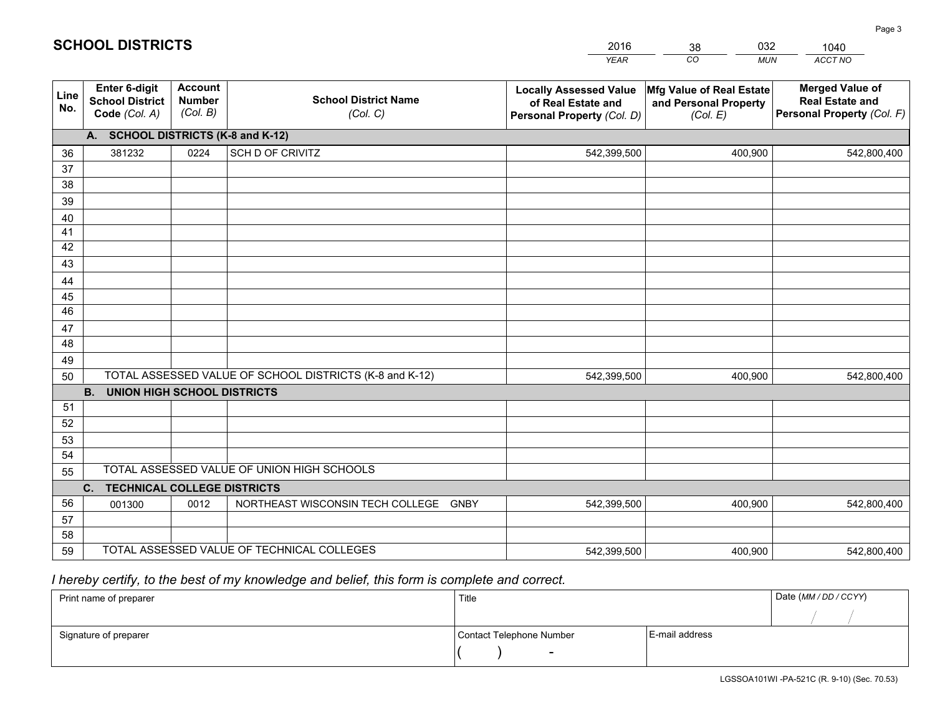|                 |                                                                 |                                             |                                                         | <b>YEAR</b>                                                                       | CO<br><b>MUN</b>                                              | ACCT NO                                                                        |
|-----------------|-----------------------------------------------------------------|---------------------------------------------|---------------------------------------------------------|-----------------------------------------------------------------------------------|---------------------------------------------------------------|--------------------------------------------------------------------------------|
| Line<br>No.     | <b>Enter 6-digit</b><br><b>School District</b><br>Code (Col. A) | <b>Account</b><br><b>Number</b><br>(Col. B) | <b>School District Name</b><br>(Col. C)                 | <b>Locally Assessed Value</b><br>of Real Estate and<br>Personal Property (Col. D) | Mfg Value of Real Estate<br>and Personal Property<br>(Col. E) | <b>Merged Value of</b><br><b>Real Estate and</b><br>Personal Property (Col. F) |
|                 | A. SCHOOL DISTRICTS (K-8 and K-12)                              |                                             |                                                         |                                                                                   |                                                               |                                                                                |
| 36              | 381232                                                          | 0224                                        | SCH D OF CRIVITZ                                        | 542,399,500                                                                       | 400,900                                                       | 542,800,400                                                                    |
| 37              |                                                                 |                                             |                                                         |                                                                                   |                                                               |                                                                                |
| 38              |                                                                 |                                             |                                                         |                                                                                   |                                                               |                                                                                |
| 39              |                                                                 |                                             |                                                         |                                                                                   |                                                               |                                                                                |
| 40              |                                                                 |                                             |                                                         |                                                                                   |                                                               |                                                                                |
| 41              |                                                                 |                                             |                                                         |                                                                                   |                                                               |                                                                                |
| 42<br>43        |                                                                 |                                             |                                                         |                                                                                   |                                                               |                                                                                |
| 44              |                                                                 |                                             |                                                         |                                                                                   |                                                               |                                                                                |
| 45              |                                                                 |                                             |                                                         |                                                                                   |                                                               |                                                                                |
| $\overline{46}$ |                                                                 |                                             |                                                         |                                                                                   |                                                               |                                                                                |
| 47              |                                                                 |                                             |                                                         |                                                                                   |                                                               |                                                                                |
| 48              |                                                                 |                                             |                                                         |                                                                                   |                                                               |                                                                                |
| 49              |                                                                 |                                             |                                                         |                                                                                   |                                                               |                                                                                |
| 50              |                                                                 |                                             | TOTAL ASSESSED VALUE OF SCHOOL DISTRICTS (K-8 and K-12) | 542.399.500                                                                       | 400,900                                                       | 542,800,400                                                                    |
|                 | <b>B.</b><br><b>UNION HIGH SCHOOL DISTRICTS</b>                 |                                             |                                                         |                                                                                   |                                                               |                                                                                |
| 51              |                                                                 |                                             |                                                         |                                                                                   |                                                               |                                                                                |
| 52              |                                                                 |                                             |                                                         |                                                                                   |                                                               |                                                                                |
| 53              |                                                                 |                                             |                                                         |                                                                                   |                                                               |                                                                                |
| 54              |                                                                 |                                             |                                                         |                                                                                   |                                                               |                                                                                |
| 55              |                                                                 |                                             | TOTAL ASSESSED VALUE OF UNION HIGH SCHOOLS              |                                                                                   |                                                               |                                                                                |
|                 | C.<br><b>TECHNICAL COLLEGE DISTRICTS</b>                        |                                             |                                                         |                                                                                   |                                                               |                                                                                |
| 56              | 001300                                                          | 0012                                        | NORTHEAST WISCONSIN TECH COLLEGE<br><b>GNBY</b>         | 542,399,500                                                                       | 400,900                                                       | 542,800,400                                                                    |
| 57<br>58        |                                                                 |                                             |                                                         |                                                                                   |                                                               |                                                                                |
| 59              |                                                                 |                                             | TOTAL ASSESSED VALUE OF TECHNICAL COLLEGES              | 542,399,500                                                                       | 400,900                                                       | 542,800,400                                                                    |
|                 |                                                                 |                                             |                                                         |                                                                                   |                                                               |                                                                                |

38

032

# *I hereby certify, to the best of my knowledge and belief, this form is complete and correct.*

**SCHOOL DISTRICTS**

| Print name of preparer | Title                    |                | Date (MM / DD / CCYY) |
|------------------------|--------------------------|----------------|-----------------------|
|                        |                          |                |                       |
| Signature of preparer  | Contact Telephone Number | E-mail address |                       |
|                        | $\sim$                   |                |                       |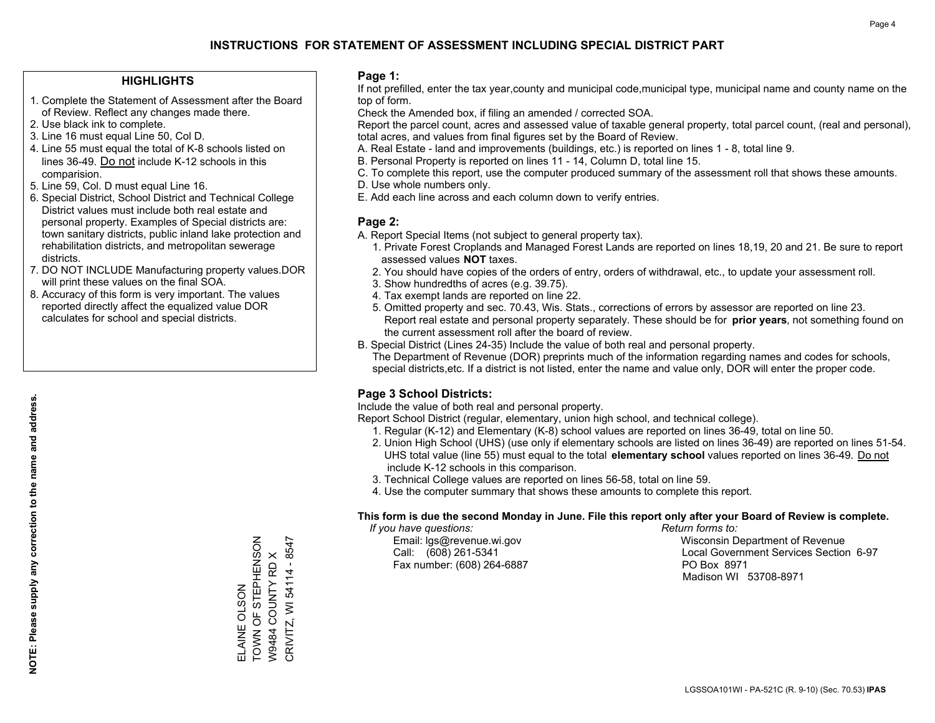### **HIGHLIGHTS**

- 1. Complete the Statement of Assessment after the Board of Review. Reflect any changes made there.
- 2. Use black ink to complete.
- 3. Line 16 must equal Line 50, Col D.
- 4. Line 55 must equal the total of K-8 schools listed on lines 36-49. Do not include K-12 schools in this comparision.
- 5. Line 59, Col. D must equal Line 16.
- 6. Special District, School District and Technical College District values must include both real estate and personal property. Examples of Special districts are: town sanitary districts, public inland lake protection and rehabilitation districts, and metropolitan sewerage districts.
- 7. DO NOT INCLUDE Manufacturing property values.DOR will print these values on the final SOA.

ELAINE OLSON

TOWN OF STEPHENSON W9484 COUNTY RD X CRIVITZ, WI 54114 - 8547

CRIVITZ, WI 54114 - 8547 W9484 COUNTY RD X

ELAINE OLSON<br>TOWN OF STEPHENSON

 8. Accuracy of this form is very important. The values reported directly affect the equalized value DOR calculates for school and special districts.

### **Page 1:**

 If not prefilled, enter the tax year,county and municipal code,municipal type, municipal name and county name on the top of form.

Check the Amended box, if filing an amended / corrected SOA.

 Report the parcel count, acres and assessed value of taxable general property, total parcel count, (real and personal), total acres, and values from final figures set by the Board of Review.

- A. Real Estate land and improvements (buildings, etc.) is reported on lines 1 8, total line 9.
- B. Personal Property is reported on lines 11 14, Column D, total line 15.
- C. To complete this report, use the computer produced summary of the assessment roll that shows these amounts.
- D. Use whole numbers only.
- E. Add each line across and each column down to verify entries.

### **Page 2:**

- A. Report Special Items (not subject to general property tax).
- 1. Private Forest Croplands and Managed Forest Lands are reported on lines 18,19, 20 and 21. Be sure to report assessed values **NOT** taxes.
- 2. You should have copies of the orders of entry, orders of withdrawal, etc., to update your assessment roll.
	- 3. Show hundredths of acres (e.g. 39.75).
- 4. Tax exempt lands are reported on line 22.
- 5. Omitted property and sec. 70.43, Wis. Stats., corrections of errors by assessor are reported on line 23. Report real estate and personal property separately. These should be for **prior years**, not something found on the current assessment roll after the board of review.
- B. Special District (Lines 24-35) Include the value of both real and personal property.

 The Department of Revenue (DOR) preprints much of the information regarding names and codes for schools, special districts,etc. If a district is not listed, enter the name and value only, DOR will enter the proper code.

### **Page 3 School Districts:**

Include the value of both real and personal property.

Report School District (regular, elementary, union high school, and technical college).

- 1. Regular (K-12) and Elementary (K-8) school values are reported on lines 36-49, total on line 50.
- 2. Union High School (UHS) (use only if elementary schools are listed on lines 36-49) are reported on lines 51-54. UHS total value (line 55) must equal to the total **elementary school** values reported on lines 36-49. Do notinclude K-12 schools in this comparison.
- 3. Technical College values are reported on lines 56-58, total on line 59.
- 4. Use the computer summary that shows these amounts to complete this report.

#### **This form is due the second Monday in June. File this report only after your Board of Review is complete.**

 *If you have questions: Return forms to:*

Fax number: (608) 264-6887 PO Box 8971

 Email: lgs@revenue.wi.gov Wisconsin Department of Revenue Call: (608) 261-5341 Local Government Services Section 6-97Madison WI 53708-8971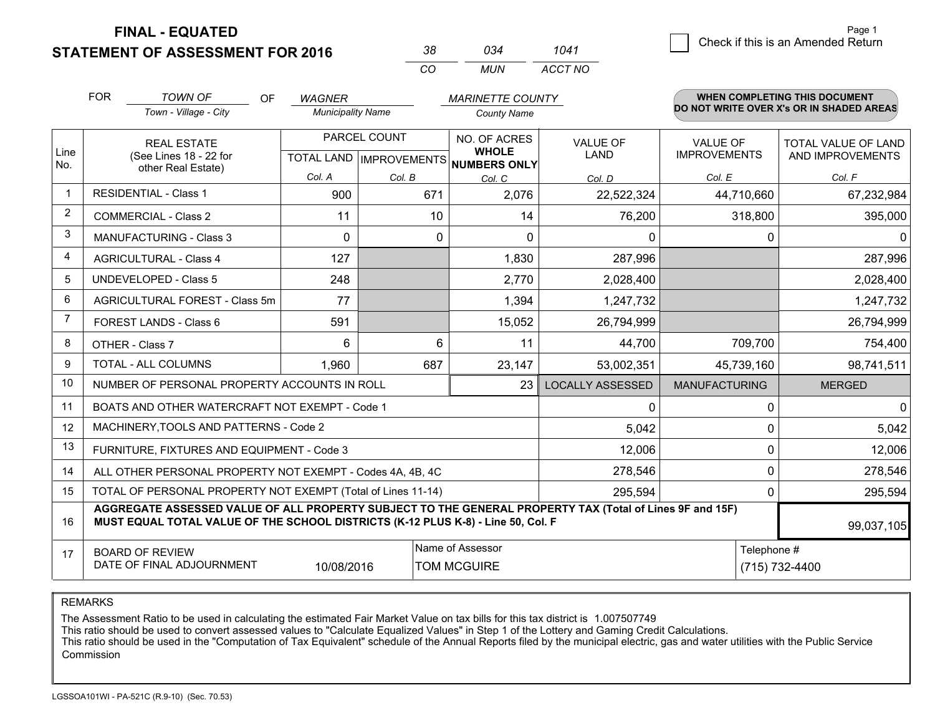**STATEMENT OF ASSESSMENT FOR 2016** 

| 38  | ∩จ⊿  | 1041    |
|-----|------|---------|
| CO. | MUN. | ACCT NO |

|                | <b>FOR</b>                                                                                                                                                                                   | <b>TOWN OF</b><br>OF                                         | <b>WAGNER</b>            |              | <b>MARINETTE COUNTY</b>                                              |                                |                                        | WHEN COMPLETING THIS DOCUMENT                  |
|----------------|----------------------------------------------------------------------------------------------------------------------------------------------------------------------------------------------|--------------------------------------------------------------|--------------------------|--------------|----------------------------------------------------------------------|--------------------------------|----------------------------------------|------------------------------------------------|
|                |                                                                                                                                                                                              | Town - Village - City                                        | <b>Municipality Name</b> |              | <b>County Name</b>                                                   |                                |                                        | DO NOT WRITE OVER X's OR IN SHADED AREAS       |
| Line<br>No.    | <b>REAL ESTATE</b><br>(See Lines 18 - 22 for                                                                                                                                                 |                                                              |                          | PARCEL COUNT | NO. OF ACRES<br><b>WHOLE</b><br>TOTAL LAND IMPROVEMENTS NUMBERS ONLY | <b>VALUE OF</b><br><b>LAND</b> | <b>VALUE OF</b><br><b>IMPROVEMENTS</b> | <b>TOTAL VALUE OF LAND</b><br>AND IMPROVEMENTS |
|                |                                                                                                                                                                                              | other Real Estate)                                           | Col. A                   | Col. B       | Col. C                                                               | Col. D                         | Col. E                                 | Col. F                                         |
|                |                                                                                                                                                                                              | <b>RESIDENTIAL - Class 1</b>                                 | 900                      | 671          | 2,076                                                                | 22,522,324                     | 44,710,660                             | 67,232,984                                     |
| $\overline{2}$ |                                                                                                                                                                                              | <b>COMMERCIAL - Class 2</b>                                  | 11                       | 10           | 14                                                                   | 76,200                         | 318,800                                | 395,000                                        |
| 3              |                                                                                                                                                                                              | <b>MANUFACTURING - Class 3</b>                               | 0                        | $\Omega$     | $\Omega$                                                             | 0                              |                                        | $\mathbf{0}$<br>0                              |
| 4              |                                                                                                                                                                                              | <b>AGRICULTURAL - Class 4</b>                                | 127                      |              | 1,830                                                                | 287,996                        |                                        | 287,996                                        |
| 5              |                                                                                                                                                                                              | UNDEVELOPED - Class 5                                        | 248                      |              | 2,770                                                                | 2,028,400                      |                                        | 2,028,400                                      |
| 6              |                                                                                                                                                                                              | AGRICULTURAL FOREST - Class 5m                               | 77                       |              | 1,394                                                                | 1,247,732                      |                                        | 1,247,732                                      |
| 7              |                                                                                                                                                                                              | FOREST LANDS - Class 6                                       | 591                      |              | 15,052                                                               | 26,794,999                     |                                        | 26,794,999                                     |
| 8              |                                                                                                                                                                                              | OTHER - Class 7                                              | 6                        | 6            | 11                                                                   | 44,700                         | 709,700                                | 754,400                                        |
| 9              |                                                                                                                                                                                              | TOTAL - ALL COLUMNS                                          | 1,960                    | 687          | 23,147                                                               | 53,002,351                     | 45,739,160                             | 98,741,511                                     |
| 10             |                                                                                                                                                                                              | NUMBER OF PERSONAL PROPERTY ACCOUNTS IN ROLL                 |                          |              | 23                                                                   | <b>LOCALLY ASSESSED</b>        | <b>MANUFACTURING</b>                   | <b>MERGED</b>                                  |
| 11             |                                                                                                                                                                                              | BOATS AND OTHER WATERCRAFT NOT EXEMPT - Code 1               |                          |              |                                                                      | 0                              |                                        | $\mathbf{0}$<br>0                              |
| 12             |                                                                                                                                                                                              | MACHINERY, TOOLS AND PATTERNS - Code 2                       |                          |              |                                                                      | 5,042                          |                                        | 5,042<br>$\Omega$                              |
| 13             |                                                                                                                                                                                              | FURNITURE, FIXTURES AND EQUIPMENT - Code 3                   |                          |              |                                                                      | 12,006                         |                                        | $\Omega$<br>12,006                             |
| 14             |                                                                                                                                                                                              | ALL OTHER PERSONAL PROPERTY NOT EXEMPT - Codes 4A, 4B, 4C    |                          |              |                                                                      | 278,546                        |                                        | 0<br>278,546                                   |
| 15             |                                                                                                                                                                                              | TOTAL OF PERSONAL PROPERTY NOT EXEMPT (Total of Lines 11-14) |                          |              |                                                                      | 295,594                        |                                        | 295,594<br>$\Omega$                            |
| 16             | AGGREGATE ASSESSED VALUE OF ALL PROPERTY SUBJECT TO THE GENERAL PROPERTY TAX (Total of Lines 9F and 15F)<br>MUST EQUAL TOTAL VALUE OF THE SCHOOL DISTRICTS (K-12 PLUS K-8) - Line 50, Col. F |                                                              |                          |              |                                                                      |                                | 99,037,105                             |                                                |
| 17             |                                                                                                                                                                                              | <b>BOARD OF REVIEW</b>                                       |                          |              | Name of Assessor                                                     |                                |                                        | Telephone #                                    |
|                | DATE OF FINAL ADJOURNMENT<br>10/08/2016<br><b>TOM MCGUIRE</b><br>(715) 732-4400                                                                                                              |                                                              |                          |              |                                                                      |                                |                                        |                                                |

REMARKS

The Assessment Ratio to be used in calculating the estimated Fair Market Value on tax bills for this tax district is 1.007507749

This ratio should be used to convert assessed values to "Calculate Equalized Values" in Step 1 of the Lottery and Gaming Credit Calculations.<br>This ratio should be used in the "Computation of Tax Equivalent" schedule of the Commission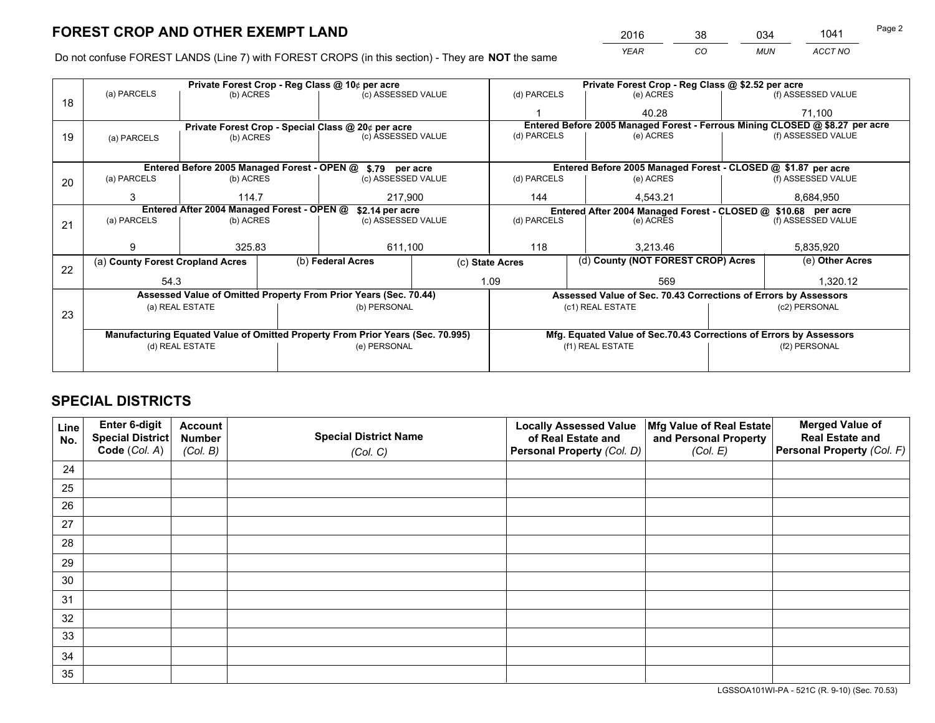*YEAR CO MUN ACCT NO* <sup>2016</sup> <sup>38</sup> <sup>034</sup> <sup>1041</sup>

Do not confuse FOREST LANDS (Line 7) with FOREST CROPS (in this section) - They are **NOT** the same

|    |                                                               |                  |  | Private Forest Crop - Reg Class @ 10¢ per acre                                 |                                                               | Private Forest Crop - Reg Class @ \$2.52 per acre |                                                                              |                                    |                    |  |
|----|---------------------------------------------------------------|------------------|--|--------------------------------------------------------------------------------|---------------------------------------------------------------|---------------------------------------------------|------------------------------------------------------------------------------|------------------------------------|--------------------|--|
| 18 | (a) PARCELS                                                   | (b) ACRES        |  | (c) ASSESSED VALUE                                                             |                                                               | (d) PARCELS                                       | (e) ACRES                                                                    |                                    | (f) ASSESSED VALUE |  |
|    |                                                               |                  |  |                                                                                |                                                               |                                                   | 40.28                                                                        |                                    | 71,100             |  |
|    |                                                               |                  |  | Private Forest Crop - Special Class @ 20¢ per acre                             |                                                               |                                                   | Entered Before 2005 Managed Forest - Ferrous Mining CLOSED @ \$8.27 per acre |                                    |                    |  |
| 19 | (a) PARCELS                                                   | (b) ACRES        |  | (c) ASSESSED VALUE                                                             |                                                               | (d) PARCELS                                       | (e) ACRES                                                                    |                                    | (f) ASSESSED VALUE |  |
|    |                                                               |                  |  |                                                                                |                                                               |                                                   |                                                                              |                                    |                    |  |
|    |                                                               |                  |  | Entered Before 2005 Managed Forest - OPEN @ \$.79 per acre                     |                                                               |                                                   | Entered Before 2005 Managed Forest - CLOSED @ \$1.87 per acre                |                                    |                    |  |
| 20 | (a) PARCELS                                                   | (b) ACRES        |  | (c) ASSESSED VALUE                                                             |                                                               | (d) PARCELS                                       | (e) ACRES                                                                    |                                    | (f) ASSESSED VALUE |  |
|    | 3                                                             | 114.7<br>217,900 |  |                                                                                | 144<br>4,543.21                                               |                                                   |                                                                              | 8,684,950                          |                    |  |
|    | Entered After 2004 Managed Forest - OPEN @<br>\$2.14 per acre |                  |  |                                                                                | Entered After 2004 Managed Forest - CLOSED @ \$10.68 per acre |                                                   |                                                                              |                                    |                    |  |
| 21 | (a) PARCELS                                                   | (b) ACRES        |  | (c) ASSESSED VALUE                                                             |                                                               | (d) PARCELS<br>(e) ACRES                          |                                                                              |                                    | (f) ASSESSED VALUE |  |
|    |                                                               |                  |  |                                                                                |                                                               |                                                   |                                                                              |                                    |                    |  |
|    | 9                                                             | 325.83           |  | 611,100                                                                        |                                                               | 118<br>3.213.46                                   |                                                                              |                                    | 5,835,920          |  |
| 22 | (a) County Forest Cropland Acres                              |                  |  | (b) Federal Acres                                                              | (c) State Acres                                               |                                                   |                                                                              | (d) County (NOT FOREST CROP) Acres |                    |  |
|    | 54.3                                                          |                  |  |                                                                                |                                                               | 1.09                                              | 569                                                                          |                                    | 1,320.12           |  |
|    |                                                               |                  |  | Assessed Value of Omitted Property From Prior Years (Sec. 70.44)               |                                                               |                                                   | Assessed Value of Sec. 70.43 Corrections of Errors by Assessors              |                                    |                    |  |
|    |                                                               | (a) REAL ESTATE  |  | (b) PERSONAL                                                                   |                                                               |                                                   | (c1) REAL ESTATE                                                             |                                    | (c2) PERSONAL      |  |
| 23 |                                                               |                  |  |                                                                                |                                                               |                                                   |                                                                              |                                    |                    |  |
|    |                                                               |                  |  | Manufacturing Equated Value of Omitted Property From Prior Years (Sec. 70.995) |                                                               |                                                   | Mfg. Equated Value of Sec.70.43 Corrections of Errors by Assessors           |                                    |                    |  |
|    | (d) REAL ESTATE                                               |                  |  | (e) PERSONAL                                                                   |                                                               | (f1) REAL ESTATE                                  |                                                                              |                                    | (f2) PERSONAL      |  |
|    |                                                               |                  |  |                                                                                |                                                               |                                                   |                                                                              |                                    |                    |  |

## **SPECIAL DISTRICTS**

| Line<br>No. | Enter 6-digit<br><b>Special District</b> | <b>Account</b><br><b>Number</b> | <b>Special District Name</b> | <b>Locally Assessed Value</b><br>of Real Estate and | Mfg Value of Real Estate<br>and Personal Property | <b>Merged Value of</b><br><b>Real Estate and</b> |
|-------------|------------------------------------------|---------------------------------|------------------------------|-----------------------------------------------------|---------------------------------------------------|--------------------------------------------------|
|             | Code (Col. A)                            | (Col. B)                        | (Col. C)                     | Personal Property (Col. D)                          | (Col. E)                                          | Personal Property (Col. F)                       |
| 24          |                                          |                                 |                              |                                                     |                                                   |                                                  |
| 25          |                                          |                                 |                              |                                                     |                                                   |                                                  |
| 26          |                                          |                                 |                              |                                                     |                                                   |                                                  |
| 27          |                                          |                                 |                              |                                                     |                                                   |                                                  |
| 28          |                                          |                                 |                              |                                                     |                                                   |                                                  |
| 29          |                                          |                                 |                              |                                                     |                                                   |                                                  |
| 30          |                                          |                                 |                              |                                                     |                                                   |                                                  |
| 31          |                                          |                                 |                              |                                                     |                                                   |                                                  |
| 32          |                                          |                                 |                              |                                                     |                                                   |                                                  |
| 33          |                                          |                                 |                              |                                                     |                                                   |                                                  |
| 34          |                                          |                                 |                              |                                                     |                                                   |                                                  |
| 35          |                                          |                                 |                              |                                                     |                                                   |                                                  |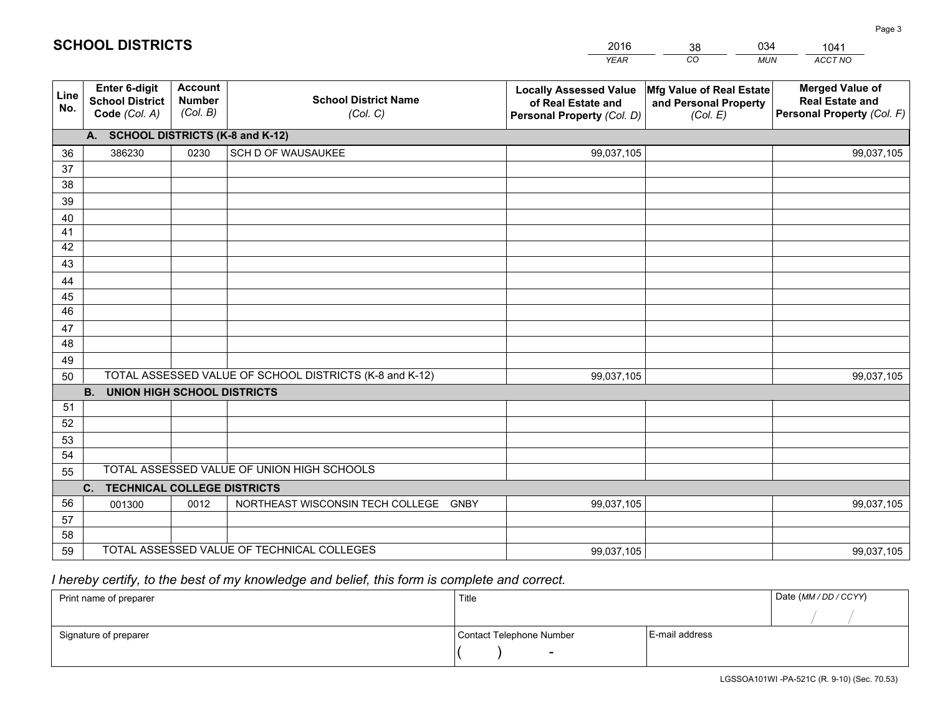|             |                                                                 |                                             |                                                         | <b>YEAR</b>                                                                       | CO<br><b>MUN</b>                                              | ACCT NO                                                                        |
|-------------|-----------------------------------------------------------------|---------------------------------------------|---------------------------------------------------------|-----------------------------------------------------------------------------------|---------------------------------------------------------------|--------------------------------------------------------------------------------|
| Line<br>No. | <b>Enter 6-digit</b><br><b>School District</b><br>Code (Col. A) | <b>Account</b><br><b>Number</b><br>(Col. B) | <b>School District Name</b><br>(Col. C)                 | <b>Locally Assessed Value</b><br>of Real Estate and<br>Personal Property (Col. D) | Mfg Value of Real Estate<br>and Personal Property<br>(Col. E) | <b>Merged Value of</b><br><b>Real Estate and</b><br>Personal Property (Col. F) |
|             | A. SCHOOL DISTRICTS (K-8 and K-12)                              |                                             |                                                         |                                                                                   |                                                               |                                                                                |
| 36          | 386230                                                          | 0230                                        | SCH D OF WAUSAUKEE                                      | 99,037,105                                                                        |                                                               | 99,037,105                                                                     |
| 37          |                                                                 |                                             |                                                         |                                                                                   |                                                               |                                                                                |
| 38          |                                                                 |                                             |                                                         |                                                                                   |                                                               |                                                                                |
| 39          |                                                                 |                                             |                                                         |                                                                                   |                                                               |                                                                                |
| 40          |                                                                 |                                             |                                                         |                                                                                   |                                                               |                                                                                |
| 41          |                                                                 |                                             |                                                         |                                                                                   |                                                               |                                                                                |
| 42<br>43    |                                                                 |                                             |                                                         |                                                                                   |                                                               |                                                                                |
|             |                                                                 |                                             |                                                         |                                                                                   |                                                               |                                                                                |
| 44<br>45    |                                                                 |                                             |                                                         |                                                                                   |                                                               |                                                                                |
| 46          |                                                                 |                                             |                                                         |                                                                                   |                                                               |                                                                                |
| 47          |                                                                 |                                             |                                                         |                                                                                   |                                                               |                                                                                |
| 48          |                                                                 |                                             |                                                         |                                                                                   |                                                               |                                                                                |
| 49          |                                                                 |                                             |                                                         |                                                                                   |                                                               |                                                                                |
| 50          |                                                                 |                                             | TOTAL ASSESSED VALUE OF SCHOOL DISTRICTS (K-8 and K-12) | 99,037,105                                                                        |                                                               | 99,037,105                                                                     |
|             | <b>B.</b><br><b>UNION HIGH SCHOOL DISTRICTS</b>                 |                                             |                                                         |                                                                                   |                                                               |                                                                                |
| 51          |                                                                 |                                             |                                                         |                                                                                   |                                                               |                                                                                |
| 52          |                                                                 |                                             |                                                         |                                                                                   |                                                               |                                                                                |
| 53          |                                                                 |                                             |                                                         |                                                                                   |                                                               |                                                                                |
| 54          |                                                                 |                                             |                                                         |                                                                                   |                                                               |                                                                                |
| 55          |                                                                 |                                             | TOTAL ASSESSED VALUE OF UNION HIGH SCHOOLS              |                                                                                   |                                                               |                                                                                |
|             | C.<br><b>TECHNICAL COLLEGE DISTRICTS</b>                        |                                             |                                                         |                                                                                   |                                                               |                                                                                |
| 56          | 001300                                                          | 0012                                        | NORTHEAST WISCONSIN TECH COLLEGE GNBY                   | 99,037,105                                                                        |                                                               | 99,037,105                                                                     |
| 57          |                                                                 |                                             |                                                         |                                                                                   |                                                               |                                                                                |
| 58          |                                                                 |                                             |                                                         |                                                                                   |                                                               |                                                                                |
| 59          |                                                                 |                                             | TOTAL ASSESSED VALUE OF TECHNICAL COLLEGES              | 99,037,105                                                                        |                                                               | 99,037,105                                                                     |

38

034

# *I hereby certify, to the best of my knowledge and belief, this form is complete and correct.*

**SCHOOL DISTRICTS**

| Print name of preparer | Title                    |                | Date (MM / DD / CCYY) |
|------------------------|--------------------------|----------------|-----------------------|
|                        |                          |                |                       |
| Signature of preparer  | Contact Telephone Number | E-mail address |                       |
|                        | $\overline{\phantom{0}}$ |                |                       |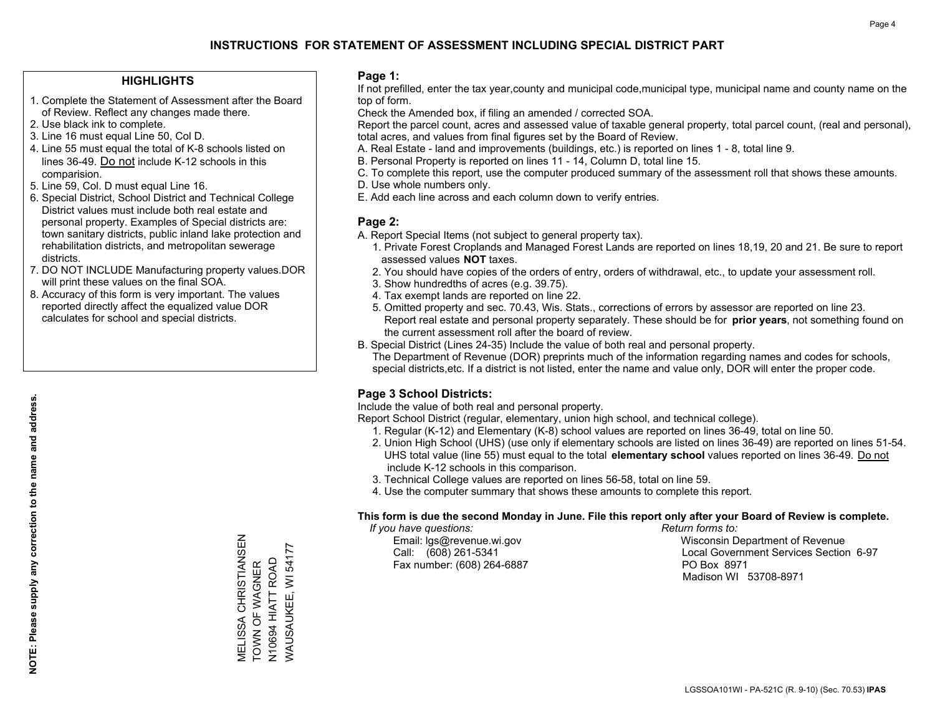### **HIGHLIGHTS**

- 1. Complete the Statement of Assessment after the Board of Review. Reflect any changes made there.
- 2. Use black ink to complete.
- 3. Line 16 must equal Line 50, Col D.
- 4. Line 55 must equal the total of K-8 schools listed on lines 36-49. Do not include K-12 schools in this comparision.
- 5. Line 59, Col. D must equal Line 16.
- 6. Special District, School District and Technical College District values must include both real estate and personal property. Examples of Special districts are: town sanitary districts, public inland lake protection and rehabilitation districts, and metropolitan sewerage districts.
- 7. DO NOT INCLUDE Manufacturing property values.DOR will print these values on the final SOA.

MELISSA CHRISTIANSEN TOWN OF WAGNER N10694 HIATT ROAD WAUSAUKEE, WI 54177

MELISSA CHRISTIANSEN<br>TOWN OF WAGNER

WAUSAUKEE, WI 54177 N10694 HIATT ROAD

 8. Accuracy of this form is very important. The values reported directly affect the equalized value DOR calculates for school and special districts.

### **Page 1:**

 If not prefilled, enter the tax year,county and municipal code,municipal type, municipal name and county name on the top of form.

Check the Amended box, if filing an amended / corrected SOA.

 Report the parcel count, acres and assessed value of taxable general property, total parcel count, (real and personal), total acres, and values from final figures set by the Board of Review.

- A. Real Estate land and improvements (buildings, etc.) is reported on lines 1 8, total line 9.
- B. Personal Property is reported on lines 11 14, Column D, total line 15.
- C. To complete this report, use the computer produced summary of the assessment roll that shows these amounts.
- D. Use whole numbers only.
- E. Add each line across and each column down to verify entries.

### **Page 2:**

- A. Report Special Items (not subject to general property tax).
- 1. Private Forest Croplands and Managed Forest Lands are reported on lines 18,19, 20 and 21. Be sure to report assessed values **NOT** taxes.
- 2. You should have copies of the orders of entry, orders of withdrawal, etc., to update your assessment roll.
	- 3. Show hundredths of acres (e.g. 39.75).
- 4. Tax exempt lands are reported on line 22.
- 5. Omitted property and sec. 70.43, Wis. Stats., corrections of errors by assessor are reported on line 23. Report real estate and personal property separately. These should be for **prior years**, not something found on the current assessment roll after the board of review.
- B. Special District (Lines 24-35) Include the value of both real and personal property.
- The Department of Revenue (DOR) preprints much of the information regarding names and codes for schools, special districts,etc. If a district is not listed, enter the name and value only, DOR will enter the proper code.

### **Page 3 School Districts:**

Include the value of both real and personal property.

Report School District (regular, elementary, union high school, and technical college).

- 1. Regular (K-12) and Elementary (K-8) school values are reported on lines 36-49, total on line 50.
- 2. Union High School (UHS) (use only if elementary schools are listed on lines 36-49) are reported on lines 51-54. UHS total value (line 55) must equal to the total **elementary school** values reported on lines 36-49. Do notinclude K-12 schools in this comparison.
- 3. Technical College values are reported on lines 56-58, total on line 59.
- 4. Use the computer summary that shows these amounts to complete this report.

#### **This form is due the second Monday in June. File this report only after your Board of Review is complete.**

 *If you have questions: Return forms to:*

Fax number: (608) 264-6887 PO Box 8971

 Email: lgs@revenue.wi.gov Wisconsin Department of Revenue Call: (608) 261-5341 Local Government Services Section 6-97Madison WI 53708-8971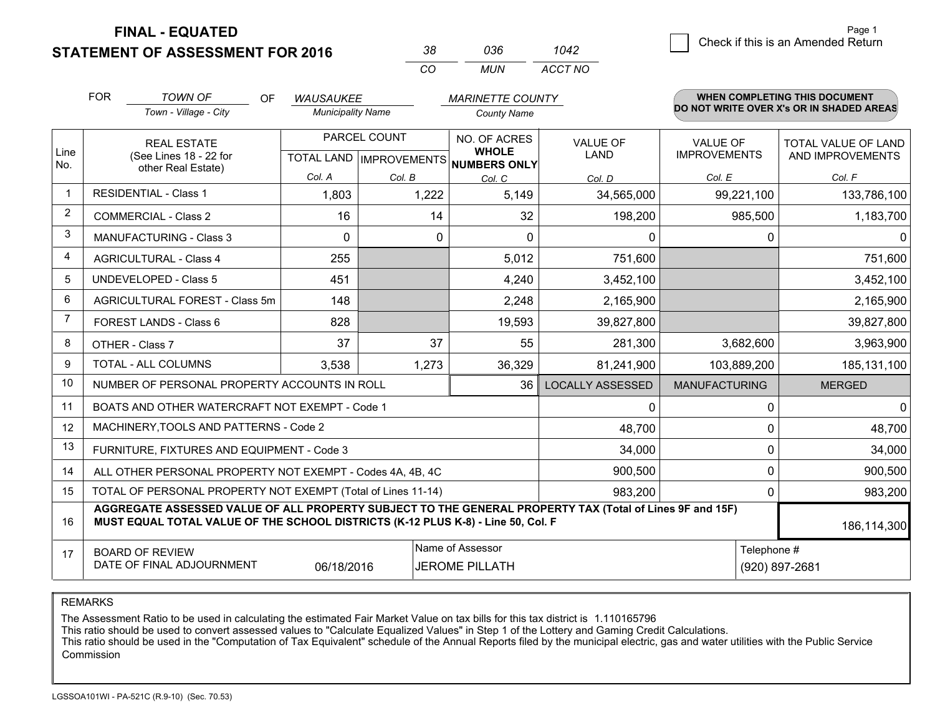**STATEMENT OF ASSESSMENT FOR 2016** 

| 38       | กวร   | 1042    |  |
|----------|-------|---------|--|
| $\cdots$ | MI IN | ACCT NO |  |

|             | <b>FOR</b>                                                                                                                                                                                   | <b>TOWN OF</b><br><b>OF</b>                    | <b>WAUSAUKEE</b>                                     |          | <b>MARINETTE COUNTY</b>      |                         |                                        | WHEN COMPLETING THIS DOCUMENT                  |
|-------------|----------------------------------------------------------------------------------------------------------------------------------------------------------------------------------------------|------------------------------------------------|------------------------------------------------------|----------|------------------------------|-------------------------|----------------------------------------|------------------------------------------------|
|             |                                                                                                                                                                                              | Town - Village - City                          | <b>Municipality Name</b>                             |          | <b>County Name</b>           |                         |                                        | DO NOT WRITE OVER X's OR IN SHADED AREAS       |
| Line<br>No. | <b>REAL ESTATE</b><br>(See Lines 18 - 22 for                                                                                                                                                 |                                                | PARCEL COUNT<br>TOTAL LAND IMPROVEMENTS NUMBERS ONLY |          | NO. OF ACRES<br><b>WHOLE</b> | <b>VALUE OF</b><br>LAND | <b>VALUE OF</b><br><b>IMPROVEMENTS</b> | <b>TOTAL VALUE OF LAND</b><br>AND IMPROVEMENTS |
|             |                                                                                                                                                                                              | other Real Estate)                             | Col. A                                               | Col. B   | Col. C                       | Col. D                  | Col. E                                 | Col. F                                         |
|             |                                                                                                                                                                                              | <b>RESIDENTIAL - Class 1</b>                   | 1,803                                                | 1,222    | 5,149                        | 34,565,000              | 99,221,100                             | 133,786,100                                    |
| 2           |                                                                                                                                                                                              | <b>COMMERCIAL - Class 2</b>                    | 16                                                   | 14       | 32                           | 198,200                 | 985,500                                | 1,183,700                                      |
| 3           |                                                                                                                                                                                              | <b>MANUFACTURING - Class 3</b>                 | $\Omega$                                             | $\Omega$ | $\Omega$                     | 0                       |                                        | $\mathbf{0}$<br>$\Omega$                       |
| 4           |                                                                                                                                                                                              | <b>AGRICULTURAL - Class 4</b>                  | 255                                                  |          | 5,012                        | 751,600                 |                                        | 751,600                                        |
| 5           |                                                                                                                                                                                              | UNDEVELOPED - Class 5                          | 451                                                  |          | 4,240                        | 3,452,100               |                                        | 3,452,100                                      |
| 6           | AGRICULTURAL FOREST - Class 5m                                                                                                                                                               |                                                | 148                                                  |          | 2,248                        | 2,165,900               |                                        | 2,165,900                                      |
| 7           | FOREST LANDS - Class 6                                                                                                                                                                       |                                                | 828                                                  |          | 19,593                       | 39,827,800              |                                        | 39,827,800                                     |
| 8           |                                                                                                                                                                                              | OTHER - Class 7                                | 37                                                   | 37       | 55                           | 281,300                 | 3,682,600                              | 3,963,900                                      |
| 9           | TOTAL - ALL COLUMNS                                                                                                                                                                          |                                                | 3,538                                                | 1,273    | 36,329                       | 81,241,900              | 103,889,200                            | 185, 131, 100                                  |
| 10          |                                                                                                                                                                                              | NUMBER OF PERSONAL PROPERTY ACCOUNTS IN ROLL   |                                                      |          | <b>LOCALLY ASSESSED</b>      | <b>MANUFACTURING</b>    | <b>MERGED</b>                          |                                                |
| 11          |                                                                                                                                                                                              | BOATS AND OTHER WATERCRAFT NOT EXEMPT - Code 1 | 0                                                    |          | $\mathbf 0$<br>$\Omega$      |                         |                                        |                                                |
| 12          |                                                                                                                                                                                              | MACHINERY, TOOLS AND PATTERNS - Code 2         |                                                      |          |                              | 48,700                  |                                        | 48,700<br>$\Omega$                             |
| 13          |                                                                                                                                                                                              | FURNITURE, FIXTURES AND EQUIPMENT - Code 3     |                                                      | 34,000   |                              | 0<br>34,000             |                                        |                                                |
| 14          | 900,500<br>ALL OTHER PERSONAL PROPERTY NOT EXEMPT - Codes 4A, 4B, 4C                                                                                                                         |                                                |                                                      |          |                              |                         |                                        | $\mathbf 0$<br>900,500                         |
| 15          | TOTAL OF PERSONAL PROPERTY NOT EXEMPT (Total of Lines 11-14)<br>983,200                                                                                                                      |                                                |                                                      |          |                              |                         |                                        | 983,200<br>0                                   |
| 16          | AGGREGATE ASSESSED VALUE OF ALL PROPERTY SUBJECT TO THE GENERAL PROPERTY TAX (Total of Lines 9F and 15F)<br>MUST EQUAL TOTAL VALUE OF THE SCHOOL DISTRICTS (K-12 PLUS K-8) - Line 50, Col. F |                                                |                                                      |          |                              |                         | 186,114,300                            |                                                |
| 17          | Name of Assessor<br>Telephone #<br><b>BOARD OF REVIEW</b><br>DATE OF FINAL ADJOURNMENT<br>06/18/2016<br><b>JEROME PILLATH</b><br>(920) 897-2681                                              |                                                |                                                      |          |                              |                         |                                        |                                                |

REMARKS

The Assessment Ratio to be used in calculating the estimated Fair Market Value on tax bills for this tax district is 1.110165796

This ratio should be used to convert assessed values to "Calculate Equalized Values" in Step 1 of the Lottery and Gaming Credit Calculations.<br>This ratio should be used in the "Computation of Tax Equivalent" schedule of the Commission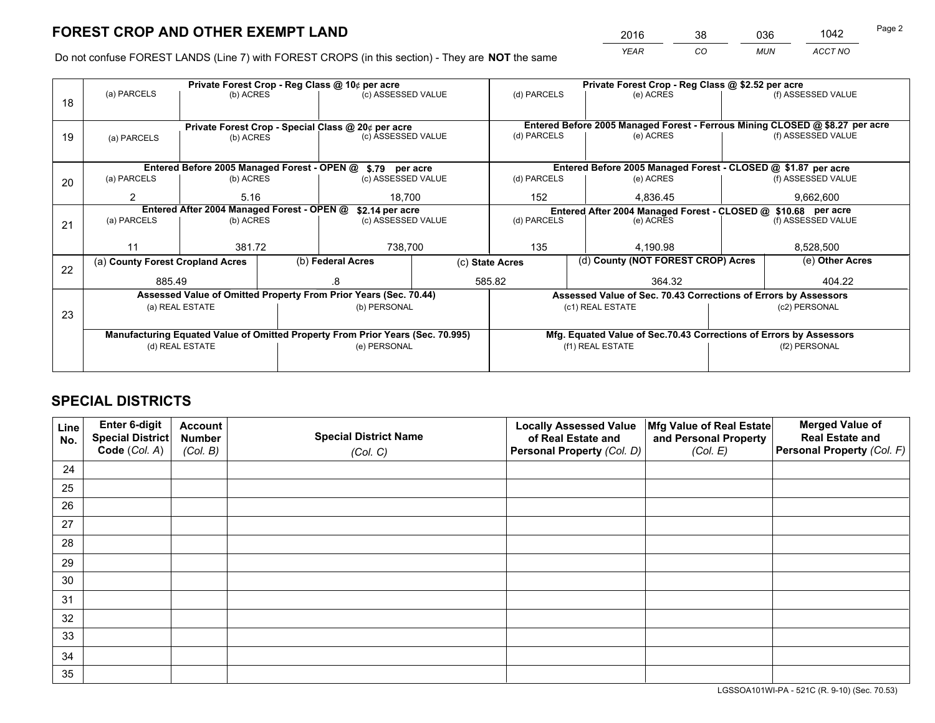*YEAR CO MUN ACCT NO* <sup>2016</sup> <sup>38</sup> <sup>036</sup> <sup>1042</sup>

Do not confuse FOREST LANDS (Line 7) with FOREST CROPS (in this section) - They are **NOT** the same

|    | Private Forest Crop - Reg Class @ 10¢ per acre                                 |           |  |                                                            |     | Private Forest Crop - Reg Class @ \$2.52 per acre                  |                                                                              |                                                                 |               |                    |  |
|----|--------------------------------------------------------------------------------|-----------|--|------------------------------------------------------------|-----|--------------------------------------------------------------------|------------------------------------------------------------------------------|-----------------------------------------------------------------|---------------|--------------------|--|
| 18 | (a) PARCELS<br>(b) ACRES                                                       |           |  | (c) ASSESSED VALUE                                         |     | (d) PARCELS                                                        |                                                                              | (e) ACRES                                                       |               | (f) ASSESSED VALUE |  |
|    |                                                                                |           |  |                                                            |     |                                                                    |                                                                              |                                                                 |               |                    |  |
|    |                                                                                |           |  | Private Forest Crop - Special Class @ 20¢ per acre         |     |                                                                    | Entered Before 2005 Managed Forest - Ferrous Mining CLOSED @ \$8.27 per acre |                                                                 |               |                    |  |
| 19 | (b) ACRES<br>(a) PARCELS                                                       |           |  | (c) ASSESSED VALUE                                         |     | (d) PARCELS                                                        |                                                                              | (e) ACRES                                                       |               | (f) ASSESSED VALUE |  |
|    |                                                                                |           |  |                                                            |     |                                                                    |                                                                              |                                                                 |               |                    |  |
|    |                                                                                |           |  | Entered Before 2005 Managed Forest - OPEN @ \$.79 per acre |     |                                                                    |                                                                              | Entered Before 2005 Managed Forest - CLOSED @ \$1.87 per acre   |               |                    |  |
| 20 | (a) PARCELS<br>(b) ACRES                                                       |           |  | (c) ASSESSED VALUE                                         |     | (d) PARCELS                                                        |                                                                              | (e) ACRES                                                       |               | (f) ASSESSED VALUE |  |
|    | 2                                                                              | 5.16      |  | 18.700                                                     |     | 152                                                                |                                                                              | 4.836.45                                                        |               | 9,662,600          |  |
|    | Entered After 2004 Managed Forest - OPEN @<br>\$2.14 per acre                  |           |  |                                                            |     | Entered After 2004 Managed Forest - CLOSED @ \$10.68 per acre      |                                                                              |                                                                 |               |                    |  |
| 21 | (a) PARCELS                                                                    | (b) ACRES |  | (c) ASSESSED VALUE                                         |     | (d) PARCELS                                                        |                                                                              | (e) ACRES                                                       |               | (f) ASSESSED VALUE |  |
|    |                                                                                |           |  |                                                            |     |                                                                    |                                                                              |                                                                 |               |                    |  |
|    | 11                                                                             | 381.72    |  | 738,700                                                    | 135 |                                                                    |                                                                              | 4,190.98                                                        |               | 8,528,500          |  |
| 22 | (a) County Forest Cropland Acres                                               |           |  | (b) Federal Acres                                          |     | (c) State Acres                                                    |                                                                              | (d) County (NOT FOREST CROP) Acres                              |               | (e) Other Acres    |  |
|    | 885.49                                                                         |           |  | 585.82                                                     |     | 364.32                                                             |                                                                              |                                                                 | 404.22        |                    |  |
|    | Assessed Value of Omitted Property From Prior Years (Sec. 70.44)               |           |  |                                                            |     |                                                                    |                                                                              | Assessed Value of Sec. 70.43 Corrections of Errors by Assessors |               |                    |  |
| 23 | (a) REAL ESTATE                                                                |           |  | (b) PERSONAL                                               |     | (c1) REAL ESTATE                                                   |                                                                              |                                                                 | (c2) PERSONAL |                    |  |
|    |                                                                                |           |  |                                                            |     |                                                                    |                                                                              |                                                                 |               |                    |  |
|    | Manufacturing Equated Value of Omitted Property From Prior Years (Sec. 70.995) |           |  |                                                            |     | Mfg. Equated Value of Sec.70.43 Corrections of Errors by Assessors |                                                                              |                                                                 |               |                    |  |
|    | (d) REAL ESTATE                                                                |           |  | (e) PERSONAL                                               |     | (f1) REAL ESTATE                                                   |                                                                              | (f2) PERSONAL                                                   |               |                    |  |
|    |                                                                                |           |  |                                                            |     |                                                                    |                                                                              |                                                                 |               |                    |  |

## **SPECIAL DISTRICTS**

| Line<br>No. | Enter 6-digit<br>Special District<br>Code (Col. A) | <b>Account</b><br><b>Number</b> | <b>Special District Name</b> | <b>Locally Assessed Value</b><br>of Real Estate and | Mfg Value of Real Estate<br>and Personal Property | <b>Merged Value of</b><br><b>Real Estate and</b><br>Personal Property (Col. F) |
|-------------|----------------------------------------------------|---------------------------------|------------------------------|-----------------------------------------------------|---------------------------------------------------|--------------------------------------------------------------------------------|
|             |                                                    | (Col. B)                        | (Col. C)                     | Personal Property (Col. D)                          | (Col. E)                                          |                                                                                |
| 24          |                                                    |                                 |                              |                                                     |                                                   |                                                                                |
| 25          |                                                    |                                 |                              |                                                     |                                                   |                                                                                |
| 26          |                                                    |                                 |                              |                                                     |                                                   |                                                                                |
| 27          |                                                    |                                 |                              |                                                     |                                                   |                                                                                |
| 28          |                                                    |                                 |                              |                                                     |                                                   |                                                                                |
| 29          |                                                    |                                 |                              |                                                     |                                                   |                                                                                |
| 30          |                                                    |                                 |                              |                                                     |                                                   |                                                                                |
| 31          |                                                    |                                 |                              |                                                     |                                                   |                                                                                |
| 32          |                                                    |                                 |                              |                                                     |                                                   |                                                                                |
| 33          |                                                    |                                 |                              |                                                     |                                                   |                                                                                |
| 34          |                                                    |                                 |                              |                                                     |                                                   |                                                                                |
| 35          |                                                    |                                 |                              |                                                     |                                                   |                                                                                |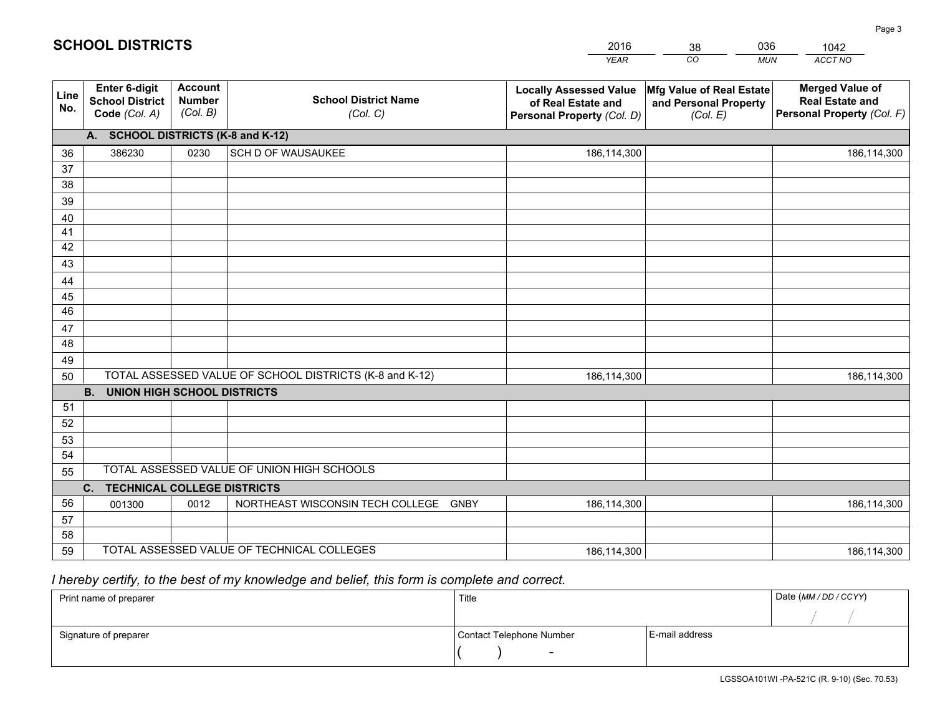|             |                                                                 |                                             |                                                         | <b>YEAR</b>                                                                       | CO<br><b>MUN</b>                                              | ACCT NO                                                                        |  |  |  |  |
|-------------|-----------------------------------------------------------------|---------------------------------------------|---------------------------------------------------------|-----------------------------------------------------------------------------------|---------------------------------------------------------------|--------------------------------------------------------------------------------|--|--|--|--|
| Line<br>No. | <b>Enter 6-digit</b><br><b>School District</b><br>Code (Col. A) | <b>Account</b><br><b>Number</b><br>(Col. B) | <b>School District Name</b><br>(Col. C)                 | <b>Locally Assessed Value</b><br>of Real Estate and<br>Personal Property (Col. D) | Mfg Value of Real Estate<br>and Personal Property<br>(Col. E) | <b>Merged Value of</b><br><b>Real Estate and</b><br>Personal Property (Col. F) |  |  |  |  |
|             | A. SCHOOL DISTRICTS (K-8 and K-12)                              |                                             |                                                         |                                                                                   |                                                               |                                                                                |  |  |  |  |
| 36          | 386230                                                          | 0230                                        | SCH D OF WAUSAUKEE                                      | 186,114,300                                                                       |                                                               | 186,114,300                                                                    |  |  |  |  |
| 37          |                                                                 |                                             |                                                         |                                                                                   |                                                               |                                                                                |  |  |  |  |
| 38          |                                                                 |                                             |                                                         |                                                                                   |                                                               |                                                                                |  |  |  |  |
| 39          |                                                                 |                                             |                                                         |                                                                                   |                                                               |                                                                                |  |  |  |  |
| 40          |                                                                 |                                             |                                                         |                                                                                   |                                                               |                                                                                |  |  |  |  |
| 41          |                                                                 |                                             |                                                         |                                                                                   |                                                               |                                                                                |  |  |  |  |
| 42          |                                                                 |                                             |                                                         |                                                                                   |                                                               |                                                                                |  |  |  |  |
| 43          |                                                                 |                                             |                                                         |                                                                                   |                                                               |                                                                                |  |  |  |  |
| 44          |                                                                 |                                             |                                                         |                                                                                   |                                                               |                                                                                |  |  |  |  |
| 45<br>46    |                                                                 |                                             |                                                         |                                                                                   |                                                               |                                                                                |  |  |  |  |
|             |                                                                 |                                             |                                                         |                                                                                   |                                                               |                                                                                |  |  |  |  |
| 47<br>48    |                                                                 |                                             |                                                         |                                                                                   |                                                               |                                                                                |  |  |  |  |
| 49          |                                                                 |                                             |                                                         |                                                                                   |                                                               |                                                                                |  |  |  |  |
| 50          |                                                                 |                                             | TOTAL ASSESSED VALUE OF SCHOOL DISTRICTS (K-8 and K-12) | 186,114,300                                                                       |                                                               | 186,114,300                                                                    |  |  |  |  |
|             | <b>B.</b><br><b>UNION HIGH SCHOOL DISTRICTS</b>                 |                                             |                                                         |                                                                                   |                                                               |                                                                                |  |  |  |  |
| 51          |                                                                 |                                             |                                                         |                                                                                   |                                                               |                                                                                |  |  |  |  |
| 52          |                                                                 |                                             |                                                         |                                                                                   |                                                               |                                                                                |  |  |  |  |
| 53          |                                                                 |                                             |                                                         |                                                                                   |                                                               |                                                                                |  |  |  |  |
| 54          |                                                                 |                                             |                                                         |                                                                                   |                                                               |                                                                                |  |  |  |  |
| 55          |                                                                 |                                             | TOTAL ASSESSED VALUE OF UNION HIGH SCHOOLS              |                                                                                   |                                                               |                                                                                |  |  |  |  |
|             | <b>TECHNICAL COLLEGE DISTRICTS</b><br>C.                        |                                             |                                                         |                                                                                   |                                                               |                                                                                |  |  |  |  |
| 56          | 001300                                                          | 0012                                        | NORTHEAST WISCONSIN TECH COLLEGE GNBY                   | 186,114,300                                                                       |                                                               | 186,114,300                                                                    |  |  |  |  |
| 57          |                                                                 |                                             |                                                         |                                                                                   |                                                               |                                                                                |  |  |  |  |
| 58          |                                                                 |                                             |                                                         |                                                                                   |                                                               |                                                                                |  |  |  |  |
| 59          |                                                                 |                                             | TOTAL ASSESSED VALUE OF TECHNICAL COLLEGES              | 186,114,300                                                                       |                                                               | 186,114,300                                                                    |  |  |  |  |

38

036

# *I hereby certify, to the best of my knowledge and belief, this form is complete and correct.*

**SCHOOL DISTRICTS**

| Print name of preparer | Title                    | Date (MM / DD / CCYY) |  |
|------------------------|--------------------------|-----------------------|--|
|                        |                          |                       |  |
| Signature of preparer  | Contact Telephone Number | E-mail address        |  |
|                        | $\overline{\phantom{0}}$ |                       |  |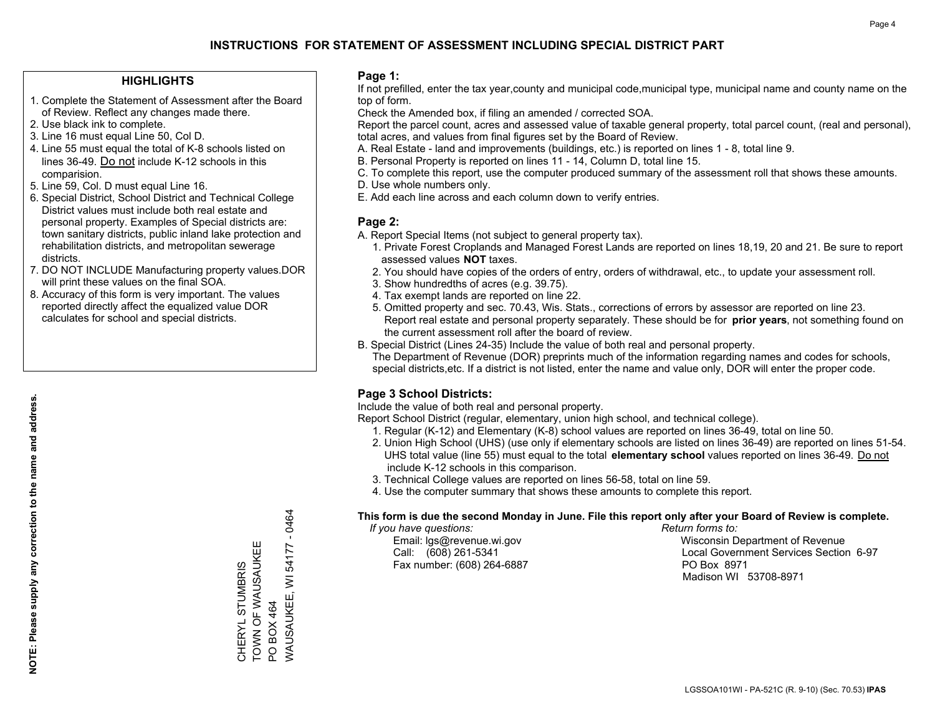### **HIGHLIGHTS**

- 1. Complete the Statement of Assessment after the Board of Review. Reflect any changes made there.
- 2. Use black ink to complete.
- 3. Line 16 must equal Line 50, Col D.
- 4. Line 55 must equal the total of K-8 schools listed on lines 36-49. Do not include K-12 schools in this comparision.
- 5. Line 59, Col. D must equal Line 16.
- 6. Special District, School District and Technical College District values must include both real estate and personal property. Examples of Special districts are: town sanitary districts, public inland lake protection and rehabilitation districts, and metropolitan sewerage districts.
- 7. DO NOT INCLUDE Manufacturing property values.DOR will print these values on the final SOA.

CHERYL STUMBRIS TOWN OF WAUSAUKEE

Ш

TOWN OF WAUSAUKEI CHERYL STUMBRIS

PO BOX 464

PO BOX 464

WAUSAUKEE, WI 54177 - 0464

WAUSAUKEE, WI 54177

 $-0464$ 

 8. Accuracy of this form is very important. The values reported directly affect the equalized value DOR calculates for school and special districts.

### **Page 1:**

 If not prefilled, enter the tax year,county and municipal code,municipal type, municipal name and county name on the top of form.

Check the Amended box, if filing an amended / corrected SOA.

 Report the parcel count, acres and assessed value of taxable general property, total parcel count, (real and personal), total acres, and values from final figures set by the Board of Review.

- A. Real Estate land and improvements (buildings, etc.) is reported on lines 1 8, total line 9.
- B. Personal Property is reported on lines 11 14, Column D, total line 15.
- C. To complete this report, use the computer produced summary of the assessment roll that shows these amounts.
- D. Use whole numbers only.
- E. Add each line across and each column down to verify entries.

### **Page 2:**

- A. Report Special Items (not subject to general property tax).
- 1. Private Forest Croplands and Managed Forest Lands are reported on lines 18,19, 20 and 21. Be sure to report assessed values **NOT** taxes.
- 2. You should have copies of the orders of entry, orders of withdrawal, etc., to update your assessment roll.
	- 3. Show hundredths of acres (e.g. 39.75).
- 4. Tax exempt lands are reported on line 22.
- 5. Omitted property and sec. 70.43, Wis. Stats., corrections of errors by assessor are reported on line 23. Report real estate and personal property separately. These should be for **prior years**, not something found on the current assessment roll after the board of review.
- B. Special District (Lines 24-35) Include the value of both real and personal property.
- The Department of Revenue (DOR) preprints much of the information regarding names and codes for schools, special districts,etc. If a district is not listed, enter the name and value only, DOR will enter the proper code.

### **Page 3 School Districts:**

Include the value of both real and personal property.

Report School District (regular, elementary, union high school, and technical college).

- 1. Regular (K-12) and Elementary (K-8) school values are reported on lines 36-49, total on line 50.
- 2. Union High School (UHS) (use only if elementary schools are listed on lines 36-49) are reported on lines 51-54. UHS total value (line 55) must equal to the total **elementary school** values reported on lines 36-49. Do notinclude K-12 schools in this comparison.
- 3. Technical College values are reported on lines 56-58, total on line 59.
- 4. Use the computer summary that shows these amounts to complete this report.

#### **This form is due the second Monday in June. File this report only after your Board of Review is complete.**

 *If you have questions: Return forms to:*

Fax number: (608) 264-6887 PO Box 8971

 Email: lgs@revenue.wi.gov Wisconsin Department of Revenue Call: (608) 261-5341 Local Government Services Section 6-97Madison WI 53708-8971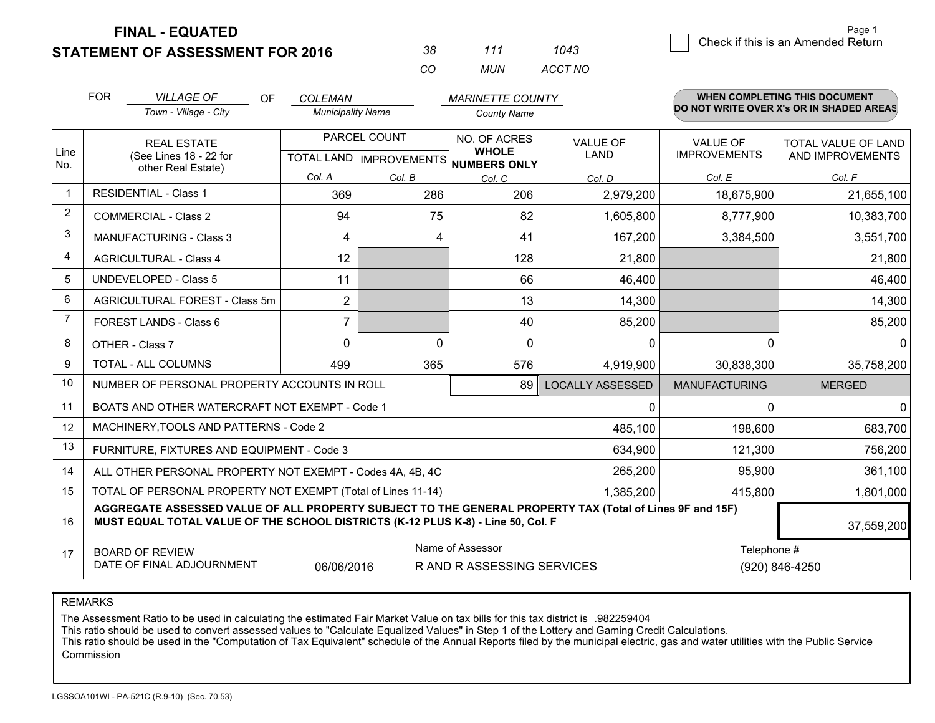**STATEMENT OF ASSESSMENT FOR 2016** 

| 3×       | 111 | 1043    |
|----------|-----|---------|
| $\cdots$ | MUN | ACCT NO |

|             | <b>FOR</b>                                                                                                                                                                                   | <b>VILLAGE OF</b><br>OF.                                  | <b>COLEMAN</b>           |                                           | <b>MARINETTE COUNTY</b>                      |                                |                                        | <b>WHEN COMPLETING THIS DOCUMENT</b>     |
|-------------|----------------------------------------------------------------------------------------------------------------------------------------------------------------------------------------------|-----------------------------------------------------------|--------------------------|-------------------------------------------|----------------------------------------------|--------------------------------|----------------------------------------|------------------------------------------|
|             |                                                                                                                                                                                              | Town - Village - City                                     | <b>Municipality Name</b> |                                           | <b>County Name</b>                           |                                |                                        | DO NOT WRITE OVER X's OR IN SHADED AREAS |
| Line<br>No. |                                                                                                                                                                                              | <b>REAL ESTATE</b><br>(See Lines 18 - 22 for              |                          | PARCEL COUNT<br>TOTAL LAND   IMPROVEMENTS | NO. OF ACRES<br><b>WHOLE</b><br>NUMBERS ONLY | <b>VALUE OF</b><br><b>LAND</b> | <b>VALUE OF</b><br><b>IMPROVEMENTS</b> | TOTAL VALUE OF LAND<br>AND IMPROVEMENTS  |
|             |                                                                                                                                                                                              | other Real Estate)                                        | Col. A                   | Col. B                                    | Col. C                                       | Col. D                         | Col. E                                 | Col. F                                   |
| $\mathbf 1$ |                                                                                                                                                                                              | <b>RESIDENTIAL - Class 1</b>                              | 369                      | 286                                       | 206                                          | 2,979,200                      | 18,675,900                             | 21,655,100                               |
| 2           |                                                                                                                                                                                              | <b>COMMERCIAL - Class 2</b>                               | 94                       | 75                                        | 82                                           | 1,605,800                      | 8,777,900                              | 10,383,700                               |
| 3           |                                                                                                                                                                                              | <b>MANUFACTURING - Class 3</b>                            | 4                        | 4                                         | 41                                           | 167,200                        | 3,384,500                              | 3,551,700                                |
| 4           |                                                                                                                                                                                              | <b>AGRICULTURAL - Class 4</b>                             | 12                       |                                           | 128                                          | 21,800                         |                                        | 21,800                                   |
| 5           |                                                                                                                                                                                              | <b>UNDEVELOPED - Class 5</b>                              | 11                       |                                           | 66                                           | 46,400                         |                                        | 46,400                                   |
| 6           |                                                                                                                                                                                              | AGRICULTURAL FOREST - Class 5m                            | $\overline{2}$           |                                           | 13                                           | 14,300                         |                                        | 14,300                                   |
| 7           |                                                                                                                                                                                              | FOREST LANDS - Class 6                                    | $\overline{7}$           |                                           | 40                                           | 85,200                         |                                        | 85,200                                   |
| 8           |                                                                                                                                                                                              | OTHER - Class 7                                           | $\Omega$                 | $\Omega$                                  | $\Omega$                                     | $\Omega$                       | $\Omega$                               | $\Omega$                                 |
| 9           |                                                                                                                                                                                              | TOTAL - ALL COLUMNS                                       | 499                      | 365                                       | 576                                          | 4,919,900                      | 30,838,300                             | 35,758,200                               |
| 10          |                                                                                                                                                                                              | NUMBER OF PERSONAL PROPERTY ACCOUNTS IN ROLL              |                          |                                           | 89                                           | <b>LOCALLY ASSESSED</b>        | <b>MANUFACTURING</b>                   | <b>MERGED</b>                            |
| 11          |                                                                                                                                                                                              | BOATS AND OTHER WATERCRAFT NOT EXEMPT - Code 1            |                          |                                           |                                              | 0                              | $\Omega$                               | $\mathbf{0}$                             |
| 12          |                                                                                                                                                                                              | MACHINERY, TOOLS AND PATTERNS - Code 2                    |                          |                                           |                                              | 485,100                        | 198,600                                | 683,700                                  |
| 13          |                                                                                                                                                                                              | FURNITURE, FIXTURES AND EQUIPMENT - Code 3                |                          |                                           |                                              | 634,900                        | 121,300                                | 756,200                                  |
| 14          |                                                                                                                                                                                              | ALL OTHER PERSONAL PROPERTY NOT EXEMPT - Codes 4A, 4B, 4C |                          |                                           |                                              | 265,200                        | 95,900                                 | 361,100                                  |
| 15          | TOTAL OF PERSONAL PROPERTY NOT EXEMPT (Total of Lines 11-14)<br>1,385,200<br>415,800                                                                                                         |                                                           |                          |                                           |                                              |                                |                                        | 1,801,000                                |
| 16          | AGGREGATE ASSESSED VALUE OF ALL PROPERTY SUBJECT TO THE GENERAL PROPERTY TAX (Total of Lines 9F and 15F)<br>MUST EQUAL TOTAL VALUE OF THE SCHOOL DISTRICTS (K-12 PLUS K-8) - Line 50, Col. F |                                                           |                          |                                           |                                              |                                | 37,559,200                             |                                          |
| 17          | Name of Assessor<br>Telephone #<br><b>BOARD OF REVIEW</b><br>DATE OF FINAL ADJOURNMENT<br>(920) 846-4250<br>06/06/2016<br>R AND R ASSESSING SERVICES                                         |                                                           |                          |                                           |                                              |                                |                                        |                                          |

#### REMARKS

The Assessment Ratio to be used in calculating the estimated Fair Market Value on tax bills for this tax district is .982259404<br>This ratio should be used to convert assessed values to "Calculate Equalized Values" in Step 1 Commission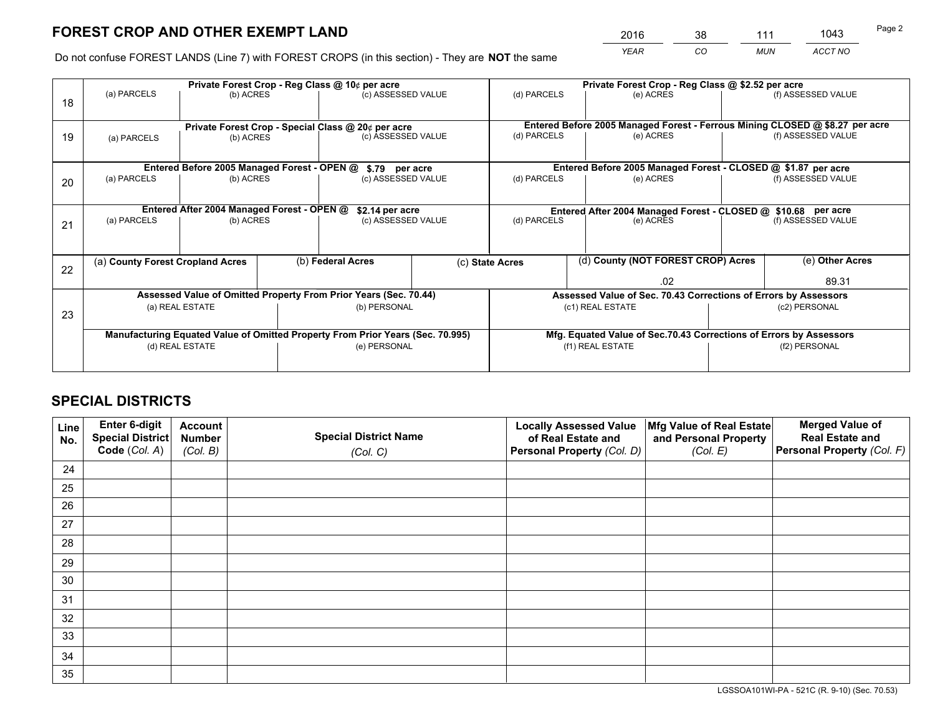*YEAR CO MUN ACCT NO* <sup>2016</sup> <sup>38</sup> <sup>111</sup> <sup>1043</sup>

Do not confuse FOREST LANDS (Line 7) with FOREST CROPS (in this section) - They are **NOT** the same

|    |                                                                                |                                             |  | Private Forest Crop - Reg Class @ 10¢ per acre                   |                                                                              | Private Forest Crop - Reg Class @ \$2.52 per acre                  |                                                                 |               |                    |  |
|----|--------------------------------------------------------------------------------|---------------------------------------------|--|------------------------------------------------------------------|------------------------------------------------------------------------------|--------------------------------------------------------------------|-----------------------------------------------------------------|---------------|--------------------|--|
| 18 | (a) PARCELS                                                                    | (b) ACRES                                   |  | (c) ASSESSED VALUE                                               |                                                                              | (d) PARCELS                                                        | (e) ACRES                                                       |               | (f) ASSESSED VALUE |  |
|    |                                                                                |                                             |  |                                                                  |                                                                              |                                                                    |                                                                 |               |                    |  |
|    | Private Forest Crop - Special Class @ 20¢ per acre                             |                                             |  |                                                                  | Entered Before 2005 Managed Forest - Ferrous Mining CLOSED @ \$8.27 per acre |                                                                    |                                                                 |               |                    |  |
| 19 | (a) PARCELS                                                                    | (b) ACRES                                   |  | (c) ASSESSED VALUE                                               |                                                                              | (d) PARCELS                                                        | (e) ACRES                                                       |               | (f) ASSESSED VALUE |  |
|    |                                                                                |                                             |  |                                                                  |                                                                              |                                                                    |                                                                 |               |                    |  |
|    |                                                                                | Entered Before 2005 Managed Forest - OPEN @ |  | \$.79 per acre                                                   |                                                                              |                                                                    | Entered Before 2005 Managed Forest - CLOSED @ \$1.87 per acre   |               |                    |  |
| 20 | (a) PARCELS                                                                    | (b) ACRES                                   |  | (c) ASSESSED VALUE                                               |                                                                              | (d) PARCELS                                                        | (e) ACRES                                                       |               | (f) ASSESSED VALUE |  |
|    |                                                                                |                                             |  |                                                                  |                                                                              |                                                                    |                                                                 |               |                    |  |
|    | Entered After 2004 Managed Forest - OPEN @<br>\$2.14 per acre                  |                                             |  |                                                                  |                                                                              | Entered After 2004 Managed Forest - CLOSED @ \$10.68 per acre      |                                                                 |               |                    |  |
| 21 | (a) PARCELS                                                                    | (b) ACRES                                   |  | (c) ASSESSED VALUE                                               |                                                                              | (d) PARCELS<br>(e) ACRES                                           |                                                                 |               | (f) ASSESSED VALUE |  |
|    |                                                                                |                                             |  |                                                                  |                                                                              |                                                                    |                                                                 |               |                    |  |
|    | (a) County Forest Cropland Acres                                               |                                             |  | (b) Federal Acres                                                |                                                                              | (c) State Acres                                                    | (d) County (NOT FOREST CROP) Acres                              |               | (e) Other Acres    |  |
| 22 |                                                                                |                                             |  |                                                                  |                                                                              |                                                                    |                                                                 |               |                    |  |
|    |                                                                                |                                             |  |                                                                  |                                                                              | .02                                                                |                                                                 |               | 89.31              |  |
|    |                                                                                |                                             |  | Assessed Value of Omitted Property From Prior Years (Sec. 70.44) |                                                                              |                                                                    | Assessed Value of Sec. 70.43 Corrections of Errors by Assessors |               |                    |  |
| 23 |                                                                                | (a) REAL ESTATE                             |  | (b) PERSONAL                                                     |                                                                              |                                                                    | (c1) REAL ESTATE                                                | (c2) PERSONAL |                    |  |
|    |                                                                                |                                             |  |                                                                  |                                                                              |                                                                    |                                                                 |               |                    |  |
|    | Manufacturing Equated Value of Omitted Property From Prior Years (Sec. 70.995) |                                             |  |                                                                  |                                                                              | Mfg. Equated Value of Sec.70.43 Corrections of Errors by Assessors |                                                                 |               |                    |  |
|    |                                                                                | (d) REAL ESTATE                             |  | (e) PERSONAL                                                     |                                                                              |                                                                    | (f1) REAL ESTATE                                                | (f2) PERSONAL |                    |  |
|    |                                                                                |                                             |  |                                                                  |                                                                              |                                                                    |                                                                 |               |                    |  |

## **SPECIAL DISTRICTS**

| Line<br>No. | Enter 6-digit<br>Special District<br>Code (Col. A) | <b>Account</b><br><b>Number</b> | <b>Special District Name</b> | <b>Locally Assessed Value</b><br>of Real Estate and | Mfg Value of Real Estate<br>and Personal Property | <b>Merged Value of</b><br><b>Real Estate and</b><br>Personal Property (Col. F) |
|-------------|----------------------------------------------------|---------------------------------|------------------------------|-----------------------------------------------------|---------------------------------------------------|--------------------------------------------------------------------------------|
|             |                                                    | (Col. B)                        | (Col. C)                     | Personal Property (Col. D)                          | (Col. E)                                          |                                                                                |
| 24          |                                                    |                                 |                              |                                                     |                                                   |                                                                                |
| 25          |                                                    |                                 |                              |                                                     |                                                   |                                                                                |
| 26          |                                                    |                                 |                              |                                                     |                                                   |                                                                                |
| 27          |                                                    |                                 |                              |                                                     |                                                   |                                                                                |
| 28          |                                                    |                                 |                              |                                                     |                                                   |                                                                                |
| 29          |                                                    |                                 |                              |                                                     |                                                   |                                                                                |
| 30          |                                                    |                                 |                              |                                                     |                                                   |                                                                                |
| 31          |                                                    |                                 |                              |                                                     |                                                   |                                                                                |
| 32          |                                                    |                                 |                              |                                                     |                                                   |                                                                                |
| 33          |                                                    |                                 |                              |                                                     |                                                   |                                                                                |
| 34          |                                                    |                                 |                              |                                                     |                                                   |                                                                                |
| 35          |                                                    |                                 |                              |                                                     |                                                   |                                                                                |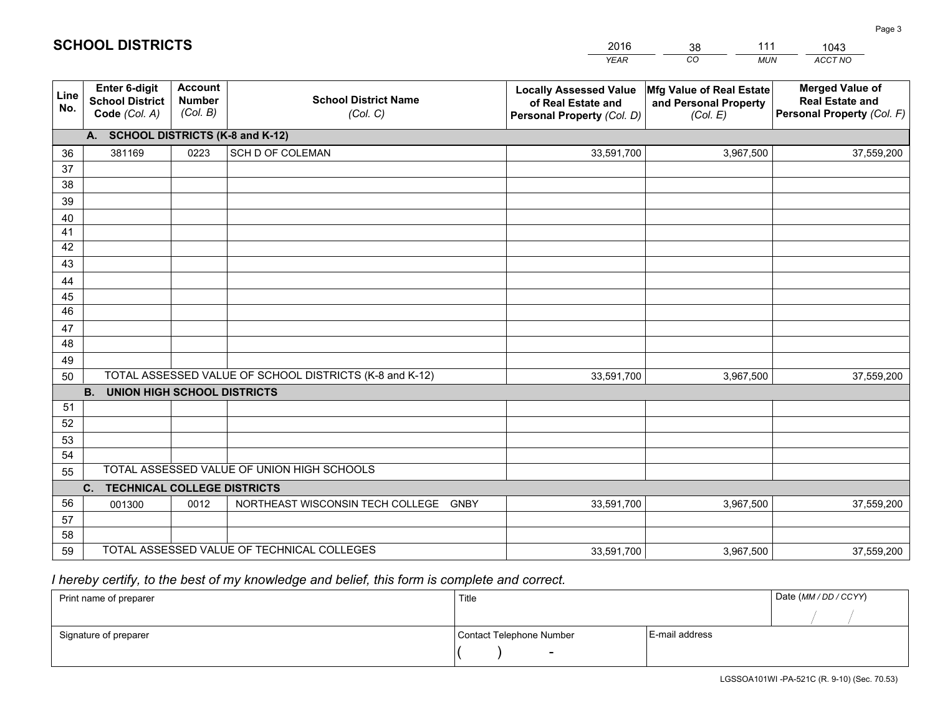|             |                                                                 |                                             |                                                         | <b>YEAR</b>                                                                       | CO<br><b>MUN</b>                                              | ACCT NO                                                                        |
|-------------|-----------------------------------------------------------------|---------------------------------------------|---------------------------------------------------------|-----------------------------------------------------------------------------------|---------------------------------------------------------------|--------------------------------------------------------------------------------|
| Line<br>No. | <b>Enter 6-digit</b><br><b>School District</b><br>Code (Col. A) | <b>Account</b><br><b>Number</b><br>(Col. B) | <b>School District Name</b><br>(Col. C)                 | <b>Locally Assessed Value</b><br>of Real Estate and<br>Personal Property (Col. D) | Mfg Value of Real Estate<br>and Personal Property<br>(Col. E) | <b>Merged Value of</b><br><b>Real Estate and</b><br>Personal Property (Col. F) |
|             | A. SCHOOL DISTRICTS (K-8 and K-12)                              |                                             |                                                         |                                                                                   |                                                               |                                                                                |
| 36          | 381169                                                          | 0223                                        | SCH D OF COLEMAN                                        | 33,591,700                                                                        | 3,967,500                                                     | 37,559,200                                                                     |
| 37          |                                                                 |                                             |                                                         |                                                                                   |                                                               |                                                                                |
| 38          |                                                                 |                                             |                                                         |                                                                                   |                                                               |                                                                                |
| 39          |                                                                 |                                             |                                                         |                                                                                   |                                                               |                                                                                |
| 40          |                                                                 |                                             |                                                         |                                                                                   |                                                               |                                                                                |
| 41<br>42    |                                                                 |                                             |                                                         |                                                                                   |                                                               |                                                                                |
| 43          |                                                                 |                                             |                                                         |                                                                                   |                                                               |                                                                                |
|             |                                                                 |                                             |                                                         |                                                                                   |                                                               |                                                                                |
| 44<br>45    |                                                                 |                                             |                                                         |                                                                                   |                                                               |                                                                                |
| 46          |                                                                 |                                             |                                                         |                                                                                   |                                                               |                                                                                |
| 47          |                                                                 |                                             |                                                         |                                                                                   |                                                               |                                                                                |
| 48          |                                                                 |                                             |                                                         |                                                                                   |                                                               |                                                                                |
| 49          |                                                                 |                                             |                                                         |                                                                                   |                                                               |                                                                                |
| 50          |                                                                 |                                             | TOTAL ASSESSED VALUE OF SCHOOL DISTRICTS (K-8 and K-12) | 33,591,700                                                                        | 3,967,500                                                     | 37,559,200                                                                     |
|             | <b>B.</b><br>UNION HIGH SCHOOL DISTRICTS                        |                                             |                                                         |                                                                                   |                                                               |                                                                                |
| 51          |                                                                 |                                             |                                                         |                                                                                   |                                                               |                                                                                |
| 52          |                                                                 |                                             |                                                         |                                                                                   |                                                               |                                                                                |
| 53          |                                                                 |                                             |                                                         |                                                                                   |                                                               |                                                                                |
| 54          |                                                                 |                                             |                                                         |                                                                                   |                                                               |                                                                                |
| 55          |                                                                 |                                             | TOTAL ASSESSED VALUE OF UNION HIGH SCHOOLS              |                                                                                   |                                                               |                                                                                |
|             | C.<br><b>TECHNICAL COLLEGE DISTRICTS</b>                        |                                             |                                                         |                                                                                   |                                                               |                                                                                |
| 56          | 001300                                                          | 0012                                        | NORTHEAST WISCONSIN TECH COLLEGE<br><b>GNBY</b>         | 33,591,700                                                                        | 3,967,500                                                     | 37,559,200                                                                     |
| 57<br>58    |                                                                 |                                             |                                                         |                                                                                   |                                                               |                                                                                |
| 59          |                                                                 |                                             | TOTAL ASSESSED VALUE OF TECHNICAL COLLEGES              | 33,591,700                                                                        | 3,967,500                                                     | 37,559,200                                                                     |
|             |                                                                 |                                             |                                                         |                                                                                   |                                                               |                                                                                |

38

111

 *I hereby certify, to the best of my knowledge and belief, this form is complete and correct.*

**SCHOOL DISTRICTS**

| Print name of preparer | Title                    |                | Date (MM/DD/CCYY) |
|------------------------|--------------------------|----------------|-------------------|
|                        |                          |                |                   |
| Signature of preparer  | Contact Telephone Number | E-mail address |                   |
|                        | $\overline{\phantom{0}}$ |                |                   |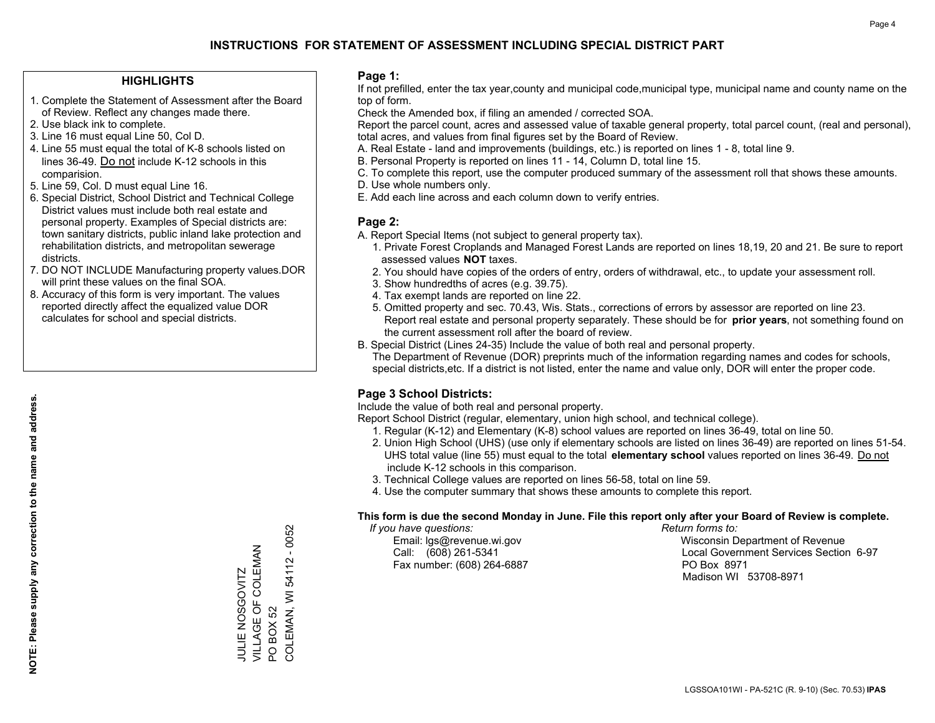### **HIGHLIGHTS**

- 1. Complete the Statement of Assessment after the Board of Review. Reflect any changes made there.
- 2. Use black ink to complete.
- 3. Line 16 must equal Line 50, Col D.
- 4. Line 55 must equal the total of K-8 schools listed on lines 36-49. Do not include K-12 schools in this comparision.
- 5. Line 59, Col. D must equal Line 16.
- 6. Special District, School District and Technical College District values must include both real estate and personal property. Examples of Special districts are: town sanitary districts, public inland lake protection and rehabilitation districts, and metropolitan sewerage districts.
- 7. DO NOT INCLUDE Manufacturing property values.DOR will print these values on the final SOA.
- 8. Accuracy of this form is very important. The values reported directly affect the equalized value DOR calculates for school and special districts.

#### **Page 1:**

 If not prefilled, enter the tax year,county and municipal code,municipal type, municipal name and county name on the top of form.

Check the Amended box, if filing an amended / corrected SOA.

 Report the parcel count, acres and assessed value of taxable general property, total parcel count, (real and personal), total acres, and values from final figures set by the Board of Review.

- A. Real Estate land and improvements (buildings, etc.) is reported on lines 1 8, total line 9.
- B. Personal Property is reported on lines 11 14, Column D, total line 15.
- C. To complete this report, use the computer produced summary of the assessment roll that shows these amounts.
- D. Use whole numbers only.
- E. Add each line across and each column down to verify entries.

## **Page 2:**

- A. Report Special Items (not subject to general property tax).
- 1. Private Forest Croplands and Managed Forest Lands are reported on lines 18,19, 20 and 21. Be sure to report assessed values **NOT** taxes.
- 2. You should have copies of the orders of entry, orders of withdrawal, etc., to update your assessment roll.
	- 3. Show hundredths of acres (e.g. 39.75).
- 4. Tax exempt lands are reported on line 22.
- 5. Omitted property and sec. 70.43, Wis. Stats., corrections of errors by assessor are reported on line 23. Report real estate and personal property separately. These should be for **prior years**, not something found on the current assessment roll after the board of review.
- B. Special District (Lines 24-35) Include the value of both real and personal property.
- The Department of Revenue (DOR) preprints much of the information regarding names and codes for schools, special districts,etc. If a district is not listed, enter the name and value only, DOR will enter the proper code.

## **Page 3 School Districts:**

Include the value of both real and personal property.

Report School District (regular, elementary, union high school, and technical college).

- 1. Regular (K-12) and Elementary (K-8) school values are reported on lines 36-49, total on line 50.
- 2. Union High School (UHS) (use only if elementary schools are listed on lines 36-49) are reported on lines 51-54. UHS total value (line 55) must equal to the total **elementary school** values reported on lines 36-49. Do notinclude K-12 schools in this comparison.
- 3. Technical College values are reported on lines 56-58, total on line 59.
- 4. Use the computer summary that shows these amounts to complete this report.

#### **This form is due the second Monday in June. File this report only after your Board of Review is complete.**

 *If you have questions: Return forms to:*

Fax number: (608) 264-6887 PO Box 8971

 Email: lgs@revenue.wi.gov Wisconsin Department of Revenue Call: (608) 261-5341 Local Government Services Section 6-97Madison WI 53708-8971

COLEMAN, WI 54112 - 0052 COLEMAN, WI 54112 - 0052 VILLAGE OF COLEMAN JULIE NOSGOVITZ<br>VILLAGE OF COLEMAN JULIE NOSGOVITZ **BOX 52** PO BOX 52  $\overline{S}$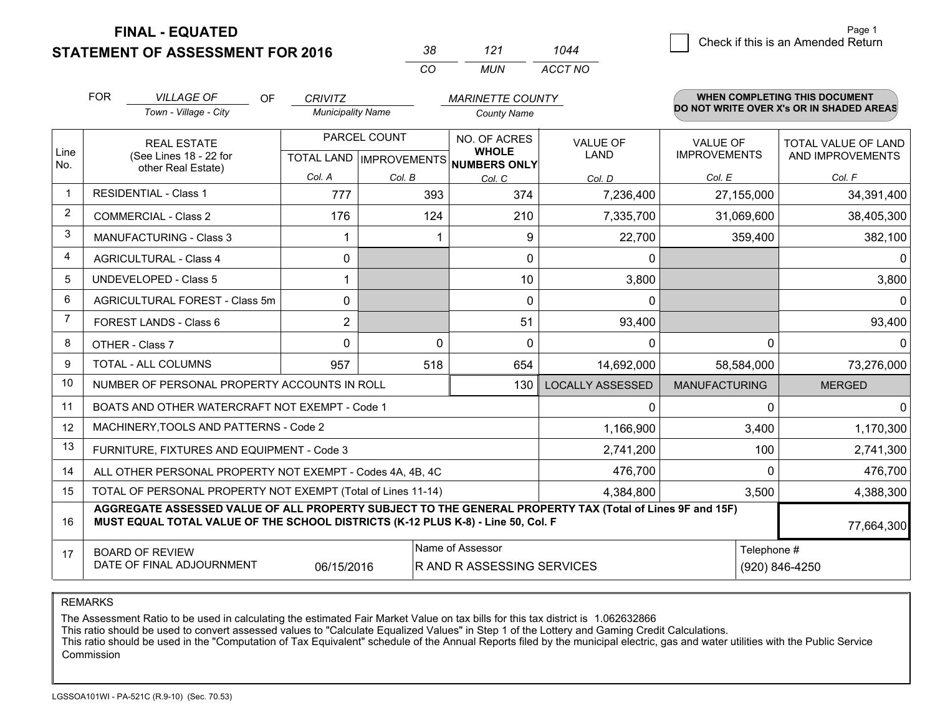**STATEMENT OF ASSESSMENT FOR 2016** 

| 38        | 121 | 1044    |
|-----------|-----|---------|
| $($ : $($ | MUN | ACCT NO |

|                | <b>FOR</b>                                                                                                                                                                                   | <b>VILLAGE OF</b><br><b>OF</b>                            | <b>CRIVITZ</b>           |              | <b>MARINETTE COUNTY</b>                                              |                                |                                        | WHEN COMPLETING THIS DOCUMENT                  |
|----------------|----------------------------------------------------------------------------------------------------------------------------------------------------------------------------------------------|-----------------------------------------------------------|--------------------------|--------------|----------------------------------------------------------------------|--------------------------------|----------------------------------------|------------------------------------------------|
|                |                                                                                                                                                                                              | Town - Village - City                                     | <b>Municipality Name</b> |              | <b>County Name</b>                                                   |                                |                                        | DO NOT WRITE OVER X's OR IN SHADED AREAS       |
| Line           | <b>REAL ESTATE</b><br>(See Lines 18 - 22 for<br>other Real Estate)                                                                                                                           |                                                           |                          | PARCEL COUNT | NO. OF ACRES<br><b>WHOLE</b><br>TOTAL LAND IMPROVEMENTS NUMBERS ONLY | <b>VALUE OF</b><br><b>LAND</b> | <b>VALUE OF</b><br><b>IMPROVEMENTS</b> | <b>TOTAL VALUE OF LAND</b><br>AND IMPROVEMENTS |
| No.            |                                                                                                                                                                                              |                                                           | Col. A                   | Col. B       | Col. C                                                               | Col. D                         | Col. E                                 | Col. F                                         |
| $\mathbf{1}$   |                                                                                                                                                                                              | <b>RESIDENTIAL - Class 1</b>                              | 777                      | 393          | 374                                                                  | 7,236,400                      | 27,155,000                             | 34,391,400                                     |
| 2              |                                                                                                                                                                                              | <b>COMMERCIAL - Class 2</b>                               | 176                      | 124          | 210                                                                  | 7,335,700                      | 31,069,600                             | 38,405,300                                     |
| 3              |                                                                                                                                                                                              | <b>MANUFACTURING - Class 3</b>                            |                          |              | 9                                                                    | 22,700                         | 359,400                                | 382,100                                        |
| 4              |                                                                                                                                                                                              | <b>AGRICULTURAL - Class 4</b>                             | $\Omega$                 |              | $\Omega$                                                             | 0                              |                                        | $\mathbf{0}$                                   |
| 5              |                                                                                                                                                                                              | <b>UNDEVELOPED - Class 5</b>                              |                          |              | 10                                                                   | 3,800                          |                                        | 3,800                                          |
| 6              |                                                                                                                                                                                              | AGRICULTURAL FOREST - Class 5m                            | $\Omega$                 |              | $\Omega$                                                             | $\mathbf{0}$                   |                                        | $\Omega$                                       |
| $\overline{7}$ |                                                                                                                                                                                              | FOREST LANDS - Class 6                                    | $\overline{2}$           |              | 51                                                                   | 93,400                         |                                        | 93,400                                         |
| 8              |                                                                                                                                                                                              | OTHER - Class 7                                           | $\Omega$                 | $\Omega$     | $\Omega$                                                             | $\Omega$                       | $\Omega$                               | $\Omega$                                       |
| 9              |                                                                                                                                                                                              | TOTAL - ALL COLUMNS                                       | 957                      | 518          | 654                                                                  | 14,692,000                     | 58,584,000                             | 73,276,000                                     |
| 10             |                                                                                                                                                                                              | NUMBER OF PERSONAL PROPERTY ACCOUNTS IN ROLL              |                          |              | 130                                                                  | <b>LOCALLY ASSESSED</b>        | <b>MANUFACTURING</b>                   | <b>MERGED</b>                                  |
| 11             |                                                                                                                                                                                              | BOATS AND OTHER WATERCRAFT NOT EXEMPT - Code 1            |                          |              |                                                                      | 0                              | $\Omega$                               | $\Omega$                                       |
| 12             |                                                                                                                                                                                              | MACHINERY, TOOLS AND PATTERNS - Code 2                    |                          |              |                                                                      | 1,166,900                      | 3,400                                  | 1,170,300                                      |
| 13             |                                                                                                                                                                                              | FURNITURE, FIXTURES AND EQUIPMENT - Code 3                |                          |              |                                                                      | 2,741,200                      | 100                                    | 2,741,300                                      |
| 14             |                                                                                                                                                                                              | ALL OTHER PERSONAL PROPERTY NOT EXEMPT - Codes 4A, 4B, 4C |                          |              |                                                                      | 476,700                        | $\Omega$                               | 476,700                                        |
| 15             | TOTAL OF PERSONAL PROPERTY NOT EXEMPT (Total of Lines 11-14)<br>4,384,800                                                                                                                    |                                                           |                          |              |                                                                      |                                | 3,500                                  | 4,388,300                                      |
| 16             | AGGREGATE ASSESSED VALUE OF ALL PROPERTY SUBJECT TO THE GENERAL PROPERTY TAX (Total of Lines 9F and 15F)<br>MUST EQUAL TOTAL VALUE OF THE SCHOOL DISTRICTS (K-12 PLUS K-8) - Line 50, Col. F |                                                           |                          |              |                                                                      |                                | 77,664,300                             |                                                |
| 17             | Name of Assessor<br>Telephone #<br><b>BOARD OF REVIEW</b><br>DATE OF FINAL ADJOURNMENT<br>06/15/2016<br>R AND R ASSESSING SERVICES<br>(920) 846-4250                                         |                                                           |                          |              |                                                                      |                                |                                        |                                                |

REMARKS

The Assessment Ratio to be used in calculating the estimated Fair Market Value on tax bills for this tax district is 1.062632866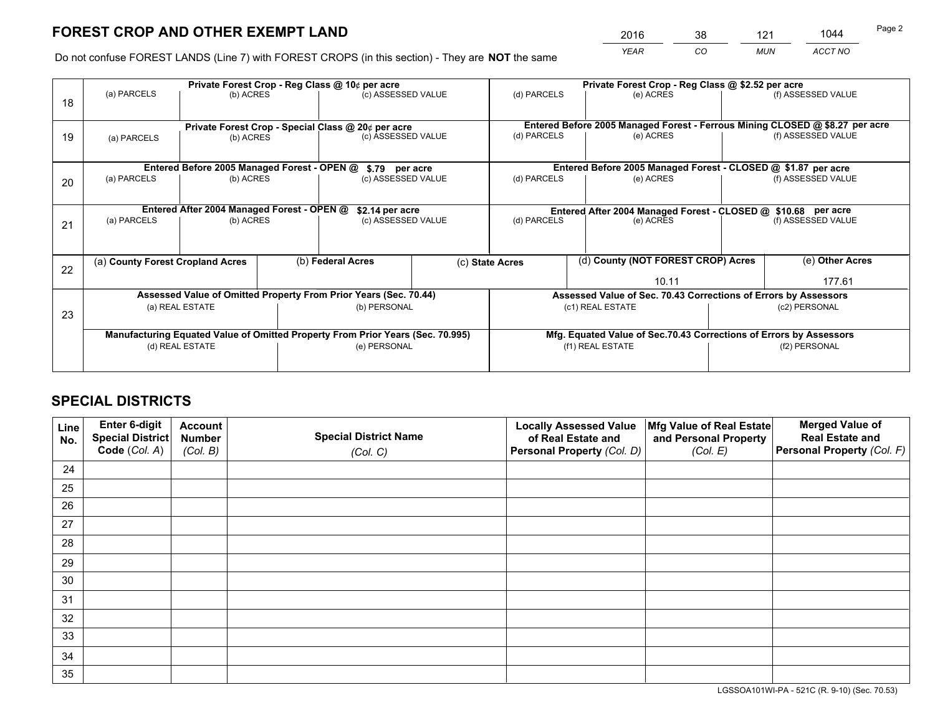*YEAR CO MUN ACCT NO* <sup>2016</sup> <sup>38</sup> <sup>121</sup> <sup>1044</sup>

Do not confuse FOREST LANDS (Line 7) with FOREST CROPS (in this section) - They are **NOT** the same

|    | Private Forest Crop - Reg Class @ 10¢ per acre                                 |                                             |  |                                                                  |  | Private Forest Crop - Reg Class @ \$2.52 per acre                  |                                                                              |               |                    |  |
|----|--------------------------------------------------------------------------------|---------------------------------------------|--|------------------------------------------------------------------|--|--------------------------------------------------------------------|------------------------------------------------------------------------------|---------------|--------------------|--|
| 18 | (a) PARCELS                                                                    | (b) ACRES                                   |  | (c) ASSESSED VALUE                                               |  | (d) PARCELS                                                        | (e) ACRES                                                                    |               | (f) ASSESSED VALUE |  |
|    | Private Forest Crop - Special Class @ 20¢ per acre                             |                                             |  |                                                                  |  |                                                                    | Entered Before 2005 Managed Forest - Ferrous Mining CLOSED @ \$8.27 per acre |               |                    |  |
| 19 | (b) ACRES<br>(a) PARCELS                                                       |                                             |  | (c) ASSESSED VALUE                                               |  | (d) PARCELS                                                        | (e) ACRES                                                                    |               | (f) ASSESSED VALUE |  |
|    |                                                                                | Entered Before 2005 Managed Forest - OPEN @ |  | \$.79 per acre                                                   |  |                                                                    | Entered Before 2005 Managed Forest - CLOSED @ \$1.87 per acre                |               |                    |  |
|    | (a) PARCELS                                                                    | (b) ACRES                                   |  |                                                                  |  | (d) PARCELS                                                        | (e) ACRES                                                                    |               | (f) ASSESSED VALUE |  |
| 20 |                                                                                |                                             |  | (c) ASSESSED VALUE                                               |  |                                                                    |                                                                              |               |                    |  |
|    | Entered After 2004 Managed Forest - OPEN @<br>\$2.14 per acre                  |                                             |  |                                                                  |  | Entered After 2004 Managed Forest - CLOSED @ \$10.68 per acre      |                                                                              |               |                    |  |
| 21 | (a) PARCELS                                                                    | (b) ACRES                                   |  | (c) ASSESSED VALUE                                               |  | (d) PARCELS<br>(e) ACRES                                           |                                                                              |               | (f) ASSESSED VALUE |  |
|    |                                                                                |                                             |  |                                                                  |  |                                                                    |                                                                              |               |                    |  |
| 22 | (a) County Forest Cropland Acres                                               |                                             |  | (b) Federal Acres                                                |  | (c) State Acres                                                    | (d) County (NOT FOREST CROP) Acres                                           |               | (e) Other Acres    |  |
|    |                                                                                |                                             |  |                                                                  |  |                                                                    | 10.11                                                                        |               | 177.61             |  |
|    |                                                                                |                                             |  | Assessed Value of Omitted Property From Prior Years (Sec. 70.44) |  |                                                                    | Assessed Value of Sec. 70.43 Corrections of Errors by Assessors              |               |                    |  |
| 23 |                                                                                | (a) REAL ESTATE                             |  | (b) PERSONAL                                                     |  | (c1) REAL ESTATE                                                   |                                                                              | (c2) PERSONAL |                    |  |
|    |                                                                                |                                             |  |                                                                  |  |                                                                    |                                                                              |               |                    |  |
|    | Manufacturing Equated Value of Omitted Property From Prior Years (Sec. 70.995) |                                             |  |                                                                  |  | Mfg. Equated Value of Sec.70.43 Corrections of Errors by Assessors |                                                                              |               |                    |  |
|    | (d) REAL ESTATE                                                                |                                             |  | (e) PERSONAL                                                     |  | (f1) REAL ESTATE                                                   |                                                                              | (f2) PERSONAL |                    |  |
|    |                                                                                |                                             |  |                                                                  |  |                                                                    |                                                                              |               |                    |  |

## **SPECIAL DISTRICTS**

| Line<br>No. | Enter 6-digit<br>Special District<br>Code (Col. A) | <b>Account</b><br><b>Number</b> | <b>Special District Name</b> | <b>Locally Assessed Value</b><br>of Real Estate and | Mfg Value of Real Estate<br>and Personal Property | <b>Merged Value of</b><br><b>Real Estate and</b><br>Personal Property (Col. F) |
|-------------|----------------------------------------------------|---------------------------------|------------------------------|-----------------------------------------------------|---------------------------------------------------|--------------------------------------------------------------------------------|
|             |                                                    | (Col. B)                        | (Col. C)                     | Personal Property (Col. D)                          | (Col. E)                                          |                                                                                |
| 24          |                                                    |                                 |                              |                                                     |                                                   |                                                                                |
| 25          |                                                    |                                 |                              |                                                     |                                                   |                                                                                |
| 26          |                                                    |                                 |                              |                                                     |                                                   |                                                                                |
| 27          |                                                    |                                 |                              |                                                     |                                                   |                                                                                |
| 28          |                                                    |                                 |                              |                                                     |                                                   |                                                                                |
| 29          |                                                    |                                 |                              |                                                     |                                                   |                                                                                |
| 30          |                                                    |                                 |                              |                                                     |                                                   |                                                                                |
| 31          |                                                    |                                 |                              |                                                     |                                                   |                                                                                |
| 32          |                                                    |                                 |                              |                                                     |                                                   |                                                                                |
| 33          |                                                    |                                 |                              |                                                     |                                                   |                                                                                |
| 34          |                                                    |                                 |                              |                                                     |                                                   |                                                                                |
| 35          |                                                    |                                 |                              |                                                     |                                                   |                                                                                |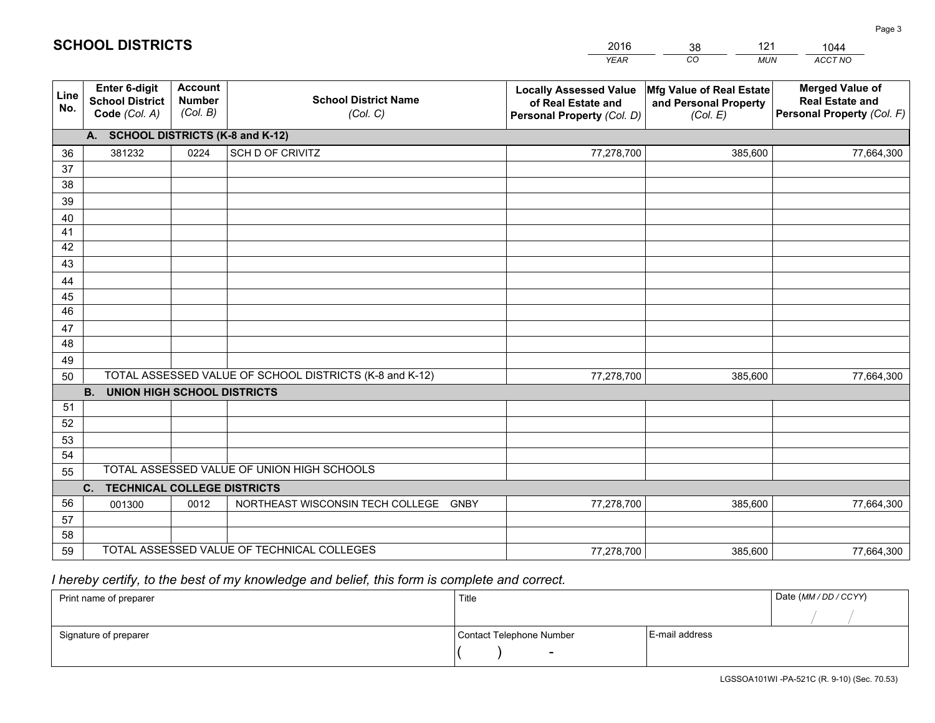|             |                                                          |                                             |                                                         | YEAR                                                                              | CO.<br><b>MUN</b>                                             | ACCT NO                                                                        |
|-------------|----------------------------------------------------------|---------------------------------------------|---------------------------------------------------------|-----------------------------------------------------------------------------------|---------------------------------------------------------------|--------------------------------------------------------------------------------|
| Line<br>No. | Enter 6-digit<br><b>School District</b><br>Code (Col. A) | <b>Account</b><br><b>Number</b><br>(Col. B) | <b>School District Name</b><br>(Col. C)                 | <b>Locally Assessed Value</b><br>of Real Estate and<br>Personal Property (Col. D) | Mfg Value of Real Estate<br>and Personal Property<br>(Col. E) | <b>Merged Value of</b><br><b>Real Estate and</b><br>Personal Property (Col. F) |
|             | A. SCHOOL DISTRICTS (K-8 and K-12)                       |                                             |                                                         |                                                                                   |                                                               |                                                                                |
| 36          | 381232                                                   | 0224                                        | SCH D OF CRIVITZ                                        | 77,278,700                                                                        | 385,600                                                       | 77,664,300                                                                     |
| 37          |                                                          |                                             |                                                         |                                                                                   |                                                               |                                                                                |
| 38          |                                                          |                                             |                                                         |                                                                                   |                                                               |                                                                                |
| 39          |                                                          |                                             |                                                         |                                                                                   |                                                               |                                                                                |
| 40          |                                                          |                                             |                                                         |                                                                                   |                                                               |                                                                                |
| 41<br>42    |                                                          |                                             |                                                         |                                                                                   |                                                               |                                                                                |
| 43          |                                                          |                                             |                                                         |                                                                                   |                                                               |                                                                                |
| 44          |                                                          |                                             |                                                         |                                                                                   |                                                               |                                                                                |
| 45          |                                                          |                                             |                                                         |                                                                                   |                                                               |                                                                                |
| 46          |                                                          |                                             |                                                         |                                                                                   |                                                               |                                                                                |
| 47          |                                                          |                                             |                                                         |                                                                                   |                                                               |                                                                                |
| 48          |                                                          |                                             |                                                         |                                                                                   |                                                               |                                                                                |
| 49          |                                                          |                                             |                                                         |                                                                                   |                                                               |                                                                                |
| 50          |                                                          |                                             | TOTAL ASSESSED VALUE OF SCHOOL DISTRICTS (K-8 and K-12) | 77,278,700                                                                        | 385,600                                                       | 77,664,300                                                                     |
|             | <b>B.</b><br>UNION HIGH SCHOOL DISTRICTS                 |                                             |                                                         |                                                                                   |                                                               |                                                                                |
| 51          |                                                          |                                             |                                                         |                                                                                   |                                                               |                                                                                |
| 52          |                                                          |                                             |                                                         |                                                                                   |                                                               |                                                                                |
| 53<br>54    |                                                          |                                             |                                                         |                                                                                   |                                                               |                                                                                |
| 55          |                                                          |                                             | TOTAL ASSESSED VALUE OF UNION HIGH SCHOOLS              |                                                                                   |                                                               |                                                                                |
|             | C.<br><b>TECHNICAL COLLEGE DISTRICTS</b>                 |                                             |                                                         |                                                                                   |                                                               |                                                                                |
| 56          | 001300                                                   | 0012                                        | NORTHEAST WISCONSIN TECH COLLEGE<br>GNBY                | 77,278,700                                                                        | 385,600                                                       | 77,664,300                                                                     |
| 57          |                                                          |                                             |                                                         |                                                                                   |                                                               |                                                                                |
| 58          |                                                          |                                             |                                                         |                                                                                   |                                                               |                                                                                |
| 59          |                                                          |                                             | TOTAL ASSESSED VALUE OF TECHNICAL COLLEGES              | 77,278,700                                                                        | 385,600                                                       | 77,664,300                                                                     |

38

121

 *I hereby certify, to the best of my knowledge and belief, this form is complete and correct.*

**SCHOOL DISTRICTS**

| Print name of preparer | Title                    |                | Date (MM / DD / CCYY) |
|------------------------|--------------------------|----------------|-----------------------|
|                        |                          |                |                       |
| Signature of preparer  | Contact Telephone Number | E-mail address |                       |
|                        | $\overline{\phantom{0}}$ |                |                       |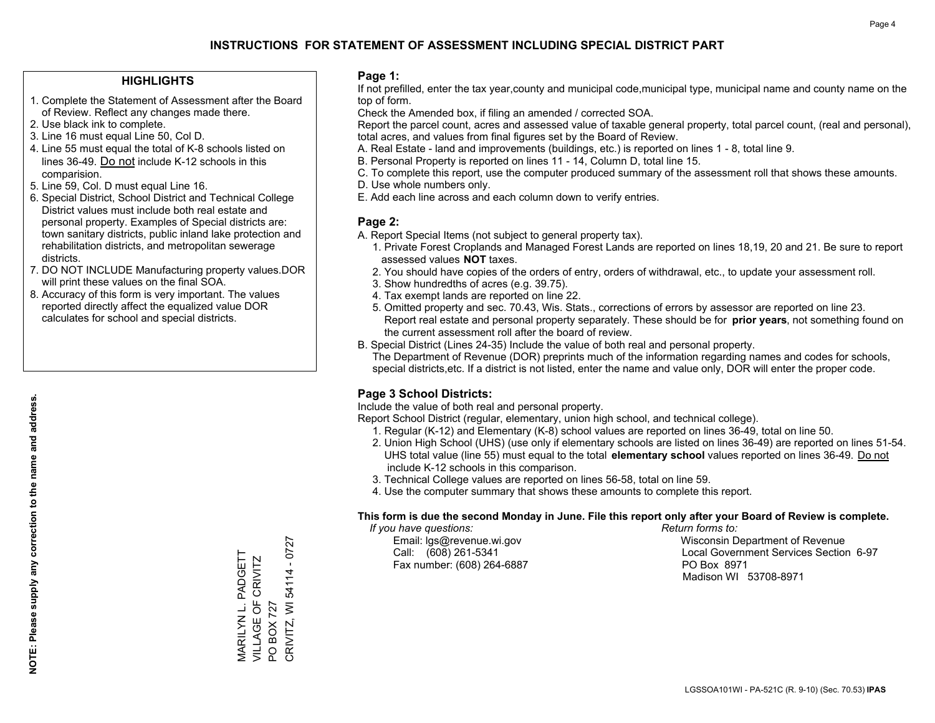## **HIGHLIGHTS**

- 1. Complete the Statement of Assessment after the Board of Review. Reflect any changes made there.
- 2. Use black ink to complete.
- 3. Line 16 must equal Line 50, Col D.
- 4. Line 55 must equal the total of K-8 schools listed on lines 36-49. Do not include K-12 schools in this comparision.
- 5. Line 59, Col. D must equal Line 16.
- 6. Special District, School District and Technical College District values must include both real estate and personal property. Examples of Special districts are: town sanitary districts, public inland lake protection and rehabilitation districts, and metropolitan sewerage districts.
- 7. DO NOT INCLUDE Manufacturing property values.DOR will print these values on the final SOA.

MARILYN L. PADGETT VILLAGE OF CRIVITZ

MARILYN L. PADGETT<br>VILLAGE OF CRIVITZ

PO BOX 727

 $\overline{S}$ 

**BOX 727** 

CRIVITZ, WI 54114 - 0727

CRIVITZ, WI 54114 - 0727

 8. Accuracy of this form is very important. The values reported directly affect the equalized value DOR calculates for school and special districts.

#### **Page 1:**

 If not prefilled, enter the tax year,county and municipal code,municipal type, municipal name and county name on the top of form.

Check the Amended box, if filing an amended / corrected SOA.

 Report the parcel count, acres and assessed value of taxable general property, total parcel count, (real and personal), total acres, and values from final figures set by the Board of Review.

- A. Real Estate land and improvements (buildings, etc.) is reported on lines 1 8, total line 9.
- B. Personal Property is reported on lines 11 14, Column D, total line 15.
- C. To complete this report, use the computer produced summary of the assessment roll that shows these amounts.
- D. Use whole numbers only.
- E. Add each line across and each column down to verify entries.

### **Page 2:**

- A. Report Special Items (not subject to general property tax).
- 1. Private Forest Croplands and Managed Forest Lands are reported on lines 18,19, 20 and 21. Be sure to report assessed values **NOT** taxes.
- 2. You should have copies of the orders of entry, orders of withdrawal, etc., to update your assessment roll.
	- 3. Show hundredths of acres (e.g. 39.75).
- 4. Tax exempt lands are reported on line 22.
- 5. Omitted property and sec. 70.43, Wis. Stats., corrections of errors by assessor are reported on line 23. Report real estate and personal property separately. These should be for **prior years**, not something found on the current assessment roll after the board of review.
- B. Special District (Lines 24-35) Include the value of both real and personal property.
- The Department of Revenue (DOR) preprints much of the information regarding names and codes for schools, special districts,etc. If a district is not listed, enter the name and value only, DOR will enter the proper code.

## **Page 3 School Districts:**

Include the value of both real and personal property.

Report School District (regular, elementary, union high school, and technical college).

- 1. Regular (K-12) and Elementary (K-8) school values are reported on lines 36-49, total on line 50.
- 2. Union High School (UHS) (use only if elementary schools are listed on lines 36-49) are reported on lines 51-54. UHS total value (line 55) must equal to the total **elementary school** values reported on lines 36-49. Do notinclude K-12 schools in this comparison.
- 3. Technical College values are reported on lines 56-58, total on line 59.
- 4. Use the computer summary that shows these amounts to complete this report.

#### **This form is due the second Monday in June. File this report only after your Board of Review is complete.**

 *If you have questions: Return forms to:*

Fax number: (608) 264-6887 PO Box 8971

 Email: lgs@revenue.wi.gov Wisconsin Department of Revenue Call: (608) 261-5341 Local Government Services Section 6-97Madison WI 53708-8971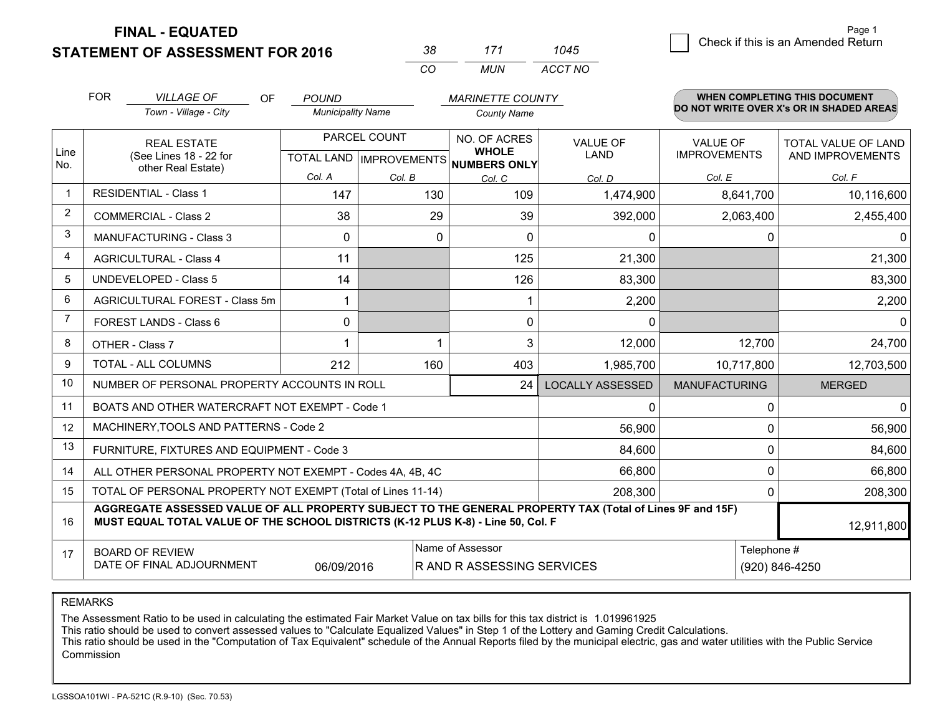**STATEMENT OF ASSESSMENT FOR 2016** 

| 38. | 171 | 1045    |
|-----|-----|---------|
| CO. | MUN | ACCT NO |

|                | <b>FOR</b><br><b>VILLAGE OF</b><br>OF<br><b>POUND</b><br><b>MARINETTE COUNTY</b>                                                                                                             |                                                              |                          |              |                                                                      |                                | <b>WHEN COMPLETING THIS DOCUMENT</b>   |                                          |
|----------------|----------------------------------------------------------------------------------------------------------------------------------------------------------------------------------------------|--------------------------------------------------------------|--------------------------|--------------|----------------------------------------------------------------------|--------------------------------|----------------------------------------|------------------------------------------|
|                |                                                                                                                                                                                              | Town - Village - City                                        | <b>Municipality Name</b> |              | <b>County Name</b>                                                   |                                |                                        | DO NOT WRITE OVER X's OR IN SHADED AREAS |
| Line<br>No.    | <b>REAL ESTATE</b><br>(See Lines 18 - 22 for                                                                                                                                                 |                                                              |                          | PARCEL COUNT | NO. OF ACRES<br><b>WHOLE</b><br>TOTAL LAND IMPROVEMENTS NUMBERS ONLY | <b>VALUE OF</b><br><b>LAND</b> | <b>VALUE OF</b><br><b>IMPROVEMENTS</b> | TOTAL VALUE OF LAND<br>AND IMPROVEMENTS  |
|                |                                                                                                                                                                                              | other Real Estate)                                           | Col. A                   | Col. B       | Col. C                                                               | Col. D                         | Col. E                                 | Col. F                                   |
| -1             |                                                                                                                                                                                              | <b>RESIDENTIAL - Class 1</b>                                 | 147                      | 130          | 109                                                                  | 1,474,900                      | 8,641,700                              | 10,116,600                               |
| $\overline{2}$ |                                                                                                                                                                                              | <b>COMMERCIAL - Class 2</b>                                  | 38                       | 29           | 39                                                                   | 392,000                        | 2,063,400                              | 2,455,400                                |
| 3              |                                                                                                                                                                                              | <b>MANUFACTURING - Class 3</b>                               | $\Omega$                 | 0            | $\Omega$                                                             | 0                              | 0                                      | 0 I                                      |
| $\overline{4}$ |                                                                                                                                                                                              | <b>AGRICULTURAL - Class 4</b>                                | 11                       |              | 125                                                                  | 21,300                         |                                        | 21,300                                   |
| 5              |                                                                                                                                                                                              | <b>UNDEVELOPED - Class 5</b>                                 | 14                       |              | 126                                                                  | 83,300                         |                                        | 83,300                                   |
| 6              |                                                                                                                                                                                              | AGRICULTURAL FOREST - Class 5m                               |                          |              |                                                                      | 2,200                          |                                        | 2,200                                    |
| 7              | FOREST LANDS - Class 6                                                                                                                                                                       |                                                              | $\mathbf{0}$             |              | $\mathbf{0}$                                                         | $\Omega$                       |                                        | 0                                        |
| 8              |                                                                                                                                                                                              | OTHER - Class 7                                              | 1                        |              | 3                                                                    | 12,000                         | 12,700                                 | 24,700                                   |
| 9              |                                                                                                                                                                                              | TOTAL - ALL COLUMNS                                          | 212                      | 160          | 403                                                                  | 1,985,700                      | 10,717,800                             | 12,703,500                               |
| 10             |                                                                                                                                                                                              | NUMBER OF PERSONAL PROPERTY ACCOUNTS IN ROLL                 |                          |              | 24                                                                   | <b>LOCALLY ASSESSED</b>        | <b>MANUFACTURING</b>                   | <b>MERGED</b>                            |
| 11             |                                                                                                                                                                                              | BOATS AND OTHER WATERCRAFT NOT EXEMPT - Code 1               |                          |              |                                                                      | 0                              | 0                                      | $\Omega$                                 |
| 12             |                                                                                                                                                                                              | MACHINERY, TOOLS AND PATTERNS - Code 2                       |                          |              |                                                                      | 56,900                         | $\mathbf{0}$                           | 56,900                                   |
| 13             |                                                                                                                                                                                              | FURNITURE, FIXTURES AND EQUIPMENT - Code 3                   |                          |              |                                                                      | 84,600                         | 0                                      | 84,600                                   |
| 14             |                                                                                                                                                                                              | ALL OTHER PERSONAL PROPERTY NOT EXEMPT - Codes 4A, 4B, 4C    |                          |              |                                                                      | 66,800                         | 0                                      | 66,800                                   |
| 15             |                                                                                                                                                                                              | TOTAL OF PERSONAL PROPERTY NOT EXEMPT (Total of Lines 11-14) |                          |              | 208,300                                                              | 0                              | 208,300                                |                                          |
| 16             | AGGREGATE ASSESSED VALUE OF ALL PROPERTY SUBJECT TO THE GENERAL PROPERTY TAX (Total of Lines 9F and 15F)<br>MUST EQUAL TOTAL VALUE OF THE SCHOOL DISTRICTS (K-12 PLUS K-8) - Line 50, Col. F |                                                              |                          |              |                                                                      |                                |                                        | 12,911,800                               |
| 17             | Name of Assessor<br><b>BOARD OF REVIEW</b><br>DATE OF FINAL ADJOURNMENT<br>06/09/2016                                                                                                        |                                                              |                          |              |                                                                      | R AND R ASSESSING SERVICES     | Telephone #                            | (920) 846-4250                           |

REMARKS

The Assessment Ratio to be used in calculating the estimated Fair Market Value on tax bills for this tax district is 1.019961925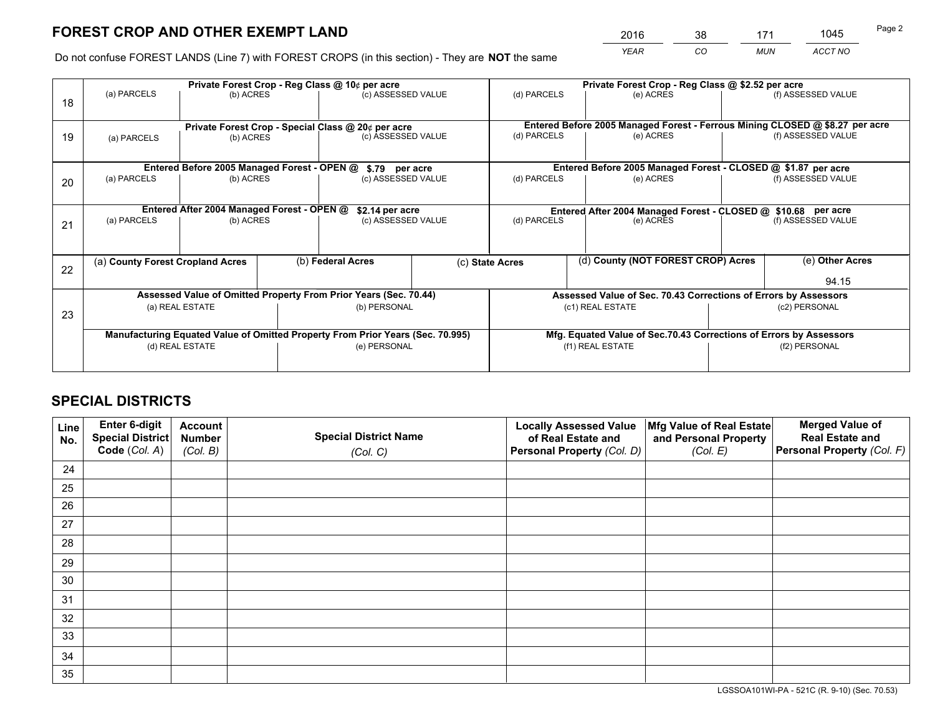*YEAR CO MUN ACCT NO* <sup>2016</sup> <sup>38</sup> <sup>171</sup> <sup>1045</sup>

Do not confuse FOREST LANDS (Line 7) with FOREST CROPS (in this section) - They are **NOT** the same

|    | Private Forest Crop - Reg Class @ 10¢ per acre                                 |                                             |  |                                                                  |  | Private Forest Crop - Reg Class @ \$2.52 per acre                            |                                                                 |                                                                    |                    |  |
|----|--------------------------------------------------------------------------------|---------------------------------------------|--|------------------------------------------------------------------|--|------------------------------------------------------------------------------|-----------------------------------------------------------------|--------------------------------------------------------------------|--------------------|--|
| 18 | (a) PARCELS                                                                    | (b) ACRES                                   |  | (c) ASSESSED VALUE                                               |  | (d) PARCELS                                                                  | (e) ACRES                                                       |                                                                    | (f) ASSESSED VALUE |  |
|    |                                                                                |                                             |  |                                                                  |  |                                                                              |                                                                 |                                                                    |                    |  |
|    | Private Forest Crop - Special Class @ 20¢ per acre                             |                                             |  |                                                                  |  | Entered Before 2005 Managed Forest - Ferrous Mining CLOSED @ \$8.27 per acre |                                                                 |                                                                    |                    |  |
| 19 | (a) PARCELS                                                                    | (b) ACRES                                   |  | (c) ASSESSED VALUE                                               |  | (d) PARCELS                                                                  | (e) ACRES                                                       |                                                                    | (f) ASSESSED VALUE |  |
|    |                                                                                |                                             |  |                                                                  |  |                                                                              |                                                                 |                                                                    |                    |  |
|    |                                                                                | Entered Before 2005 Managed Forest - OPEN @ |  | \$.79 per acre                                                   |  |                                                                              | Entered Before 2005 Managed Forest - CLOSED @ \$1.87 per acre   |                                                                    |                    |  |
| 20 | (a) PARCELS                                                                    | (b) ACRES                                   |  | (c) ASSESSED VALUE                                               |  | (d) PARCELS                                                                  | (e) ACRES                                                       |                                                                    | (f) ASSESSED VALUE |  |
|    |                                                                                |                                             |  |                                                                  |  |                                                                              |                                                                 |                                                                    |                    |  |
|    | Entered After 2004 Managed Forest - OPEN @<br>\$2.14 per acre                  |                                             |  |                                                                  |  | Entered After 2004 Managed Forest - CLOSED @ \$10.68 per acre                |                                                                 |                                                                    |                    |  |
| 21 | (a) PARCELS                                                                    | (b) ACRES                                   |  | (c) ASSESSED VALUE                                               |  | (d) PARCELS<br>(e) ACRES                                                     |                                                                 |                                                                    | (f) ASSESSED VALUE |  |
|    |                                                                                |                                             |  |                                                                  |  |                                                                              |                                                                 |                                                                    |                    |  |
|    |                                                                                |                                             |  |                                                                  |  |                                                                              | (d) County (NOT FOREST CROP) Acres                              |                                                                    | (e) Other Acres    |  |
| 22 | (a) County Forest Cropland Acres                                               |                                             |  | (b) Federal Acres                                                |  | (c) State Acres                                                              |                                                                 |                                                                    |                    |  |
|    |                                                                                |                                             |  |                                                                  |  |                                                                              |                                                                 |                                                                    | 94.15              |  |
|    |                                                                                |                                             |  | Assessed Value of Omitted Property From Prior Years (Sec. 70.44) |  |                                                                              | Assessed Value of Sec. 70.43 Corrections of Errors by Assessors |                                                                    |                    |  |
| 23 |                                                                                | (a) REAL ESTATE                             |  | (b) PERSONAL                                                     |  |                                                                              | (c1) REAL ESTATE                                                |                                                                    | (c2) PERSONAL      |  |
|    |                                                                                |                                             |  |                                                                  |  |                                                                              |                                                                 |                                                                    |                    |  |
|    | Manufacturing Equated Value of Omitted Property From Prior Years (Sec. 70.995) |                                             |  |                                                                  |  |                                                                              |                                                                 | Mfg. Equated Value of Sec.70.43 Corrections of Errors by Assessors |                    |  |
|    |                                                                                | (d) REAL ESTATE                             |  | (e) PERSONAL                                                     |  |                                                                              | (f1) REAL ESTATE                                                | (f2) PERSONAL                                                      |                    |  |
|    |                                                                                |                                             |  |                                                                  |  |                                                                              |                                                                 |                                                                    |                    |  |

## **SPECIAL DISTRICTS**

| Line<br>No. | Enter 6-digit<br>Special District<br>Code (Col. A) | <b>Account</b><br><b>Number</b> | <b>Special District Name</b> | <b>Locally Assessed Value</b><br>of Real Estate and | Mfg Value of Real Estate<br>and Personal Property | <b>Merged Value of</b><br><b>Real Estate and</b><br>Personal Property (Col. F) |
|-------------|----------------------------------------------------|---------------------------------|------------------------------|-----------------------------------------------------|---------------------------------------------------|--------------------------------------------------------------------------------|
|             |                                                    | (Col. B)                        | (Col. C)                     | Personal Property (Col. D)                          | (Col. E)                                          |                                                                                |
| 24          |                                                    |                                 |                              |                                                     |                                                   |                                                                                |
| 25          |                                                    |                                 |                              |                                                     |                                                   |                                                                                |
| 26          |                                                    |                                 |                              |                                                     |                                                   |                                                                                |
| 27          |                                                    |                                 |                              |                                                     |                                                   |                                                                                |
| 28          |                                                    |                                 |                              |                                                     |                                                   |                                                                                |
| 29          |                                                    |                                 |                              |                                                     |                                                   |                                                                                |
| 30          |                                                    |                                 |                              |                                                     |                                                   |                                                                                |
| 31          |                                                    |                                 |                              |                                                     |                                                   |                                                                                |
| 32          |                                                    |                                 |                              |                                                     |                                                   |                                                                                |
| 33          |                                                    |                                 |                              |                                                     |                                                   |                                                                                |
| 34          |                                                    |                                 |                              |                                                     |                                                   |                                                                                |
| 35          |                                                    |                                 |                              |                                                     |                                                   |                                                                                |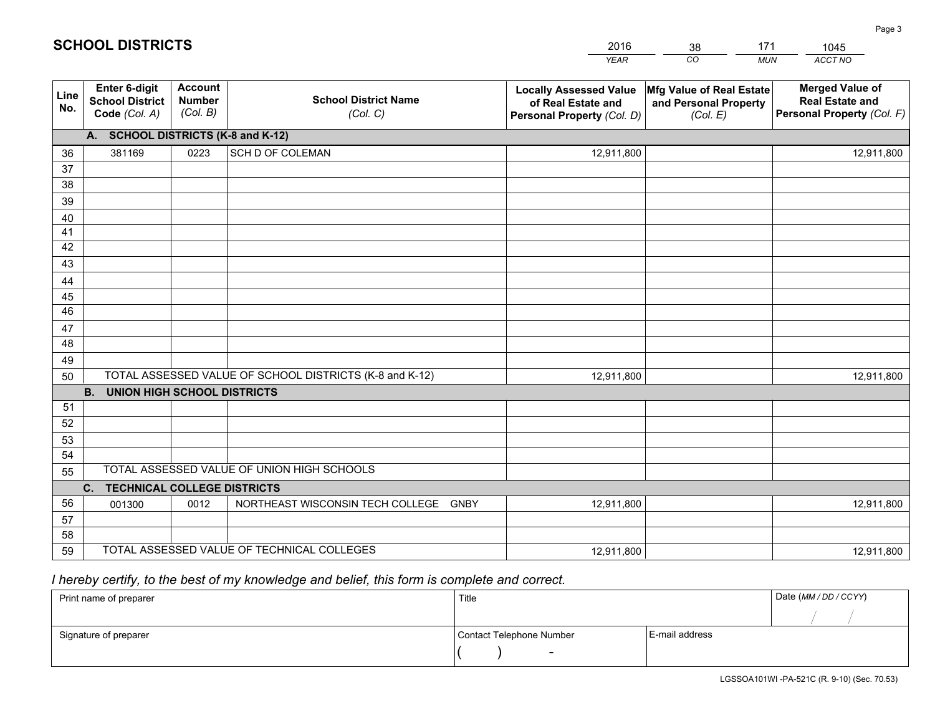|                 |                                                                 |                                             |                                                         | <b>YEAR</b>                                                                       | CO<br><b>MUN</b>                                              | ACCT NO                                                                        |
|-----------------|-----------------------------------------------------------------|---------------------------------------------|---------------------------------------------------------|-----------------------------------------------------------------------------------|---------------------------------------------------------------|--------------------------------------------------------------------------------|
| Line<br>No.     | <b>Enter 6-digit</b><br><b>School District</b><br>Code (Col. A) | <b>Account</b><br><b>Number</b><br>(Col. B) | <b>School District Name</b><br>(Col. C)                 | <b>Locally Assessed Value</b><br>of Real Estate and<br>Personal Property (Col. D) | Mfg Value of Real Estate<br>and Personal Property<br>(Col. E) | <b>Merged Value of</b><br><b>Real Estate and</b><br>Personal Property (Col. F) |
|                 | A. SCHOOL DISTRICTS (K-8 and K-12)                              |                                             |                                                         |                                                                                   |                                                               |                                                                                |
| 36              | 381169                                                          | 0223                                        | SCH D OF COLEMAN                                        | 12,911,800                                                                        |                                                               | 12,911,800                                                                     |
| 37              |                                                                 |                                             |                                                         |                                                                                   |                                                               |                                                                                |
| 38              |                                                                 |                                             |                                                         |                                                                                   |                                                               |                                                                                |
| 39              |                                                                 |                                             |                                                         |                                                                                   |                                                               |                                                                                |
| 40              |                                                                 |                                             |                                                         |                                                                                   |                                                               |                                                                                |
| 41<br>42        |                                                                 |                                             |                                                         |                                                                                   |                                                               |                                                                                |
| 43              |                                                                 |                                             |                                                         |                                                                                   |                                                               |                                                                                |
| 44              |                                                                 |                                             |                                                         |                                                                                   |                                                               |                                                                                |
| 45              |                                                                 |                                             |                                                         |                                                                                   |                                                               |                                                                                |
| $\overline{46}$ |                                                                 |                                             |                                                         |                                                                                   |                                                               |                                                                                |
| 47              |                                                                 |                                             |                                                         |                                                                                   |                                                               |                                                                                |
| 48              |                                                                 |                                             |                                                         |                                                                                   |                                                               |                                                                                |
| 49              |                                                                 |                                             |                                                         |                                                                                   |                                                               |                                                                                |
| 50              |                                                                 |                                             | TOTAL ASSESSED VALUE OF SCHOOL DISTRICTS (K-8 and K-12) | 12,911,800                                                                        |                                                               | 12,911,800                                                                     |
|                 | <b>B.</b><br><b>UNION HIGH SCHOOL DISTRICTS</b>                 |                                             |                                                         |                                                                                   |                                                               |                                                                                |
| 51              |                                                                 |                                             |                                                         |                                                                                   |                                                               |                                                                                |
| 52              |                                                                 |                                             |                                                         |                                                                                   |                                                               |                                                                                |
| 53              |                                                                 |                                             |                                                         |                                                                                   |                                                               |                                                                                |
| 54              |                                                                 |                                             | TOTAL ASSESSED VALUE OF UNION HIGH SCHOOLS              |                                                                                   |                                                               |                                                                                |
| 55              |                                                                 |                                             |                                                         |                                                                                   |                                                               |                                                                                |
|                 | C.<br><b>TECHNICAL COLLEGE DISTRICTS</b>                        |                                             |                                                         |                                                                                   |                                                               |                                                                                |
| 56<br>57        | 001300                                                          | 0012                                        | NORTHEAST WISCONSIN TECH COLLEGE GNBY                   | 12,911,800                                                                        |                                                               | 12,911,800                                                                     |
| 58              |                                                                 |                                             |                                                         |                                                                                   |                                                               |                                                                                |
| 59              |                                                                 |                                             | TOTAL ASSESSED VALUE OF TECHNICAL COLLEGES              | 12,911,800                                                                        |                                                               | 12,911,800                                                                     |

38

171

 *I hereby certify, to the best of my knowledge and belief, this form is complete and correct.*

**SCHOOL DISTRICTS**

| Print name of preparer | Title                    |                | Date (MM / DD / CCYY) |
|------------------------|--------------------------|----------------|-----------------------|
|                        |                          |                |                       |
| Signature of preparer  | Contact Telephone Number | E-mail address |                       |
|                        | $\sim$                   |                |                       |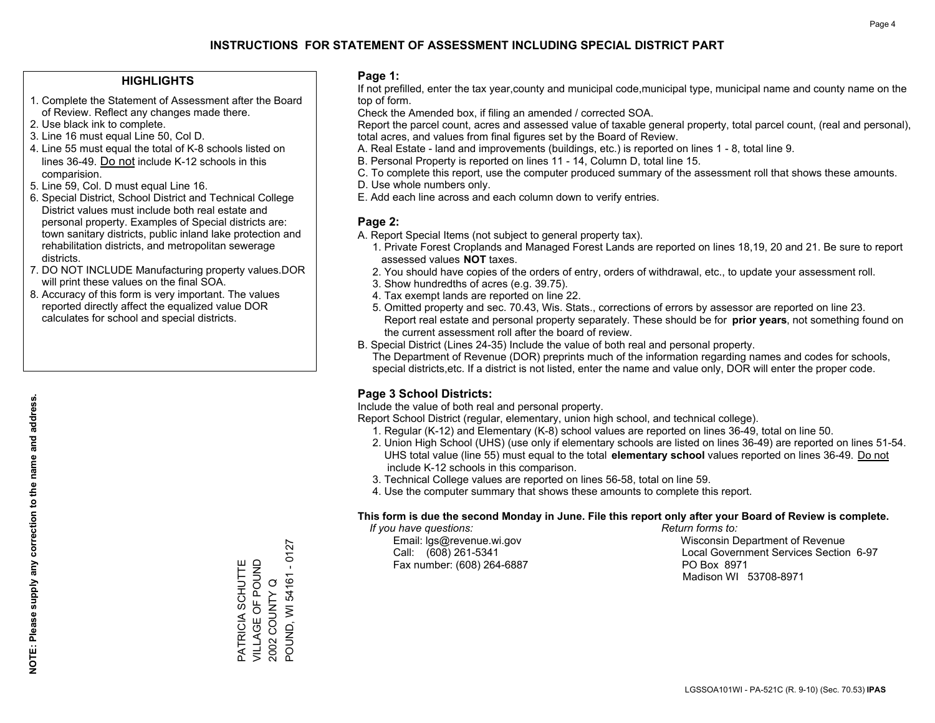### **HIGHLIGHTS**

- 1. Complete the Statement of Assessment after the Board of Review. Reflect any changes made there.
- 2. Use black ink to complete.
- 3. Line 16 must equal Line 50, Col D.
- 4. Line 55 must equal the total of K-8 schools listed on lines 36-49. Do not include K-12 schools in this comparision.
- 5. Line 59, Col. D must equal Line 16.
- 6. Special District, School District and Technical College District values must include both real estate and personal property. Examples of Special districts are: town sanitary districts, public inland lake protection and rehabilitation districts, and metropolitan sewerage districts.
- 7. DO NOT INCLUDE Manufacturing property values.DOR will print these values on the final SOA.
- 8. Accuracy of this form is very important. The values reported directly affect the equalized value DOR calculates for school and special districts.

### **Page 1:**

 If not prefilled, enter the tax year,county and municipal code,municipal type, municipal name and county name on the top of form.

Check the Amended box, if filing an amended / corrected SOA.

 Report the parcel count, acres and assessed value of taxable general property, total parcel count, (real and personal), total acres, and values from final figures set by the Board of Review.

- A. Real Estate land and improvements (buildings, etc.) is reported on lines 1 8, total line 9.
- B. Personal Property is reported on lines 11 14, Column D, total line 15.
- C. To complete this report, use the computer produced summary of the assessment roll that shows these amounts.
- D. Use whole numbers only.
- E. Add each line across and each column down to verify entries.

### **Page 2:**

- A. Report Special Items (not subject to general property tax).
- 1. Private Forest Croplands and Managed Forest Lands are reported on lines 18,19, 20 and 21. Be sure to report assessed values **NOT** taxes.
- 2. You should have copies of the orders of entry, orders of withdrawal, etc., to update your assessment roll.
	- 3. Show hundredths of acres (e.g. 39.75).
- 4. Tax exempt lands are reported on line 22.
- 5. Omitted property and sec. 70.43, Wis. Stats., corrections of errors by assessor are reported on line 23. Report real estate and personal property separately. These should be for **prior years**, not something found on the current assessment roll after the board of review.
- B. Special District (Lines 24-35) Include the value of both real and personal property.
- The Department of Revenue (DOR) preprints much of the information regarding names and codes for schools, special districts,etc. If a district is not listed, enter the name and value only, DOR will enter the proper code.

## **Page 3 School Districts:**

Include the value of both real and personal property.

Report School District (regular, elementary, union high school, and technical college).

- 1. Regular (K-12) and Elementary (K-8) school values are reported on lines 36-49, total on line 50.
- 2. Union High School (UHS) (use only if elementary schools are listed on lines 36-49) are reported on lines 51-54. UHS total value (line 55) must equal to the total **elementary school** values reported on lines 36-49. Do notinclude K-12 schools in this comparison.
- 3. Technical College values are reported on lines 56-58, total on line 59.
- 4. Use the computer summary that shows these amounts to complete this report.

#### **This form is due the second Monday in June. File this report only after your Board of Review is complete.**

 *If you have questions: Return forms to:*

Fax number: (608) 264-6887 PO Box 8971

 Email: lgs@revenue.wi.gov Wisconsin Department of Revenue Call: (608) 261-5341 Local Government Services Section 6-97Madison WI 53708-8971

POUND, WI 54161 - 0127 POUND, WI 54161 - 0127 VILLAGE OF POUND PATRICIA SCHUTTE<br>VILLAGE OF POUND PATRICIA SCHUTTE 2002 COUNTY Q 2002 COUNTY Q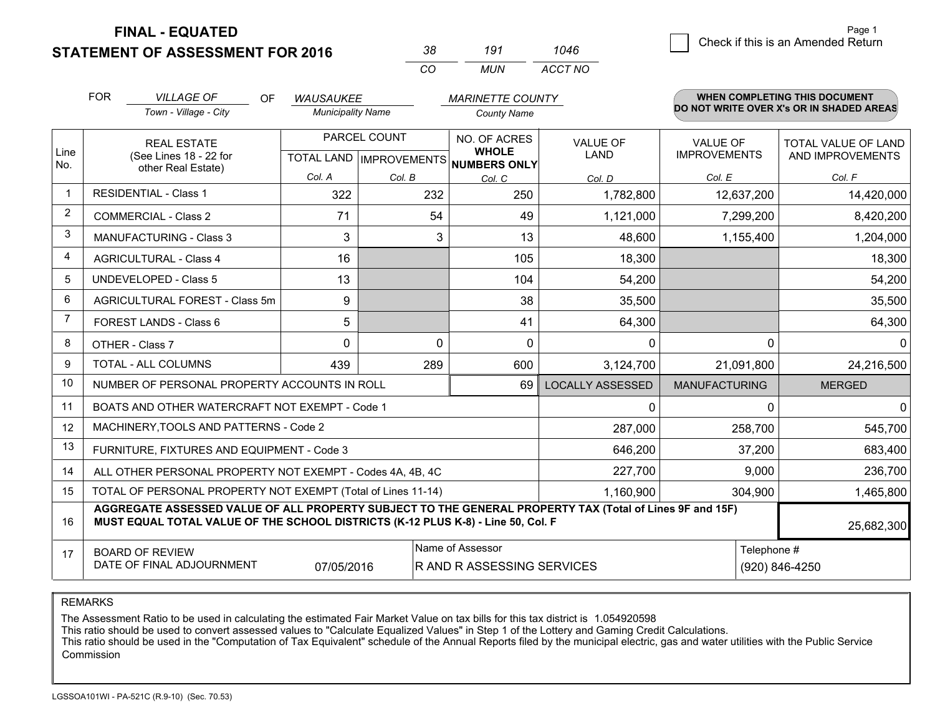**STATEMENT OF ASSESSMENT FOR 2016** 

**FINAL - EQUATED**

| - 38 | 191  | 1046    |
|------|------|---------|
| ΓO.  | MUN. | ACCT NO |

|                | <b>FOR</b><br><b>VILLAGE OF</b><br><b>OF</b><br><b>WAUSAUKEE</b>                                                                                                                             |                                                           |                          |              | <b>MARINETTE COUNTY</b>              |                         |                      | <b>WHEN COMPLETING THIS DOCUMENT</b>     |  |
|----------------|----------------------------------------------------------------------------------------------------------------------------------------------------------------------------------------------|-----------------------------------------------------------|--------------------------|--------------|--------------------------------------|-------------------------|----------------------|------------------------------------------|--|
|                |                                                                                                                                                                                              | Town - Village - City                                     | <b>Municipality Name</b> |              | <b>County Name</b>                   |                         |                      | DO NOT WRITE OVER X's OR IN SHADED AREAS |  |
| Line           |                                                                                                                                                                                              | <b>REAL ESTATE</b>                                        | PARCEL COUNT             |              | NO. OF ACRES<br><b>WHOLE</b>         | <b>VALUE OF</b>         | <b>VALUE OF</b>      | TOTAL VALUE OF LAND                      |  |
| No.            |                                                                                                                                                                                              | (See Lines 18 - 22 for<br>other Real Estate)              |                          |              | TOTAL LAND IMPROVEMENTS NUMBERS ONLY | <b>LAND</b>             | <b>IMPROVEMENTS</b>  | AND IMPROVEMENTS                         |  |
|                |                                                                                                                                                                                              |                                                           | Col. A                   | Col. B       | Col. C                               | Col. D                  | Col. E               | Col. F                                   |  |
| $\mathbf 1$    |                                                                                                                                                                                              | <b>RESIDENTIAL - Class 1</b>                              | 322                      | 232          | 250                                  | 1,782,800               | 12,637,200           | 14,420,000                               |  |
| $\overline{2}$ |                                                                                                                                                                                              | <b>COMMERCIAL - Class 2</b>                               | 71                       | 54           | 49                                   | 1,121,000               | 7,299,200            | 8,420,200                                |  |
| 3              |                                                                                                                                                                                              | MANUFACTURING - Class 3                                   | 3                        | 3            | 13                                   | 48,600                  | 1,155,400            | 1,204,000                                |  |
| 4              |                                                                                                                                                                                              | <b>AGRICULTURAL - Class 4</b>                             | 16                       |              | 105                                  | 18,300                  |                      | 18,300                                   |  |
| 5              |                                                                                                                                                                                              | <b>UNDEVELOPED - Class 5</b>                              | 13                       |              | 104                                  | 54,200                  |                      | 54,200                                   |  |
| 6              |                                                                                                                                                                                              | AGRICULTURAL FOREST - Class 5m                            | 9                        |              | 38                                   | 35,500                  |                      | 35,500                                   |  |
| 7              |                                                                                                                                                                                              | FOREST LANDS - Class 6                                    | 5                        |              | 41                                   | 64,300                  |                      | 64,300                                   |  |
| 8              |                                                                                                                                                                                              | OTHER - Class 7                                           | 0                        | $\mathbf{0}$ | $\Omega$                             | $\Omega$                | 0                    | 0                                        |  |
| 9              |                                                                                                                                                                                              | TOTAL - ALL COLUMNS                                       | 439                      | 289          | 600                                  | 3,124,700               | 21,091,800           | 24,216,500                               |  |
| 10             |                                                                                                                                                                                              | NUMBER OF PERSONAL PROPERTY ACCOUNTS IN ROLL              |                          |              | 69                                   | <b>LOCALLY ASSESSED</b> | <b>MANUFACTURING</b> | <b>MERGED</b>                            |  |
| 11             |                                                                                                                                                                                              | BOATS AND OTHER WATERCRAFT NOT EXEMPT - Code 1            |                          |              |                                      | $\mathbf{0}$            | 0                    | $\mathbf 0$                              |  |
| 12             |                                                                                                                                                                                              | MACHINERY, TOOLS AND PATTERNS - Code 2                    |                          |              |                                      | 287,000                 | 258,700              | 545,700                                  |  |
| 13             |                                                                                                                                                                                              | FURNITURE, FIXTURES AND EQUIPMENT - Code 3                |                          |              |                                      | 646,200                 | 37,200               | 683,400                                  |  |
| 14             |                                                                                                                                                                                              | ALL OTHER PERSONAL PROPERTY NOT EXEMPT - Codes 4A, 4B, 4C |                          |              |                                      | 227,700                 | 9,000                | 236,700                                  |  |
| 15             | TOTAL OF PERSONAL PROPERTY NOT EXEMPT (Total of Lines 11-14)<br>1,160,900<br>304.900                                                                                                         |                                                           |                          |              |                                      |                         |                      | 1,465,800                                |  |
| 16             | AGGREGATE ASSESSED VALUE OF ALL PROPERTY SUBJECT TO THE GENERAL PROPERTY TAX (Total of Lines 9F and 15F)<br>MUST EQUAL TOTAL VALUE OF THE SCHOOL DISTRICTS (K-12 PLUS K-8) - Line 50, Col. F |                                                           |                          |              |                                      |                         | 25,682,300           |                                          |  |
| 17             |                                                                                                                                                                                              | <b>BOARD OF REVIEW</b>                                    |                          |              | Name of Assessor                     |                         |                      | Telephone #                              |  |
|                |                                                                                                                                                                                              | DATE OF FINAL ADJOURNMENT                                 | 07/05/2016               |              | R AND R ASSESSING SERVICES           |                         |                      | (920) 846-4250                           |  |

REMARKS

The Assessment Ratio to be used in calculating the estimated Fair Market Value on tax bills for this tax district is 1.054920598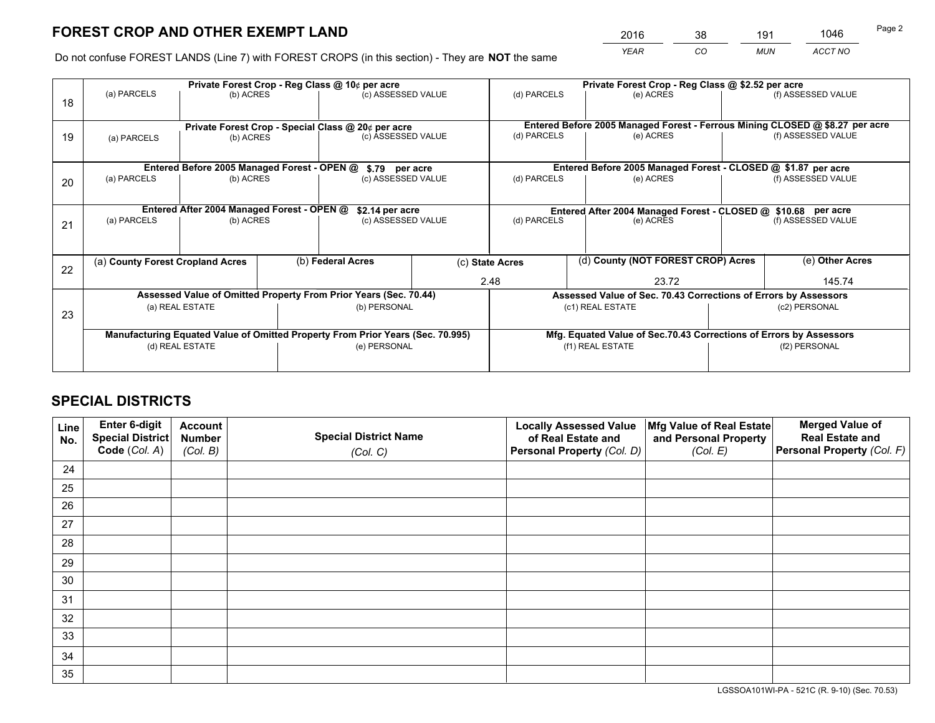*YEAR CO MUN ACCT NO* <sup>2016</sup> <sup>38</sup> <sup>191</sup> <sup>1046</sup>

Do not confuse FOREST LANDS (Line 7) with FOREST CROPS (in this section) - They are **NOT** the same

|    |                                                                                |                                             |  | Private Forest Crop - Reg Class @ 10¢ per acre                   |                                      | Private Forest Crop - Reg Class @ \$2.52 per acre             |                                                                              |                                                                    |                    |  |
|----|--------------------------------------------------------------------------------|---------------------------------------------|--|------------------------------------------------------------------|--------------------------------------|---------------------------------------------------------------|------------------------------------------------------------------------------|--------------------------------------------------------------------|--------------------|--|
| 18 | (a) PARCELS                                                                    | (b) ACRES                                   |  | (c) ASSESSED VALUE                                               |                                      | (d) PARCELS                                                   | (e) ACRES                                                                    |                                                                    | (f) ASSESSED VALUE |  |
|    |                                                                                |                                             |  |                                                                  |                                      |                                                               |                                                                              |                                                                    |                    |  |
|    | Private Forest Crop - Special Class @ 20¢ per acre                             |                                             |  |                                                                  |                                      |                                                               | Entered Before 2005 Managed Forest - Ferrous Mining CLOSED @ \$8.27 per acre |                                                                    |                    |  |
| 19 | (a) PARCELS                                                                    | (b) ACRES                                   |  | (c) ASSESSED VALUE                                               |                                      | (d) PARCELS                                                   | (e) ACRES                                                                    |                                                                    | (f) ASSESSED VALUE |  |
|    |                                                                                |                                             |  |                                                                  |                                      |                                                               |                                                                              |                                                                    |                    |  |
|    |                                                                                | Entered Before 2005 Managed Forest - OPEN @ |  | \$.79 per acre                                                   |                                      |                                                               | Entered Before 2005 Managed Forest - CLOSED @ \$1.87 per acre                |                                                                    |                    |  |
| 20 | (a) PARCELS                                                                    | (b) ACRES                                   |  | (c) ASSESSED VALUE                                               |                                      | (d) PARCELS                                                   | (e) ACRES                                                                    |                                                                    | (f) ASSESSED VALUE |  |
|    |                                                                                |                                             |  |                                                                  |                                      |                                                               |                                                                              |                                                                    |                    |  |
|    | Entered After 2004 Managed Forest - OPEN @<br>\$2.14 per acre                  |                                             |  |                                                                  |                                      | Entered After 2004 Managed Forest - CLOSED @ \$10.68 per acre |                                                                              |                                                                    |                    |  |
| 21 | (a) PARCELS                                                                    | (b) ACRES                                   |  | (c) ASSESSED VALUE                                               |                                      | (d) PARCELS<br>(e) ACRES                                      |                                                                              |                                                                    | (f) ASSESSED VALUE |  |
|    |                                                                                |                                             |  |                                                                  |                                      |                                                               |                                                                              |                                                                    |                    |  |
|    |                                                                                |                                             |  |                                                                  |                                      |                                                               |                                                                              |                                                                    |                    |  |
| 22 |                                                                                | (a) County Forest Cropland Acres            |  |                                                                  | (b) Federal Acres<br>(c) State Acres |                                                               | (d) County (NOT FOREST CROP) Acres                                           |                                                                    | (e) Other Acres    |  |
|    |                                                                                |                                             |  |                                                                  |                                      | 2.48                                                          | 23.72                                                                        |                                                                    | 145.74             |  |
|    |                                                                                |                                             |  | Assessed Value of Omitted Property From Prior Years (Sec. 70.44) |                                      |                                                               | Assessed Value of Sec. 70.43 Corrections of Errors by Assessors              |                                                                    |                    |  |
| 23 |                                                                                | (a) REAL ESTATE                             |  | (b) PERSONAL                                                     |                                      | (c1) REAL ESTATE                                              |                                                                              | (c2) PERSONAL                                                      |                    |  |
|    |                                                                                |                                             |  |                                                                  |                                      |                                                               |                                                                              |                                                                    |                    |  |
|    | Manufacturing Equated Value of Omitted Property From Prior Years (Sec. 70.995) |                                             |  |                                                                  |                                      |                                                               |                                                                              | Mfg. Equated Value of Sec.70.43 Corrections of Errors by Assessors |                    |  |
|    |                                                                                | (d) REAL ESTATE                             |  | (e) PERSONAL                                                     |                                      |                                                               | (f1) REAL ESTATE                                                             |                                                                    | (f2) PERSONAL      |  |
|    |                                                                                |                                             |  |                                                                  |                                      |                                                               |                                                                              |                                                                    |                    |  |

## **SPECIAL DISTRICTS**

| Line<br>No. | Enter 6-digit<br>Special District<br>Code (Col. A) | <b>Account</b><br><b>Number</b> | <b>Special District Name</b> | <b>Locally Assessed Value</b><br>of Real Estate and | Mfg Value of Real Estate<br>and Personal Property | <b>Merged Value of</b><br><b>Real Estate and</b><br>Personal Property (Col. F) |
|-------------|----------------------------------------------------|---------------------------------|------------------------------|-----------------------------------------------------|---------------------------------------------------|--------------------------------------------------------------------------------|
|             |                                                    | (Col. B)                        | (Col. C)                     | Personal Property (Col. D)                          | (Col. E)                                          |                                                                                |
| 24          |                                                    |                                 |                              |                                                     |                                                   |                                                                                |
| 25          |                                                    |                                 |                              |                                                     |                                                   |                                                                                |
| 26          |                                                    |                                 |                              |                                                     |                                                   |                                                                                |
| 27          |                                                    |                                 |                              |                                                     |                                                   |                                                                                |
| 28          |                                                    |                                 |                              |                                                     |                                                   |                                                                                |
| 29          |                                                    |                                 |                              |                                                     |                                                   |                                                                                |
| 30          |                                                    |                                 |                              |                                                     |                                                   |                                                                                |
| 31          |                                                    |                                 |                              |                                                     |                                                   |                                                                                |
| 32          |                                                    |                                 |                              |                                                     |                                                   |                                                                                |
| 33          |                                                    |                                 |                              |                                                     |                                                   |                                                                                |
| 34          |                                                    |                                 |                              |                                                     |                                                   |                                                                                |
| 35          |                                                    |                                 |                              |                                                     |                                                   |                                                                                |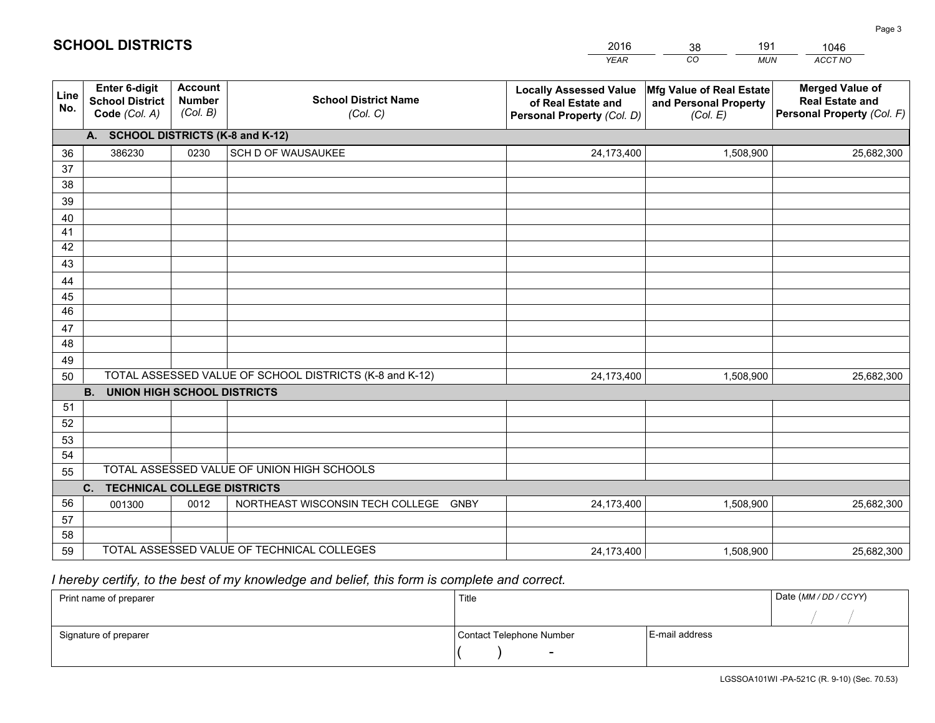|             |                                                                 |                                             |                                                         | <b>YEAR</b>                                                                       | CO<br><b>MUN</b>                                              | ACCT NO                                                                        |
|-------------|-----------------------------------------------------------------|---------------------------------------------|---------------------------------------------------------|-----------------------------------------------------------------------------------|---------------------------------------------------------------|--------------------------------------------------------------------------------|
| Line<br>No. | <b>Enter 6-digit</b><br><b>School District</b><br>Code (Col. A) | <b>Account</b><br><b>Number</b><br>(Col. B) | <b>School District Name</b><br>(Col. C)                 | <b>Locally Assessed Value</b><br>of Real Estate and<br>Personal Property (Col. D) | Mfg Value of Real Estate<br>and Personal Property<br>(Col. E) | <b>Merged Value of</b><br><b>Real Estate and</b><br>Personal Property (Col. F) |
|             | A. SCHOOL DISTRICTS (K-8 and K-12)                              |                                             |                                                         |                                                                                   |                                                               |                                                                                |
| 36          | 386230                                                          | 0230                                        | SCH D OF WAUSAUKEE                                      | 24,173,400                                                                        | 1,508,900                                                     | 25,682,300                                                                     |
| 37          |                                                                 |                                             |                                                         |                                                                                   |                                                               |                                                                                |
| 38          |                                                                 |                                             |                                                         |                                                                                   |                                                               |                                                                                |
| 39          |                                                                 |                                             |                                                         |                                                                                   |                                                               |                                                                                |
| 40          |                                                                 |                                             |                                                         |                                                                                   |                                                               |                                                                                |
| 41<br>42    |                                                                 |                                             |                                                         |                                                                                   |                                                               |                                                                                |
| 43          |                                                                 |                                             |                                                         |                                                                                   |                                                               |                                                                                |
|             |                                                                 |                                             |                                                         |                                                                                   |                                                               |                                                                                |
| 44<br>45    |                                                                 |                                             |                                                         |                                                                                   |                                                               |                                                                                |
| 46          |                                                                 |                                             |                                                         |                                                                                   |                                                               |                                                                                |
| 47          |                                                                 |                                             |                                                         |                                                                                   |                                                               |                                                                                |
| 48          |                                                                 |                                             |                                                         |                                                                                   |                                                               |                                                                                |
| 49          |                                                                 |                                             |                                                         |                                                                                   |                                                               |                                                                                |
| 50          |                                                                 |                                             | TOTAL ASSESSED VALUE OF SCHOOL DISTRICTS (K-8 and K-12) | 24,173,400                                                                        | 1,508,900                                                     | 25,682,300                                                                     |
|             | <b>B. UNION HIGH SCHOOL DISTRICTS</b>                           |                                             |                                                         |                                                                                   |                                                               |                                                                                |
| 51          |                                                                 |                                             |                                                         |                                                                                   |                                                               |                                                                                |
| 52          |                                                                 |                                             |                                                         |                                                                                   |                                                               |                                                                                |
| 53          |                                                                 |                                             |                                                         |                                                                                   |                                                               |                                                                                |
| 54          |                                                                 |                                             |                                                         |                                                                                   |                                                               |                                                                                |
| 55          |                                                                 |                                             | TOTAL ASSESSED VALUE OF UNION HIGH SCHOOLS              |                                                                                   |                                                               |                                                                                |
|             | C.<br><b>TECHNICAL COLLEGE DISTRICTS</b>                        |                                             |                                                         |                                                                                   |                                                               |                                                                                |
| 56          | 001300                                                          | 0012                                        | NORTHEAST WISCONSIN TECH COLLEGE<br><b>GNBY</b>         | 24,173,400                                                                        | 1,508,900                                                     | 25,682,300                                                                     |
| 57<br>58    |                                                                 |                                             |                                                         |                                                                                   |                                                               |                                                                                |
| 59          |                                                                 |                                             | TOTAL ASSESSED VALUE OF TECHNICAL COLLEGES              | 24,173,400                                                                        | 1,508,900                                                     | 25,682,300                                                                     |
|             |                                                                 |                                             |                                                         |                                                                                   |                                                               |                                                                                |

38

191

 *I hereby certify, to the best of my knowledge and belief, this form is complete and correct.*

**SCHOOL DISTRICTS**

| Print name of preparer | Title                    |                | Date (MM / DD / CCYY) |
|------------------------|--------------------------|----------------|-----------------------|
|                        |                          |                |                       |
| Signature of preparer  | Contact Telephone Number | E-mail address |                       |
|                        |                          |                |                       |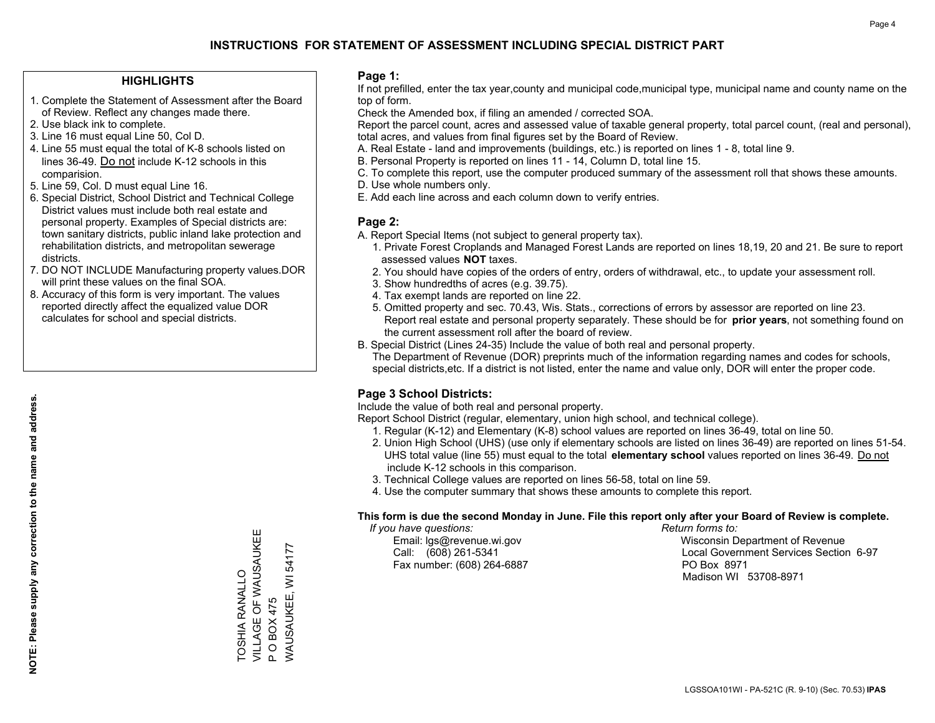## **HIGHLIGHTS**

- 1. Complete the Statement of Assessment after the Board of Review. Reflect any changes made there.
- 2. Use black ink to complete.
- 3. Line 16 must equal Line 50, Col D.
- 4. Line 55 must equal the total of K-8 schools listed on lines 36-49. Do not include K-12 schools in this comparision.
- 5. Line 59, Col. D must equal Line 16.
- 6. Special District, School District and Technical College District values must include both real estate and personal property. Examples of Special districts are: town sanitary districts, public inland lake protection and rehabilitation districts, and metropolitan sewerage districts.
- 7. DO NOT INCLUDE Manufacturing property values.DOR will print these values on the final SOA.

TOSHIA RANALLO

**TOSHIA RANALLO** 

VILLAGE OF WAUSAUKEE

VILLAGE OF WAUSAUKEI

Ш

P O BOX 475

 $\Delta$ 

**OBOX475** 

WAUSAUKEE, WI 54177

WAUSAUKEE, WI 54177

 8. Accuracy of this form is very important. The values reported directly affect the equalized value DOR calculates for school and special districts.

### **Page 1:**

 If not prefilled, enter the tax year,county and municipal code,municipal type, municipal name and county name on the top of form.

Check the Amended box, if filing an amended / corrected SOA.

 Report the parcel count, acres and assessed value of taxable general property, total parcel count, (real and personal), total acres, and values from final figures set by the Board of Review.

- A. Real Estate land and improvements (buildings, etc.) is reported on lines 1 8, total line 9.
- B. Personal Property is reported on lines 11 14, Column D, total line 15.
- C. To complete this report, use the computer produced summary of the assessment roll that shows these amounts.
- D. Use whole numbers only.
- E. Add each line across and each column down to verify entries.

## **Page 2:**

- A. Report Special Items (not subject to general property tax).
- 1. Private Forest Croplands and Managed Forest Lands are reported on lines 18,19, 20 and 21. Be sure to report assessed values **NOT** taxes.
- 2. You should have copies of the orders of entry, orders of withdrawal, etc., to update your assessment roll.
	- 3. Show hundredths of acres (e.g. 39.75).
- 4. Tax exempt lands are reported on line 22.
- 5. Omitted property and sec. 70.43, Wis. Stats., corrections of errors by assessor are reported on line 23. Report real estate and personal property separately. These should be for **prior years**, not something found on the current assessment roll after the board of review.
- B. Special District (Lines 24-35) Include the value of both real and personal property.
- The Department of Revenue (DOR) preprints much of the information regarding names and codes for schools, special districts,etc. If a district is not listed, enter the name and value only, DOR will enter the proper code.

## **Page 3 School Districts:**

Include the value of both real and personal property.

Report School District (regular, elementary, union high school, and technical college).

- 1. Regular (K-12) and Elementary (K-8) school values are reported on lines 36-49, total on line 50.
- 2. Union High School (UHS) (use only if elementary schools are listed on lines 36-49) are reported on lines 51-54. UHS total value (line 55) must equal to the total **elementary school** values reported on lines 36-49. Do notinclude K-12 schools in this comparison.
- 3. Technical College values are reported on lines 56-58, total on line 59.
- 4. Use the computer summary that shows these amounts to complete this report.

#### **This form is due the second Monday in June. File this report only after your Board of Review is complete.**

 *If you have questions: Return forms to:*

Fax number: (608) 264-6887 PO Box 8971

 Email: lgs@revenue.wi.gov Wisconsin Department of Revenue Call: (608) 261-5341 Local Government Services Section 6-97Madison WI 53708-8971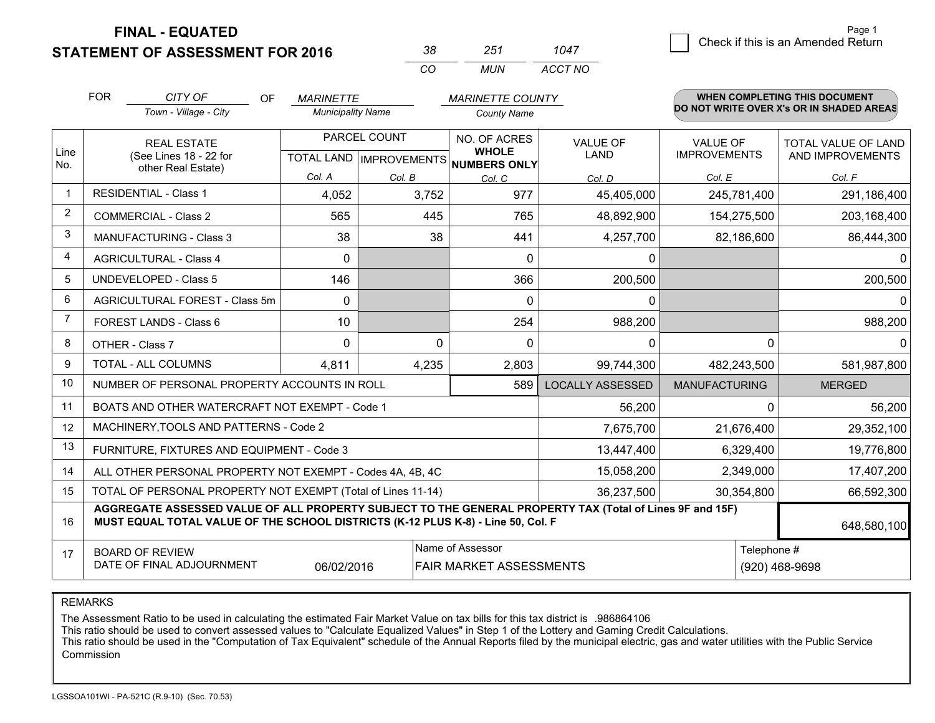**STATEMENT OF ASSESSMENT FOR 2016** 

| -38 | 251   | 1047    |
|-----|-------|---------|
| (   | MI IN | ACCT NO |

|                | <b>FOR</b><br>CITY OF<br><b>OF</b><br><b>MARINETTE</b>                                                                                                                                       |                                                              |                          | <b>MARINETTE COUNTY</b>                             |                    |                                | <b>WHEN COMPLETING THIS DOCUMENT</b><br>DO NOT WRITE OVER X's OR IN SHADED AREAS |                                         |
|----------------|----------------------------------------------------------------------------------------------------------------------------------------------------------------------------------------------|--------------------------------------------------------------|--------------------------|-----------------------------------------------------|--------------------|--------------------------------|----------------------------------------------------------------------------------|-----------------------------------------|
|                |                                                                                                                                                                                              | Town - Village - City                                        | <b>Municipality Name</b> |                                                     | <b>County Name</b> |                                |                                                                                  |                                         |
| Line           | <b>REAL ESTATE</b><br>(See Lines 18 - 22 for                                                                                                                                                 |                                                              |                          | PARCEL COUNT<br>TOTAL LAND MPROVEMENTS NUMBERS ONLY |                    | <b>VALUE OF</b><br><b>LAND</b> | <b>VALUE OF</b><br><b>IMPROVEMENTS</b>                                           | TOTAL VALUE OF LAND<br>AND IMPROVEMENTS |
| No.            |                                                                                                                                                                                              | other Real Estate)                                           | Col. A                   | Col. B                                              | Col. C             | Col. D                         | Col. E                                                                           | Col. F                                  |
| -1             |                                                                                                                                                                                              | <b>RESIDENTIAL - Class 1</b>                                 | 4,052                    | 3,752                                               | 977                | 45,405,000                     | 245,781,400                                                                      | 291,186,400                             |
| 2              |                                                                                                                                                                                              | <b>COMMERCIAL - Class 2</b>                                  | 565                      | 445                                                 | 765                | 48,892,900                     | 154,275,500                                                                      | 203,168,400                             |
| 3              |                                                                                                                                                                                              | <b>MANUFACTURING - Class 3</b>                               | 38                       | 38                                                  | 441                | 4,257,700                      | 82,186,600                                                                       | 86,444,300                              |
| $\overline{4}$ |                                                                                                                                                                                              | <b>AGRICULTURAL - Class 4</b>                                | $\mathbf 0$              |                                                     | $\mathbf{0}$       | 0                              |                                                                                  | 0                                       |
| 5              |                                                                                                                                                                                              | <b>UNDEVELOPED - Class 5</b>                                 | 146                      |                                                     | 366                | 200,500                        |                                                                                  | 200,500                                 |
| 6              |                                                                                                                                                                                              | AGRICULTURAL FOREST - Class 5m                               | $\mathbf{0}$             |                                                     | $\mathbf{0}$       | 0                              |                                                                                  | $\mathbf 0$                             |
| $\overline{7}$ |                                                                                                                                                                                              | <b>FOREST LANDS - Class 6</b>                                | 10 <sup>°</sup>          |                                                     | 254                | 988,200                        |                                                                                  | 988,200                                 |
| 8              |                                                                                                                                                                                              | OTHER - Class 7                                              | $\Omega$                 | $\Omega$                                            | $\Omega$           | $\mathbf{0}$                   | $\Omega$                                                                         | $\mathbf{0}$                            |
| 9              |                                                                                                                                                                                              | TOTAL - ALL COLUMNS                                          | 4,811                    | 4,235                                               | 2,803              | 99,744,300                     | 482,243,500                                                                      | 581,987,800                             |
| 10             |                                                                                                                                                                                              | NUMBER OF PERSONAL PROPERTY ACCOUNTS IN ROLL                 |                          |                                                     | 589                | <b>LOCALLY ASSESSED</b>        | <b>MANUFACTURING</b>                                                             | <b>MERGED</b>                           |
| 11             |                                                                                                                                                                                              | BOATS AND OTHER WATERCRAFT NOT EXEMPT - Code 1               |                          |                                                     |                    | 56,200                         | 0                                                                                | 56,200                                  |
| 12             |                                                                                                                                                                                              | MACHINERY, TOOLS AND PATTERNS - Code 2                       |                          |                                                     |                    | 7,675,700                      | 21,676,400                                                                       | 29,352,100                              |
| 13             |                                                                                                                                                                                              | FURNITURE, FIXTURES AND EQUIPMENT - Code 3                   |                          |                                                     |                    | 13,447,400                     | 6,329,400                                                                        | 19,776,800                              |
| 14             |                                                                                                                                                                                              | ALL OTHER PERSONAL PROPERTY NOT EXEMPT - Codes 4A, 4B, 4C    |                          |                                                     |                    | 15,058,200                     | 2,349,000                                                                        | 17,407,200                              |
| 15             |                                                                                                                                                                                              | TOTAL OF PERSONAL PROPERTY NOT EXEMPT (Total of Lines 11-14) |                          |                                                     |                    | 36,237,500                     | 30,354,800                                                                       | 66,592,300                              |
| 16             | AGGREGATE ASSESSED VALUE OF ALL PROPERTY SUBJECT TO THE GENERAL PROPERTY TAX (Total of Lines 9F and 15F)<br>MUST EQUAL TOTAL VALUE OF THE SCHOOL DISTRICTS (K-12 PLUS K-8) - Line 50, Col. F |                                                              |                          |                                                     |                    |                                |                                                                                  | 648,580,100                             |
| 17             | Name of Assessor<br><b>BOARD OF REVIEW</b><br>DATE OF FINAL ADJOURNMENT<br>06/02/2016<br><b>FAIR MARKET ASSESSMENTS</b>                                                                      |                                                              |                          |                                                     |                    |                                | Telephone #                                                                      | (920) 468-9698                          |

REMARKS

The Assessment Ratio to be used in calculating the estimated Fair Market Value on tax bills for this tax district is .986864106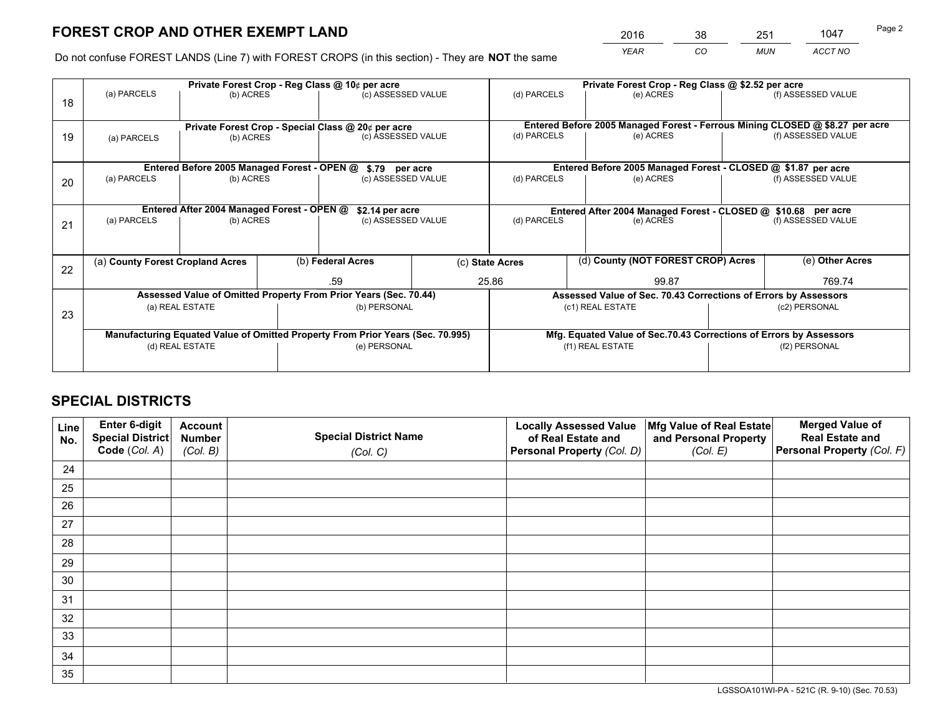*YEAR CO MUN ACCT NO* <sup>2016</sup> <sup>38</sup> <sup>251</sup> <sup>1047</sup>

Do not confuse FOREST LANDS (Line 7) with FOREST CROPS (in this section) - They are **NOT** the same

|    | Private Forest Crop - Reg Class @ 10¢ per acre                                 |                                                    |  |                                                                  |  |                                                                                           | Private Forest Crop - Reg Class @ \$2.52 per acre                  |  |                                                                              |  |
|----|--------------------------------------------------------------------------------|----------------------------------------------------|--|------------------------------------------------------------------|--|-------------------------------------------------------------------------------------------|--------------------------------------------------------------------|--|------------------------------------------------------------------------------|--|
| 18 | (a) PARCELS                                                                    | (b) ACRES                                          |  | (c) ASSESSED VALUE                                               |  | (d) PARCELS                                                                               | (e) ACRES                                                          |  | (f) ASSESSED VALUE                                                           |  |
|    |                                                                                | Private Forest Crop - Special Class @ 20¢ per acre |  |                                                                  |  |                                                                                           |                                                                    |  | Entered Before 2005 Managed Forest - Ferrous Mining CLOSED @ \$8.27 per acre |  |
| 19 | (a) PARCELS                                                                    | (b) ACRES                                          |  | (c) ASSESSED VALUE                                               |  | (d) PARCELS                                                                               | (e) ACRES                                                          |  | (f) ASSESSED VALUE                                                           |  |
|    |                                                                                |                                                    |  | \$.79 per acre                                                   |  |                                                                                           | Entered Before 2005 Managed Forest - CLOSED @ \$1.87 per acre      |  |                                                                              |  |
| 20 | Entered Before 2005 Managed Forest - OPEN @<br>(a) PARCELS<br>(b) ACRES        |                                                    |  | (c) ASSESSED VALUE                                               |  | (d) PARCELS                                                                               | (e) ACRES                                                          |  | (f) ASSESSED VALUE                                                           |  |
|    | Entered After 2004 Managed Forest - OPEN @                                     |                                                    |  |                                                                  |  |                                                                                           |                                                                    |  |                                                                              |  |
|    | (a) PARCELS<br>(b) ACRES                                                       |                                                    |  | \$2.14 per acre<br>(c) ASSESSED VALUE                            |  | Entered After 2004 Managed Forest - CLOSED @ \$10.68 per acre<br>(d) PARCELS<br>(e) ACRES |                                                                    |  | (f) ASSESSED VALUE                                                           |  |
| 21 |                                                                                |                                                    |  |                                                                  |  |                                                                                           |                                                                    |  |                                                                              |  |
|    |                                                                                |                                                    |  |                                                                  |  |                                                                                           |                                                                    |  |                                                                              |  |
| 22 | (a) County Forest Cropland Acres                                               |                                                    |  | (b) Federal Acres                                                |  | (d) County (NOT FOREST CROP) Acres<br>(c) State Acres                                     |                                                                    |  | (e) Other Acres                                                              |  |
|    |                                                                                |                                                    |  | .59                                                              |  | 25.86                                                                                     | 99.87                                                              |  | 769.74                                                                       |  |
|    |                                                                                |                                                    |  | Assessed Value of Omitted Property From Prior Years (Sec. 70.44) |  |                                                                                           | Assessed Value of Sec. 70.43 Corrections of Errors by Assessors    |  |                                                                              |  |
| 23 | (a) REAL ESTATE                                                                |                                                    |  | (b) PERSONAL                                                     |  | (c1) REAL ESTATE                                                                          |                                                                    |  | (c2) PERSONAL                                                                |  |
|    | Manufacturing Equated Value of Omitted Property From Prior Years (Sec. 70.995) |                                                    |  |                                                                  |  |                                                                                           | Mfg. Equated Value of Sec.70.43 Corrections of Errors by Assessors |  |                                                                              |  |
|    | (d) REAL ESTATE                                                                |                                                    |  | (e) PERSONAL                                                     |  | (f1) REAL ESTATE                                                                          |                                                                    |  | (f2) PERSONAL                                                                |  |
|    |                                                                                |                                                    |  |                                                                  |  |                                                                                           |                                                                    |  |                                                                              |  |

## **SPECIAL DISTRICTS**

| Line<br>No. | Enter 6-digit<br>Special District<br>Code (Col. A) | <b>Account</b><br><b>Number</b> | <b>Special District Name</b> | <b>Locally Assessed Value</b><br>of Real Estate and | Mfg Value of Real Estate<br>and Personal Property | <b>Merged Value of</b><br><b>Real Estate and</b><br>Personal Property (Col. F) |
|-------------|----------------------------------------------------|---------------------------------|------------------------------|-----------------------------------------------------|---------------------------------------------------|--------------------------------------------------------------------------------|
|             |                                                    | (Col. B)                        | (Col. C)                     | Personal Property (Col. D)                          | (Col. E)                                          |                                                                                |
| 24          |                                                    |                                 |                              |                                                     |                                                   |                                                                                |
| 25          |                                                    |                                 |                              |                                                     |                                                   |                                                                                |
| 26          |                                                    |                                 |                              |                                                     |                                                   |                                                                                |
| 27          |                                                    |                                 |                              |                                                     |                                                   |                                                                                |
| 28          |                                                    |                                 |                              |                                                     |                                                   |                                                                                |
| 29          |                                                    |                                 |                              |                                                     |                                                   |                                                                                |
| 30          |                                                    |                                 |                              |                                                     |                                                   |                                                                                |
| 31          |                                                    |                                 |                              |                                                     |                                                   |                                                                                |
| 32          |                                                    |                                 |                              |                                                     |                                                   |                                                                                |
| 33          |                                                    |                                 |                              |                                                     |                                                   |                                                                                |
| 34          |                                                    |                                 |                              |                                                     |                                                   |                                                                                |
| 35          |                                                    |                                 |                              |                                                     |                                                   |                                                                                |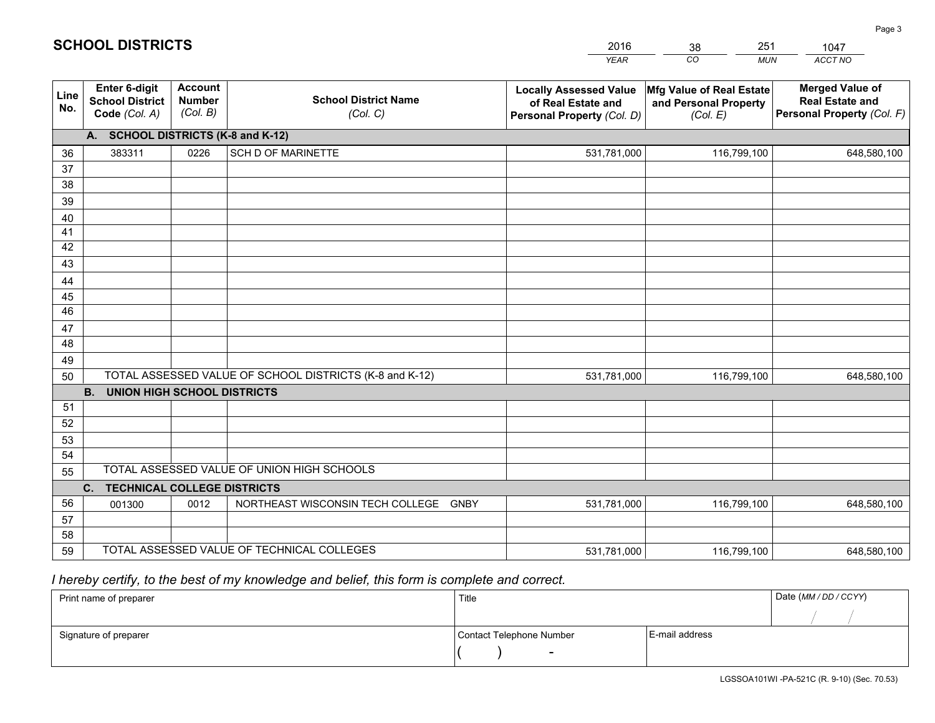|             |                                                                 |                                             |                                                         | <b>YEAR</b>                                                                       | CO<br><b>MUN</b>                                              | ACCT NO                                                                        |
|-------------|-----------------------------------------------------------------|---------------------------------------------|---------------------------------------------------------|-----------------------------------------------------------------------------------|---------------------------------------------------------------|--------------------------------------------------------------------------------|
| Line<br>No. | <b>Enter 6-digit</b><br><b>School District</b><br>Code (Col. A) | <b>Account</b><br><b>Number</b><br>(Col. B) | <b>School District Name</b><br>(Col. C)                 | <b>Locally Assessed Value</b><br>of Real Estate and<br>Personal Property (Col. D) | Mfg Value of Real Estate<br>and Personal Property<br>(Col. E) | <b>Merged Value of</b><br><b>Real Estate and</b><br>Personal Property (Col. F) |
|             | A. SCHOOL DISTRICTS (K-8 and K-12)                              |                                             |                                                         |                                                                                   |                                                               |                                                                                |
| 36          | 383311                                                          | 0226                                        | <b>SCH D OF MARINETTE</b>                               | 531,781,000                                                                       | 116,799,100                                                   | 648,580,100                                                                    |
| 37          |                                                                 |                                             |                                                         |                                                                                   |                                                               |                                                                                |
| 38          |                                                                 |                                             |                                                         |                                                                                   |                                                               |                                                                                |
| 39          |                                                                 |                                             |                                                         |                                                                                   |                                                               |                                                                                |
| 40          |                                                                 |                                             |                                                         |                                                                                   |                                                               |                                                                                |
| 41<br>42    |                                                                 |                                             |                                                         |                                                                                   |                                                               |                                                                                |
| 43          |                                                                 |                                             |                                                         |                                                                                   |                                                               |                                                                                |
|             |                                                                 |                                             |                                                         |                                                                                   |                                                               |                                                                                |
| 44<br>45    |                                                                 |                                             |                                                         |                                                                                   |                                                               |                                                                                |
| 46          |                                                                 |                                             |                                                         |                                                                                   |                                                               |                                                                                |
| 47          |                                                                 |                                             |                                                         |                                                                                   |                                                               |                                                                                |
| 48          |                                                                 |                                             |                                                         |                                                                                   |                                                               |                                                                                |
| 49          |                                                                 |                                             |                                                         |                                                                                   |                                                               |                                                                                |
| 50          |                                                                 |                                             | TOTAL ASSESSED VALUE OF SCHOOL DISTRICTS (K-8 and K-12) | 531,781,000                                                                       | 116,799,100                                                   | 648,580,100                                                                    |
|             | <b>B.</b><br><b>UNION HIGH SCHOOL DISTRICTS</b>                 |                                             |                                                         |                                                                                   |                                                               |                                                                                |
| 51          |                                                                 |                                             |                                                         |                                                                                   |                                                               |                                                                                |
| 52          |                                                                 |                                             |                                                         |                                                                                   |                                                               |                                                                                |
| 53          |                                                                 |                                             |                                                         |                                                                                   |                                                               |                                                                                |
| 54          |                                                                 |                                             |                                                         |                                                                                   |                                                               |                                                                                |
| 55          |                                                                 |                                             | TOTAL ASSESSED VALUE OF UNION HIGH SCHOOLS              |                                                                                   |                                                               |                                                                                |
|             | C.<br><b>TECHNICAL COLLEGE DISTRICTS</b>                        |                                             |                                                         |                                                                                   |                                                               |                                                                                |
| 56          | 001300                                                          | 0012                                        | NORTHEAST WISCONSIN TECH COLLEGE<br><b>GNBY</b>         | 531,781,000                                                                       | 116,799,100                                                   | 648,580,100                                                                    |
| 57<br>58    |                                                                 |                                             |                                                         |                                                                                   |                                                               |                                                                                |
| 59          |                                                                 |                                             | TOTAL ASSESSED VALUE OF TECHNICAL COLLEGES              | 531,781,000                                                                       | 116,799,100                                                   | 648,580,100                                                                    |
|             |                                                                 |                                             |                                                         |                                                                                   |                                                               |                                                                                |

38

251

 *I hereby certify, to the best of my knowledge and belief, this form is complete and correct.*

**SCHOOL DISTRICTS**

| Print name of preparer | Title                    |                | Date (MM / DD / CCYY) |
|------------------------|--------------------------|----------------|-----------------------|
|                        |                          |                |                       |
| Signature of preparer  | Contact Telephone Number | E-mail address |                       |
|                        | $\sim$                   |                |                       |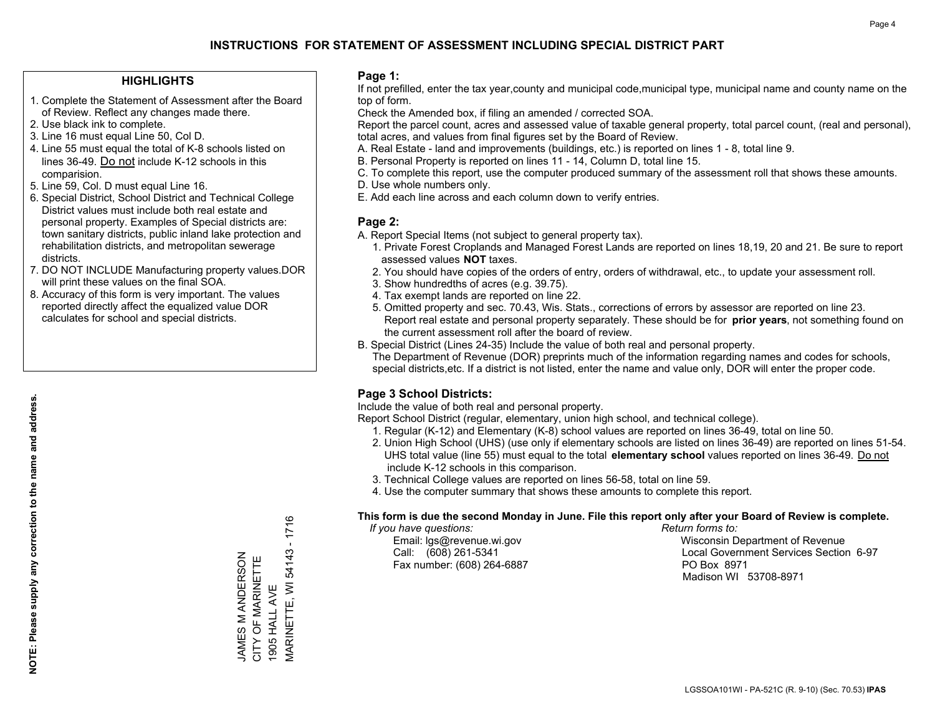## **HIGHLIGHTS**

- 1. Complete the Statement of Assessment after the Board of Review. Reflect any changes made there.
- 2. Use black ink to complete.
- 3. Line 16 must equal Line 50, Col D.
- 4. Line 55 must equal the total of K-8 schools listed on lines 36-49. Do not include K-12 schools in this comparision.
- 5. Line 59, Col. D must equal Line 16.
- 6. Special District, School District and Technical College District values must include both real estate and personal property. Examples of Special districts are: town sanitary districts, public inland lake protection and rehabilitation districts, and metropolitan sewerage districts.
- 7. DO NOT INCLUDE Manufacturing property values.DOR will print these values on the final SOA.
- 8. Accuracy of this form is very important. The values reported directly affect the equalized value DOR calculates for school and special districts.

### **Page 1:**

 If not prefilled, enter the tax year,county and municipal code,municipal type, municipal name and county name on the top of form.

Check the Amended box, if filing an amended / corrected SOA.

 Report the parcel count, acres and assessed value of taxable general property, total parcel count, (real and personal), total acres, and values from final figures set by the Board of Review.

- A. Real Estate land and improvements (buildings, etc.) is reported on lines 1 8, total line 9.
- B. Personal Property is reported on lines 11 14, Column D, total line 15.
- C. To complete this report, use the computer produced summary of the assessment roll that shows these amounts.
- D. Use whole numbers only.
- E. Add each line across and each column down to verify entries.

## **Page 2:**

- A. Report Special Items (not subject to general property tax).
- 1. Private Forest Croplands and Managed Forest Lands are reported on lines 18,19, 20 and 21. Be sure to report assessed values **NOT** taxes.
- 2. You should have copies of the orders of entry, orders of withdrawal, etc., to update your assessment roll.
	- 3. Show hundredths of acres (e.g. 39.75).
- 4. Tax exempt lands are reported on line 22.
- 5. Omitted property and sec. 70.43, Wis. Stats., corrections of errors by assessor are reported on line 23. Report real estate and personal property separately. These should be for **prior years**, not something found on the current assessment roll after the board of review.
- B. Special District (Lines 24-35) Include the value of both real and personal property.
- The Department of Revenue (DOR) preprints much of the information regarding names and codes for schools, special districts,etc. If a district is not listed, enter the name and value only, DOR will enter the proper code.

## **Page 3 School Districts:**

Include the value of both real and personal property.

Report School District (regular, elementary, union high school, and technical college).

- 1. Regular (K-12) and Elementary (K-8) school values are reported on lines 36-49, total on line 50.
- 2. Union High School (UHS) (use only if elementary schools are listed on lines 36-49) are reported on lines 51-54. UHS total value (line 55) must equal to the total **elementary school** values reported on lines 36-49. Do notinclude K-12 schools in this comparison.
- 3. Technical College values are reported on lines 56-58, total on line 59.
- 4. Use the computer summary that shows these amounts to complete this report.

#### **This form is due the second Monday in June. File this report only after your Board of Review is complete.**

 *If you have questions: Return forms to:*

Fax number: (608) 264-6887 PO Box 8971

 Email: lgs@revenue.wi.gov Wisconsin Department of Revenue Call: (608) 261-5341 Local Government Services Section 6-97Madison WI 53708-8971

MARINETTE, WI 54143 - 1716  $\overline{\phantom{a}}$ MARINETTE, WI 54143 JAMES M ANDERSON<br>CITY OF MARINETTE JAMES M ANDERSON CITY OF MARINETTE 1905 HALL AVE 1905 HALL AVE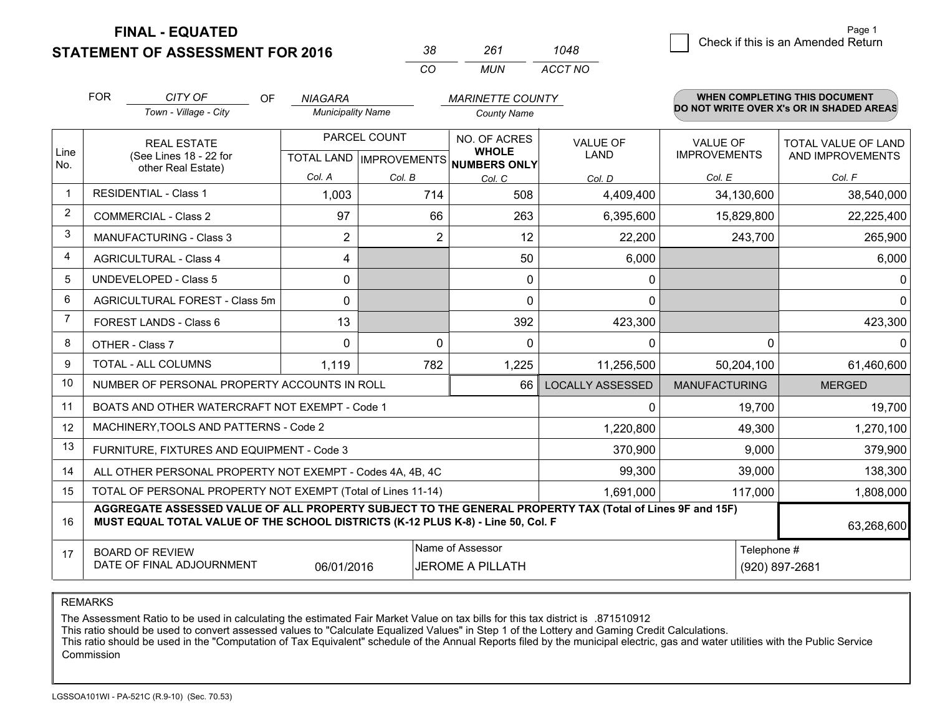**STATEMENT OF ASSESSMENT FOR 2016** 

| 38. | 261 | 1048    |
|-----|-----|---------|
| CO. | MUN | ACCT NO |

|              | <b>FOR</b>                                                                                                                                                                                   | CITY OF<br><b>OF</b>                                         | <b>NIAGARA</b>           |                | <b>MARINETTE COUNTY</b>              |                         |                                        | WHEN COMPLETING THIS DOCUMENT                  |
|--------------|----------------------------------------------------------------------------------------------------------------------------------------------------------------------------------------------|--------------------------------------------------------------|--------------------------|----------------|--------------------------------------|-------------------------|----------------------------------------|------------------------------------------------|
|              |                                                                                                                                                                                              | Town - Village - City                                        | <b>Municipality Name</b> |                | <b>County Name</b>                   |                         |                                        | DO NOT WRITE OVER X's OR IN SHADED AREAS       |
| Line         |                                                                                                                                                                                              | <b>REAL ESTATE</b><br>(See Lines 18 - 22 for                 |                          | PARCEL COUNT   | NO. OF ACRES<br><b>WHOLE</b>         | <b>VALUE OF</b><br>LAND | <b>VALUE OF</b><br><b>IMPROVEMENTS</b> | <b>TOTAL VALUE OF LAND</b><br>AND IMPROVEMENTS |
| No.          |                                                                                                                                                                                              | other Real Estate)                                           | Col. A                   |                | TOTAL LAND IMPROVEMENTS NUMBERS ONLY |                         |                                        |                                                |
| $\mathbf{1}$ |                                                                                                                                                                                              | <b>RESIDENTIAL - Class 1</b>                                 | 1,003                    | Col. B<br>714  | Col. C<br>508                        | Col. D<br>4,409,400     | Col. E<br>34,130,600                   | Col. F<br>38,540,000                           |
| 2            |                                                                                                                                                                                              |                                                              |                          |                |                                      |                         |                                        |                                                |
| 3            |                                                                                                                                                                                              | <b>COMMERCIAL - Class 2</b>                                  | 97                       | 66             | 263                                  | 6,395,600               | 15,829,800                             | 22,225,400                                     |
|              |                                                                                                                                                                                              | <b>MANUFACTURING - Class 3</b>                               | $\overline{2}$           | $\overline{2}$ | 12                                   | 22,200                  | 243,700                                | 265,900                                        |
| 4            |                                                                                                                                                                                              | <b>AGRICULTURAL - Class 4</b>                                | 4                        |                | 50                                   | 6,000                   |                                        | 6,000                                          |
| 5            |                                                                                                                                                                                              | <b>UNDEVELOPED - Class 5</b>                                 | $\Omega$                 |                | 0                                    | 0                       |                                        | $\Omega$                                       |
| 6            |                                                                                                                                                                                              | AGRICULTURAL FOREST - Class 5m                               | $\Omega$                 |                | $\Omega$                             | $\mathbf{0}$            |                                        | $\mathbf 0$                                    |
| 7            |                                                                                                                                                                                              | FOREST LANDS - Class 6                                       | 13                       |                | 392                                  | 423,300                 |                                        | 423,300                                        |
| 8            |                                                                                                                                                                                              | OTHER - Class 7                                              | $\Omega$                 | $\mathbf 0$    | $\Omega$                             | $\mathbf{0}$            | $\Omega$                               | $\mathbf{0}$                                   |
| 9            |                                                                                                                                                                                              | TOTAL - ALL COLUMNS                                          | 1,119                    | 782            | 1,225                                | 11,256,500              | 50,204,100                             | 61,460,600                                     |
| 10           |                                                                                                                                                                                              | NUMBER OF PERSONAL PROPERTY ACCOUNTS IN ROLL                 |                          |                | 66                                   | <b>LOCALLY ASSESSED</b> | <b>MANUFACTURING</b>                   | <b>MERGED</b>                                  |
| 11           |                                                                                                                                                                                              | BOATS AND OTHER WATERCRAFT NOT EXEMPT - Code 1               |                          |                |                                      | $\mathbf{0}$            | 19,700                                 | 19,700                                         |
| 12           |                                                                                                                                                                                              | MACHINERY, TOOLS AND PATTERNS - Code 2                       |                          |                |                                      | 1,220,800               | 49,300                                 | 1,270,100                                      |
| 13           |                                                                                                                                                                                              | FURNITURE, FIXTURES AND EQUIPMENT - Code 3                   |                          |                |                                      | 370,900                 | 9,000                                  | 379,900                                        |
| 14           |                                                                                                                                                                                              | ALL OTHER PERSONAL PROPERTY NOT EXEMPT - Codes 4A, 4B, 4C    |                          |                |                                      | 99,300                  | 39,000                                 | 138,300                                        |
| 15           |                                                                                                                                                                                              | TOTAL OF PERSONAL PROPERTY NOT EXEMPT (Total of Lines 11-14) |                          |                | 1,691,000                            | 117,000                 | 1,808,000                              |                                                |
| 16           | AGGREGATE ASSESSED VALUE OF ALL PROPERTY SUBJECT TO THE GENERAL PROPERTY TAX (Total of Lines 9F and 15F)<br>MUST EQUAL TOTAL VALUE OF THE SCHOOL DISTRICTS (K-12 PLUS K-8) - Line 50, Col. F |                                                              |                          |                |                                      |                         | 63,268,600                             |                                                |
| 17           |                                                                                                                                                                                              | <b>BOARD OF REVIEW</b>                                       |                          |                | Name of Assessor                     |                         | Telephone #                            |                                                |
|              |                                                                                                                                                                                              | DATE OF FINAL ADJOURNMENT                                    | 06/01/2016               |                | <b>JEROME A PILLATH</b>              |                         |                                        | (920) 897-2681                                 |

REMARKS

The Assessment Ratio to be used in calculating the estimated Fair Market Value on tax bills for this tax district is .871510912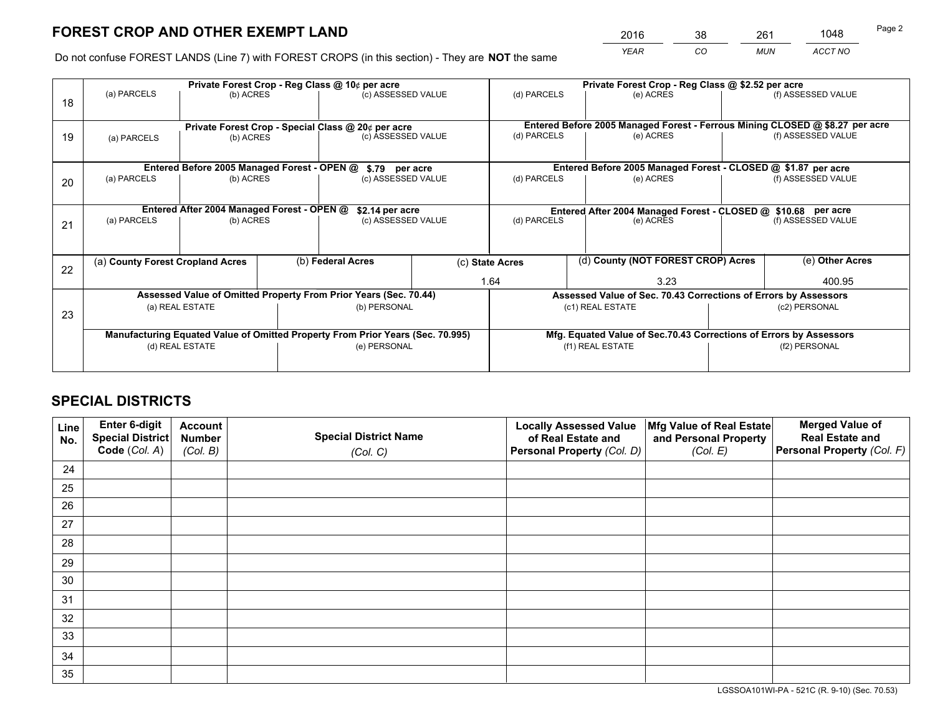*YEAR CO MUN ACCT NO* <sup>2016</sup> <sup>38</sup> <sup>261</sup> <sup>1048</sup>

Do not confuse FOREST LANDS (Line 7) with FOREST CROPS (in this section) - They are **NOT** the same

|    | Private Forest Crop - Reg Class @ 10¢ per acre                                 |                                             |  |                                                                  |      |                                                       | Private Forest Crop - Reg Class @ \$2.52 per acre                            |               |                    |  |
|----|--------------------------------------------------------------------------------|---------------------------------------------|--|------------------------------------------------------------------|------|-------------------------------------------------------|------------------------------------------------------------------------------|---------------|--------------------|--|
| 18 | (a) PARCELS                                                                    | (b) ACRES                                   |  | (c) ASSESSED VALUE                                               |      | (d) PARCELS                                           | (e) ACRES                                                                    |               | (f) ASSESSED VALUE |  |
|    | Private Forest Crop - Special Class @ 20¢ per acre                             |                                             |  |                                                                  |      |                                                       | Entered Before 2005 Managed Forest - Ferrous Mining CLOSED @ \$8.27 per acre |               |                    |  |
| 19 | (a) PARCELS<br>(b) ACRES                                                       |                                             |  | (c) ASSESSED VALUE                                               |      | (d) PARCELS                                           | (e) ACRES                                                                    |               | (f) ASSESSED VALUE |  |
|    |                                                                                | Entered Before 2005 Managed Forest - OPEN @ |  |                                                                  |      |                                                       | Entered Before 2005 Managed Forest - CLOSED @ \$1.87 per acre                |               |                    |  |
| 20 | (a) PARCELS<br>(b) ACRES                                                       |                                             |  | \$.79 per acre<br>(c) ASSESSED VALUE                             |      | (d) PARCELS                                           | (e) ACRES                                                                    |               | (f) ASSESSED VALUE |  |
|    |                                                                                | Entered After 2004 Managed Forest - OPEN @  |  | \$2.14 per acre                                                  |      |                                                       | Entered After 2004 Managed Forest - CLOSED @ \$10.68 per acre                |               |                    |  |
| 21 | (a) PARCELS                                                                    | (b) ACRES                                   |  | (c) ASSESSED VALUE                                               |      | (d) PARCELS                                           | (e) ACRES                                                                    |               | (f) ASSESSED VALUE |  |
| 22 | (a) County Forest Cropland Acres                                               |                                             |  | (b) Federal Acres                                                |      | (d) County (NOT FOREST CROP) Acres<br>(c) State Acres |                                                                              |               | (e) Other Acres    |  |
|    |                                                                                |                                             |  |                                                                  | 1.64 |                                                       | 3.23                                                                         |               | 400.95             |  |
|    |                                                                                |                                             |  | Assessed Value of Omitted Property From Prior Years (Sec. 70.44) |      |                                                       | Assessed Value of Sec. 70.43 Corrections of Errors by Assessors              |               |                    |  |
| 23 | (a) REAL ESTATE                                                                |                                             |  | (b) PERSONAL                                                     |      | (c1) REAL ESTATE                                      |                                                                              | (c2) PERSONAL |                    |  |
|    | Manufacturing Equated Value of Omitted Property From Prior Years (Sec. 70.995) |                                             |  |                                                                  |      |                                                       | Mfg. Equated Value of Sec.70.43 Corrections of Errors by Assessors           |               |                    |  |
|    |                                                                                | (d) REAL ESTATE                             |  | (e) PERSONAL                                                     |      |                                                       | (f1) REAL ESTATE                                                             | (f2) PERSONAL |                    |  |
|    |                                                                                |                                             |  |                                                                  |      |                                                       |                                                                              |               |                    |  |

## **SPECIAL DISTRICTS**

| Line<br>No. | Enter 6-digit<br><b>Special District</b> | <b>Account</b><br><b>Number</b> | <b>Special District Name</b> | <b>Locally Assessed Value</b><br>of Real Estate and | Mfg Value of Real Estate<br>and Personal Property | <b>Merged Value of</b><br><b>Real Estate and</b> |
|-------------|------------------------------------------|---------------------------------|------------------------------|-----------------------------------------------------|---------------------------------------------------|--------------------------------------------------|
|             | Code (Col. A)                            | (Col. B)                        | (Col. C)                     | Personal Property (Col. D)                          | (Col. E)                                          | Personal Property (Col. F)                       |
| 24          |                                          |                                 |                              |                                                     |                                                   |                                                  |
| 25          |                                          |                                 |                              |                                                     |                                                   |                                                  |
| 26          |                                          |                                 |                              |                                                     |                                                   |                                                  |
| 27          |                                          |                                 |                              |                                                     |                                                   |                                                  |
| 28          |                                          |                                 |                              |                                                     |                                                   |                                                  |
| 29          |                                          |                                 |                              |                                                     |                                                   |                                                  |
| 30          |                                          |                                 |                              |                                                     |                                                   |                                                  |
| 31          |                                          |                                 |                              |                                                     |                                                   |                                                  |
| 32          |                                          |                                 |                              |                                                     |                                                   |                                                  |
| 33          |                                          |                                 |                              |                                                     |                                                   |                                                  |
| 34          |                                          |                                 |                              |                                                     |                                                   |                                                  |
| 35          |                                          |                                 |                              |                                                     |                                                   |                                                  |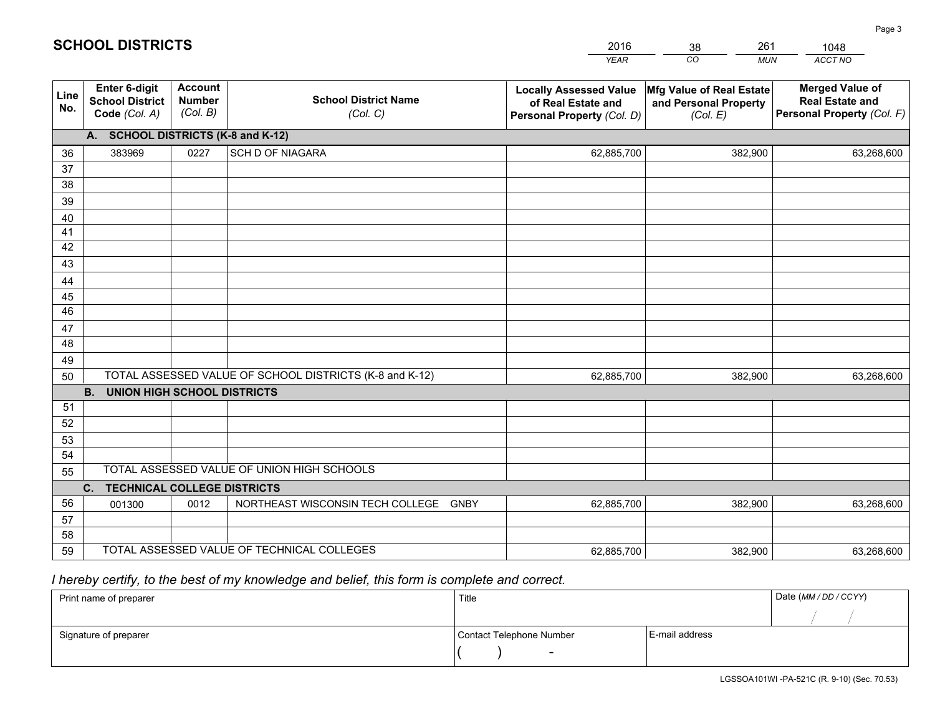|             |                                                                 |                                             |                                                         | <b>YEAR</b>                                                                       | CO<br><b>MUN</b>                                              | ACCT NO                                                                        |
|-------------|-----------------------------------------------------------------|---------------------------------------------|---------------------------------------------------------|-----------------------------------------------------------------------------------|---------------------------------------------------------------|--------------------------------------------------------------------------------|
| Line<br>No. | <b>Enter 6-digit</b><br><b>School District</b><br>Code (Col. A) | <b>Account</b><br><b>Number</b><br>(Col. B) | <b>School District Name</b><br>(Col. C)                 | <b>Locally Assessed Value</b><br>of Real Estate and<br>Personal Property (Col. D) | Mfg Value of Real Estate<br>and Personal Property<br>(Col. E) | <b>Merged Value of</b><br><b>Real Estate and</b><br>Personal Property (Col. F) |
|             | A. SCHOOL DISTRICTS (K-8 and K-12)                              |                                             |                                                         |                                                                                   |                                                               |                                                                                |
| 36          | 383969                                                          | 0227                                        | SCH D OF NIAGARA                                        | 62,885,700                                                                        | 382,900                                                       | 63,268,600                                                                     |
| 37          |                                                                 |                                             |                                                         |                                                                                   |                                                               |                                                                                |
| 38          |                                                                 |                                             |                                                         |                                                                                   |                                                               |                                                                                |
| 39          |                                                                 |                                             |                                                         |                                                                                   |                                                               |                                                                                |
| 40          |                                                                 |                                             |                                                         |                                                                                   |                                                               |                                                                                |
| 41          |                                                                 |                                             |                                                         |                                                                                   |                                                               |                                                                                |
| 42          |                                                                 |                                             |                                                         |                                                                                   |                                                               |                                                                                |
| 43          |                                                                 |                                             |                                                         |                                                                                   |                                                               |                                                                                |
| 44          |                                                                 |                                             |                                                         |                                                                                   |                                                               |                                                                                |
| 45<br>46    |                                                                 |                                             |                                                         |                                                                                   |                                                               |                                                                                |
| 47          |                                                                 |                                             |                                                         |                                                                                   |                                                               |                                                                                |
| 48          |                                                                 |                                             |                                                         |                                                                                   |                                                               |                                                                                |
| 49          |                                                                 |                                             |                                                         |                                                                                   |                                                               |                                                                                |
| 50          |                                                                 |                                             | TOTAL ASSESSED VALUE OF SCHOOL DISTRICTS (K-8 and K-12) | 62,885,700                                                                        | 382,900                                                       | 63,268,600                                                                     |
|             | <b>B.</b><br><b>UNION HIGH SCHOOL DISTRICTS</b>                 |                                             |                                                         |                                                                                   |                                                               |                                                                                |
| 51          |                                                                 |                                             |                                                         |                                                                                   |                                                               |                                                                                |
| 52          |                                                                 |                                             |                                                         |                                                                                   |                                                               |                                                                                |
| 53          |                                                                 |                                             |                                                         |                                                                                   |                                                               |                                                                                |
| 54          |                                                                 |                                             |                                                         |                                                                                   |                                                               |                                                                                |
| 55          |                                                                 |                                             | TOTAL ASSESSED VALUE OF UNION HIGH SCHOOLS              |                                                                                   |                                                               |                                                                                |
|             | C.<br><b>TECHNICAL COLLEGE DISTRICTS</b>                        |                                             |                                                         |                                                                                   |                                                               |                                                                                |
| 56          | 001300                                                          | 0012                                        | NORTHEAST WISCONSIN TECH COLLEGE GNBY                   | 62,885,700                                                                        | 382,900                                                       | 63,268,600                                                                     |
| 57          |                                                                 |                                             |                                                         |                                                                                   |                                                               |                                                                                |
| 58          |                                                                 |                                             |                                                         |                                                                                   |                                                               |                                                                                |
| 59          |                                                                 |                                             | TOTAL ASSESSED VALUE OF TECHNICAL COLLEGES              | 62,885,700                                                                        | 382,900                                                       | 63,268,600                                                                     |

# *I hereby certify, to the best of my knowledge and belief, this form is complete and correct.*

**SCHOOL DISTRICTS**

| Print name of preparer | Title                    |                | Date (MM / DD / CCYY) |
|------------------------|--------------------------|----------------|-----------------------|
|                        |                          |                |                       |
| Signature of preparer  | Contact Telephone Number | E-mail address |                       |
|                        | $\overline{\phantom{0}}$ |                |                       |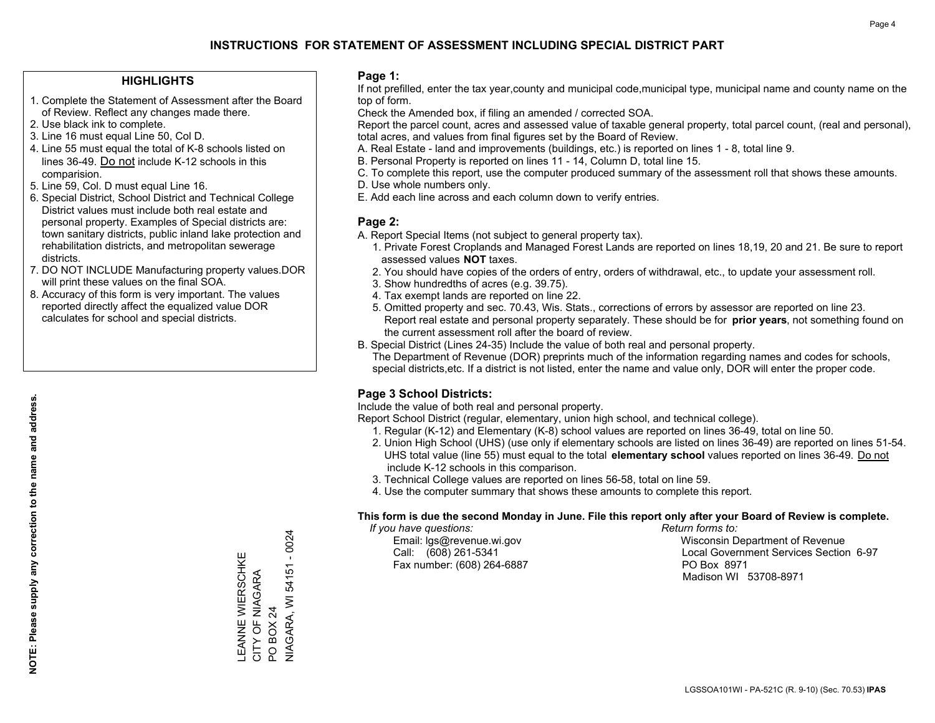### **HIGHLIGHTS**

- 1. Complete the Statement of Assessment after the Board of Review. Reflect any changes made there.
- 2. Use black ink to complete.
- 3. Line 16 must equal Line 50, Col D.
- 4. Line 55 must equal the total of K-8 schools listed on lines 36-49. Do not include K-12 schools in this comparision.
- 5. Line 59, Col. D must equal Line 16.
- 6. Special District, School District and Technical College District values must include both real estate and personal property. Examples of Special districts are: town sanitary districts, public inland lake protection and rehabilitation districts, and metropolitan sewerage districts.
- 7. DO NOT INCLUDE Manufacturing property values.DOR will print these values on the final SOA.
- 8. Accuracy of this form is very important. The values reported directly affect the equalized value DOR calculates for school and special districts.

### **Page 1:**

 If not prefilled, enter the tax year,county and municipal code,municipal type, municipal name and county name on the top of form.

Check the Amended box, if filing an amended / corrected SOA.

 Report the parcel count, acres and assessed value of taxable general property, total parcel count, (real and personal), total acres, and values from final figures set by the Board of Review.

- A. Real Estate land and improvements (buildings, etc.) is reported on lines 1 8, total line 9.
- B. Personal Property is reported on lines 11 14, Column D, total line 15.
- C. To complete this report, use the computer produced summary of the assessment roll that shows these amounts.
- D. Use whole numbers only.
- E. Add each line across and each column down to verify entries.

## **Page 2:**

- A. Report Special Items (not subject to general property tax).
- 1. Private Forest Croplands and Managed Forest Lands are reported on lines 18,19, 20 and 21. Be sure to report assessed values **NOT** taxes.
- 2. You should have copies of the orders of entry, orders of withdrawal, etc., to update your assessment roll.
	- 3. Show hundredths of acres (e.g. 39.75).
- 4. Tax exempt lands are reported on line 22.
- 5. Omitted property and sec. 70.43, Wis. Stats., corrections of errors by assessor are reported on line 23. Report real estate and personal property separately. These should be for **prior years**, not something found on the current assessment roll after the board of review.
- B. Special District (Lines 24-35) Include the value of both real and personal property.
- The Department of Revenue (DOR) preprints much of the information regarding names and codes for schools, special districts,etc. If a district is not listed, enter the name and value only, DOR will enter the proper code.

## **Page 3 School Districts:**

Include the value of both real and personal property.

Report School District (regular, elementary, union high school, and technical college).

- 1. Regular (K-12) and Elementary (K-8) school values are reported on lines 36-49, total on line 50.
- 2. Union High School (UHS) (use only if elementary schools are listed on lines 36-49) are reported on lines 51-54. UHS total value (line 55) must equal to the total **elementary school** values reported on lines 36-49. Do notinclude K-12 schools in this comparison.
- 3. Technical College values are reported on lines 56-58, total on line 59.
- 4. Use the computer summary that shows these amounts to complete this report.

#### **This form is due the second Monday in June. File this report only after your Board of Review is complete.**

 *If you have questions: Return forms to:*

Fax number: (608) 264-6887 PO Box 8971

 Email: lgs@revenue.wi.gov Wisconsin Department of Revenue Call: (608) 261-5341 Local Government Services Section 6-97Madison WI 53708-8971

**NIAGARA, WI 54151 - 0024** NIAGARA, WI 54151 - 0024 LEANNE WIERSCHKE<br>CITY OF NIAGARA<br>PO BOX 24 LEANNE WIERSCHKE CITY OF NIAGARA PO BOX 24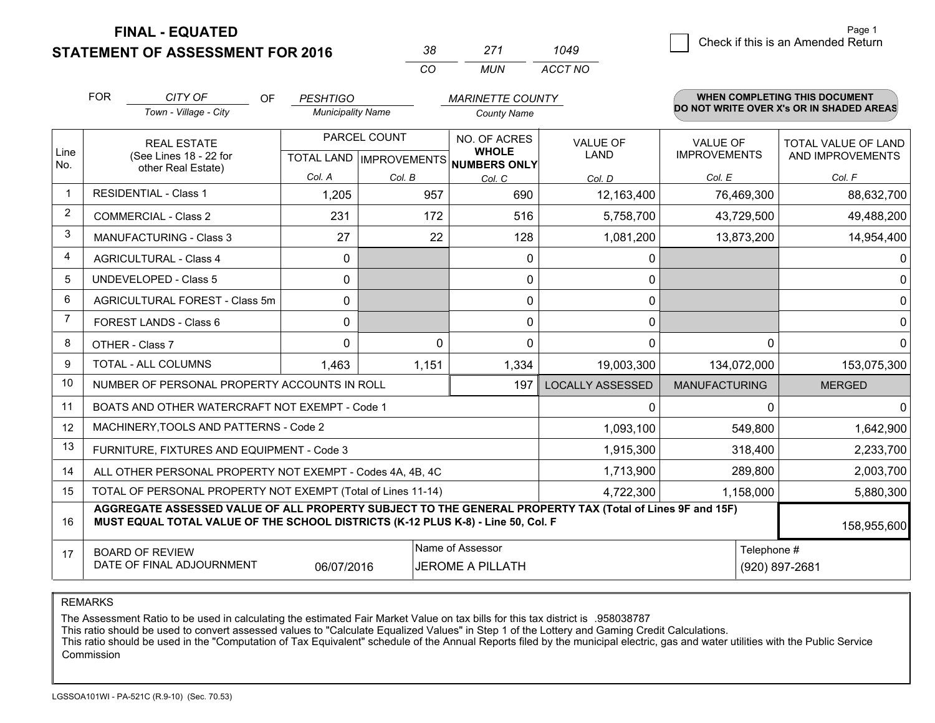**STATEMENT OF ASSESSMENT FOR 2016** 

| ≺×       | 277   | 1049    |  |
|----------|-------|---------|--|
| $\cdots$ | MI IN | ACCT NO |  |

|      | <b>FOR</b>                                                                           | CITY OF<br><b>OF</b>                                                                                                                                                                                        | <b>PESHTIGO</b>          |                                          | <b>MARINETTE COUNTY</b>      |                         |                                        | <b>WHEN COMPLETING THIS DOCUMENT</b>     |  |
|------|--------------------------------------------------------------------------------------|-------------------------------------------------------------------------------------------------------------------------------------------------------------------------------------------------------------|--------------------------|------------------------------------------|------------------------------|-------------------------|----------------------------------------|------------------------------------------|--|
|      |                                                                                      | Town - Village - City                                                                                                                                                                                       | <b>Municipality Name</b> |                                          | <b>County Name</b>           |                         |                                        | DO NOT WRITE OVER X's OR IN SHADED AREAS |  |
| Line | <b>REAL ESTATE</b>                                                                   |                                                                                                                                                                                                             | PARCEL COUNT             |                                          | NO. OF ACRES<br><b>WHOLE</b> | <b>VALUE OF</b><br>LAND | <b>VALUE OF</b><br><b>IMPROVEMENTS</b> | TOTAL VALUE OF LAND                      |  |
| No.  | (See Lines 18 - 22 for<br>other Real Estate)                                         |                                                                                                                                                                                                             |                          | TOTAL LAND   IMPROVEMENTS   NUMBERS ONLY |                              |                         | AND IMPROVEMENTS                       |                                          |  |
|      |                                                                                      |                                                                                                                                                                                                             | Col. A                   | Col. B                                   | Col. C                       | Col. D                  | Col. E                                 | Col. F                                   |  |
| -1   |                                                                                      | <b>RESIDENTIAL - Class 1</b>                                                                                                                                                                                | 1,205                    | 957                                      | 690                          | 12,163,400              | 76,469,300                             | 88,632,700                               |  |
| 2    |                                                                                      | <b>COMMERCIAL - Class 2</b>                                                                                                                                                                                 | 231                      | 172                                      | 516                          | 5,758,700               | 43,729,500                             | 49,488,200                               |  |
| 3    |                                                                                      | MANUFACTURING - Class 3                                                                                                                                                                                     | 27                       | 22                                       | 128                          | 1,081,200               | 13,873,200                             | 14,954,400                               |  |
| 4    |                                                                                      | <b>AGRICULTURAL - Class 4</b>                                                                                                                                                                               | $\mathbf 0$              |                                          | $\mathbf{0}$                 | 0                       |                                        | 0                                        |  |
| 5    |                                                                                      | UNDEVELOPED - Class 5                                                                                                                                                                                       | $\Omega$                 |                                          | $\Omega$                     | 0                       |                                        | $\overline{0}$                           |  |
| 6    |                                                                                      | AGRICULTURAL FOREST - Class 5m                                                                                                                                                                              | $\Omega$                 |                                          | $\mathbf 0$                  | 0                       |                                        | $\overline{0}$                           |  |
| 7    | FOREST LANDS - Class 6<br>OTHER - Class 7                                            |                                                                                                                                                                                                             | $\mathbf{0}$             |                                          | $\Omega$                     | 0                       |                                        | $\overline{0}$                           |  |
| 8    |                                                                                      |                                                                                                                                                                                                             | $\Omega$                 | $\Omega$                                 | $\Omega$                     | 0                       | 0                                      | $\mathbf{0}$                             |  |
| 9    | TOTAL - ALL COLUMNS                                                                  |                                                                                                                                                                                                             | 1,463                    | 1,151                                    | 1,334                        | 19,003,300              | 134,072,000                            | 153,075,300                              |  |
| 10   |                                                                                      | NUMBER OF PERSONAL PROPERTY ACCOUNTS IN ROLL                                                                                                                                                                |                          |                                          | 197                          | <b>LOCALLY ASSESSED</b> | <b>MANUFACTURING</b>                   | <b>MERGED</b>                            |  |
| 11   | BOATS AND OTHER WATERCRAFT NOT EXEMPT - Code 1                                       |                                                                                                                                                                                                             |                          |                                          |                              |                         | 0                                      | $\Omega$                                 |  |
| 12   |                                                                                      | MACHINERY, TOOLS AND PATTERNS - Code 2                                                                                                                                                                      |                          |                                          |                              | 1,093,100               | 549,800                                | 1,642,900                                |  |
| 13   |                                                                                      | FURNITURE, FIXTURES AND EQUIPMENT - Code 3                                                                                                                                                                  |                          |                                          |                              | 1,915,300               | 318,400                                | 2,233,700                                |  |
| 14   | ALL OTHER PERSONAL PROPERTY NOT EXEMPT - Codes 4A, 4B, 4C                            |                                                                                                                                                                                                             |                          |                                          |                              |                         | 289,800                                | 2,003,700                                |  |
| 15   |                                                                                      | TOTAL OF PERSONAL PROPERTY NOT EXEMPT (Total of Lines 11-14)                                                                                                                                                |                          | 4,722,300                                | 1,158,000                    | 5,880,300               |                                        |                                          |  |
| 16   |                                                                                      | AGGREGATE ASSESSED VALUE OF ALL PROPERTY SUBJECT TO THE GENERAL PROPERTY TAX (Total of Lines 9F and 15F)<br>MUST EQUAL TOTAL VALUE OF THE SCHOOL DISTRICTS (K-12 PLUS K-8) - Line 50, Col. F<br>158,955,600 |                          |                                          |                              |                         |                                        |                                          |  |
| 17   |                                                                                      | <b>BOARD OF REVIEW</b>                                                                                                                                                                                      |                          |                                          | Name of Assessor             |                         |                                        | Telephone #                              |  |
|      | DATE OF FINAL ADJOURNMENT<br><b>JEROME A PILLATH</b><br>(920) 897-2681<br>06/07/2016 |                                                                                                                                                                                                             |                          |                                          |                              |                         |                                        |                                          |  |

REMARKS

The Assessment Ratio to be used in calculating the estimated Fair Market Value on tax bills for this tax district is .958038787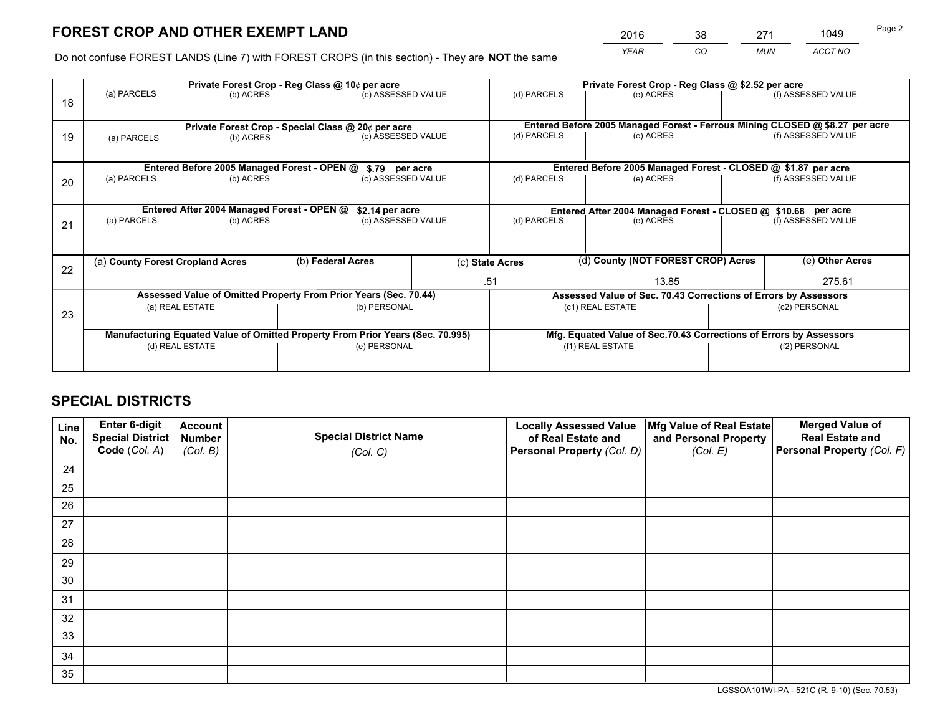*YEAR CO MUN ACCT NO* <sup>2016</sup> <sup>38</sup> <sup>271</sup> <sup>1049</sup>

Do not confuse FOREST LANDS (Line 7) with FOREST CROPS (in this section) - They are **NOT** the same

|    | Private Forest Crop - Reg Class @ 10¢ per acre                                                                                                       |                                                                  |  |                                      |              | Private Forest Crop - Reg Class @ \$2.52 per acre               |                                                                              |                    |                    |  |
|----|------------------------------------------------------------------------------------------------------------------------------------------------------|------------------------------------------------------------------|--|--------------------------------------|--------------|-----------------------------------------------------------------|------------------------------------------------------------------------------|--------------------|--------------------|--|
| 18 | (a) PARCELS                                                                                                                                          | (b) ACRES                                                        |  | (c) ASSESSED VALUE                   |              | (d) PARCELS                                                     | (e) ACRES                                                                    |                    | (f) ASSESSED VALUE |  |
|    |                                                                                                                                                      |                                                                  |  |                                      |              |                                                                 | Entered Before 2005 Managed Forest - Ferrous Mining CLOSED @ \$8.27 per acre |                    |                    |  |
| 19 | Private Forest Crop - Special Class @ 20¢ per acre<br>(a) PARCELS<br>(b) ACRES                                                                       |                                                                  |  | (c) ASSESSED VALUE                   |              | (d) PARCELS                                                     | (e) ACRES                                                                    |                    | (f) ASSESSED VALUE |  |
|    |                                                                                                                                                      |                                                                  |  |                                      |              |                                                                 | Entered Before 2005 Managed Forest - CLOSED @ \$1.87 per acre                |                    |                    |  |
| 20 | Entered Before 2005 Managed Forest - OPEN @<br>(a) PARCELS<br>(b) ACRES                                                                              |                                                                  |  | \$.79 per acre<br>(c) ASSESSED VALUE |              | (d) PARCELS<br>(e) ACRES                                        |                                                                              |                    | (f) ASSESSED VALUE |  |
|    |                                                                                                                                                      | Entered After 2004 Managed Forest - OPEN @                       |  | \$2.14 per acre                      |              |                                                                 | Entered After 2004 Managed Forest - CLOSED @ \$10.68 per acre                |                    |                    |  |
| 21 | (a) PARCELS<br>(b) ACRES                                                                                                                             |                                                                  |  | (c) ASSESSED VALUE                   |              | (d) PARCELS<br>(e) ACRES                                        |                                                                              | (f) ASSESSED VALUE |                    |  |
|    | (a) County Forest Cropland Acres                                                                                                                     |                                                                  |  | (b) Federal Acres                    |              | (d) County (NOT FOREST CROP) Acres<br>(c) State Acres           |                                                                              |                    | (e) Other Acres    |  |
| 22 |                                                                                                                                                      |                                                                  |  |                                      |              |                                                                 |                                                                              |                    |                    |  |
|    |                                                                                                                                                      |                                                                  |  |                                      | 13.85<br>.51 |                                                                 | 275.61                                                                       |                    |                    |  |
|    |                                                                                                                                                      | Assessed Value of Omitted Property From Prior Years (Sec. 70.44) |  |                                      |              | Assessed Value of Sec. 70.43 Corrections of Errors by Assessors |                                                                              |                    |                    |  |
| 23 | (b) PERSONAL<br>(a) REAL ESTATE                                                                                                                      |                                                                  |  | (c1) REAL ESTATE<br>(c2) PERSONAL    |              |                                                                 |                                                                              |                    |                    |  |
|    | Manufacturing Equated Value of Omitted Property From Prior Years (Sec. 70.995)<br>Mfg. Equated Value of Sec.70.43 Corrections of Errors by Assessors |                                                                  |  |                                      |              |                                                                 |                                                                              |                    |                    |  |
|    | (d) REAL ESTATE                                                                                                                                      |                                                                  |  | (e) PERSONAL                         |              | (f1) REAL ESTATE                                                |                                                                              | (f2) PERSONAL      |                    |  |
|    |                                                                                                                                                      |                                                                  |  |                                      |              |                                                                 |                                                                              |                    |                    |  |

## **SPECIAL DISTRICTS**

| Line<br>No. | Enter 6-digit<br>Special District<br>Code (Col. A) | <b>Account</b><br><b>Number</b> | <b>Special District Name</b> | <b>Locally Assessed Value</b><br>of Real Estate and | Mfg Value of Real Estate<br>and Personal Property | <b>Merged Value of</b><br><b>Real Estate and</b><br>Personal Property (Col. F) |
|-------------|----------------------------------------------------|---------------------------------|------------------------------|-----------------------------------------------------|---------------------------------------------------|--------------------------------------------------------------------------------|
|             |                                                    | (Col. B)                        | (Col. C)                     | Personal Property (Col. D)                          | (Col. E)                                          |                                                                                |
| 24          |                                                    |                                 |                              |                                                     |                                                   |                                                                                |
| 25          |                                                    |                                 |                              |                                                     |                                                   |                                                                                |
| 26          |                                                    |                                 |                              |                                                     |                                                   |                                                                                |
| 27          |                                                    |                                 |                              |                                                     |                                                   |                                                                                |
| 28          |                                                    |                                 |                              |                                                     |                                                   |                                                                                |
| 29          |                                                    |                                 |                              |                                                     |                                                   |                                                                                |
| 30          |                                                    |                                 |                              |                                                     |                                                   |                                                                                |
| 31          |                                                    |                                 |                              |                                                     |                                                   |                                                                                |
| 32          |                                                    |                                 |                              |                                                     |                                                   |                                                                                |
| 33          |                                                    |                                 |                              |                                                     |                                                   |                                                                                |
| 34          |                                                    |                                 |                              |                                                     |                                                   |                                                                                |
| 35          |                                                    |                                 |                              |                                                     |                                                   |                                                                                |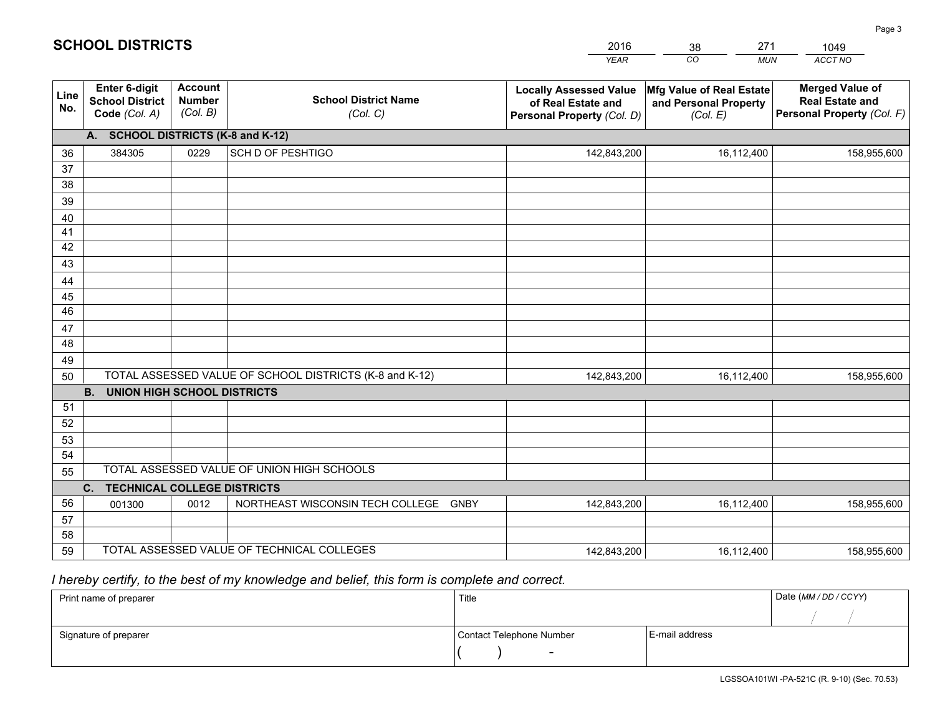|             |                                                          |                                             |                                                         | <b>YEAR</b>                                                                       | CO<br><b>MUN</b>                                              | ACCT NO                                                                        |  |  |  |  |
|-------------|----------------------------------------------------------|---------------------------------------------|---------------------------------------------------------|-----------------------------------------------------------------------------------|---------------------------------------------------------------|--------------------------------------------------------------------------------|--|--|--|--|
| Line<br>No. | Enter 6-digit<br><b>School District</b><br>Code (Col. A) | <b>Account</b><br><b>Number</b><br>(Col. B) | <b>School District Name</b><br>(Col. C)                 | <b>Locally Assessed Value</b><br>of Real Estate and<br>Personal Property (Col. D) | Mfg Value of Real Estate<br>and Personal Property<br>(Col. E) | <b>Merged Value of</b><br><b>Real Estate and</b><br>Personal Property (Col. F) |  |  |  |  |
|             | A. SCHOOL DISTRICTS (K-8 and K-12)                       |                                             |                                                         |                                                                                   |                                                               |                                                                                |  |  |  |  |
| 36          | 384305                                                   | 0229                                        | SCH D OF PESHTIGO                                       | 142,843,200                                                                       | 16,112,400                                                    | 158,955,600                                                                    |  |  |  |  |
| 37          |                                                          |                                             |                                                         |                                                                                   |                                                               |                                                                                |  |  |  |  |
| 38          |                                                          |                                             |                                                         |                                                                                   |                                                               |                                                                                |  |  |  |  |
| 39          |                                                          |                                             |                                                         |                                                                                   |                                                               |                                                                                |  |  |  |  |
| 40          |                                                          |                                             |                                                         |                                                                                   |                                                               |                                                                                |  |  |  |  |
| 41<br>42    |                                                          |                                             |                                                         |                                                                                   |                                                               |                                                                                |  |  |  |  |
| 43          |                                                          |                                             |                                                         |                                                                                   |                                                               |                                                                                |  |  |  |  |
|             |                                                          |                                             |                                                         |                                                                                   |                                                               |                                                                                |  |  |  |  |
| 44<br>45    |                                                          |                                             |                                                         |                                                                                   |                                                               |                                                                                |  |  |  |  |
| 46          |                                                          |                                             |                                                         |                                                                                   |                                                               |                                                                                |  |  |  |  |
| 47          |                                                          |                                             |                                                         |                                                                                   |                                                               |                                                                                |  |  |  |  |
| 48          |                                                          |                                             |                                                         |                                                                                   |                                                               |                                                                                |  |  |  |  |
| 49          |                                                          |                                             |                                                         |                                                                                   |                                                               |                                                                                |  |  |  |  |
| 50          |                                                          |                                             | TOTAL ASSESSED VALUE OF SCHOOL DISTRICTS (K-8 and K-12) | 142,843,200                                                                       | 16,112,400                                                    | 158,955,600                                                                    |  |  |  |  |
|             | <b>B.</b><br>UNION HIGH SCHOOL DISTRICTS                 |                                             |                                                         |                                                                                   |                                                               |                                                                                |  |  |  |  |
| 51          |                                                          |                                             |                                                         |                                                                                   |                                                               |                                                                                |  |  |  |  |
| 52          |                                                          |                                             |                                                         |                                                                                   |                                                               |                                                                                |  |  |  |  |
| 53          |                                                          |                                             |                                                         |                                                                                   |                                                               |                                                                                |  |  |  |  |
| 54          |                                                          |                                             |                                                         |                                                                                   |                                                               |                                                                                |  |  |  |  |
|             | TOTAL ASSESSED VALUE OF UNION HIGH SCHOOLS<br>55         |                                             |                                                         |                                                                                   |                                                               |                                                                                |  |  |  |  |
|             | C.<br><b>TECHNICAL COLLEGE DISTRICTS</b>                 |                                             |                                                         |                                                                                   |                                                               |                                                                                |  |  |  |  |
| 56          | 001300                                                   | 0012                                        | NORTHEAST WISCONSIN TECH COLLEGE<br><b>GNBY</b>         | 142,843,200                                                                       | 16,112,400                                                    | 158,955,600                                                                    |  |  |  |  |
| 57<br>58    |                                                          |                                             |                                                         |                                                                                   |                                                               |                                                                                |  |  |  |  |
| 59          |                                                          |                                             | TOTAL ASSESSED VALUE OF TECHNICAL COLLEGES              | 142,843,200                                                                       | 16,112,400                                                    | 158,955,600                                                                    |  |  |  |  |
|             |                                                          |                                             |                                                         |                                                                                   |                                                               |                                                                                |  |  |  |  |

38

271

 *I hereby certify, to the best of my knowledge and belief, this form is complete and correct.*

**SCHOOL DISTRICTS**

| Print name of preparer | Title                    |                | Date (MM/DD/CCYY) |
|------------------------|--------------------------|----------------|-------------------|
|                        |                          |                |                   |
| Signature of preparer  | Contact Telephone Number | E-mail address |                   |
|                        | $\overline{\phantom{0}}$ |                |                   |